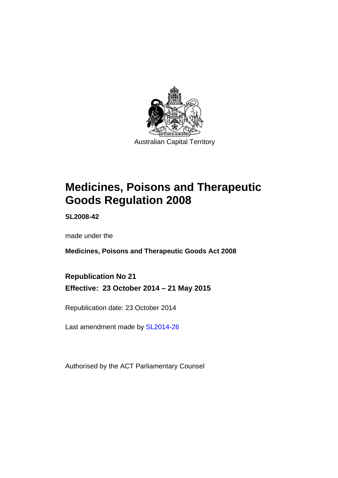

# **Medicines, Poisons and Therapeutic Goods Regulation 2008**

**SL2008-42** 

made under the

**Medicines, Poisons and Therapeutic Goods Act 2008** 

**Republication No 21 Effective: 23 October 2014 – 21 May 2015** 

Republication date: 23 October 2014

Last amendment made by [SL2014-26](http://www.legislation.act.gov.au/sl/2014-26)

Authorised by the ACT Parliamentary Counsel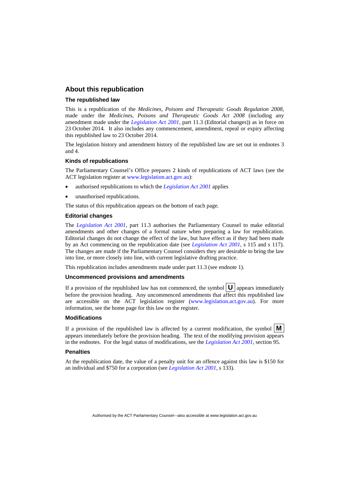### **About this republication**

### **The republished law**

This is a republication of the *Medicines, Poisons and Therapeutic Goods Regulation 2008*, made under the *Medicines, Poisons and Therapeutic Goods Act 2008* (including any amendment made under the *[Legislation Act 2001](http://www.legislation.act.gov.au/a/2001-14)*, part 11.3 (Editorial changes)) as in force on 23 October 2014*.* It also includes any commencement, amendment, repeal or expiry affecting this republished law to 23 October 2014.

The legislation history and amendment history of the republished law are set out in endnotes 3 and 4.

#### **Kinds of republications**

The Parliamentary Counsel's Office prepares 2 kinds of republications of ACT laws (see the ACT legislation register at [www.legislation.act.gov.au](http://www.legislation.act.gov.au/)):

- authorised republications to which the *[Legislation Act 2001](http://www.legislation.act.gov.au/a/2001-14)* applies
- unauthorised republications.

The status of this republication appears on the bottom of each page.

#### **Editorial changes**

The *[Legislation Act 2001](http://www.legislation.act.gov.au/a/2001-14)*, part 11.3 authorises the Parliamentary Counsel to make editorial amendments and other changes of a formal nature when preparing a law for republication. Editorial changes do not change the effect of the law, but have effect as if they had been made by an Act commencing on the republication date (see *[Legislation Act 2001](http://www.legislation.act.gov.au/a/2001-14)*, s 115 and s 117). The changes are made if the Parliamentary Counsel considers they are desirable to bring the law into line, or more closely into line, with current legislative drafting practice.

This republication includes amendments made under part 11.3 (see endnote 1).

### **Uncommenced provisions and amendments**

If a provision of the republished law has not commenced, the symbol  $\mathbf{U}$  appears immediately before the provision heading. Any uncommenced amendments that affect this republished law are accessible on the ACT legislation register [\(www.legislation.act.gov.au\)](http://www.legislation.act.gov.au/). For more information, see the home page for this law on the register.

### **Modifications**

If a provision of the republished law is affected by a current modification, the symbol  $\mathbf{M}$ appears immediately before the provision heading. The text of the modifying provision appears in the endnotes. For the legal status of modifications, see the *[Legislation Act 2001](http://www.legislation.act.gov.au/a/2001-14)*, section 95.

#### **Penalties**

At the republication date, the value of a penalty unit for an offence against this law is \$150 for an individual and \$750 for a corporation (see *[Legislation Act 2001](http://www.legislation.act.gov.au/a/2001-14)*, s 133).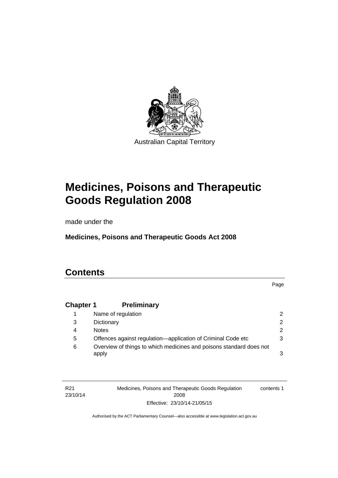

# **Medicines, Poisons and Therapeutic Goods Regulation 2008**

made under the

**Medicines, Poisons and Therapeutic Goods Act 2008** 

# **Contents**

Page

# **Chapter 1 [Preliminary](#page-25-0)**

|   | Name of regulation                                                           |               |
|---|------------------------------------------------------------------------------|---------------|
| 3 | Dictionary                                                                   | $\mathcal{P}$ |
| 4 | <b>Notes</b>                                                                 | $\mathcal{P}$ |
| 5 | Offences against regulation—application of Criminal Code etc                 |               |
| 6 | Overview of things to which medicines and poisons standard does not<br>apply |               |

| R <sub>21</sub> | Medicines, Poisons and Therapeutic Goods Regulation | contents 1 |
|-----------------|-----------------------------------------------------|------------|
| 23/10/14        | 2008                                                |            |
|                 | Effective: 23/10/14-21/05/15                        |            |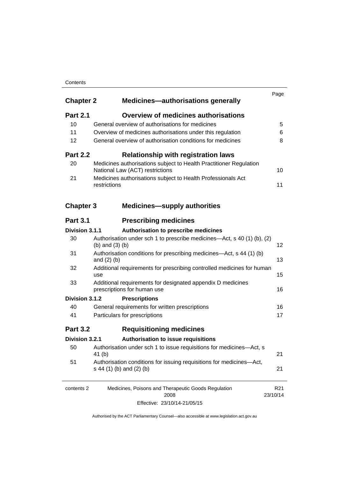### **Contents**

| <b>Chapter 2</b> | <b>Medicines-authorisations generally</b>                                                             | Page                        |
|------------------|-------------------------------------------------------------------------------------------------------|-----------------------------|
| <b>Part 2.1</b>  | <b>Overview of medicines authorisations</b>                                                           |                             |
| 10               | General overview of authorisations for medicines                                                      | 5                           |
| 11               | Overview of medicines authorisations under this regulation                                            | 6                           |
| 12               | General overview of authorisation conditions for medicines                                            | 8                           |
| <b>Part 2.2</b>  | <b>Relationship with registration laws</b>                                                            |                             |
| 20               | Medicines authorisations subject to Health Practitioner Regulation<br>National Law (ACT) restrictions | 10                          |
| 21               | Medicines authorisations subject to Health Professionals Act<br>restrictions                          | 11                          |
| <b>Chapter 3</b> | <b>Medicines-supply authorities</b>                                                                   |                             |
| <b>Part 3.1</b>  | <b>Prescribing medicines</b>                                                                          |                             |
| Division 3.1.1   | Authorisation to prescribe medicines                                                                  |                             |
| 30               | Authorisation under sch 1 to prescribe medicines—Act, s 40 (1) (b), (2)<br>(b) and $(3)$ (b)          | 12                          |
| 31               | Authorisation conditions for prescribing medicines—Act, s 44 (1) (b)<br>and $(2)$ $(b)$               | 13                          |
| 32               | Additional requirements for prescribing controlled medicines for human<br>use                         | 15                          |
| 33               | Additional requirements for designated appendix D medicines<br>prescriptions for human use            | 16                          |
| Division 3.1.2   | <b>Prescriptions</b>                                                                                  |                             |
| 40               | General requirements for written prescriptions                                                        | 16                          |
| 41               | Particulars for prescriptions                                                                         | 17                          |
| <b>Part 3.2</b>  | <b>Requisitioning medicines</b>                                                                       |                             |
| Division 3.2.1   | Authorisation to issue requisitions                                                                   |                             |
| 50               | Authorisation under sch 1 to issue requisitions for medicines-Act, s<br>41 (b)                        | 21                          |
| 51               | Authorisation conditions for issuing requisitions for medicines-Act,<br>s 44 (1) (b) and (2) (b)      | 21                          |
| contents 2       | Medicines, Poisons and Therapeutic Goods Regulation<br>2008                                           | R <sub>21</sub><br>23/10/14 |

Effective: 23/10/14-21/05/15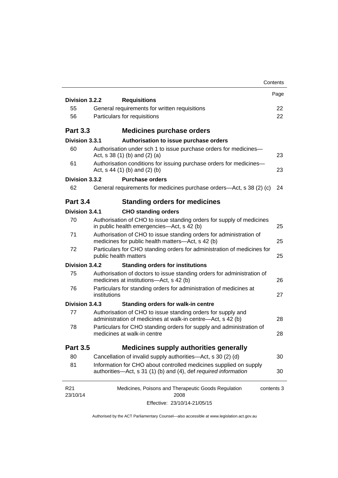|                             | Contents                                                                                                                             |      |
|-----------------------------|--------------------------------------------------------------------------------------------------------------------------------------|------|
| Division 3.2.2              | <b>Requisitions</b>                                                                                                                  | Page |
| 55                          | General requirements for written requisitions                                                                                        | 22   |
| 56                          | Particulars for requisitions                                                                                                         | 22   |
|                             |                                                                                                                                      |      |
| <b>Part 3.3</b>             | <b>Medicines purchase orders</b>                                                                                                     |      |
| Division 3.3.1              | Authorisation to issue purchase orders                                                                                               |      |
| 60                          | Authorisation under sch 1 to issue purchase orders for medicines-<br>Act, $s$ 38 (1) (b) and (2) (a)                                 | 23   |
| 61                          | Authorisation conditions for issuing purchase orders for medicines-<br>Act, $s$ 44 (1) (b) and (2) (b)                               | 23   |
| Division 3.3.2              | <b>Purchase orders</b>                                                                                                               |      |
| 62                          | General requirements for medicines purchase orders—Act, s 38 (2) (c)                                                                 | 24   |
| <b>Part 3.4</b>             | <b>Standing orders for medicines</b>                                                                                                 |      |
| Division 3.4.1              | <b>CHO standing orders</b>                                                                                                           |      |
| 70                          | Authorisation of CHO to issue standing orders for supply of medicines<br>in public health emergencies—Act, s 42 (b)                  | 25   |
| 71                          | Authorisation of CHO to issue standing orders for administration of<br>medicines for public health matters-Act, s 42 (b)             | 25   |
| 72                          | Particulars for CHO standing orders for administration of medicines for<br>public health matters                                     | 25   |
| Division 3.4.2              | <b>Standing orders for institutions</b>                                                                                              |      |
| 75                          | Authorisation of doctors to issue standing orders for administration of<br>medicines at institutions-Act, s 42 (b)                   | 26   |
| 76                          | Particulars for standing orders for administration of medicines at<br>institutions                                                   | 27   |
| Division 3.4.3              | <b>Standing orders for walk-in centre</b>                                                                                            |      |
| 77                          | Authorisation of CHO to issue standing orders for supply and<br>administration of medicines at walk-in centre-Act, s 42 (b)          | 28   |
| 78                          | Particulars for CHO standing orders for supply and administration of<br>medicines at walk-in centre                                  | 28   |
| <b>Part 3.5</b>             | <b>Medicines supply authorities generally</b>                                                                                        |      |
| 80                          | Cancellation of invalid supply authorities—Act, s 30 (2) (d)                                                                         | 30   |
| 81                          | Information for CHO about controlled medicines supplied on supply<br>authorities—Act, s 31 (1) (b) and (4), def required information | 30   |
| R <sub>21</sub><br>23/10/14 | Medicines, Poisons and Therapeutic Goods Regulation<br>contents 3<br>2008                                                            |      |
|                             | Effective: 23/10/14-21/05/15                                                                                                         |      |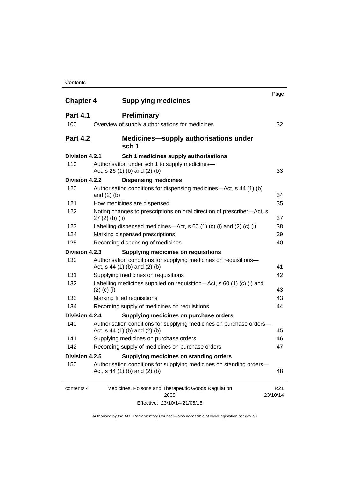### **Contents**

| <b>Chapter 4</b> | <b>Supplying medicines</b>                                                                              | Page                        |
|------------------|---------------------------------------------------------------------------------------------------------|-----------------------------|
| <b>Part 4.1</b>  | <b>Preliminary</b>                                                                                      |                             |
| 100              | Overview of supply authorisations for medicines                                                         | 32                          |
| <b>Part 4.2</b>  | <b>Medicines—supply authorisations under</b><br>sch 1                                                   |                             |
| Division 4.2.1   | Sch 1 medicines supply authorisations                                                                   |                             |
| 110              | Authorisation under sch 1 to supply medicines-<br>Act, $s$ 26 (1) (b) and (2) (b)                       | 33                          |
| Division 4.2.2   | <b>Dispensing medicines</b>                                                                             |                             |
| 120              | Authorisation conditions for dispensing medicines—Act, s 44 (1) (b)<br>and $(2)$ $(b)$                  | 34                          |
| 121              | How medicines are dispensed                                                                             | 35                          |
| 122              | Noting changes to prescriptions on oral direction of prescriber-Act, s<br>$27(2)$ (b) (ii)              | 37                          |
| 123              | Labelling dispensed medicines—Act, s 60 (1) (c) (i) and (2) (c) (i)                                     | 38                          |
| 124              | Marking dispensed prescriptions                                                                         | 39                          |
| 125              | Recording dispensing of medicines                                                                       | 40                          |
| Division 4.2.3   | <b>Supplying medicines on requisitions</b>                                                              |                             |
| 130              | Authorisation conditions for supplying medicines on requisitions-<br>Act, $s$ 44 (1) (b) and (2) (b)    | 41                          |
| 131              | Supplying medicines on requisitions                                                                     | 42                          |
| 132              | Labelling medicines supplied on requisition-Act, s 60 (1) (c) (i) and<br>$(2)$ (c) (i)                  | 43                          |
| 133              | Marking filled requisitions                                                                             | 43                          |
| 134              | Recording supply of medicines on requisitions                                                           | 44                          |
| Division 4.2.4   | Supplying medicines on purchase orders                                                                  |                             |
| 140              | Authorisation conditions for supplying medicines on purchase orders-<br>Act, s 44 (1) (b) and (2) (b)   | 45                          |
| 141              | Supplying medicines on purchase orders                                                                  | 46                          |
| 142              | Recording supply of medicines on purchase orders                                                        | 47                          |
| Division 4.2.5   | Supplying medicines on standing orders                                                                  |                             |
| 150              | Authorisation conditions for supplying medicines on standing orders-<br>Act, $s$ 44 (1) (b) and (2) (b) | 48                          |
| contents 4       | Medicines, Poisons and Therapeutic Goods Regulation<br>2008                                             | R <sub>21</sub><br>23/10/14 |
|                  | Effective: 23/10/14-21/05/15                                                                            |                             |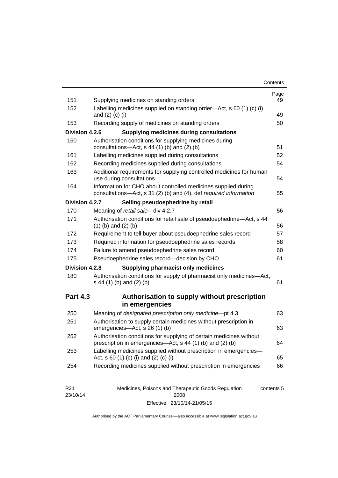| Contents |
|----------|
|----------|

| 151             | Supplying medicines on standing orders                                                                                              | Page<br>49 |
|-----------------|-------------------------------------------------------------------------------------------------------------------------------------|------------|
| 152             | Labelling medicines supplied on standing order—Act, s 60 (1) (c) (i)<br>and $(2)$ $(c)$ $(i)$                                       | 49         |
| 153             | Recording supply of medicines on standing orders                                                                                    | 50         |
| Division 4.2.6  | <b>Supplying medicines during consultations</b>                                                                                     |            |
| 160             | Authorisation conditions for supplying medicines during                                                                             |            |
|                 | consultations- $-\text{Act}$ , s 44 (1) (b) and (2) (b)                                                                             | 51         |
| 161             | Labelling medicines supplied during consultations                                                                                   | 52         |
| 162             | Recording medicines supplied during consultations                                                                                   | 54         |
| 163             | Additional requirements for supplying controlled medicines for human<br>use during consultations                                    | 54         |
| 164             | Information for CHO about controlled medicines supplied during<br>consultations-Act, s 31 (2) (b) and (4), def required information | 55         |
| Division 4.2.7  | Selling pseudoephedrine by retail                                                                                                   |            |
| 170             | Meaning of retail sale-div 4.2.7                                                                                                    | 56         |
| 171             | Authorisation conditions for retail sale of pseudoephedrine—Act, s 44<br>$(1)$ (b) and $(2)$ (b)                                    | 56         |
| 172             | Requirement to tell buyer about pseudoephedrine sales record                                                                        | 57         |
| 173             | Required information for pseudoephedrine sales records                                                                              | 58         |
| 174             | Failure to amend pseudoephedrine sales record                                                                                       | 60         |
| 175             | Pseudoephedrine sales record-decision by CHO                                                                                        | 61         |
| Division 4.2.8  | <b>Supplying pharmacist only medicines</b>                                                                                          |            |
| 180             | Authorisation conditions for supply of pharmacist only medicines-Act,<br>s 44 (1) (b) and (2) (b)                                   | 61         |
| <b>Part 4.3</b> | Authorisation to supply without prescription<br>in emergencies                                                                      |            |
| 250             | Meaning of designated prescription only medicine-pt 4.3                                                                             | 63         |
|                 | Authorisation to supply certain medicines without prescription in                                                                   |            |
| 251             | emergencies-Act, s 26 (1) (b)                                                                                                       |            |
| 252             | Authorisation conditions for supplying of certain medicines without<br>prescription in emergencies—Act, s 44 (1) (b) and (2) (b)    | 63<br>64   |
| 253             | Labelling medicines supplied without prescription in emergencies-<br>Act, s 60 (1) (c) (i) and (2) (c) (i)                          | 65         |

| R21      | Medicines, Poisons and Therapeutic Goods Regulation | contents 5 |
|----------|-----------------------------------------------------|------------|
| 23/10/14 | 2008                                                |            |
|          | Effective: 23/10/14-21/05/15                        |            |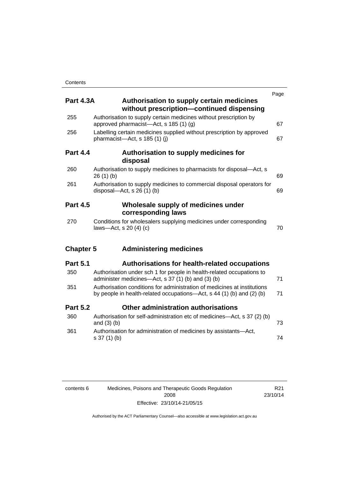| <b>Part 4.3A</b> | Authorisation to supply certain medicines<br>without prescription-continued dispensing                                                            | Page |
|------------------|---------------------------------------------------------------------------------------------------------------------------------------------------|------|
| 255              | Authorisation to supply certain medicines without prescription by<br>approved pharmacist-Act, s 185 (1) (g)                                       | 67   |
| 256              | Labelling certain medicines supplied without prescription by approved<br>pharmacist-Act, s 185 (1) (j)                                            | 67   |
| <b>Part 4.4</b>  | Authorisation to supply medicines for<br>disposal                                                                                                 |      |
| 260              | Authorisation to supply medicines to pharmacists for disposal-Act, s<br>26(1)(b)                                                                  | 69   |
| 261              | Authorisation to supply medicines to commercial disposal operators for<br>disposal- $-\text{Act}$ , s 26 (1) (b)                                  | 69   |
| <b>Part 4.5</b>  | Wholesale supply of medicines under<br>corresponding laws                                                                                         |      |
| 270              | Conditions for wholesalers supplying medicines under corresponding<br>laws-Act, s 20 (4) (c)                                                      | 70   |
| <b>Chapter 5</b> | <b>Administering medicines</b>                                                                                                                    |      |
| <b>Part 5.1</b>  | Authorisations for health-related occupations                                                                                                     |      |
| 350              | Authorisation under sch 1 for people in health-related occupations to<br>administer medicines—Act, s 37 (1) (b) and (3) (b)                       | 71   |
| 351              | Authorisation conditions for administration of medicines at institutions<br>by people in health-related occupations—Act, s 44 (1) (b) and (2) (b) | 71   |
| <b>Part 5.2</b>  | Other administration authorisations                                                                                                               |      |
| 360              | Authorisation for self-administration etc of medicines—Act, s 37 (2) (b)<br>and $(3)$ $(b)$                                                       | 73   |
| 361              | Authorisation for administration of medicines by assistants-Act,<br>s 37 (1) (b)                                                                  | 74   |

| contents 6 | Medicines, Poisons and Therapeutic Goods Regulation |
|------------|-----------------------------------------------------|
|            | 2008                                                |
|            | Effective: 23/10/14-21/05/15                        |

R21 23/10/14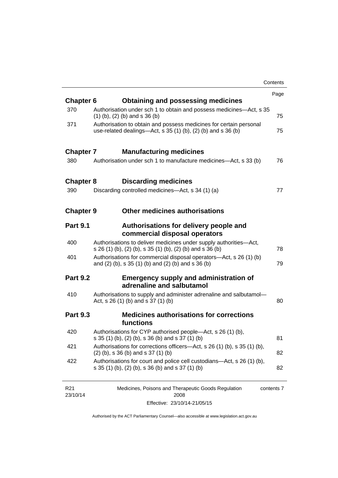|                  |                                                                                                                                       | Contents |
|------------------|---------------------------------------------------------------------------------------------------------------------------------------|----------|
|                  |                                                                                                                                       | Page     |
| <b>Chapter 6</b> | <b>Obtaining and possessing medicines</b>                                                                                             |          |
| 370              | Authorisation under sch 1 to obtain and possess medicines—Act, s 35<br>$(1)$ (b), (2) (b) and s 36 (b)                                | 75       |
| 371              | Authorisation to obtain and possess medicines for certain personal<br>use-related dealings—Act, s $35(1)(b)$ , $(2)(b)$ and s $36(b)$ | 75       |
| <b>Chapter 7</b> | <b>Manufacturing medicines</b>                                                                                                        |          |
| 380              | Authorisation under sch 1 to manufacture medicines—Act, s 33 (b)                                                                      | 76       |
| <b>Chapter 8</b> | <b>Discarding medicines</b>                                                                                                           |          |
| 390              | Discarding controlled medicines—Act, s 34 (1) (a)                                                                                     | 77       |
| <b>Chapter 9</b> | <b>Other medicines authorisations</b>                                                                                                 |          |
| <b>Part 9.1</b>  | Authorisations for delivery people and<br>commercial disposal operators                                                               |          |
| 400              | Authorisations to deliver medicines under supply authorities-Act,<br>s 26 (1) (b), (2) (b), s 35 (1) (b), (2) (b) and s 36 (b)        | 78       |
| 401              | Authorisations for commercial disposal operators-Act, s 26 (1) (b)<br>and (2) (b), s 35 (1) (b) and (2) (b) and s 36 (b)              | 79       |
| <b>Part 9.2</b>  | <b>Emergency supply and administration of</b><br>adrenaline and salbutamol                                                            |          |
| 410              | Authorisations to supply and administer adrenaline and salbutamol-<br>Act, s 26 (1) (b) and s 37 (1) (b)                              | 80       |
| <b>Part 9.3</b>  | <b>Medicines authorisations for corrections</b><br>functions                                                                          |          |
| 420              | Authorisations for CYP authorised people-Act, s 26 (1) (b),<br>s 35 (1) (b), (2) (b), s 36 (b) and s 37 (1) (b)                       | 81       |
| 421              | Authorisations for corrections officers-Act, s 26 (1) (b), s 35 (1) (b),<br>$(2)$ (b), s 36 (b) and s 37 (1) (b)                      | 82       |
| 422              | Authorisations for court and police cell custodians—Act, s 26 (1) (b),<br>s 35 (1) (b), (2) (b), s 36 (b) and s 37 (1) (b)            | 82       |
|                  |                                                                                                                                       |          |

| R21      | Medicines, Poisons and Therapeutic Goods Regulation | contents 7 |
|----------|-----------------------------------------------------|------------|
| 23/10/14 | 2008                                                |            |
|          | Effective: 23/10/14-21/05/15                        |            |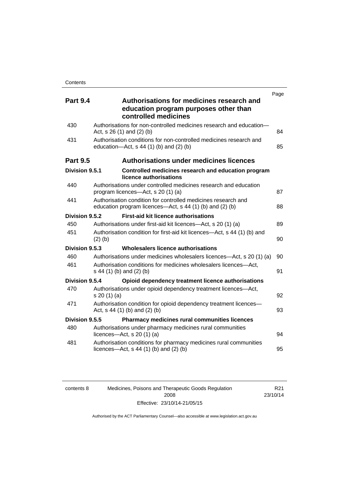| <b>Part 9.4</b> | Authorisations for medicines research and<br>education program purposes other than<br>controlled medicines                | Page |
|-----------------|---------------------------------------------------------------------------------------------------------------------------|------|
| 430             | Authorisations for non-controlled medicines research and education-<br>Act, $s$ 26 (1) and (2) (b)                        | 84   |
| 431             | Authorisation conditions for non-controlled medicines research and<br>education- $Act$ , s 44 (1) (b) and (2) (b)         | 85   |
| <b>Part 9.5</b> | <b>Authorisations under medicines licences</b>                                                                            |      |
| Division 9.5.1  | Controlled medicines research and education program<br>licence authorisations                                             |      |
| 440             | Authorisations under controlled medicines research and education<br>program licences—Act, s 20 (1) (a)                    | 87   |
| 441             | Authorisation condition for controlled medicines research and<br>education program licences—Act, s 44 (1) (b) and (2) (b) | 88   |
| Division 9.5.2  | <b>First-aid kit licence authorisations</b>                                                                               |      |
| 450             | Authorisations under first-aid kit licences—Act, s 20 (1) (a)                                                             | 89   |
| 451             | Authorisation condition for first-aid kit licences—Act, s 44 (1) (b) and<br>$(2)$ (b)                                     | 90   |
| Division 9.5.3  | Wholesalers licence authorisations                                                                                        |      |
| 460             | Authorisations under medicines wholesalers licences—Act, s 20 (1) (a)                                                     | 90   |
| 461             | Authorisation conditions for medicines wholesalers licences-Act,<br>s 44 (1) (b) and (2) (b)                              | 91   |
| Division 9.5.4  | Opioid dependency treatment licence authorisations                                                                        |      |
| 470             | Authorisations under opioid dependency treatment licences-Act,<br>s 20 (1) (a)                                            | 92   |
| 471             | Authorisation condition for opioid dependency treatment licences-<br>Act, $s$ 44 (1) (b) and (2) (b)                      | 93   |
| Division 9.5.5  | <b>Pharmacy medicines rural communities licences</b>                                                                      |      |
| 480             | Authorisations under pharmacy medicines rural communities<br>licences- $-\text{Act}$ , s 20 (1) (a)                       | 94   |
| 481             | Authorisation conditions for pharmacy medicines rural communities<br>licences—Act, $s$ 44 (1) (b) and (2) (b)             | 95   |

| contents 8 |  |  |
|------------|--|--|
|            |  |  |
|            |  |  |

8 Medicines, Poisons and Therapeutic Goods Regulation 2008 Effective: 23/10/14-21/05/15

R21 23/10/14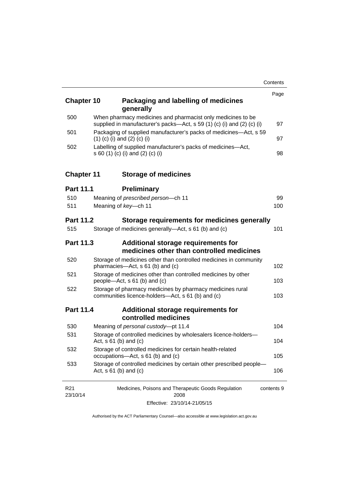| <b>Chapter 10</b>           |                                                                                                                                       | Packaging and labelling of medicines<br>generally                                                              | Page       |
|-----------------------------|---------------------------------------------------------------------------------------------------------------------------------------|----------------------------------------------------------------------------------------------------------------|------------|
| 500                         | When pharmacy medicines and pharmacist only medicines to be<br>supplied in manufacturer's packs-Act, s 59 (1) (c) (i) and (2) (c) (i) |                                                                                                                |            |
| 501                         |                                                                                                                                       | Packaging of supplied manufacturer's packs of medicines—Act, s 59<br>$(1)$ (c) (i) and (2) (c) (i)             | 97         |
| 502                         |                                                                                                                                       | Labelling of supplied manufacturer's packs of medicines-Act,<br>s 60 (1) (c) (i) and (2) (c) (i)               | 98         |
| <b>Chapter 11</b>           |                                                                                                                                       | <b>Storage of medicines</b>                                                                                    |            |
| <b>Part 11.1</b>            |                                                                                                                                       | <b>Preliminary</b>                                                                                             |            |
| 510                         |                                                                                                                                       | Meaning of prescribed person-ch 11                                                                             | 99         |
| 511                         |                                                                                                                                       | Meaning of key-ch 11                                                                                           | 100        |
| <b>Part 11.2</b>            |                                                                                                                                       | Storage requirements for medicines generally                                                                   |            |
| 515                         |                                                                                                                                       | Storage of medicines generally—Act, s 61 (b) and (c)                                                           | 101        |
| <b>Part 11.3</b>            |                                                                                                                                       | Additional storage requirements for<br>medicines other than controlled medicines                               |            |
| 520                         |                                                                                                                                       | Storage of medicines other than controlled medicines in community<br>pharmacies-Act, s 61 (b) and (c)          | 102        |
| 521                         |                                                                                                                                       | Storage of medicines other than controlled medicines by other<br>people-Act, s 61 (b) and (c)                  | 103        |
| 522                         |                                                                                                                                       | Storage of pharmacy medicines by pharmacy medicines rural<br>communities licence-holders-Act, s 61 (b) and (c) | 103        |
| <b>Part 11.4</b>            |                                                                                                                                       | Additional storage requirements for<br>controlled medicines                                                    |            |
| 530                         |                                                                                                                                       | Meaning of personal custody-pt 11.4                                                                            | 104        |
| 531                         |                                                                                                                                       | Storage of controlled medicines by wholesalers licence-holders-<br>Act, $s \ 61$ (b) and (c)                   | 104        |
| 532                         |                                                                                                                                       | Storage of controlled medicines for certain health-related<br>occupations-Act, s 61 (b) and (c)                | 105        |
| 533                         |                                                                                                                                       | Storage of controlled medicines by certain other prescribed people-<br>Act, $s \ 61$ (b) and (c)               | 106        |
| R <sub>21</sub><br>23/10/14 |                                                                                                                                       | Medicines, Poisons and Therapeutic Goods Regulation<br>2008                                                    | contents 9 |

Effective: 23/10/14-21/05/15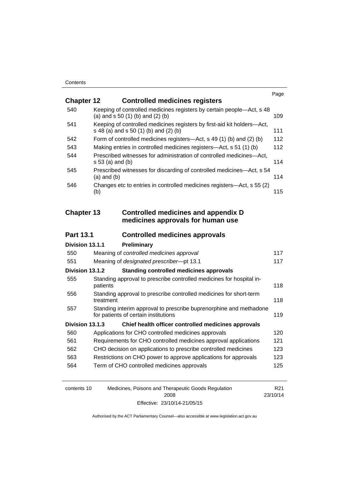|                   |                                                                                                                  | Page |
|-------------------|------------------------------------------------------------------------------------------------------------------|------|
| <b>Chapter 12</b> | <b>Controlled medicines registers</b>                                                                            |      |
| 540               | Keeping of controlled medicines registers by certain people-Act, s 48<br>(a) and $s$ 50 (1) (b) and (2) (b)      | 109  |
| 541               | Keeping of controlled medicines registers by first-aid kit holders-Act,<br>s 48 (a) and s 50 (1) (b) and (2) (b) | 111  |
| 542               | Form of controlled medicines registers—Act, s 49 (1) (b) and (2) (b)                                             | 112  |
| 543               | Making entries in controlled medicines registers-Act, s 51 (1) (b)                                               | 112  |
| 544               | Prescribed witnesses for administration of controlled medicines-Act,<br>$s 53$ (a) and (b)                       | 114  |
| 545               | Prescribed witnesses for discarding of controlled medicines-Act, s 54<br>$(a)$ and $(b)$                         | 114  |
| 546               | Changes etc to entries in controlled medicines registers-Act, s 55 (2)<br>(b)                                    | 115  |
|                   |                                                                                                                  |      |
| <b>Chapter 13</b> | <b>Controlled medicines and appendix D</b><br>medicines approvals for human use                                  |      |
| <b>Part 13.1</b>  | <b>Controlled medicines approvals</b>                                                                            |      |
| Division 13.1.1   | Preliminary                                                                                                      |      |
| 550               | Meaning of controlled medicines approval                                                                         | 117  |
| 551               | Meaning of designated prescriber-pt 13.1                                                                         | 117  |
| Division 13.1.2   | <b>Standing controlled medicines approvals</b>                                                                   |      |
| 555               | Standing approval to prescribe controlled medicines for hospital in-<br>patients                                 | 118  |
| 556               | Standing approval to prescribe controlled medicines for short-term<br>treatment                                  | 118  |
| 557               | Standing interim approval to prescribe buprenorphine and methadone<br>for patients of certain institutions       | 119  |
| Division 13.1.3   | Chief health officer controlled medicines approvals                                                              |      |
| 560               | Applications for CHO controlled medicines approvals                                                              | 120  |
| 561               | Requirements for CHO controlled medicines approval applications                                                  | 121  |
| 562               | CHO decision on applications to prescribe controlled medicines                                                   | 123  |
| 563               | Restrictions on CHO power to approve applications for approvals                                                  | 123  |
| 564               | Term of CHO controlled medicines approvals                                                                       | 125  |
|                   |                                                                                                                  |      |

| contents 10 | Medicines, Poisons and Therapeutic Goods Regulation | R <sub>21</sub> |
|-------------|-----------------------------------------------------|-----------------|
|             | 2008                                                | 23/10/14        |
|             | Effective: 23/10/14-21/05/15                        |                 |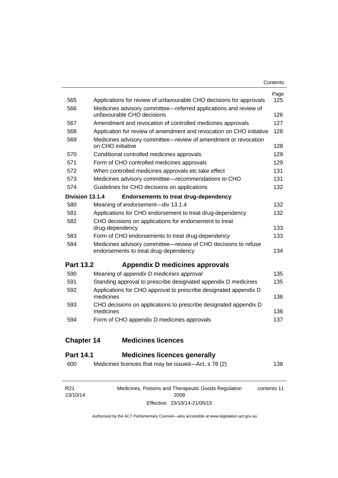| Contents |
|----------|
|----------|

| R <sub>21</sub>   | Medicines, Poisons and Therapeutic Goods Regulation                                                     | contents 11 |
|-------------------|---------------------------------------------------------------------------------------------------------|-------------|
| 600               | Medicines licences that may be issued-Act, s 78 (2)                                                     | 138         |
| <b>Part 14.1</b>  | <b>Medicines licences generally</b>                                                                     |             |
|                   |                                                                                                         |             |
| <b>Chapter 14</b> | <b>Medicines licences</b>                                                                               |             |
| 594               | Form of CHO appendix D medicines approvals                                                              | 137         |
| 593               | CHO decisions on applications to prescribe designated appendix D<br>medicines                           | 136         |
|                   | medicines                                                                                               | 136         |
| 592               | Applications for CHO approval to prescribe designated appendix D                                        |             |
| 591               | Standing approval to prescribe designated appendix D medicines                                          | 135         |
| 590               | Meaning of appendix D medicines approval                                                                | 135         |
| <b>Part 13.2</b>  | Appendix D medicines approvals                                                                          |             |
| 584               | Medicines advisory committee-review of CHO decisions to refuse<br>endorsements to treat drug-dependency | 134         |
| 583               | Form of CHO endorsements to treat drug-dependency                                                       | 133         |
|                   | drug-dependency                                                                                         | 133         |
| 582               | CHO decisions on applications for endorsement to treat                                                  |             |
| 581               | Applications for CHO endorsement to treat drug-dependency                                               | 132         |
| 580               | Meaning of endorsement-div 13.1.4                                                                       | 132         |
| Division 13.1.4   | <b>Endorsements to treat drug-dependency</b>                                                            |             |
| 574               | Guidelines for CHO decisions on applications                                                            | 132         |
| 573               | Medicines advisory committee-recommendations to CHO                                                     | 131         |
| 572               | When controlled medicines approvals etc take effect                                                     | 131         |
| 571               | Form of CHO controlled medicines approvals                                                              | 129         |
| 570               | Conditional controlled medicines approvals                                                              | 129         |
| 569               | Medicines advisory committee—review of amendment or revocation<br>on CHO initiative                     | 128         |
| 568               | Application for review of amendment and revocation on CHO initiative                                    | 128         |
| 567               | Amendment and revocation of controlled medicines approvals                                              | 127         |
| 566               | Medicines advisory committee-referred applications and review of<br>unfavourable CHO decisions          | 126         |
| 565               | Applications for review of unfavourable CHO decisions for approvals                                     | 125         |
|                   |                                                                                                         | Page        |

2008 Effective: 23/10/14-21/05/15

23/10/14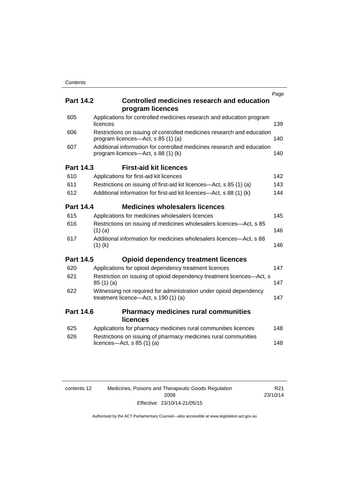|     |                  |                                                                                                              | Page |
|-----|------------------|--------------------------------------------------------------------------------------------------------------|------|
|     | <b>Part 14.2</b> | <b>Controlled medicines research and education</b><br>program licences                                       |      |
| 605 |                  | Applications for controlled medicines research and education program<br>licences                             | 139  |
| 606 |                  | Restrictions on issuing of controlled medicines research and education<br>program licences-Act, s 85 (1) (a) | 140  |
| 607 |                  | Additional information for controlled medicines research and education<br>program licences—Act, s 88 (1) (k) | 140  |
|     | <b>Part 14.3</b> | <b>First-aid kit licences</b>                                                                                |      |
| 610 |                  | Applications for first-aid kit licences                                                                      | 142  |
| 611 |                  | Restrictions on issuing of first-aid kit licences—Act, s 85 (1) (a)                                          | 143  |
| 612 |                  | Additional information for first-aid kit licences—Act, s 88 (1) (k)                                          | 144  |
|     | <b>Part 14.4</b> | <b>Medicines wholesalers licences</b>                                                                        |      |
| 615 |                  | Applications for medicines wholesalers licences                                                              | 145  |
| 616 |                  | Restrictions on issuing of medicines wholesalers licences-Act, s 85<br>$(1)$ (a)                             | 146  |
| 617 |                  | Additional information for medicines wholesalers licences-Act, s 88<br>$(1)$ (k)                             | 146  |
|     | <b>Part 14.5</b> | <b>Opioid dependency treatment licences</b>                                                                  |      |
| 620 |                  | Applications for opioid dependency treatment licences                                                        | 147  |
| 621 |                  | Restriction on issuing of opioid dependency treatment licences-Act, s<br>85 (1) (a)                          | 147  |
| 622 |                  | Witnessing not required for administration under opioid dependency<br>treatment licence-Act, s 190 (1) (a)   | 147  |
|     | <b>Part 14.6</b> | <b>Pharmacy medicines rural communities</b><br><b>licences</b>                                               |      |
| 625 |                  | Applications for pharmacy medicines rural communities licences                                               | 148  |
| 626 |                  | Restrictions on issuing of pharmacy medicines rural communities<br>licences- $-\text{Act}$ , s 85 (1) (a)    | 148  |
|     |                  |                                                                                                              |      |

| contents 12 | Medicines, Poisons and Therapeutic Goods Regulation |  |
|-------------|-----------------------------------------------------|--|
|             | 2008                                                |  |
|             | Effective: 23/10/14-21/05/15                        |  |

R21 23/10/14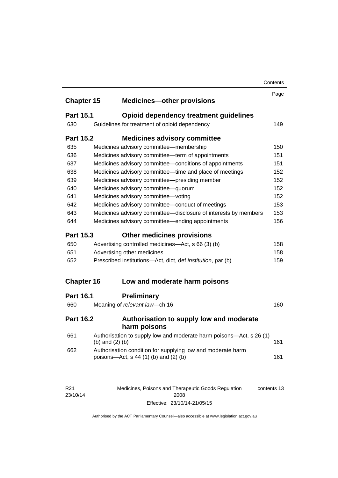|                   |                   |                                                                                                        | Contents |
|-------------------|-------------------|--------------------------------------------------------------------------------------------------------|----------|
|                   |                   |                                                                                                        | Page     |
| <b>Chapter 15</b> |                   | <b>Medicines-other provisions</b>                                                                      |          |
| <b>Part 15.1</b>  |                   | <b>Opioid dependency treatment guidelines</b>                                                          |          |
| 630               |                   | Guidelines for treatment of opioid dependency                                                          | 149      |
| <b>Part 15.2</b>  |                   | <b>Medicines advisory committee</b>                                                                    |          |
| 635               |                   | Medicines advisory committee-membership                                                                | 150      |
| 636               |                   | Medicines advisory committee-term of appointments                                                      | 151      |
| 637               |                   | Medicines advisory committee-conditions of appointments                                                | 151      |
| 638               |                   | Medicines advisory committee—time and place of meetings                                                | 152      |
| 639               |                   | Medicines advisory committee-presiding member                                                          | 152      |
| 640               |                   | Medicines advisory committee-quorum                                                                    | 152      |
| 641               |                   | Medicines advisory committee-voting                                                                    | 152      |
| 642               |                   | Medicines advisory committee-conduct of meetings                                                       | 153      |
| 643               |                   | Medicines advisory committee-disclosure of interests by members                                        | 153      |
| 644               |                   | Medicines advisory committee—ending appointments                                                       | 156      |
| <b>Part 15.3</b>  |                   | <b>Other medicines provisions</b>                                                                      |          |
| 650               |                   | Advertising controlled medicines—Act, s 66 (3) (b)                                                     | 158      |
| 651               |                   | Advertising other medicines                                                                            | 158      |
| 652               |                   | Prescribed institutions-Act, dict, def <i>institution</i> , par (b)                                    | 159      |
| <b>Chapter 16</b> |                   | Low and moderate harm poisons                                                                          |          |
| <b>Part 16.1</b>  |                   | <b>Preliminary</b>                                                                                     |          |
| 660               |                   | Meaning of relevant law-ch 16                                                                          | 160      |
| <b>Part 16.2</b>  |                   | Authorisation to supply low and moderate<br>harm poisons                                               |          |
| 661               | (b) and $(2)$ (b) | Authorisation to supply low and moderate harm poisons-Act, s 26 (1)                                    | 161      |
| 662               |                   | Authorisation condition for supplying low and moderate harm<br>poisons-Act, $s$ 44 (1) (b) and (2) (b) | 161      |
|                   |                   |                                                                                                        |          |
|                   |                   |                                                                                                        |          |

| R21      | Medicines, Poisons and Therapeutic Goods Regulation | contents 13 |
|----------|-----------------------------------------------------|-------------|
| 23/10/14 | 2008                                                |             |
|          | Effective: 23/10/14-21/05/15                        |             |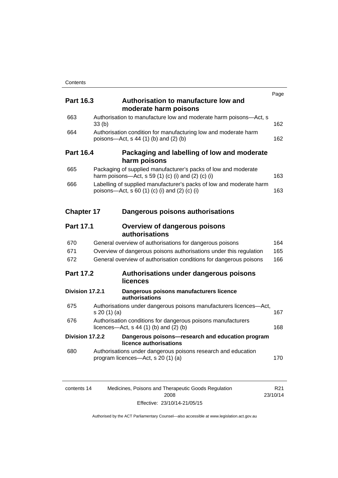|                   |                                                                                                                                | Page       |
|-------------------|--------------------------------------------------------------------------------------------------------------------------------|------------|
| <b>Part 16.3</b>  | Authorisation to manufacture low and<br>moderate harm poisons                                                                  |            |
| 663               | Authorisation to manufacture low and moderate harm poisons-Act, s<br>33(b)                                                     | 162        |
| 664               | Authorisation condition for manufacturing low and moderate harm<br>poisons-Act, s 44 (1) (b) and (2) (b)                       | 162        |
| <b>Part 16.4</b>  | Packaging and labelling of low and moderate<br>harm poisons                                                                    |            |
| 665               | Packaging of supplied manufacturer's packs of low and moderate<br>harm poisons—Act, s 59 (1) (c) (i) and (2) (c) (i)           | 163        |
| 666               | Labelling of supplied manufacturer's packs of low and moderate harm<br>poisons—Act, s 60 (1) (c) (i) and (2) (c) (i)           | 163        |
| <b>Chapter 17</b> | Dangerous poisons authorisations                                                                                               |            |
| <b>Part 17.1</b>  | <b>Overview of dangerous poisons</b><br>authorisations                                                                         |            |
| 670<br>671        | General overview of authorisations for dangerous poisons<br>Overview of dangerous poisons authorisations under this regulation | 164<br>165 |
| 672               | General overview of authorisation conditions for dangerous poisons                                                             | 166        |
| <b>Part 17.2</b>  | Authorisations under dangerous poisons<br>licences                                                                             |            |
| Division 17.2.1   | Dangerous poisons manufacturers licence<br>authorisations                                                                      |            |
| 675               | Authorisations under dangerous poisons manufacturers licences—Act,<br>s 20(1)(a)                                               | 167        |
| 676               | Authorisation conditions for dangerous poisons manufacturers<br>licences—Act, $s$ 44 (1) (b) and (2) (b)                       | 168        |
| Division 17.2.2   | Dangerous poisons-research and education program<br>licence authorisations                                                     |            |
| 680               | Authorisations under dangerous poisons research and education<br>program licences—Act, s 20 (1) (a)                            | 170        |
|                   |                                                                                                                                |            |

| contents 14 | Medicines, Poisons and Therapeutic Goods Regulation | R21      |
|-------------|-----------------------------------------------------|----------|
|             | 2008                                                | 23/10/14 |
|             | Effective: 23/10/14-21/05/15                        |          |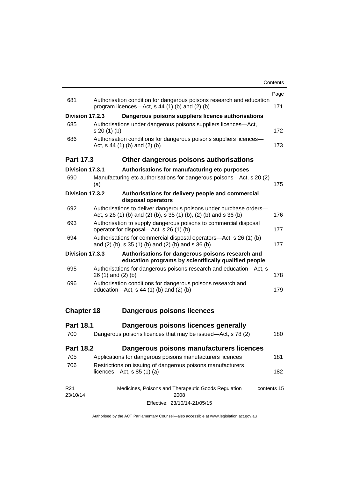|                             |                                                                                                                                         | Page        |
|-----------------------------|-----------------------------------------------------------------------------------------------------------------------------------------|-------------|
| 681                         | Authorisation condition for dangerous poisons research and education<br>program licences—Act, $s$ 44 (1) (b) and (2) (b)                | 171         |
| Division 17.2.3             | Dangerous poisons suppliers licence authorisations                                                                                      |             |
| 685                         | Authorisations under dangerous poisons suppliers licences—Act,<br>$s 20(1)$ (b)                                                         | 172         |
| 686                         | Authorisation conditions for dangerous poisons suppliers licences-<br>Act, $s$ 44 (1) (b) and (2) (b)                                   |             |
| <b>Part 17.3</b>            | Other dangerous poisons authorisations                                                                                                  |             |
| Division 17.3.1             | Authorisations for manufacturing etc purposes                                                                                           |             |
| 690                         | Manufacturing etc authorisations for dangerous poisons-Act, s 20 (2)<br>(a)                                                             | 175         |
| Division 17.3.2             | Authorisations for delivery people and commercial<br>disposal operators                                                                 |             |
| 692                         | Authorisations to deliver dangerous poisons under purchase orders-<br>Act, s 26 (1) (b) and (2) (b), s 35 (1) (b), (2) (b) and s 36 (b) | 176         |
| 693                         | Authorisation to supply dangerous poisons to commercial disposal<br>operator for disposal-Act, s 26 (1) (b)                             |             |
| 694                         | Authorisations for commercial disposal operators—Act, s 26 (1) (b)<br>and (2) (b), s 35 (1) (b) and (2) (b) and s 36 (b)                |             |
| Division 17.3.3             | Authorisations for dangerous poisons research and<br>education programs by scientifically qualified people                              |             |
| 695                         | Authorisations for dangerous poisons research and education-Act, s<br>$26(1)$ and $(2)(b)$                                              | 178         |
| 696                         | Authorisation conditions for dangerous poisons research and<br>education- $Act$ , s 44 (1) (b) and (2) (b)                              | 179         |
| <b>Chapter 18</b>           | <b>Dangerous poisons licences</b>                                                                                                       |             |
| <b>Part 18.1</b>            | Dangerous poisons licences generally                                                                                                    |             |
| 700                         | Dangerous poisons licences that may be issued-Act, s 78 (2)                                                                             | 180         |
| <b>Part 18.2</b>            | Dangerous poisons manufacturers licences                                                                                                |             |
| 705                         | Applications for dangerous poisons manufacturers licences                                                                               | 181         |
| 706                         | Restrictions on issuing of dangerous poisons manufacturers<br>licences- $-\text{Act}, s 85 (1) (a)$                                     | 182         |
| R <sub>21</sub><br>23/10/14 | Medicines, Poisons and Therapeutic Goods Regulation<br>2008                                                                             | contents 15 |

Effective: 23/10/14-21/05/15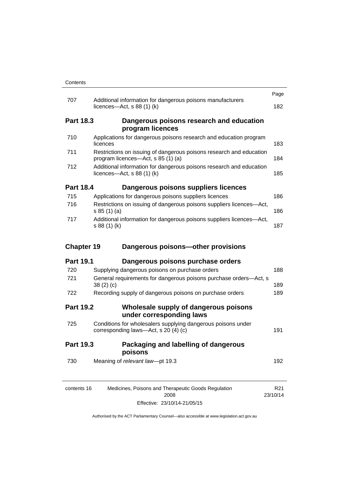|                   |                                                                                                           | Page |  |
|-------------------|-----------------------------------------------------------------------------------------------------------|------|--|
| 707               | Additional information for dangerous poisons manufacturers<br>licences- $-\text{Act}$ , s 88 (1) (k)      | 182  |  |
| <b>Part 18.3</b>  | Dangerous poisons research and education<br>program licences                                              |      |  |
| 710               | Applications for dangerous poisons research and education program<br>licences                             | 183  |  |
| 711               | Restrictions on issuing of dangerous poisons research and education<br>program licences—Act, s 85 (1) (a) | 184  |  |
| 712               | Additional information for dangerous poisons research and education<br>licences—Act, $s$ 88 (1) (k)       | 185  |  |
| <b>Part 18.4</b>  | Dangerous poisons suppliers licences                                                                      |      |  |
| 715               | Applications for dangerous poisons suppliers licences                                                     | 186  |  |
| 716               | Restrictions on issuing of dangerous poisons suppliers licences-Act,<br>s 85 (1) (a)                      | 186  |  |
| 717               | Additional information for dangerous poisons suppliers licences-Act,<br>s 88 (1) (k)                      |      |  |
| <b>Chapter 19</b> | Dangerous poisons-other provisions                                                                        |      |  |
|                   |                                                                                                           |      |  |
| <b>Part 19.1</b>  | Dangerous poisons purchase orders                                                                         |      |  |
| 720               | Supplying dangerous poisons on purchase orders                                                            | 188  |  |
| 721               | General requirements for dangerous poisons purchase orders-Act, s<br>38(2)(c)                             | 189  |  |
| 722               | Recording supply of dangerous poisons on purchase orders                                                  | 189  |  |
| <b>Part 19.2</b>  | Wholesale supply of dangerous poisons<br>under corresponding laws                                         |      |  |
| 725               | Conditions for wholesalers supplying dangerous poisons under<br>corresponding laws-Act, s 20 (4) (c)      | 191  |  |
| <b>Part 19.3</b>  | Packaging and labelling of dangerous<br>poisons                                                           |      |  |
| 730               | Meaning of relevant law-pt 19.3                                                                           | 192  |  |

Effective: 23/10/14-21/05/15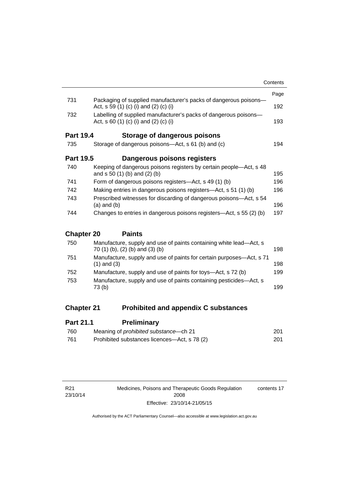|                   |                                                                                                           | Contents |
|-------------------|-----------------------------------------------------------------------------------------------------------|----------|
|                   |                                                                                                           | Page     |
| 731               | Packaging of supplied manufacturer's packs of dangerous poisons-<br>Act, s 59 (1) (c) (i) and (2) (c) (i) | 192      |
| 732               | Labelling of supplied manufacturer's packs of dangerous poisons—<br>Act, s 60 (1) (c) (i) and (2) (c) (i) | 193      |
| <b>Part 19.4</b>  | Storage of dangerous poisons                                                                              |          |
| 735               | Storage of dangerous poisons—Act, s 61 (b) and (c)                                                        | 194      |
| <b>Part 19.5</b>  | Dangerous poisons registers                                                                               |          |
| 740               | Keeping of dangerous poisons registers by certain people—Act, s 48<br>and $s 50 (1) (b)$ and $(2) (b)$    | 195      |
| 741               | Form of dangerous poisons registers—Act, s 49 (1) (b)                                                     | 196      |
| 742               | Making entries in dangerous poisons registers—Act, s 51 (1) (b)                                           |          |
| 743               | Prescribed witnesses for discarding of dangerous poisons—Act, s 54<br>$(a)$ and $(b)$                     | 196      |
| 744               | Changes to entries in dangerous poisons registers—Act, s 55 (2) (b)                                       | 197      |
| <b>Chapter 20</b> | <b>Paints</b>                                                                                             |          |
| ラニヘー              | مالول المومل والمارد ومساويهم ومساويهم ومراجعه والعوارم وسيلومان ومال                                     |          |

| 750 | Manufacture, supply and use of paints containing white lead—Act, s<br>70 (1) (b), (2) (b) and (3) (b) | 198 |
|-----|-------------------------------------------------------------------------------------------------------|-----|
| 751 | Manufacture, supply and use of paints for certain purposes—Act, s 71<br>$(1)$ and $(3)$               | 198 |
| 752 | Manufacture, supply and use of paints for toys—Act, s 72 (b)                                          | 199 |
| 753 | Manufacture, supply and use of paints containing pesticides—Act, s<br>73 (b)                          | 199 |
|     |                                                                                                       |     |

# **Chapter 21 [Prohibited and appendix C substances](#page-224-0)**

| <b>Part 21.1</b> | <b>Preliminary</b>                            |     |
|------------------|-----------------------------------------------|-----|
| 760              | Meaning of <i>prohibited substance</i> —ch 21 | 201 |
| -761             | Prohibited substances licences—Act, s 78 (2)  | 201 |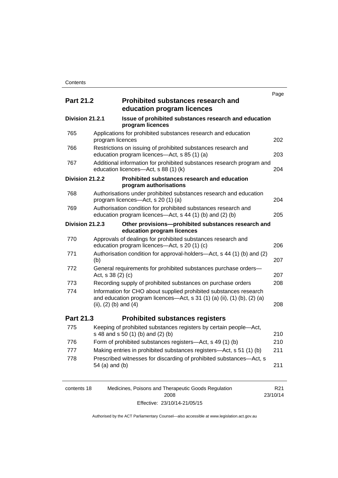|                  |                           |                                                                                                                                              | Page |
|------------------|---------------------------|----------------------------------------------------------------------------------------------------------------------------------------------|------|
| <b>Part 21.2</b> |                           | <b>Prohibited substances research and</b><br>education program licences                                                                      |      |
| Division 21.2.1  |                           | Issue of prohibited substances research and education<br>program licences                                                                    |      |
| 765              | program licences          | Applications for prohibited substances research and education                                                                                | 202  |
| 766              |                           | Restrictions on issuing of prohibited substances research and<br>education program licences-Act, s 85 (1) (a)                                | 203  |
| 767              |                           | Additional information for prohibited substances research program and<br>education licences-Act, s 88 (1) (k)                                | 204  |
| Division 21.2.2  |                           | Prohibited substances research and education<br>program authorisations                                                                       |      |
| 768              |                           | Authorisations under prohibited substances research and education<br>program licences-Act, s 20 (1) (a)                                      | 204  |
| 769              |                           | Authorisation condition for prohibited substances research and<br>education program licences-Act, s 44 (1) (b) and (2) (b)                   | 205  |
| Division 21.2.3  |                           | Other provisions-prohibited substances research and<br>education program licences                                                            |      |
| 770              |                           | Approvals of dealings for prohibited substances research and<br>education program licences-Act, s 20 (1) (c)                                 | 206  |
| 771              | (b)                       | Authorisation condition for approval-holders—Act, s 44 (1) (b) and (2)                                                                       | 207  |
| 772              | Act, $s$ 38 (2) (c)       | General requirements for prohibited substances purchase orders-                                                                              | 207  |
| 773              |                           | Recording supply of prohibited substances on purchase orders                                                                                 | 208  |
| 774              | (ii), $(2)$ (b) and $(4)$ | Information for CHO about supplied prohibited substances research<br>and education program licences—Act, s 31 (1) (a) (ii), (1) (b), (2) (a) | 208  |
| <b>Part 21.3</b> |                           | <b>Prohibited substances registers</b>                                                                                                       |      |
| 775              |                           | Keeping of prohibited substances registers by certain people-Act,<br>s 48 and s 50 (1) (b) and (2) (b)                                       | 210  |
| 776              |                           | Form of prohibited substances registers-Act, s 49 (1) (b)                                                                                    | 210  |
| 777              |                           | Making entries in prohibited substances registers—Act, s 51 (1) (b)                                                                          | 211  |
| 778              | 54 (a) and (b)            | Prescribed witnesses for discarding of prohibited substances-Act, s                                                                          | 211  |

| contents 18 | Medicines, Poisons and Therapeutic Goods Regulation | R <sub>21</sub> |
|-------------|-----------------------------------------------------|-----------------|
|             | 2008                                                | 23/10/14        |
|             | Effective: 23/10/14-21/05/15                        |                 |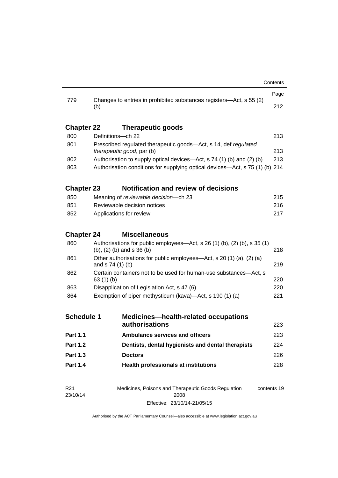| 779                         | Changes to entries in prohibited substances registers-Act, s 55 (2)<br>(b)                                         |  | 212         |
|-----------------------------|--------------------------------------------------------------------------------------------------------------------|--|-------------|
| <b>Chapter 22</b>           | Therapeutic goods                                                                                                  |  |             |
| 800                         | Definitions-ch 22                                                                                                  |  | 213         |
| 801                         | Prescribed regulated therapeutic goods-Act, s 14, def regulated<br><i>therapeutic good, par (b)</i>                |  | 213         |
| 802                         | Authorisation to supply optical devices—Act, s 74 (1) (b) and (2) (b)                                              |  | 213         |
| 803                         | Authorisation conditions for supplying optical devices—Act, s 75 (1) (b) 214                                       |  |             |
| <b>Chapter 23</b>           | <b>Notification and review of decisions</b>                                                                        |  |             |
| 850                         | Meaning of reviewable decision--- ch 23                                                                            |  | 215         |
| 851                         | Reviewable decision notices                                                                                        |  | 216         |
| 852                         | Applications for review                                                                                            |  | 217         |
| <b>Chapter 24</b>           | <b>Miscellaneous</b>                                                                                               |  |             |
| 860                         | Authorisations for public employees—Act, s $26(1)(b)$ , $(2)(b)$ , s $35(1)$<br>$(b)$ , $(2)$ $(b)$ and s 36 $(b)$ |  | 218         |
| 861                         | Other authorisations for public employees—Act, s 20 (1) (a), (2) (a)<br>and $s$ 74 (1) (b)                         |  | 219         |
| 862                         | Certain containers not to be used for human-use substances—Act, s<br>63 $(1)$ $(b)$                                |  | 220         |
| 863                         | Disapplication of Legislation Act, s 47 (6)                                                                        |  | 220         |
| 864                         | Exemption of piper methysticum (kava)—Act, s 190 (1) (a)                                                           |  |             |
| <b>Schedule 1</b>           | <b>Medicines-health-related occupations</b><br>authorisations                                                      |  | 223         |
|                             |                                                                                                                    |  |             |
| <b>Part 1.1</b>             | <b>Ambulance services and officers</b>                                                                             |  | 223         |
| <b>Part 1.2</b>             | Dentists, dental hygienists and dental therapists                                                                  |  | 224         |
| <b>Part 1.3</b>             | <b>Doctors</b>                                                                                                     |  | 226         |
| <b>Part 1.4</b>             | <b>Health professionals at institutions</b>                                                                        |  | 228         |
| R <sub>21</sub><br>23/10/14 | Medicines, Poisons and Therapeutic Goods Regulation<br>2008                                                        |  | contents 19 |

Effective: 23/10/14-21/05/15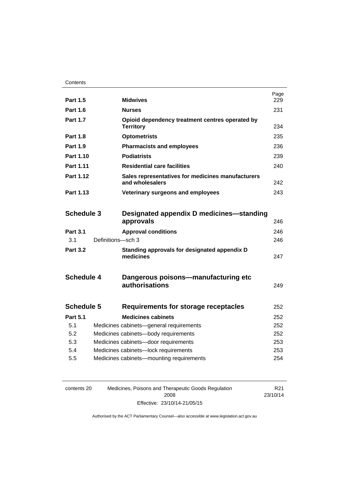| <b>Part 1.5</b>   |                   | <b>Midwives</b>                                                      | Page<br>229 |
|-------------------|-------------------|----------------------------------------------------------------------|-------------|
| <b>Part 1.6</b>   |                   | <b>Nurses</b>                                                        | 231         |
| <b>Part 1.7</b>   |                   | Opioid dependency treatment centres operated by<br><b>Territory</b>  | 234         |
| <b>Part 1.8</b>   |                   | <b>Optometrists</b>                                                  | 235         |
| <b>Part 1.9</b>   |                   | <b>Pharmacists and employees</b>                                     | 236         |
| Part 1.10         |                   | <b>Podiatrists</b>                                                   | 239         |
| <b>Part 1.11</b>  |                   | <b>Residential care facilities</b>                                   | 240         |
| Part 1.12         |                   | Sales representatives for medicines manufacturers<br>and wholesalers | 242         |
| Part 1.13         |                   | Veterinary surgeons and employees                                    | 243         |
| <b>Schedule 3</b> |                   | Designated appendix D medicines—standing<br>approvals                | 246         |
| <b>Part 3.1</b>   |                   | <b>Approval conditions</b>                                           | 246         |
| 3.1               | Definitions-sch 3 |                                                                      | 246         |
| <b>Part 3.2</b>   |                   | Standing approvals for designated appendix D<br>medicines            | 247         |
| <b>Schedule 4</b> |                   | Dangerous poisons—manufacturing etc<br>authorisations                | 249         |
| <b>Schedule 5</b> |                   | <b>Requirements for storage receptacles</b>                          | 252         |
| <b>Part 5.1</b>   |                   | <b>Medicines cabinets</b>                                            | 252         |
| 5.1               |                   | Medicines cabinets-general requirements                              | 252         |
| 5.2               |                   | Medicines cabinets-body requirements                                 | 252         |
| 5.3               |                   | Medicines cabinets-door requirements                                 | 253         |
| 5.4               |                   | Medicines cabinets-lock requirements                                 | 253         |
| 5.5               |                   | Medicines cabinets-mounting requirements                             | 254         |
|                   |                   |                                                                      |             |

| contents 20 | Medicines, Poisons and Therapeutic Goods Regulation | R21      |
|-------------|-----------------------------------------------------|----------|
|             | 2008                                                | 23/10/14 |
|             | Effective: 23/10/14-21/05/15                        |          |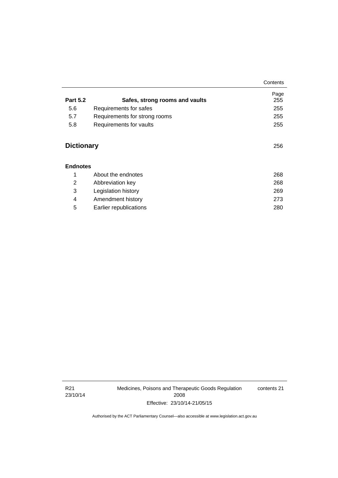|                   |                                | Contents    |
|-------------------|--------------------------------|-------------|
| <b>Part 5.2</b>   | Safes, strong rooms and vaults | Page<br>255 |
| 5.6               | Requirements for safes         | 255         |
| 5.7               | Requirements for strong rooms  | 255         |
| 5.8               | Requirements for vaults        | 255         |
| <b>Dictionary</b> |                                | 256         |
| <b>Endnotes</b>   |                                |             |
| 1                 | About the endnotes             | 268         |
| 2                 | Abbreviation key               | 268         |

 3 [Legislation history 269](#page-292-0) 4 [Amendment history 273](#page-296-0) 5 [Earlier republications 280](#page-303-0)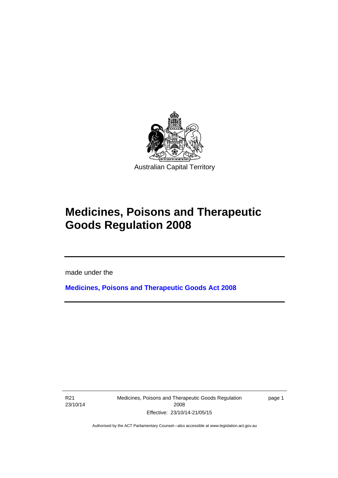

# **Medicines, Poisons and Therapeutic Goods Regulation 2008**

made under the

**[Medicines, Poisons and Therapeutic Goods Act 2008](http://www.legislation.act.gov.au/a/2008-26)**

R21 23/10/14

l

Medicines, Poisons and Therapeutic Goods Regulation 2008 Effective: 23/10/14-21/05/15

page 1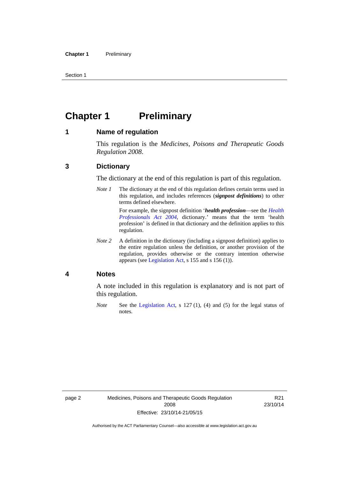Section 1

# <span id="page-25-0"></span>**Chapter 1** Preliminary

### <span id="page-25-1"></span>**1 Name of regulation**

This regulation is the *Medicines, Poisons and Therapeutic Goods Regulation 2008*.

### <span id="page-25-2"></span>**3 Dictionary**

The dictionary at the end of this regulation is part of this regulation.

*Note 1* The dictionary at the end of this regulation defines certain terms used in this regulation, and includes references (*signpost definitions*) to other terms defined elsewhere. For example, the signpost definition '*health profession*—see the *[Health](http://www.legislation.act.gov.au/a/2004-38)* 

*[Professionals Act 2004](http://www.legislation.act.gov.au/a/2004-38)*, dictionary.' means that the term 'health profession' is defined in that dictionary and the definition applies to this regulation.

*Note 2* A definition in the dictionary (including a signpost definition) applies to the entire regulation unless the definition, or another provision of the regulation, provides otherwise or the contrary intention otherwise appears (see [Legislation Act,](http://www.legislation.act.gov.au/a/2001-14) s 155 and s 156 (1)).

### <span id="page-25-3"></span>**4 Notes**

A note included in this regulation is explanatory and is not part of this regulation.

*Note* See the [Legislation Act,](http://www.legislation.act.gov.au/a/2001-14) s 127 (1), (4) and (5) for the legal status of notes.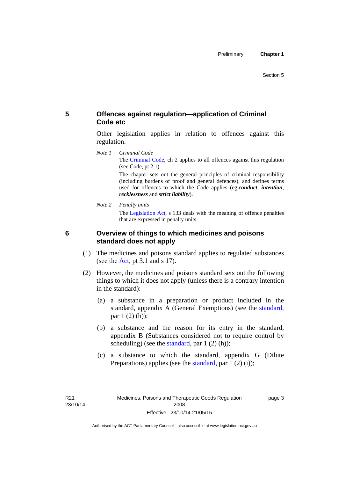# <span id="page-26-0"></span>**5 Offences against regulation—application of Criminal Code etc**

Other legislation applies in relation to offences against this regulation.

*Note 1 Criminal Code* The [Criminal Code](http://www.legislation.act.gov.au/a/2002-51), ch 2 applies to all offences against this regulation (see Code, pt 2.1).

> The chapter sets out the general principles of criminal responsibility (including burdens of proof and general defences), and defines terms used for offences to which the Code applies (eg *conduct*, *intention*, *recklessness* and *strict liability*).

*Note 2 Penalty units* 

The [Legislation Act](http://www.legislation.act.gov.au/a/2001-14), s 133 deals with the meaning of offence penalties that are expressed in penalty units.

<span id="page-26-1"></span>

# **6 Overview of things to which medicines and poisons standard does not apply**

- (1) The medicines and poisons standard applies to regulated substances (see the  $Act$ , pt 3.1 and s 17).
- (2) However, the medicines and poisons standard sets out the following things to which it does not apply (unless there is a contrary intention in the standard):
	- (a) a substance in a preparation or product included in the standard, appendix A (General Exemptions) (see the [standard](http://www.comlaw.gov.au/Series/F2012L01200), par 1 (2) (h));
	- (b) a substance and the reason for its entry in the standard, appendix B (Substances considered not to require control by scheduling) (see the [standard,](http://www.comlaw.gov.au/Series/F2012L01200) par  $1(2)(h)$ );
	- (c) a substance to which the standard, appendix G (Dilute Preparations) applies (see the [standard,](http://www.comlaw.gov.au/Series/F2012L01200) par 1 (2) (i));

page 3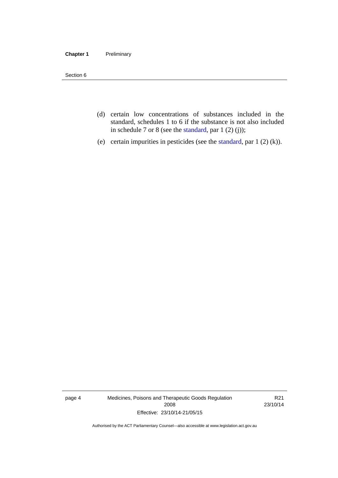### **Chapter 1** Preliminary

Section 6

- (d) certain low concentrations of substances included in the standard, schedules 1 to 6 if the substance is not also included in schedule 7 or 8 (see the [standard,](http://www.comlaw.gov.au/Series/F2012L01200) par 1 (2) (j));
- (e) certain impurities in pesticides (see the [standard,](http://www.comlaw.gov.au/Series/F2012L01200) par  $1(2)(k)$ ).

page 4 Medicines, Poisons and Therapeutic Goods Regulation 2008 Effective: 23/10/14-21/05/15

R21 23/10/14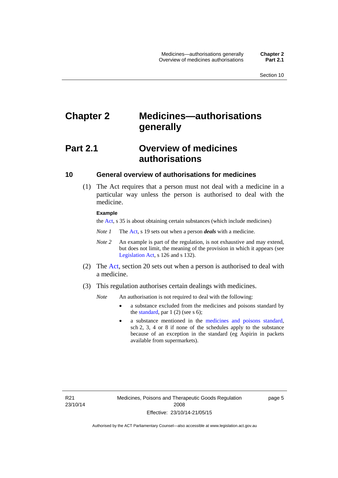# <span id="page-28-0"></span>**Chapter 2 Medicines—authorisations generally**

# <span id="page-28-1"></span>**Part 2.1 Overview of medicines authorisations**

### <span id="page-28-2"></span>**10 General overview of authorisations for medicines**

 (1) The Act requires that a person must not deal with a medicine in a particular way unless the person is authorised to deal with the medicine.

### **Example**

the [Act](http://www.legislation.act.gov.au/a/2008-26/default.asp), s 35 is about obtaining certain substances (which include medicines)

- *Note 1* The [Act,](http://www.legislation.act.gov.au/a/2008-26/default.asp) s 19 sets out when a person *deals* with a medicine.
- *Note 2* An example is part of the regulation, is not exhaustive and may extend, but does not limit, the meaning of the provision in which it appears (see [Legislation Act,](http://www.legislation.act.gov.au/a/2001-14) s 126 and s 132).
- (2) The [Act](http://www.legislation.act.gov.au/a/2008-26/default.asp), section 20 sets out when a person is authorised to deal with a medicine.
- (3) This regulation authorises certain dealings with medicines.

*Note* An authorisation is not required to deal with the following:

- a substance excluded from the medicines and poisons standard by the [standard,](http://www.comlaw.gov.au/Series/F2012L01200) par  $1(2)$  (see s 6);
- a substance mentioned in the [medicines and poisons standard,](http://www.comlaw.gov.au/Series/F2012L01200) sch 2, 3, 4 or 8 if none of the schedules apply to the substance because of an exception in the standard (eg Aspirin in packets available from supermarkets).

R21 23/10/14 page 5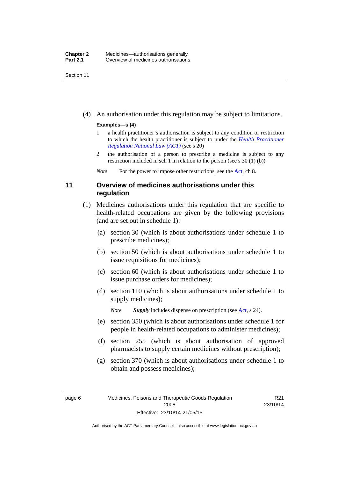Section 11

(4) An authorisation under this regulation may be subject to limitations.

### **Examples—s (4)**

- 1 a health practitioner's authorisation is subject to any condition or restriction to which the health practitioner is subject to under the *[Health Practitioner](http://www.legislation.act.gov.au/a/db_39269/default.asp)  [Regulation National Law \(ACT\)](http://www.legislation.act.gov.au/a/db_39269/default.asp)* (see s 20)
- 2 the authorisation of a person to prescribe a medicine is subject to any restriction included in sch 1 in relation to the person (see s 30 (1) (b))

*Note* For the power to impose other restrictions, see the [Act](http://www.legislation.act.gov.au/a/2008-26/default.asp), ch 8.

### <span id="page-29-0"></span>**11 Overview of medicines authorisations under this regulation**

- (1) Medicines authorisations under this regulation that are specific to health-related occupations are given by the following provisions (and are set out in schedule 1):
	- (a) section 30 (which is about authorisations under schedule 1 to prescribe medicines);
	- (b) section 50 (which is about authorisations under schedule 1 to issue requisitions for medicines);
	- (c) section 60 (which is about authorisations under schedule 1 to issue purchase orders for medicines);
	- (d) section 110 (which is about authorisations under schedule 1 to supply medicines);

*Note Supply* includes dispense on prescription (see [Act,](http://www.legislation.act.gov.au/a/2008-26/default.asp) s 24).

- (e) section 350 (which is about authorisations under schedule 1 for people in health-related occupations to administer medicines);
- (f) section 255 (which is about authorisation of approved pharmacists to supply certain medicines without prescription);
- (g) section 370 (which is about authorisations under schedule 1 to obtain and possess medicines);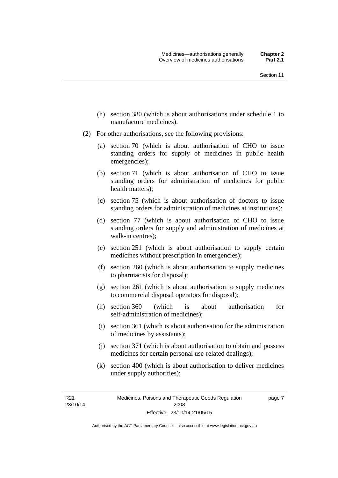- (h) section 380 (which is about authorisations under schedule 1 to manufacture medicines).
- (2) For other authorisations, see the following provisions:
	- (a) section 70 (which is about authorisation of CHO to issue standing orders for supply of medicines in public health emergencies);
	- (b) section 71 (which is about authorisation of CHO to issue standing orders for administration of medicines for public health matters);
	- (c) section 75 (which is about authorisation of doctors to issue standing orders for administration of medicines at institutions);
	- (d) section 77 (which is about authorisation of CHO to issue standing orders for supply and administration of medicines at walk-in centres);
	- (e) section 251 (which is about authorisation to supply certain medicines without prescription in emergencies);
	- (f) section 260 (which is about authorisation to supply medicines to pharmacists for disposal);
	- (g) section 261 (which is about authorisation to supply medicines to commercial disposal operators for disposal);
	- (h) section 360 (which is about authorisation for self-administration of medicines);
	- (i) section 361 (which is about authorisation for the administration of medicines by assistants);
	- (j) section 371 (which is about authorisation to obtain and possess medicines for certain personal use-related dealings);
	- (k) section 400 (which is about authorisation to deliver medicines under supply authorities);

R21 23/10/14 page 7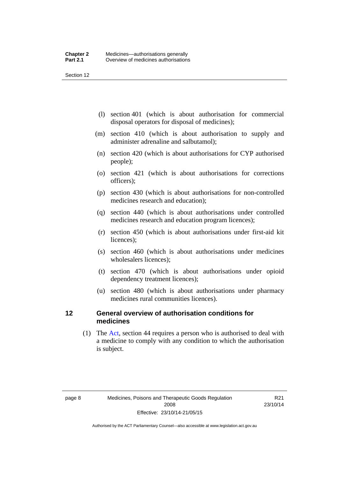Section 12

- (l) section 401 (which is about authorisation for commercial disposal operators for disposal of medicines);
- (m) section 410 (which is about authorisation to supply and administer adrenaline and salbutamol);
- (n) section 420 (which is about authorisations for CYP authorised people);
- (o) section 421 (which is about authorisations for corrections officers);
- (p) section 430 (which is about authorisations for non-controlled medicines research and education);
- (q) section 440 (which is about authorisations under controlled medicines research and education program licences);
- (r) section 450 (which is about authorisations under first-aid kit licences);
- (s) section 460 (which is about authorisations under medicines wholesalers licences);
- (t) section 470 (which is about authorisations under opioid dependency treatment licences);
- (u) section 480 (which is about authorisations under pharmacy medicines rural communities licences).

### <span id="page-31-0"></span>**12 General overview of authorisation conditions for medicines**

 (1) The [Act](http://www.legislation.act.gov.au/a/2008-26/default.asp), section 44 requires a person who is authorised to deal with a medicine to comply with any condition to which the authorisation is subject.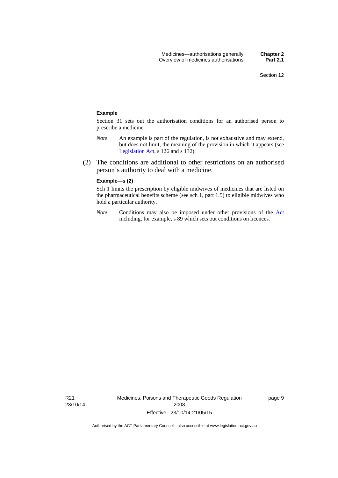#### **Example**

Section 31 sets out the authorisation conditions for an authorised person to prescribe a medicine.

- *Note* An example is part of the regulation, is not exhaustive and may extend, but does not limit, the meaning of the provision in which it appears (see [Legislation Act,](http://www.legislation.act.gov.au/a/2001-14) s 126 and s 132).
- (2) The conditions are additional to other restrictions on an authorised person's authority to deal with a medicine.

### **Example—s (2)**

Sch 1 limits the prescription by eligible midwives of medicines that are listed on the pharmaceutical benefits scheme (see sch 1, part 1.5) to eligible midwives who hold a particular authority.

*Note* Conditions may also be imposed under other provisions of the [Act](http://www.legislation.act.gov.au/a/2008-26/default.asp) including, for example, s 89 which sets out conditions on licences.

R21 23/10/14 Medicines, Poisons and Therapeutic Goods Regulation 2008 Effective: 23/10/14-21/05/15

page 9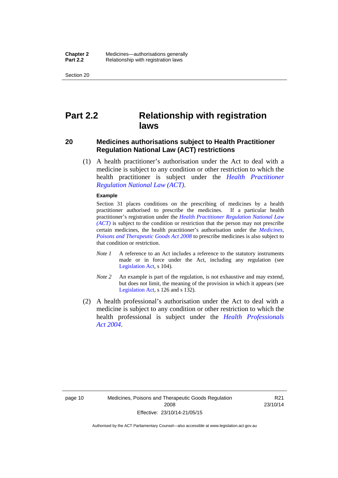Section 20

# <span id="page-33-0"></span>**Part 2.2 Relationship with registration laws**

### <span id="page-33-1"></span>**20 Medicines authorisations subject to Health Practitioner Regulation National Law (ACT) restrictions**

 (1) A health practitioner's authorisation under the Act to deal with a medicine is subject to any condition or other restriction to which the health practitioner is subject under the *[Health Practitioner](http://www.legislation.act.gov.au/a/db_39269/default.asp)  [Regulation National Law \(ACT\)](http://www.legislation.act.gov.au/a/db_39269/default.asp)*.

#### **Example**

Section 31 places conditions on the prescribing of medicines by a health practitioner authorised to prescribe the medicines. If a particular health practitioner's registration under the *[Health Practitioner Regulation National Law](http://www.legislation.act.gov.au/a/db_39269/default.asp)  [\(ACT\)](http://www.legislation.act.gov.au/a/db_39269/default.asp)* is subject to the condition or restriction that the person may not prescribe certain medicines, the health practitioner's authorisation under the *[Medicines,](http://www.legislation.act.gov.au/a/2008-26)  [Poisons and Therapeutic Goods Act 2008](http://www.legislation.act.gov.au/a/2008-26)* to prescribe medicines is also subject to that condition or restriction.

- *Note 1* A reference to an Act includes a reference to the statutory instruments made or in force under the Act, including any regulation (see [Legislation Act,](http://www.legislation.act.gov.au/a/2001-14) s 104).
- *Note 2* An example is part of the regulation, is not exhaustive and may extend, but does not limit, the meaning of the provision in which it appears (see [Legislation Act,](http://www.legislation.act.gov.au/a/2001-14) s 126 and s 132).
- (2) A health professional's authorisation under the Act to deal with a medicine is subject to any condition or other restriction to which the health professional is subject under the *[Health Professionals](http://www.legislation.act.gov.au/a/2004-38)  [Act 2004](http://www.legislation.act.gov.au/a/2004-38)*.

R21 23/10/14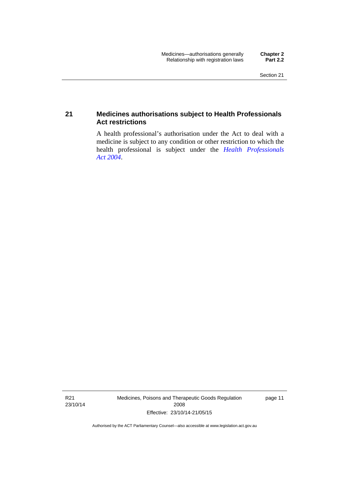### <span id="page-34-0"></span>**21 Medicines authorisations subject to Health Professionals Act restrictions**

A health professional's authorisation under the Act to deal with a medicine is subject to any condition or other restriction to which the health professional is subject under the *[Health Professionals](http://www.legislation.act.gov.au/a/2004-38)  [Act 2004](http://www.legislation.act.gov.au/a/2004-38)*.

R21 23/10/14 Medicines, Poisons and Therapeutic Goods Regulation 2008 Effective: 23/10/14-21/05/15

page 11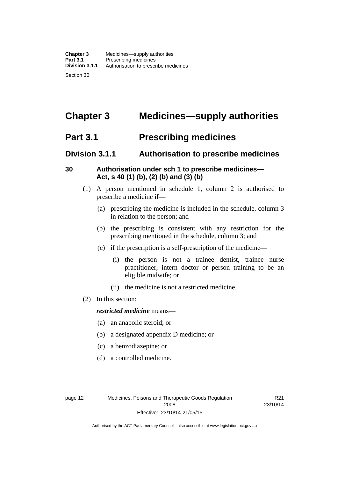# <span id="page-35-0"></span>**Chapter 3 Medicines—supply authorities**

# <span id="page-35-1"></span>**Part 3.1 Prescribing medicines**

# <span id="page-35-2"></span>**Division 3.1.1 Authorisation to prescribe medicines**

# <span id="page-35-3"></span>**30 Authorisation under sch 1 to prescribe medicines— Act, s 40 (1) (b), (2) (b) and (3) (b)**

- (1) A person mentioned in schedule 1, column 2 is authorised to prescribe a medicine if—
	- (a) prescribing the medicine is included in the schedule, column 3 in relation to the person; and
	- (b) the prescribing is consistent with any restriction for the prescribing mentioned in the schedule, column 3; and
	- (c) if the prescription is a self-prescription of the medicine—
		- (i) the person is not a trainee dentist, trainee nurse practitioner, intern doctor or person training to be an eligible midwife; or
		- (ii) the medicine is not a restricted medicine.
- (2) In this section:

### *restricted medicine* means—

- (a) an anabolic steroid; or
- (b) a designated appendix D medicine; or
- (c) a benzodiazepine; or
- (d) a controlled medicine.

R21 23/10/14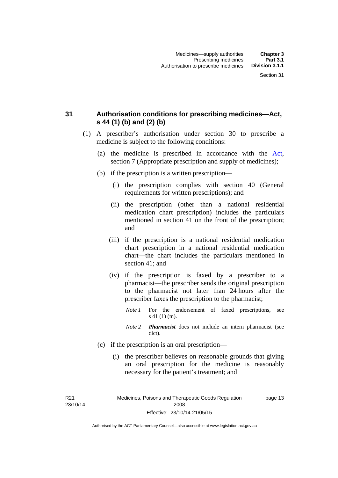# **31 Authorisation conditions for prescribing medicines—Act, s 44 (1) (b) and (2) (b)**

- (1) A prescriber's authorisation under section 30 to prescribe a medicine is subject to the following conditions:
	- (a) the medicine is prescribed in accordance with the [Act](http://www.legislation.act.gov.au/a/2008-26/default.asp), section 7 (Appropriate prescription and supply of medicines);
	- (b) if the prescription is a written prescription—
		- (i) the prescription complies with section 40 (General requirements for written prescriptions); and
		- (ii) the prescription (other than a national residential medication chart prescription) includes the particulars mentioned in section 41 on the front of the prescription; and
		- (iii) if the prescription is a national residential medication chart prescription in a national residential medication chart––the chart includes the particulars mentioned in section 41; and
		- (iv) if the prescription is faxed by a prescriber to a pharmacist—the prescriber sends the original prescription to the pharmacist not later than 24 hours after the prescriber faxes the prescription to the pharmacist;
			- *Note 1* For the endorsement of faxed prescriptions, see s 41 (1) (m).
			- *Note 2 Pharmacist* does not include an intern pharmacist (see dict).
	- (c) if the prescription is an oral prescription—
		- (i) the prescriber believes on reasonable grounds that giving an oral prescription for the medicine is reasonably necessary for the patient's treatment; and

R21 23/10/14 page 13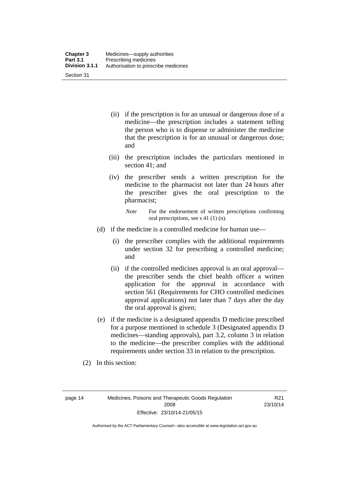| <b>Chapter 3</b> | Medicines—supply authorities         |
|------------------|--------------------------------------|
| <b>Part 3.1</b>  | Prescribing medicines                |
| Division 3.1.1   | Authorisation to prescribe medicines |
| Section 31       |                                      |

- (ii) if the prescription is for an unusual or dangerous dose of a medicine—the prescription includes a statement telling the person who is to dispense or administer the medicine that the prescription is for an unusual or dangerous dose; and
- (iii) the prescription includes the particulars mentioned in section 41; and
- (iv) the prescriber sends a written prescription for the medicine to the pharmacist not later than 24 hours after the prescriber gives the oral prescription to the pharmacist;

- (d) if the medicine is a controlled medicine for human use—
	- (i) the prescriber complies with the additional requirements under section 32 for prescribing a controlled medicine; and
	- (ii) if the controlled medicines approval is an oral approval the prescriber sends the chief health officer a written application for the approval in accordance with section 561 (Requirements for CHO controlled medicines approval applications) not later than 7 days after the day the oral approval is given;
- (e) if the medicine is a designated appendix D medicine prescribed for a purpose mentioned in schedule 3 (Designated appendix D medicines—standing approvals), part 3.2, column 3 in relation to the medicine—the prescriber complies with the additional requirements under section 33 in relation to the prescription.
- (2) In this section:

page 14 Medicines, Poisons and Therapeutic Goods Regulation 2008 Effective: 23/10/14-21/05/15

R21 23/10/14

*Note* For the endorsement of written prescriptions confirming oral prescriptions, see s 41 (1) (n).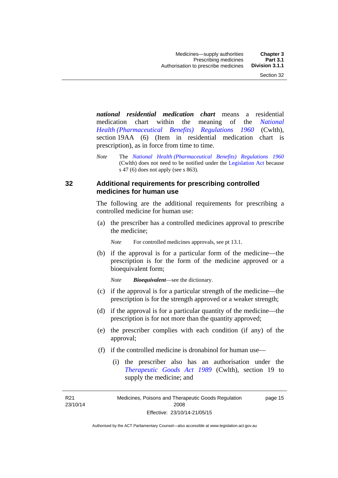*national residential medication chart* means a residential medication chart within the meaning of the *[National](http://www.comlaw.gov.au/Series/F1996B02844)  [Health \(Pharmaceutical Benefits\) Regulations 1960](http://www.comlaw.gov.au/Series/F1996B02844)* (Cwlth), section 19AA (6) (Item in residential medication chart is prescription), as in force from time to time.

*Note* The *[National Health \(Pharmaceutical Benefits\) Regulations 1960](http://www.comlaw.gov.au/Series/F1996B02844)* (Cwlth) does not need to be notified under the [Legislation Act](http://www.legislation.act.gov.au/a/2001-14) because s 47 (6) does not apply (see s 863).

### **32 Additional requirements for prescribing controlled medicines for human use**

The following are the additional requirements for prescribing a controlled medicine for human use:

 (a) the prescriber has a controlled medicines approval to prescribe the medicine;

*Note* For controlled medicines approvals, see pt 13.1.

 (b) if the approval is for a particular form of the medicine—the prescription is for the form of the medicine approved or a bioequivalent form;

*Note Bioequivalent*—see the dictionary.

- (c) if the approval is for a particular strength of the medicine—the prescription is for the strength approved or a weaker strength;
- (d) if the approval is for a particular quantity of the medicine—the prescription is for not more than the quantity approved;
- (e) the prescriber complies with each condition (if any) of the approval;
- (f) if the controlled medicine is dronabinol for human use—
	- (i) the prescriber also has an authorisation under the *[Therapeutic Goods Act 1989](http://www.comlaw.gov.au/Series/C2004A03952)* (Cwlth), section 19 to supply the medicine; and

R21 23/10/14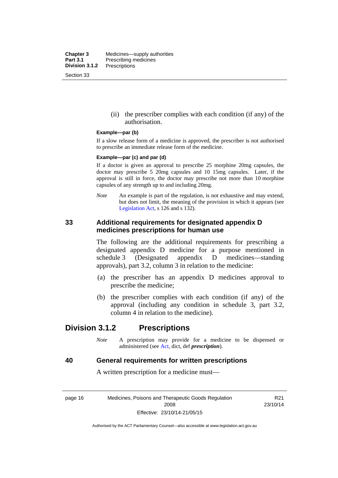**Chapter 3** Medicines—supply authorities<br>**Part 3.1** Prescribing medicines **Part 3.1** Prescribing medicines<br>**Division 3.1.2** Prescriptions **Division 3.1.2** Prescriptions Section 33

> (ii) the prescriber complies with each condition (if any) of the authorisation.

#### **Example—par (b)**

If a slow release form of a medicine is approved, the prescriber is not authorised to prescribe an immediate release form of the medicine.

#### **Example—par (c) and par (d)**

If a doctor is given an approval to prescribe 25 morphine 20mg capsules, the doctor may prescribe 5 20mg capsules and 10 15mg capsules. Later, if the approval is still in force, the doctor may prescribe not more than 10 morphine capsules of any strength up to and including 20mg.

*Note* An example is part of the regulation, is not exhaustive and may extend, but does not limit, the meaning of the provision in which it appears (see [Legislation Act,](http://www.legislation.act.gov.au/a/2001-14) s 126 and s 132).

## **33 Additional requirements for designated appendix D medicines prescriptions for human use**

The following are the additional requirements for prescribing a designated appendix D medicine for a purpose mentioned in schedule 3 (Designated appendix D medicines—standing approvals), part 3.2, column 3 in relation to the medicine:

- (a) the prescriber has an appendix D medicines approval to prescribe the medicine;
- (b) the prescriber complies with each condition (if any) of the approval (including any condition in schedule 3, part 3.2, column 4 in relation to the medicine).

# **Division 3.1.2 Prescriptions**

*Note* A prescription may provide for a medicine to be dispensed or administered (see [Act](http://www.legislation.act.gov.au/a/2008-26/default.asp), dict, def *prescription*).

### **40 General requirements for written prescriptions**

A written prescription for a medicine must—

page 16 Medicines, Poisons and Therapeutic Goods Regulation 2008 Effective: 23/10/14-21/05/15

R21 23/10/14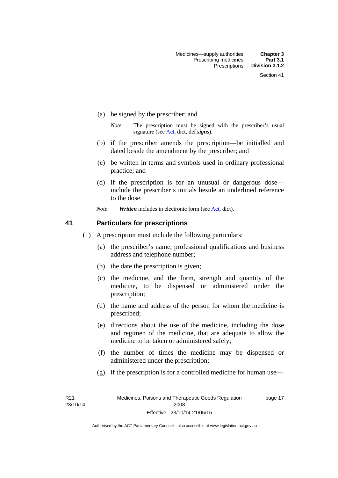- (a) be signed by the prescriber; and
	- *Note* The prescription must be signed with the prescriber's usual signature (see [Act](http://www.legislation.act.gov.au/a/2008-26/default.asp), dict, def *signs*).
- (b) if the prescriber amends the prescription—be initialled and dated beside the amendment by the prescriber; and
- (c) be written in terms and symbols used in ordinary professional practice; and
- (d) if the prescription is for an unusual or dangerous dose include the prescriber's initials beside an underlined reference to the dose.
- *Note Written* includes in electronic form (see [Act,](http://www.legislation.act.gov.au/a/2008-26/default.asp) dict).

### **41 Particulars for prescriptions**

- (1) A prescription must include the following particulars:
	- (a) the prescriber's name, professional qualifications and business address and telephone number;
	- (b) the date the prescription is given;
	- (c) the medicine, and the form, strength and quantity of the medicine, to be dispensed or administered under the prescription;
	- (d) the name and address of the person for whom the medicine is prescribed;
	- (e) directions about the use of the medicine, including the dose and regimen of the medicine, that are adequate to allow the medicine to be taken or administered safely;
	- (f) the number of times the medicine may be dispensed or administered under the prescription;
	- (g) if the prescription is for a controlled medicine for human use—

R21 23/10/14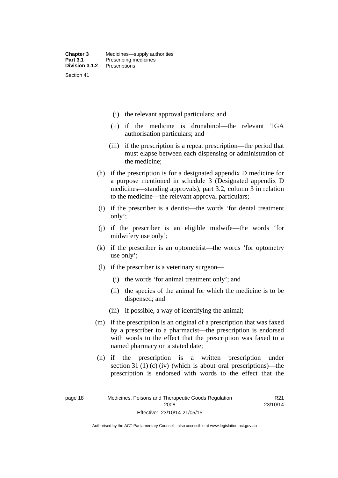- (i) the relevant approval particulars; and
- (ii) if the medicine is dronabinol—the relevant TGA authorisation particulars; and
- (iii) if the prescription is a repeat prescription—the period that must elapse between each dispensing or administration of the medicine;
- (h) if the prescription is for a designated appendix D medicine for a purpose mentioned in schedule 3 (Designated appendix D medicines—standing approvals), part 3.2, column 3 in relation to the medicine—the relevant approval particulars;
- (i) if the prescriber is a dentist—the words 'for dental treatment only';
- (j) if the prescriber is an eligible midwife—the words 'for midwifery use only';
- (k) if the prescriber is an optometrist—the words 'for optometry use only';
- (l) if the prescriber is a veterinary surgeon—
	- (i) the words 'for animal treatment only'; and
	- (ii) the species of the animal for which the medicine is to be dispensed; and
	- (iii) if possible, a way of identifying the animal;
- (m) if the prescription is an original of a prescription that was faxed by a prescriber to a pharmacist—the prescription is endorsed with words to the effect that the prescription was faxed to a named pharmacy on a stated date;
- (n) if the prescription is a written prescription under section 31 (1) (c) (iv) (which is about oral prescriptions)—the prescription is endorsed with words to the effect that the

R21 23/10/14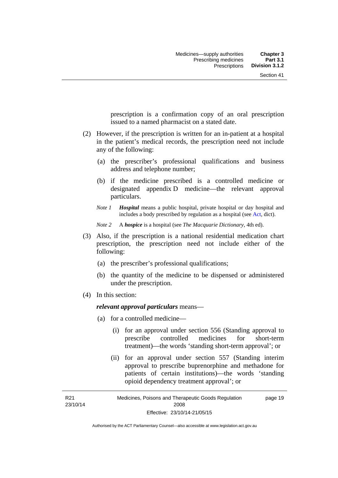prescription is a confirmation copy of an oral prescription issued to a named pharmacist on a stated date.

- (2) However, if the prescription is written for an in-patient at a hospital in the patient's medical records, the prescription need not include any of the following:
	- (a) the prescriber's professional qualifications and business address and telephone number;
	- (b) if the medicine prescribed is a controlled medicine or designated appendix D medicine—the relevant approval particulars.
	- *Note 1 Hospital* means a public hospital, private hospital or day hospital and includes a body prescribed by regulation as a hospital (see [Act,](http://www.legislation.act.gov.au/a/2008-26/default.asp) dict).

*Note 2* A *hospice* is a hospital (see *The Macquarie Dictionary*, 4th ed).

- (3) Also, if the prescription is a national residential medication chart prescription, the prescription need not include either of the following:
	- (a) the prescriber's professional qualifications;
	- (b) the quantity of the medicine to be dispensed or administered under the prescription.
- (4) In this section:

### *relevant approval particulars* means—

- (a) for a controlled medicine—
	- (i) for an approval under section 556 (Standing approval to prescribe controlled medicines for short-term treatment)—the words 'standing short-term approval'; or
	- (ii) for an approval under section 557 (Standing interim approval to prescribe buprenorphine and methadone for patients of certain institutions)—the words 'standing opioid dependency treatment approval'; or

R21 23/10/14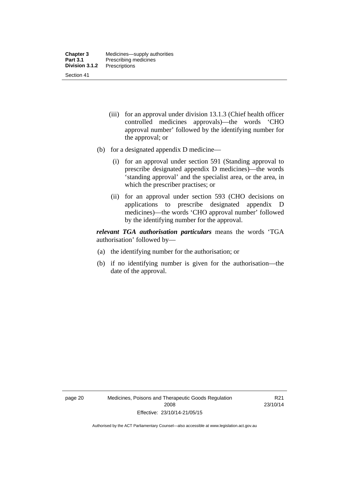- (iii) for an approval under division 13.1.3 (Chief health officer controlled medicines approvals)—the words 'CHO approval number' followed by the identifying number for the approval; or
- (b) for a designated appendix D medicine—
	- (i) for an approval under section 591 (Standing approval to prescribe designated appendix D medicines)—the words 'standing approval' and the specialist area, or the area, in which the prescriber practises; or
	- (ii) for an approval under section 593 (CHO decisions on applications to prescribe designated appendix D medicines)—the words 'CHO approval number' followed by the identifying number for the approval.

*relevant TGA authorisation particulars* means the words 'TGA authorisation' followed by—

- (a) the identifying number for the authorisation; or
- (b) if no identifying number is given for the authorisation—the date of the approval.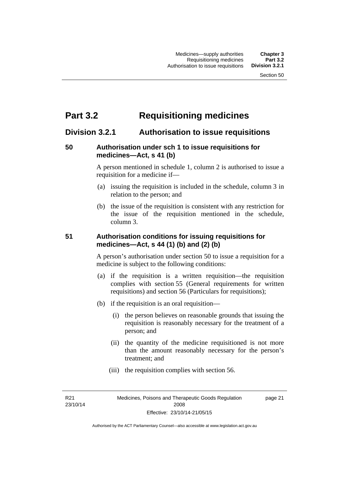# **Part 3.2 Requisitioning medicines**

# **Division 3.2.1 Authorisation to issue requisitions**

# **50 Authorisation under sch 1 to issue requisitions for medicines—Act, s 41 (b)**

A person mentioned in schedule 1, column 2 is authorised to issue a requisition for a medicine if—

- (a) issuing the requisition is included in the schedule, column 3 in relation to the person; and
- (b) the issue of the requisition is consistent with any restriction for the issue of the requisition mentioned in the schedule, column 3.

# **51 Authorisation conditions for issuing requisitions for medicines—Act, s 44 (1) (b) and (2) (b)**

A person's authorisation under section 50 to issue a requisition for a medicine is subject to the following conditions:

- (a) if the requisition is a written requisition—the requisition complies with section 55 (General requirements for written requisitions) and section 56 (Particulars for requisitions);
- (b) if the requisition is an oral requisition—
	- (i) the person believes on reasonable grounds that issuing the requisition is reasonably necessary for the treatment of a person; and
	- (ii) the quantity of the medicine requisitioned is not more than the amount reasonably necessary for the person's treatment; and
	- (iii) the requisition complies with section 56.

R21 23/10/14 page 21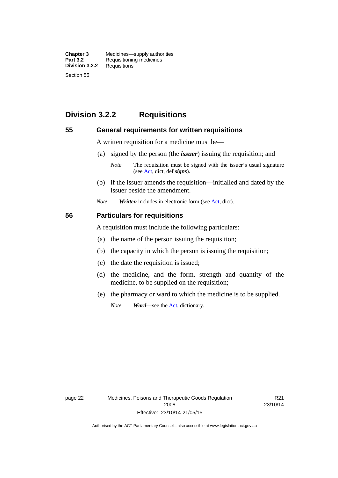**Chapter 3** Medicines—supply authorities<br>**Part 3.2** Requisitioning medicines **Requisitioning medicines**<br>Requisitions **Division 3.2.2** Section 55

# **Division 3.2.2 Requisitions**

### **55 General requirements for written requisitions**

A written requisition for a medicine must be—

(a) signed by the person (the *issuer*) issuing the requisition; and

 (b) if the issuer amends the requisition—initialled and dated by the issuer beside the amendment.

*Note Written* includes in electronic form (see [Act,](http://www.legislation.act.gov.au/a/2008-26/default.asp) dict).

### **56 Particulars for requisitions**

A requisition must include the following particulars:

- (a) the name of the person issuing the requisition;
- (b) the capacity in which the person is issuing the requisition;
- (c) the date the requisition is issued;
- (d) the medicine, and the form, strength and quantity of the medicine, to be supplied on the requisition;
- (e) the pharmacy or ward to which the medicine is to be supplied.

*Note Ward*—see the [Act](http://www.legislation.act.gov.au/a/2008-26/default.asp), dictionary.

page 22 Medicines, Poisons and Therapeutic Goods Regulation 2008 Effective: 23/10/14-21/05/15

R21 23/10/14

*Note* The requisition must be signed with the issuer's usual signature (see [Act](http://www.legislation.act.gov.au/a/2008-26/default.asp), dict, def *signs*).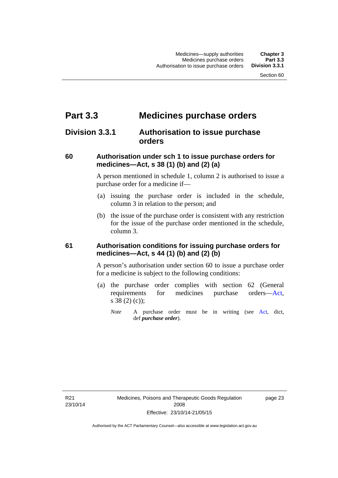# **Part 3.3 Medicines purchase orders**

# **Division 3.3.1 Authorisation to issue purchase orders**

# **60 Authorisation under sch 1 to issue purchase orders for medicines—Act, s 38 (1) (b) and (2) (a)**

A person mentioned in schedule 1, column 2 is authorised to issue a purchase order for a medicine if—

- (a) issuing the purchase order is included in the schedule, column 3 in relation to the person; and
- (b) the issue of the purchase order is consistent with any restriction for the issue of the purchase order mentioned in the schedule, column 3.

# **61 Authorisation conditions for issuing purchase orders for medicines—Act, s 44 (1) (b) and (2) (b)**

A person's authorisation under section 60 to issue a purchase order for a medicine is subject to the following conditions:

- (a) the purchase order complies with section 62 (General requirements for medicines purchase orders[—Act](http://www.legislation.act.gov.au/a/2008-26/default.asp), s 38 (2) (c));
	- *Note* A purchase order must be in writing (see [Act,](http://www.legislation.act.gov.au/a/2008-26/default.asp) dict, def *purchase order*).

R21 23/10/14 page 23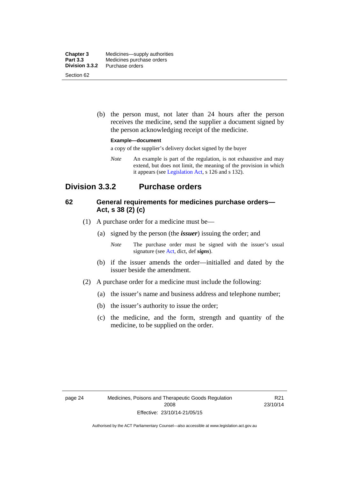| <b>Chapter 3</b> | Medicines—supply authorities |
|------------------|------------------------------|
| <b>Part 3.3</b>  | Medicines purchase orders    |
| Division 3.3.2   | Purchase orders              |
| Section 62       |                              |

 (b) the person must, not later than 24 hours after the person receives the medicine, send the supplier a document signed by the person acknowledging receipt of the medicine.

#### **Example—document**

a copy of the supplier's delivery docket signed by the buyer

*Note* An example is part of the regulation, is not exhaustive and may extend, but does not limit, the meaning of the provision in which it appears (see [Legislation Act,](http://www.legislation.act.gov.au/a/2001-14) s 126 and s 132).

# **Division 3.3.2 Purchase orders**

# **62 General requirements for medicines purchase orders— Act, s 38 (2) (c)**

- (1) A purchase order for a medicine must be—
	- (a) signed by the person (the *issuer*) issuing the order; and
		- *Note* The purchase order must be signed with the issuer's usual signature (see [Act](http://www.legislation.act.gov.au/a/2008-26/default.asp), dict, def *signs*).
	- (b) if the issuer amends the order—initialled and dated by the issuer beside the amendment.
- (2) A purchase order for a medicine must include the following:
	- (a) the issuer's name and business address and telephone number;
	- (b) the issuer's authority to issue the order;
	- (c) the medicine, and the form, strength and quantity of the medicine, to be supplied on the order.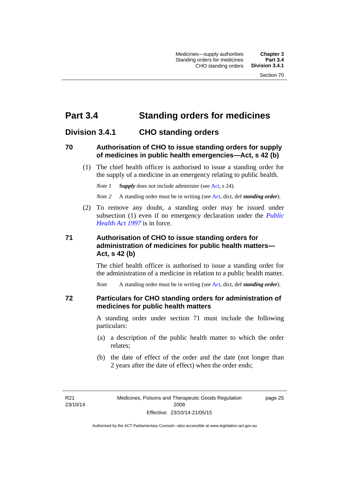# **Part 3.4 Standing orders for medicines**

# **Division 3.4.1 CHO standing orders**

## **70 Authorisation of CHO to issue standing orders for supply of medicines in public health emergencies—Act, s 42 (b)**

 (1) The chief health officer is authorised to issue a standing order for the supply of a medicine in an emergency relating to public health.

*Note 1 Supply* does not include administer (see [Act,](http://www.legislation.act.gov.au/a/2008-26/default.asp) s 24).

*Note 2* A standing order must be in writing (see [Act](http://www.legislation.act.gov.au/a/2008-26/default.asp), dict, def *standing order*).

 (2) To remove any doubt, a standing order may be issued under subsection (1) even if no emergency declaration under the *[Public](http://www.legislation.act.gov.au/a/1997-69)  [Health Act 1997](http://www.legislation.act.gov.au/a/1997-69)* is in force.

# **71 Authorisation of CHO to issue standing orders for administration of medicines for public health matters— Act, s 42 (b)**

The chief health officer is authorised to issue a standing order for the administration of a medicine in relation to a public health matter.

*Note* A standing order must be in writing (see [Act](http://www.legislation.act.gov.au/a/2008-26/default.asp), dict, def *standing order*).

### **72 Particulars for CHO standing orders for administration of medicines for public health matters**

A standing order under section 71 must include the following particulars:

- (a) a description of the public health matter to which the order relates;
- (b) the date of effect of the order and the date (not longer than 2 years after the date of effect) when the order ends;

R21 23/10/14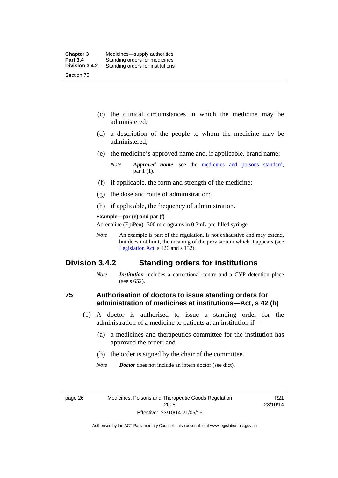- (c) the clinical circumstances in which the medicine may be administered;
- (d) a description of the people to whom the medicine may be administered;
- (e) the medicine's approved name and, if applicable, brand name;

- (f) if applicable, the form and strength of the medicine;
- (g) the dose and route of administration;
- (h) if applicable, the frequency of administration.

#### **Example—par (e) and par (f)**

Adrenaline (EpiPen) 300 micrograms in 0.3mL pre-filled syringe

*Note* An example is part of the regulation, is not exhaustive and may extend, but does not limit, the meaning of the provision in which it appears (see [Legislation Act,](http://www.legislation.act.gov.au/a/2001-14) s 126 and s 132).

# **Division 3.4.2 Standing orders for institutions**

*Note Institution* includes a correctional centre and a CYP detention place (see s 652).

### **75 Authorisation of doctors to issue standing orders for administration of medicines at institutions—Act, s 42 (b)**

- (1) A doctor is authorised to issue a standing order for the administration of a medicine to patients at an institution if—
	- (a) a medicines and therapeutics committee for the institution has approved the order; and
	- (b) the order is signed by the chair of the committee.
	- *Note Doctor* does not include an intern doctor (see dict).

R21 23/10/14

*Note Approved name*—see the [medicines and poisons standard,](http://www.comlaw.gov.au/Series/F2012L01200) par 1 (1).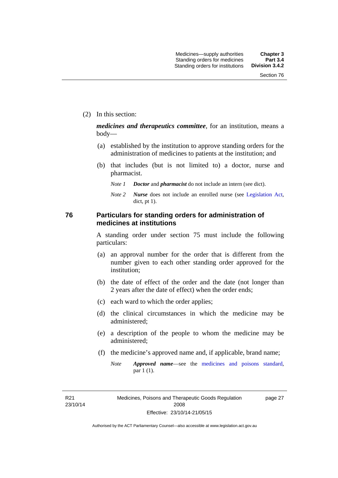(2) In this section:

*medicines and therapeutics committee*, for an institution, means a body—

- (a) established by the institution to approve standing orders for the administration of medicines to patients at the institution; and
- (b) that includes (but is not limited to) a doctor, nurse and pharmacist.
	- *Note 1 Doctor* and *pharmacist* do not include an intern (see dict).
	- *Note 2 Nurse* does not include an enrolled nurse (see [Legislation Act,](http://www.legislation.act.gov.au/a/2001-14) dict, pt 1).

# **76 Particulars for standing orders for administration of medicines at institutions**

A standing order under section 75 must include the following particulars:

- (a) an approval number for the order that is different from the number given to each other standing order approved for the institution;
- (b) the date of effect of the order and the date (not longer than 2 years after the date of effect) when the order ends;
- (c) each ward to which the order applies;
- (d) the clinical circumstances in which the medicine may be administered;
- (e) a description of the people to whom the medicine may be administered;
- (f) the medicine's approved name and, if applicable, brand name;
	- *Note Approved name*—see the [medicines and poisons standard,](http://www.comlaw.gov.au/Series/F2012L01200) par 1 (1).

R21 23/10/14 page 27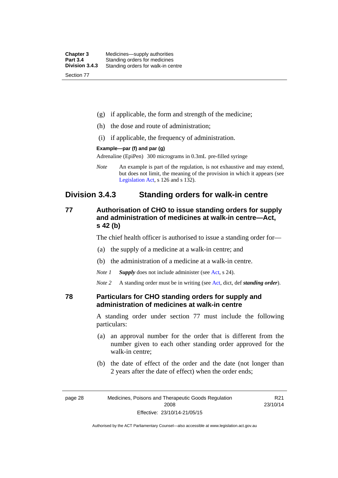| <b>Chapter 3</b> | Medicines—supply authorities       |
|------------------|------------------------------------|
| <b>Part 3.4</b>  | Standing orders for medicines      |
| Division 3.4.3   | Standing orders for walk-in centre |
| Section 77       |                                    |

- (g) if applicable, the form and strength of the medicine;
- (h) the dose and route of administration;
- (i) if applicable, the frequency of administration.

#### **Example—par (f) and par (g)**

Adrenaline (EpiPen) 300 micrograms in 0.3mL pre-filled syringe

*Note* An example is part of the regulation, is not exhaustive and may extend, but does not limit, the meaning of the provision in which it appears (see [Legislation Act,](http://www.legislation.act.gov.au/a/2001-14) s 126 and s 132).

# **Division 3.4.3 Standing orders for walk-in centre**

# **77 Authorisation of CHO to issue standing orders for supply and administration of medicines at walk-in centre—Act, s 42 (b)**

The chief health officer is authorised to issue a standing order for—

- (a) the supply of a medicine at a walk-in centre; and
- (b) the administration of a medicine at a walk-in centre.

*Note 1 Supply* does not include administer (see [Act,](http://www.legislation.act.gov.au/a/2008-26/default.asp) s 24).

*Note 2* A standing order must be in writing (see [Act](http://www.legislation.act.gov.au/a/2008-26/default.asp), dict, def *standing order*).

### **78 Particulars for CHO standing orders for supply and administration of medicines at walk-in centre**

A standing order under section 77 must include the following particulars:

- (a) an approval number for the order that is different from the number given to each other standing order approved for the walk-in centre;
- (b) the date of effect of the order and the date (not longer than 2 years after the date of effect) when the order ends;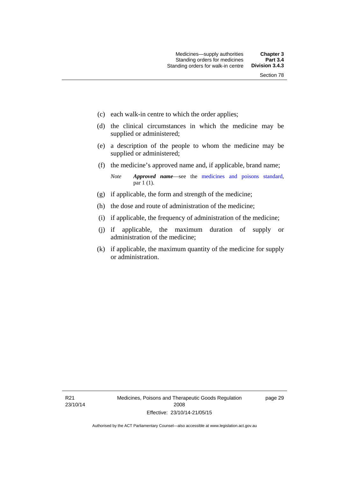- (c) each walk-in centre to which the order applies;
- (d) the clinical circumstances in which the medicine may be supplied or administered;
- (e) a description of the people to whom the medicine may be supplied or administered;
- (f) the medicine's approved name and, if applicable, brand name;

*Note Approved name*—see the [medicines and poisons standard,](http://www.comlaw.gov.au/Series/F2012L01200) par 1 (1).

- (g) if applicable, the form and strength of the medicine;
- (h) the dose and route of administration of the medicine;
- (i) if applicable, the frequency of administration of the medicine;
- (j) if applicable, the maximum duration of supply or administration of the medicine;
- (k) if applicable, the maximum quantity of the medicine for supply or administration.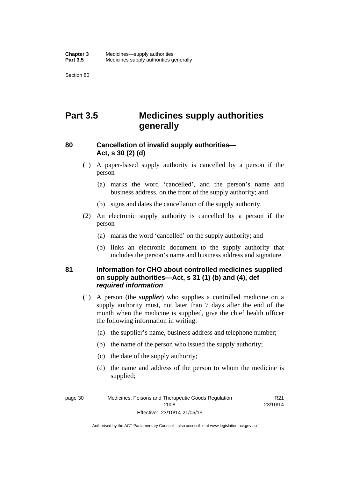Section 80

# **Part 3.5 Medicines supply authorities generally**

# **80 Cancellation of invalid supply authorities— Act, s 30 (2) (d)**

- (1) A paper-based supply authority is cancelled by a person if the person—
	- (a) marks the word 'cancelled', and the person's name and business address, on the front of the supply authority; and
	- (b) signs and dates the cancellation of the supply authority.
- (2) An electronic supply authority is cancelled by a person if the person—
	- (a) marks the word 'cancelled' on the supply authority; and
	- (b) links an electronic document to the supply authority that includes the person's name and business address and signature.

# **81 Information for CHO about controlled medicines supplied on supply authorities—Act, s 31 (1) (b) and (4), def**  *required information*

- (1) A person (the *supplier*) who supplies a controlled medicine on a supply authority must, not later than 7 days after the end of the month when the medicine is supplied, give the chief health officer the following information in writing:
	- (a) the supplier's name, business address and telephone number;
	- (b) the name of the person who issued the supply authority;
	- (c) the date of the supply authority;
	- (d) the name and address of the person to whom the medicine is supplied;

page 30 Medicines, Poisons and Therapeutic Goods Regulation 2008 Effective: 23/10/14-21/05/15

R21 23/10/14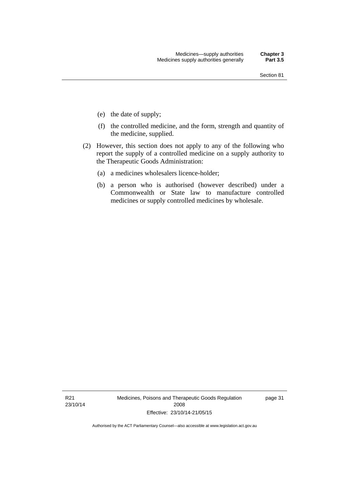- (e) the date of supply;
- (f) the controlled medicine, and the form, strength and quantity of the medicine, supplied.
- (2) However, this section does not apply to any of the following who report the supply of a controlled medicine on a supply authority to the Therapeutic Goods Administration:
	- (a) a medicines wholesalers licence-holder;
	- (b) a person who is authorised (however described) under a Commonwealth or State law to manufacture controlled medicines or supply controlled medicines by wholesale.

R21 23/10/14 Medicines, Poisons and Therapeutic Goods Regulation 2008 Effective: 23/10/14-21/05/15

page 31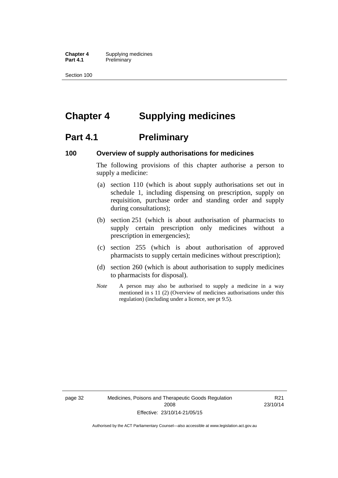**Chapter 4** Supplying medicines **Part 4.1** Preliminary

Section 100

# **Chapter 4 Supplying medicines**

# **Part 4.1** Preliminary

### **100 Overview of supply authorisations for medicines**

The following provisions of this chapter authorise a person to supply a medicine:

- (a) section 110 (which is about supply authorisations set out in schedule 1, including dispensing on prescription, supply on requisition, purchase order and standing order and supply during consultations);
- (b) section 251 (which is about authorisation of pharmacists to supply certain prescription only medicines without a prescription in emergencies);
- (c) section 255 (which is about authorisation of approved pharmacists to supply certain medicines without prescription);
- (d) section 260 (which is about authorisation to supply medicines to pharmacists for disposal).
- *Note* A person may also be authorised to supply a medicine in a way mentioned in s 11 (2) (Overview of medicines authorisations under this regulation) (including under a licence, see pt 9.5).

page 32 Medicines, Poisons and Therapeutic Goods Regulation 2008 Effective: 23/10/14-21/05/15

R21 23/10/14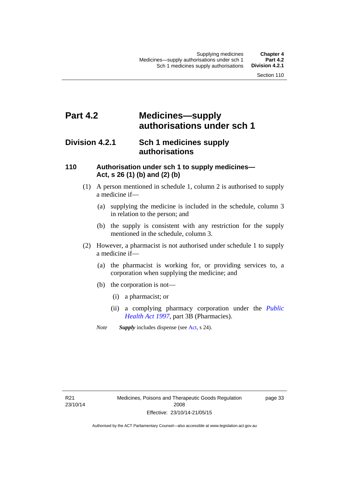# **Part 4.2 Medicines—supply authorisations under sch 1**

# **Division 4.2.1 Sch 1 medicines supply authorisations**

# **110 Authorisation under sch 1 to supply medicines— Act, s 26 (1) (b) and (2) (b)**

- (1) A person mentioned in schedule 1, column 2 is authorised to supply a medicine if—
	- (a) supplying the medicine is included in the schedule, column 3 in relation to the person; and
	- (b) the supply is consistent with any restriction for the supply mentioned in the schedule, column 3.
- (2) However, a pharmacist is not authorised under schedule 1 to supply a medicine if—
	- (a) the pharmacist is working for, or providing services to, a corporation when supplying the medicine; and
	- (b) the corporation is not—
		- (i) a pharmacist; or
		- (ii) a complying pharmacy corporation under the *[Public](http://www.legislation.act.gov.au/a/1997-69)  [Health Act 1997](http://www.legislation.act.gov.au/a/1997-69)*, part 3B (Pharmacies).
	- *Note Supply* includes dispense (see [Act,](http://www.legislation.act.gov.au/a/2008-26/default.asp) s 24).

R21 23/10/14 page 33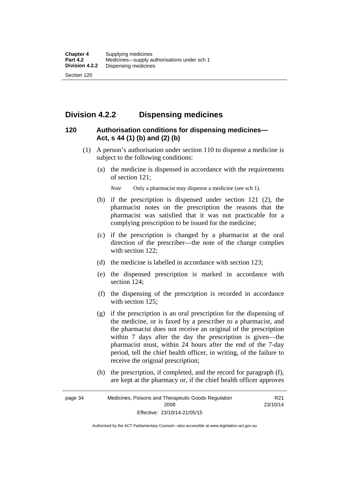# **Division 4.2.2 Dispensing medicines**

# **120 Authorisation conditions for dispensing medicines— Act, s 44 (1) (b) and (2) (b)**

- (1) A person's authorisation under section 110 to dispense a medicine is subject to the following conditions:
	- (a) the medicine is dispensed in accordance with the requirements of section 121;

*Note* Only a pharmacist may dispense a medicine (see sch 1).

- (b) if the prescription is dispensed under section 121 (2), the pharmacist notes on the prescription the reasons that the pharmacist was satisfied that it was not practicable for a complying prescription to be issued for the medicine;
- (c) if the prescription is changed by a pharmacist at the oral direction of the prescriber—the note of the change complies with section 122:
- (d) the medicine is labelled in accordance with section 123;
- (e) the dispensed prescription is marked in accordance with section 124;
- (f) the dispensing of the prescription is recorded in accordance with section 125:
- (g) if the prescription is an oral prescription for the dispensing of the medicine, or is faxed by a prescriber to a pharmacist, and the pharmacist does not receive an original of the prescription within 7 days after the day the prescription is given—the pharmacist must, within 24 hours after the end of the 7-day period, tell the chief health officer, in writing, of the failure to receive the original prescription;
- (h) the prescription, if completed, and the record for paragraph (f), are kept at the pharmacy or, if the chief health officer approves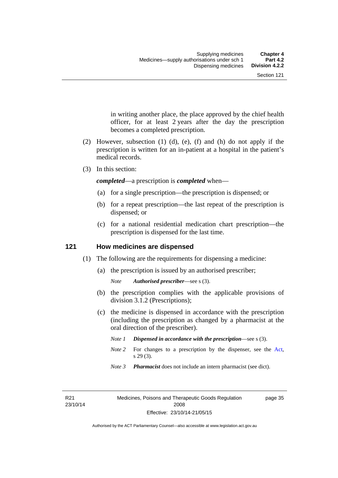in writing another place, the place approved by the chief health officer, for at least 2 years after the day the prescription becomes a completed prescription.

- (2) However, subsection (1) (d), (e), (f) and (h) do not apply if the prescription is written for an in-patient at a hospital in the patient's medical records.
- (3) In this section:

*completed*—a prescription is *completed* when—

- (a) for a single prescription—the prescription is dispensed; or
- (b) for a repeat prescription—the last repeat of the prescription is dispensed; or
- (c) for a national residential medication chart prescription––the prescription is dispensed for the last time.

## **121 How medicines are dispensed**

- (1) The following are the requirements for dispensing a medicine:
	- (a) the prescription is issued by an authorised prescriber;

- (b) the prescription complies with the applicable provisions of division 3.1.2 (Prescriptions);
- (c) the medicine is dispensed in accordance with the prescription (including the prescription as changed by a pharmacist at the oral direction of the prescriber).
	- *Note 1 Dispensed in accordance with the prescription*—see s (3).
	- *Note* 2 For changes to a prescription by the dispenser, see the [Act,](http://www.legislation.act.gov.au/a/2008-26/default.asp) s 29 (3).
	- *Note 3 Pharmacist* does not include an intern pharmacist (see dict).

R21 23/10/14 page 35

*Note Authorised prescriber*—see s (3).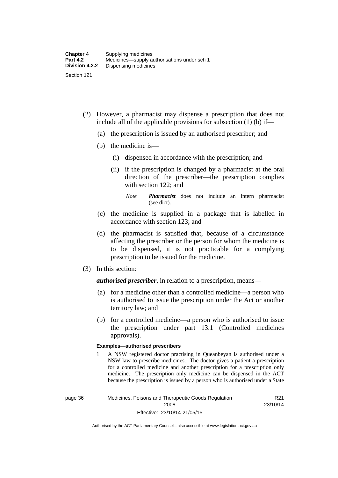- (2) However, a pharmacist may dispense a prescription that does not include all of the applicable provisions for subsection (1) (b) if—
	- (a) the prescription is issued by an authorised prescriber; and
	- (b) the medicine is—
		- (i) dispensed in accordance with the prescription; and
		- (ii) if the prescription is changed by a pharmacist at the oral direction of the prescriber—the prescription complies with section 122; and

*Note Pharmacist* does not include an intern pharmacist (see dict).

- (c) the medicine is supplied in a package that is labelled in accordance with section 123; and
- (d) the pharmacist is satisfied that, because of a circumstance affecting the prescriber or the person for whom the medicine is to be dispensed, it is not practicable for a complying prescription to be issued for the medicine.
- (3) In this section:

*authorised prescriber*, in relation to a prescription, means—

- (a) for a medicine other than a controlled medicine—a person who is authorised to issue the prescription under the Act or another territory law; and
- (b) for a controlled medicine—a person who is authorised to issue the prescription under part 13.1 (Controlled medicines approvals).

#### **Examples—authorised prescribers**

1 A NSW registered doctor practising in Queanbeyan is authorised under a NSW law to prescribe medicines. The doctor gives a patient a prescription for a controlled medicine and another prescription for a prescription only medicine. The prescription only medicine can be dispensed in the ACT because the prescription is issued by a person who is authorised under a State

R21 23/10/14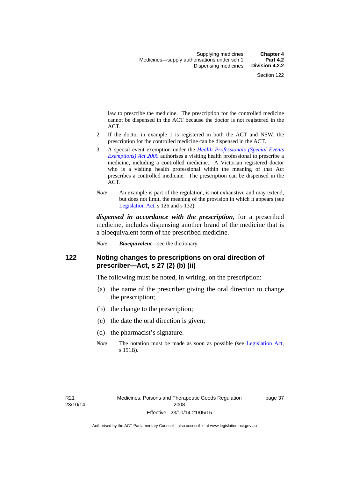law to prescribe the medicine. The prescription for the controlled medicine cannot be dispensed in the ACT because the doctor is not registered in the ACT.

- 2 If the doctor in example 1 is registered in both the ACT and NSW, the prescription for the controlled medicine can be dispensed in the ACT.
- 3 A special event exemption under the *[Health Professionals \(Special Events](http://www.legislation.act.gov.au/a/2000-25)  [Exemptions\) Act 2000](http://www.legislation.act.gov.au/a/2000-25)* authorises a visiting health professional to prescribe a medicine, including a controlled medicine. A Victorian registered doctor who is a visiting health professional within the meaning of that Act prescribes a controlled medicine. The prescription can be dispensed in the ACT.
- *Note* An example is part of the regulation, is not exhaustive and may extend, but does not limit, the meaning of the provision in which it appears (see [Legislation Act,](http://www.legislation.act.gov.au/a/2001-14) s 126 and s 132).

*dispensed in accordance with the prescription*, for a prescribed medicine, includes dispensing another brand of the medicine that is a bioequivalent form of the prescribed medicine.

*Note Bioequivalent*—see the dictionary.

## **122 Noting changes to prescriptions on oral direction of prescriber—Act, s 27 (2) (b) (ii)**

The following must be noted, in writing, on the prescription:

- (a) the name of the prescriber giving the oral direction to change the prescription;
- (b) the change to the prescription;
- (c) the date the oral direction is given;
- (d) the pharmacist's signature.
- *Note* The notation must be made as soon as possible (see [Legislation Act,](http://www.legislation.act.gov.au/a/2001-14) s 151B).

page 37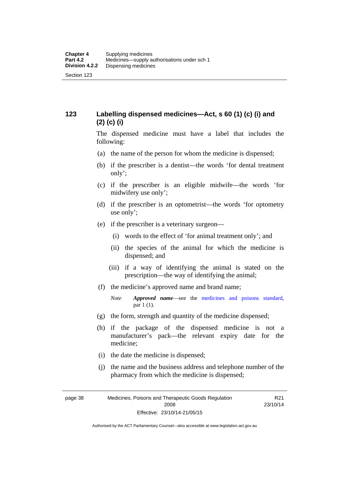# **123 Labelling dispensed medicines—Act, s 60 (1) (c) (i) and (2) (c) (i)**

The dispensed medicine must have a label that includes the following:

- (a) the name of the person for whom the medicine is dispensed;
- (b) if the prescriber is a dentist—the words 'for dental treatment only';
- (c) if the prescriber is an eligible midwife—the words 'for midwifery use only';
- (d) if the prescriber is an optometrist—the words 'for optometry use only';
- (e) if the prescriber is a veterinary surgeon—
	- (i) words to the effect of 'for animal treatment only'; and
	- (ii) the species of the animal for which the medicine is dispensed; and
	- (iii) if a way of identifying the animal is stated on the prescription—the way of identifying the animal;
- (f) the medicine's approved name and brand name;
	- *Note Approved name*—see the [medicines and poisons standard,](http://www.comlaw.gov.au/Series/F2012L01200) par 1 (1).
- (g) the form, strength and quantity of the medicine dispensed;
- (h) if the package of the dispensed medicine is not a manufacturer's pack—the relevant expiry date for the medicine;
- (i) the date the medicine is dispensed;
- (j) the name and the business address and telephone number of the pharmacy from which the medicine is dispensed;

page 38 Medicines, Poisons and Therapeutic Goods Regulation 2008 Effective: 23/10/14-21/05/15

R21 23/10/14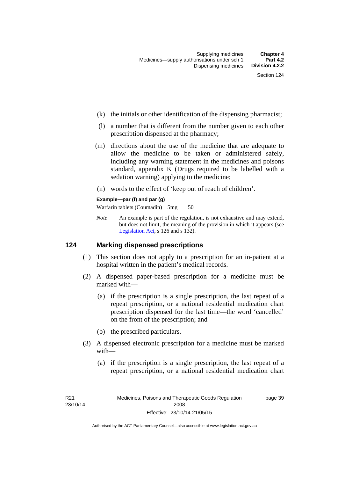- (k) the initials or other identification of the dispensing pharmacist;
- (l) a number that is different from the number given to each other prescription dispensed at the pharmacy;
- (m) directions about the use of the medicine that are adequate to allow the medicine to be taken or administered safely, including any warning statement in the medicines and poisons standard, appendix K (Drugs required to be labelled with a sedation warning) applying to the medicine;
- (n) words to the effect of 'keep out of reach of children'.

### **Example—par (f) and par (g)**

Warfarin tablets (Coumadin) 5mg 50

*Note* An example is part of the regulation, is not exhaustive and may extend, but does not limit, the meaning of the provision in which it appears (see [Legislation Act,](http://www.legislation.act.gov.au/a/2001-14) s 126 and s 132).

### **124 Marking dispensed prescriptions**

- (1) This section does not apply to a prescription for an in-patient at a hospital written in the patient's medical records.
- (2) A dispensed paper-based prescription for a medicine must be marked with—
	- (a) if the prescription is a single prescription, the last repeat of a repeat prescription, or a national residential medication chart prescription dispensed for the last time––the word 'cancelled' on the front of the prescription; and
	- (b) the prescribed particulars.
- (3) A dispensed electronic prescription for a medicine must be marked with—
	- (a) if the prescription is a single prescription, the last repeat of a repeat prescription, or a national residential medication chart

page 39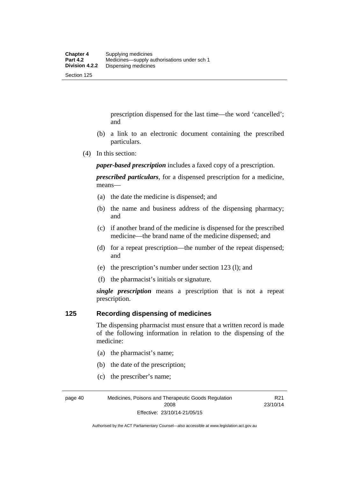prescription dispensed for the last time––the word 'cancelled'; and

- (b) a link to an electronic document containing the prescribed particulars.
- (4) In this section:

*paper-based prescription* includes a faxed copy of a prescription.

*prescribed particulars*, for a dispensed prescription for a medicine, means—

- (a) the date the medicine is dispensed; and
- (b) the name and business address of the dispensing pharmacy; and
- (c) if another brand of the medicine is dispensed for the prescribed medicine—the brand name of the medicine dispensed; and
- (d) for a repeat prescription—the number of the repeat dispensed; and
- (e) the prescription's number under section 123 (l); and
- (f) the pharmacist's initials or signature.

*single prescription* means a prescription that is not a repeat prescription.

### **125 Recording dispensing of medicines**

The dispensing pharmacist must ensure that a written record is made of the following information in relation to the dispensing of the medicine:

- (a) the pharmacist's name;
- (b) the date of the prescription;
- (c) the prescriber's name;

R21 23/10/14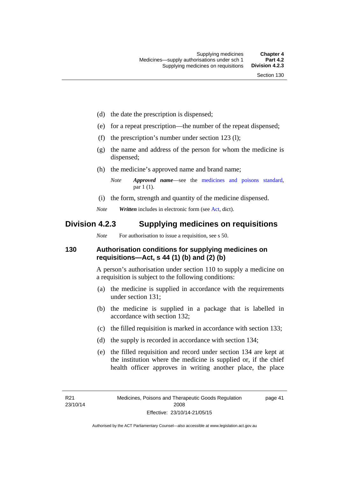- (d) the date the prescription is dispensed;
- (e) for a repeat prescription—the number of the repeat dispensed;
- (f) the prescription's number under section 123 (l);
- (g) the name and address of the person for whom the medicine is dispensed;
- (h) the medicine's approved name and brand name;
	- *Note Approved name*—see the [medicines and poisons standard,](http://www.comlaw.gov.au/Series/F2012L01200) par 1 (1).
- (i) the form, strength and quantity of the medicine dispensed.
- *Note Written* includes in electronic form (see [Act,](http://www.legislation.act.gov.au/a/2008-26/default.asp) dict).

# **Division 4.2.3 Supplying medicines on requisitions**

*Note* For authorisation to issue a requisition, see s 50.

# **130 Authorisation conditions for supplying medicines on requisitions—Act, s 44 (1) (b) and (2) (b)**

A person's authorisation under section 110 to supply a medicine on a requisition is subject to the following conditions:

- (a) the medicine is supplied in accordance with the requirements under section 131;
- (b) the medicine is supplied in a package that is labelled in accordance with section 132;
- (c) the filled requisition is marked in accordance with section 133;
- (d) the supply is recorded in accordance with section 134;
- (e) the filled requisition and record under section 134 are kept at the institution where the medicine is supplied or, if the chief health officer approves in writing another place, the place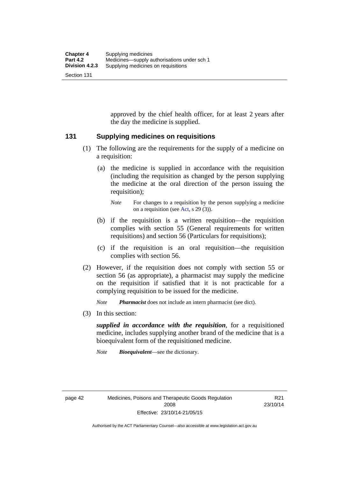approved by the chief health officer, for at least 2 years after the day the medicine is supplied.

### **131 Supplying medicines on requisitions**

- (1) The following are the requirements for the supply of a medicine on a requisition:
	- (a) the medicine is supplied in accordance with the requisition (including the requisition as changed by the person supplying the medicine at the oral direction of the person issuing the requisition);

- (b) if the requisition is a written requisition—the requisition complies with section 55 (General requirements for written requisitions) and section 56 (Particulars for requisitions);
- (c) if the requisition is an oral requisition—the requisition complies with section 56.
- (2) However, if the requisition does not comply with section 55 or section 56 (as appropriate), a pharmacist may supply the medicine on the requisition if satisfied that it is not practicable for a complying requisition to be issued for the medicine.

*Note Pharmacist* does not include an intern pharmacist (see dict).

(3) In this section:

*supplied in accordance with the requisition*, for a requisitioned medicine, includes supplying another brand of the medicine that is a bioequivalent form of the requisitioned medicine.

*Note Bioequivalent*—see the dictionary.

R21 23/10/14

*Note* For changes to a requisition by the person supplying a medicine on a requisition (see [Act,](http://www.legislation.act.gov.au/a/2008-26/default.asp) s 29 (3)).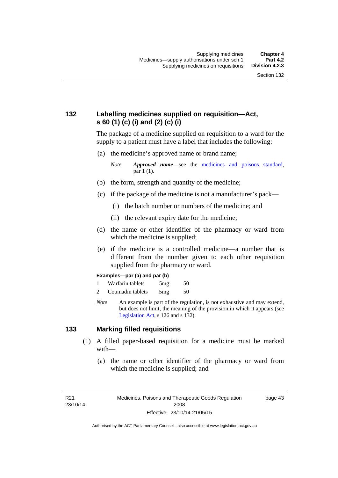# **132 Labelling medicines supplied on requisition—Act, s 60 (1) (c) (i) and (2) (c) (i)**

The package of a medicine supplied on requisition to a ward for the supply to a patient must have a label that includes the following:

(a) the medicine's approved name or brand name;

*Note Approved name*—see the [medicines and poisons standard,](http://www.comlaw.gov.au/Series/F2012L01200) par 1 (1).

- (b) the form, strength and quantity of the medicine;
- (c) if the package of the medicine is not a manufacturer's pack—
	- (i) the batch number or numbers of the medicine; and
	- (ii) the relevant expiry date for the medicine;
- (d) the name or other identifier of the pharmacy or ward from which the medicine is supplied;
- (e) if the medicine is a controlled medicine—a number that is different from the number given to each other requisition supplied from the pharmacy or ward.

#### **Examples—par (a) and par (b)**

- 1 Warfarin tablets 5mg 50
- 2 Coumadin tablets 5mg 50
- *Note* An example is part of the regulation, is not exhaustive and may extend, but does not limit, the meaning of the provision in which it appears (see [Legislation Act,](http://www.legislation.act.gov.au/a/2001-14) s 126 and s 132).

### **133 Marking filled requisitions**

- (1) A filled paper-based requisition for a medicine must be marked with—
	- (a) the name or other identifier of the pharmacy or ward from which the medicine is supplied; and

R21 23/10/14 page 43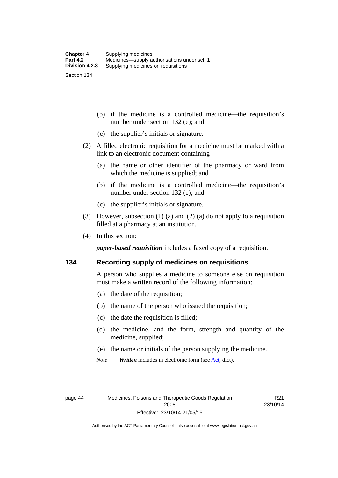(b) if the medicine is a controlled medicine—the requisition's number under section 132 (e); and

- (c) the supplier's initials or signature.
- (2) A filled electronic requisition for a medicine must be marked with a link to an electronic document containing—
	- (a) the name or other identifier of the pharmacy or ward from which the medicine is supplied; and
	- (b) if the medicine is a controlled medicine—the requisition's number under section 132 (e); and
	- (c) the supplier's initials or signature.
- (3) However, subsection (1) (a) and (2) (a) do not apply to a requisition filled at a pharmacy at an institution.
- (4) In this section:

*paper-based requisition* includes a faxed copy of a requisition.

### **134 Recording supply of medicines on requisitions**

A person who supplies a medicine to someone else on requisition must make a written record of the following information:

- (a) the date of the requisition;
- (b) the name of the person who issued the requisition;
- (c) the date the requisition is filled;
- (d) the medicine, and the form, strength and quantity of the medicine, supplied;
- (e) the name or initials of the person supplying the medicine.
- *Note Written* includes in electronic form (see [Act,](http://www.legislation.act.gov.au/a/2008-26/default.asp) dict).

R21 23/10/14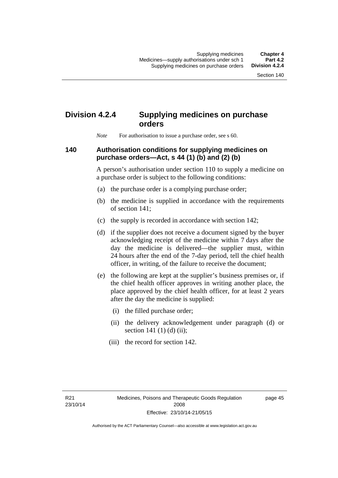# **Division 4.2.4 Supplying medicines on purchase orders**

*Note* For authorisation to issue a purchase order, see s 60.

# **140 Authorisation conditions for supplying medicines on purchase orders—Act, s 44 (1) (b) and (2) (b)**

A person's authorisation under section 110 to supply a medicine on a purchase order is subject to the following conditions:

- (a) the purchase order is a complying purchase order;
- (b) the medicine is supplied in accordance with the requirements of section 141;
- (c) the supply is recorded in accordance with section 142;
- (d) if the supplier does not receive a document signed by the buyer acknowledging receipt of the medicine within 7 days after the day the medicine is delivered—the supplier must, within 24 hours after the end of the 7-day period, tell the chief health officer, in writing, of the failure to receive the document;
- (e) the following are kept at the supplier's business premises or, if the chief health officer approves in writing another place, the place approved by the chief health officer, for at least 2 years after the day the medicine is supplied:
	- (i) the filled purchase order;
	- (ii) the delivery acknowledgement under paragraph (d) or section 141 $(1)$  $(d)$  $(ii)$ ;
	- (iii) the record for section 142.

page 45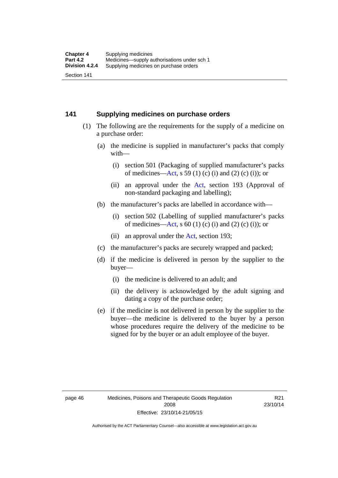## **141 Supplying medicines on purchase orders**

- (1) The following are the requirements for the supply of a medicine on a purchase order:
	- (a) the medicine is supplied in manufacturer's packs that comply with—
		- (i) section 501 (Packaging of supplied manufacturer's packs of medicines—[Act](http://www.legislation.act.gov.au/a/2008-26/default.asp), s 59 (1) (c) (i) and (2) (c) (i)); or
		- (ii) an approval under the [Act](http://www.legislation.act.gov.au/a/2008-26/default.asp), section 193 (Approval of non-standard packaging and labelling);
	- (b) the manufacturer's packs are labelled in accordance with—
		- (i) section 502 (Labelling of supplied manufacturer's packs of medicines—[Act](http://www.legislation.act.gov.au/a/2008-26/default.asp), s  $60(1)$  (c) (i) and (2) (c) (i)); or
		- (ii) an approval under the [Act,](http://www.legislation.act.gov.au/a/2008-26/default.asp) section 193;
	- (c) the manufacturer's packs are securely wrapped and packed;
	- (d) if the medicine is delivered in person by the supplier to the buyer—
		- (i) the medicine is delivered to an adult; and
		- (ii) the delivery is acknowledged by the adult signing and dating a copy of the purchase order;
	- (e) if the medicine is not delivered in person by the supplier to the buyer—the medicine is delivered to the buyer by a person whose procedures require the delivery of the medicine to be signed for by the buyer or an adult employee of the buyer.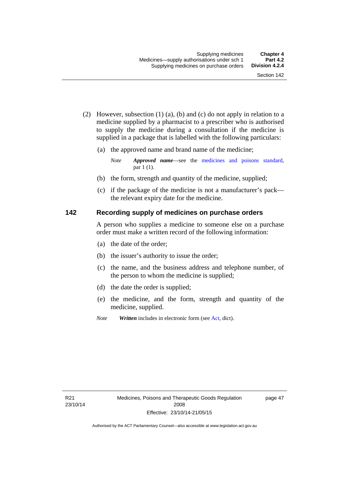- (2) However, subsection (1) (a), (b) and (c) do not apply in relation to a medicine supplied by a pharmacist to a prescriber who is authorised to supply the medicine during a consultation if the medicine is supplied in a package that is labelled with the following particulars:
	- (a) the approved name and brand name of the medicine;

*Note Approved name*—see the [medicines and poisons standard,](http://www.comlaw.gov.au/Series/F2012L01200) par 1 (1).

- (b) the form, strength and quantity of the medicine, supplied;
- (c) if the package of the medicine is not a manufacturer's pack the relevant expiry date for the medicine.

# **142 Recording supply of medicines on purchase orders**

A person who supplies a medicine to someone else on a purchase order must make a written record of the following information:

- (a) the date of the order;
- (b) the issuer's authority to issue the order;
- (c) the name, and the business address and telephone number, of the person to whom the medicine is supplied;
- (d) the date the order is supplied;
- (e) the medicine, and the form, strength and quantity of the medicine, supplied.
- *Note Written* includes in electronic form (see [Act,](http://www.legislation.act.gov.au/a/2008-26/default.asp) dict).

page 47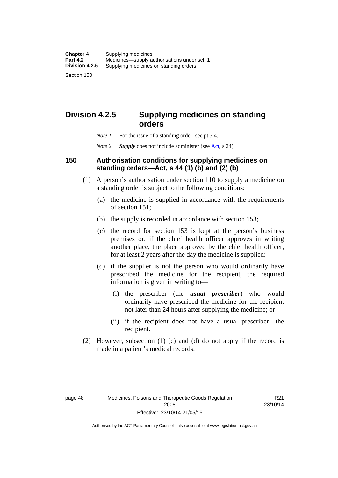**Division 4.2.5 Supplying medicines on standing** 

# **orders**

- *Note 1* For the issue of a standing order, see pt 3.4.
- *Note 2 Supply* does not include administer (see [Act,](http://www.legislation.act.gov.au/a/2008-26/default.asp) s 24).

## **150 Authorisation conditions for supplying medicines on standing orders—Act, s 44 (1) (b) and (2) (b)**

- (1) A person's authorisation under section 110 to supply a medicine on a standing order is subject to the following conditions:
	- (a) the medicine is supplied in accordance with the requirements of section 151;
	- (b) the supply is recorded in accordance with section 153;
	- (c) the record for section 153 is kept at the person's business premises or, if the chief health officer approves in writing another place, the place approved by the chief health officer, for at least 2 years after the day the medicine is supplied;
	- (d) if the supplier is not the person who would ordinarily have prescribed the medicine for the recipient, the required information is given in writing to—
		- (i) the prescriber (the *usual prescriber*) who would ordinarily have prescribed the medicine for the recipient not later than 24 hours after supplying the medicine; or
		- (ii) if the recipient does not have a usual prescriber—the recipient.
- (2) However, subsection (1) (c) and (d) do not apply if the record is made in a patient's medical records.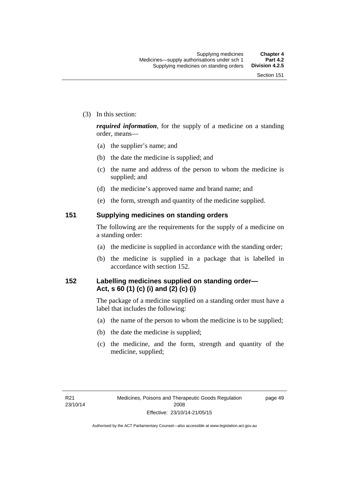(3) In this section:

*required information*, for the supply of a medicine on a standing order, means—

- (a) the supplier's name; and
- (b) the date the medicine is supplied; and
- (c) the name and address of the person to whom the medicine is supplied; and
- (d) the medicine's approved name and brand name; and
- (e) the form, strength and quantity of the medicine supplied.

### **151 Supplying medicines on standing orders**

The following are the requirements for the supply of a medicine on a standing order:

- (a) the medicine is supplied in accordance with the standing order;
- (b) the medicine is supplied in a package that is labelled in accordance with section 152.

## **152 Labelling medicines supplied on standing order— Act, s 60 (1) (c) (i) and (2) (c) (i)**

The package of a medicine supplied on a standing order must have a label that includes the following:

- (a) the name of the person to whom the medicine is to be supplied;
- (b) the date the medicine is supplied;
- (c) the medicine, and the form, strength and quantity of the medicine, supplied;

page 49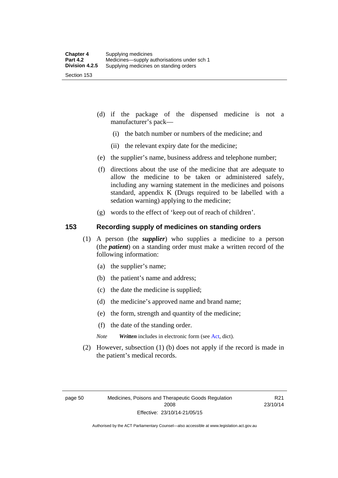- (d) if the package of the dispensed medicine is not a manufacturer's pack—
	- (i) the batch number or numbers of the medicine; and
	- (ii) the relevant expiry date for the medicine;
- (e) the supplier's name, business address and telephone number;
- (f) directions about the use of the medicine that are adequate to allow the medicine to be taken or administered safely, including any warning statement in the medicines and poisons standard, appendix K (Drugs required to be labelled with a sedation warning) applying to the medicine;
- (g) words to the effect of 'keep out of reach of children'.

### **153 Recording supply of medicines on standing orders**

- (1) A person (the *supplier*) who supplies a medicine to a person (the *patient*) on a standing order must make a written record of the following information:
	- (a) the supplier's name;
	- (b) the patient's name and address;
	- (c) the date the medicine is supplied;
	- (d) the medicine's approved name and brand name;
	- (e) the form, strength and quantity of the medicine;
	- (f) the date of the standing order.
	- *Note Written* includes in electronic form (see [Act,](http://www.legislation.act.gov.au/a/2008-26/default.asp) dict).
- (2) However, subsection (1) (b) does not apply if the record is made in the patient's medical records.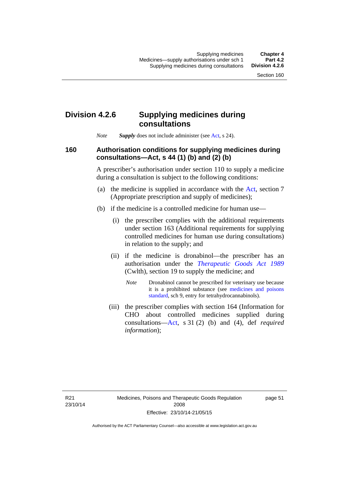## **Division 4.2.6 Supplying medicines during consultations**

*Note Supply* does not include administer (see [Act,](http://www.legislation.act.gov.au/a/2008-26/default.asp) s 24).

### **160 Authorisation conditions for supplying medicines during consultations—Act, s 44 (1) (b) and (2) (b)**

A prescriber's authorisation under section 110 to supply a medicine during a consultation is subject to the following conditions:

- (a) the medicine is supplied in accordance with the [Act](http://www.legislation.act.gov.au/a/2008-26/default.asp), section 7 (Appropriate prescription and supply of medicines);
- (b) if the medicine is a controlled medicine for human use—
	- (i) the prescriber complies with the additional requirements under section 163 (Additional requirements for supplying controlled medicines for human use during consultations) in relation to the supply; and
	- (ii) if the medicine is dronabinol—the prescriber has an authorisation under the *[Therapeutic Goods Act 1989](http://www.comlaw.gov.au/Series/C2004A03952)* (Cwlth), section 19 to supply the medicine; and
		- *Note* Dronabinol cannot be prescribed for veterinary use because it is a prohibited substance (see [medicines and poisons](http://www.comlaw.gov.au/Series/F2012L01200)  [standard,](http://www.comlaw.gov.au/Series/F2012L01200) sch 9, entry for tetrahydrocannabinols).
	- (iii) the prescriber complies with section 164 (Information for CHO about controlled medicines supplied during consultations[—Act,](http://www.legislation.act.gov.au/a/2008-26/default.asp) s 31 (2) (b) and (4), def *required information*);

page 51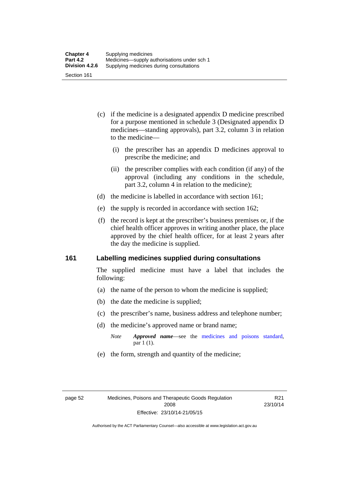- (c) if the medicine is a designated appendix D medicine prescribed for a purpose mentioned in schedule 3 (Designated appendix D medicines—standing approvals), part 3.2, column 3 in relation to the medicine—
	- (i) the prescriber has an appendix D medicines approval to prescribe the medicine; and
	- (ii) the prescriber complies with each condition (if any) of the approval (including any conditions in the schedule, part 3.2, column 4 in relation to the medicine);
- (d) the medicine is labelled in accordance with section 161;
- (e) the supply is recorded in accordance with section 162;
- (f) the record is kept at the prescriber's business premises or, if the chief health officer approves in writing another place, the place approved by the chief health officer, for at least 2 years after the day the medicine is supplied.

### **161 Labelling medicines supplied during consultations**

The supplied medicine must have a label that includes the following:

- (a) the name of the person to whom the medicine is supplied;
- (b) the date the medicine is supplied;
- (c) the prescriber's name, business address and telephone number;
- (d) the medicine's approved name or brand name;
	- *Note Approved name*—see the [medicines and poisons standard,](http://www.comlaw.gov.au/Series/F2012L01200) par 1 (1).
- (e) the form, strength and quantity of the medicine;

R21 23/10/14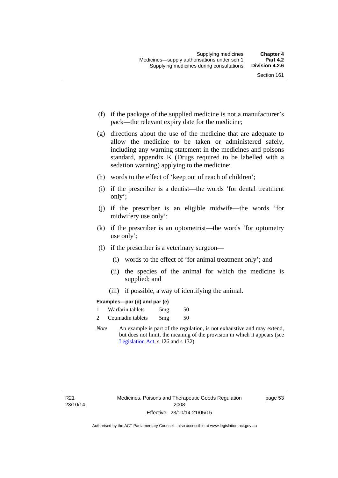- (f) if the package of the supplied medicine is not a manufacturer's pack—the relevant expiry date for the medicine;
- (g) directions about the use of the medicine that are adequate to allow the medicine to be taken or administered safely, including any warning statement in the medicines and poisons standard, appendix K (Drugs required to be labelled with a sedation warning) applying to the medicine;
- (h) words to the effect of 'keep out of reach of children';
- (i) if the prescriber is a dentist—the words 'for dental treatment only';
- (j) if the prescriber is an eligible midwife—the words 'for midwifery use only';
- (k) if the prescriber is an optometrist—the words 'for optometry use only';
- (l) if the prescriber is a veterinary surgeon—
	- (i) words to the effect of 'for animal treatment only'; and
	- (ii) the species of the animal for which the medicine is supplied; and
	- (iii) if possible, a way of identifying the animal.

### **Examples—par (d) and par (e)**

| Warfarin tablets | 5mg | 50 |
|------------------|-----|----|
| Coumadin tablets | 5mg | 50 |

*Note* An example is part of the regulation, is not exhaustive and may extend, but does not limit, the meaning of the provision in which it appears (see [Legislation Act,](http://www.legislation.act.gov.au/a/2001-14) s 126 and s 132).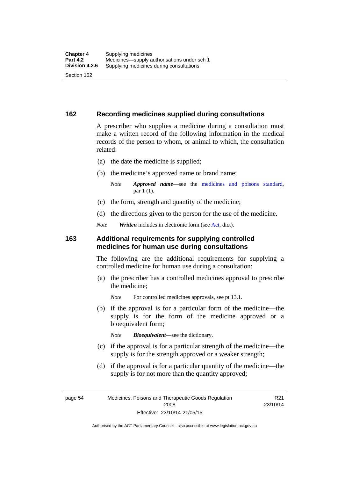### **162 Recording medicines supplied during consultations**

A prescriber who supplies a medicine during a consultation must make a written record of the following information in the medical records of the person to whom, or animal to which, the consultation related:

- (a) the date the medicine is supplied;
- (b) the medicine's approved name or brand name;

*Note Approved name*—see the [medicines and poisons standard,](http://www.comlaw.gov.au/Series/F2012L01200) par 1 (1).

- (c) the form, strength and quantity of the medicine;
- (d) the directions given to the person for the use of the medicine.

*Note Written* includes in electronic form (see [Act,](http://www.legislation.act.gov.au/a/2008-26/default.asp) dict).

### **163 Additional requirements for supplying controlled medicines for human use during consultations**

The following are the additional requirements for supplying a controlled medicine for human use during a consultation:

- (a) the prescriber has a controlled medicines approval to prescribe the medicine;
	- *Note* For controlled medicines approvals, see pt 13.1.
- (b) if the approval is for a particular form of the medicine—the supply is for the form of the medicine approved or a bioequivalent form;

*Note Bioequivalent*—see the dictionary.

- (c) if the approval is for a particular strength of the medicine—the supply is for the strength approved or a weaker strength;
- (d) if the approval is for a particular quantity of the medicine—the supply is for not more than the quantity approved;

page 54 Medicines, Poisons and Therapeutic Goods Regulation 2008 Effective: 23/10/14-21/05/15

R21 23/10/14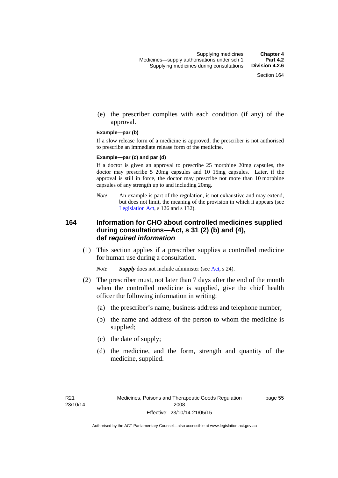(e) the prescriber complies with each condition (if any) of the approval.

#### **Example—par (b)**

If a slow release form of a medicine is approved, the prescriber is not authorised to prescribe an immediate release form of the medicine.

#### **Example—par (c) and par (d)**

If a doctor is given an approval to prescribe 25 morphine 20mg capsules, the doctor may prescribe 5 20mg capsules and 10 15mg capsules. Later, if the approval is still in force, the doctor may prescribe not more than 10 morphine capsules of any strength up to and including 20mg.

*Note* An example is part of the regulation, is not exhaustive and may extend, but does not limit, the meaning of the provision in which it appears (see [Legislation Act,](http://www.legislation.act.gov.au/a/2001-14) s 126 and s 132).

### **164 Information for CHO about controlled medicines supplied during consultations—Act, s 31 (2) (b) and (4), def** *required information*

 (1) This section applies if a prescriber supplies a controlled medicine for human use during a consultation.

*Note Supply* does not include administer (see [Act,](http://www.legislation.act.gov.au/a/2008-26/default.asp) s 24).

- (2) The prescriber must, not later than 7 days after the end of the month when the controlled medicine is supplied, give the chief health officer the following information in writing:
	- (a) the prescriber's name, business address and telephone number;
	- (b) the name and address of the person to whom the medicine is supplied;
	- (c) the date of supply;
	- (d) the medicine, and the form, strength and quantity of the medicine, supplied.

page 55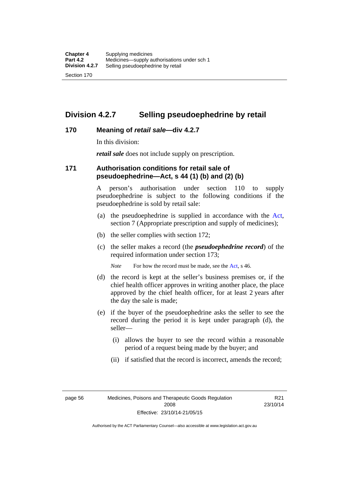## **Division 4.2.7 Selling pseudoephedrine by retail**

### **170 Meaning of** *retail sale***—div 4.2.7**

In this division:

*retail sale* does not include supply on prescription.

### **171 Authorisation conditions for retail sale of pseudoephedrine—Act, s 44 (1) (b) and (2) (b)**

A person's authorisation under section 110 to supply pseudoephedrine is subject to the following conditions if the pseudoephedrine is sold by retail sale:

- (a) the pseudoephedrine is supplied in accordance with the [Act](http://www.legislation.act.gov.au/a/2008-26/default.asp), section 7 (Appropriate prescription and supply of medicines);
- (b) the seller complies with section 172;
- (c) the seller makes a record (the *pseudoephedrine record*) of the required information under section 173;

*Note* For how the record must be made, see the [Act,](http://www.legislation.act.gov.au/a/2008-26/default.asp) s 46.

- (d) the record is kept at the seller's business premises or, if the chief health officer approves in writing another place, the place approved by the chief health officer, for at least 2 years after the day the sale is made;
- (e) if the buyer of the pseudoephedrine asks the seller to see the record during the period it is kept under paragraph (d), the seller—
	- (i) allows the buyer to see the record within a reasonable period of a request being made by the buyer; and
	- (ii) if satisfied that the record is incorrect, amends the record;

page 56 Medicines, Poisons and Therapeutic Goods Regulation 2008 Effective: 23/10/14-21/05/15

R21 23/10/14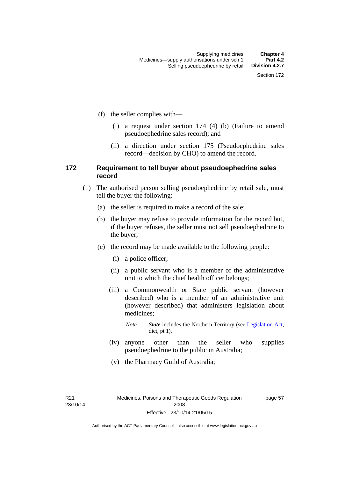- (f) the seller complies with—
	- (i) a request under section 174 (4) (b) (Failure to amend pseudoephedrine sales record); and
	- (ii) a direction under section 175 (Pseudoephedrine sales record—decision by CHO) to amend the record.

### **172 Requirement to tell buyer about pseudoephedrine sales record**

- (1) The authorised person selling pseudoephedrine by retail sale, must tell the buyer the following:
	- (a) the seller is required to make a record of the sale;
	- (b) the buyer may refuse to provide information for the record but, if the buyer refuses, the seller must not sell pseudoephedrine to the buyer;
	- (c) the record may be made available to the following people:
		- (i) a police officer;
		- (ii) a public servant who is a member of the administrative unit to which the chief health officer belongs;
		- (iii) a Commonwealth or State public servant (however described) who is a member of an administrative unit (however described) that administers legislation about medicines;
			- *Note State* includes the Northern Territory (see [Legislation Act,](http://www.legislation.act.gov.au/a/2001-14) dict, pt 1).
		- (iv) anyone other than the seller who supplies pseudoephedrine to the public in Australia;
		- (v) the Pharmacy Guild of Australia;

R21 23/10/14 page 57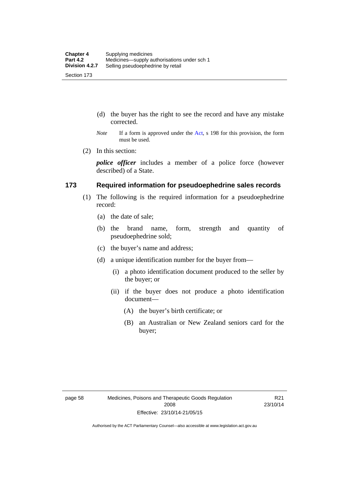- (d) the buyer has the right to see the record and have any mistake corrected.
- *Note* If a form is approved under the [Act](http://www.legislation.act.gov.au/a/2008-26/default.asp), s 198 for this provision, the form must be used.
- (2) In this section:

*police officer* includes a member of a police force (however described) of a State.

### **173 Required information for pseudoephedrine sales records**

- (1) The following is the required information for a pseudoephedrine record:
	- (a) the date of sale;
	- (b) the brand name, form, strength and quantity of pseudoephedrine sold;
	- (c) the buyer's name and address;
	- (d) a unique identification number for the buyer from—
		- (i) a photo identification document produced to the seller by the buyer; or
		- (ii) if the buyer does not produce a photo identification document—
			- (A) the buyer's birth certificate; or
			- (B) an Australian or New Zealand seniors card for the buyer;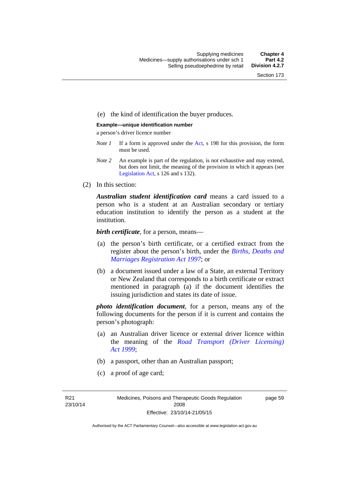### (e) the kind of identification the buyer produces.

#### **Example—unique identification number**

a person's driver licence number

- *Note 1* If a form is approved under the [Act](http://www.legislation.act.gov.au/a/2008-26/default.asp), s 198 for this provision, the form must be used.
- *Note 2* An example is part of the regulation, is not exhaustive and may extend, but does not limit, the meaning of the provision in which it appears (see [Legislation Act,](http://www.legislation.act.gov.au/a/2001-14) s 126 and s 132).
- (2) In this section:

*Australian student identification card* means a card issued to a person who is a student at an Australian secondary or tertiary education institution to identify the person as a student at the institution.

*birth certificate*, for a person, means—

- (a) the person's birth certificate, or a certified extract from the register about the person's birth, under the *[Births, Deaths and](http://www.legislation.act.gov.au/a/1997-112)  [Marriages Registration Act 1997](http://www.legislation.act.gov.au/a/1997-112)*; or
- (b) a document issued under a law of a State, an external Territory or New Zealand that corresponds to a birth certificate or extract mentioned in paragraph (a) if the document identifies the issuing jurisdiction and states its date of issue.

*photo identification document*, for a person, means any of the following documents for the person if it is current and contains the person's photograph:

- (a) an Australian driver licence or external driver licence within the meaning of the *[Road Transport \(Driver Licensing\)](http://www.legislation.act.gov.au/a/1999-78)  [Act 1999](http://www.legislation.act.gov.au/a/1999-78)*;
- (b) a passport, other than an Australian passport;
- (c) a proof of age card;

R21 23/10/14 page 59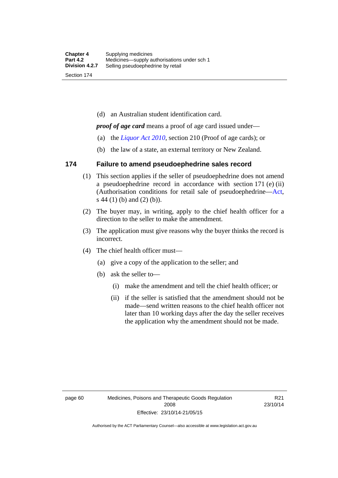(d) an Australian student identification card.

*proof of age card* means a proof of age card issued under—

- (a) the *[Liquor Act 2010](http://www.legislation.act.gov.au/a/2010-35)*, section 210 (Proof of age cards); or
- (b) the law of a state, an external territory or New Zealand.

### **174 Failure to amend pseudoephedrine sales record**

- (1) This section applies if the seller of pseudoephedrine does not amend a pseudoephedrine record in accordance with section 171 (e) (ii) (Authorisation conditions for retail sale of pseudoephedrine—[Act](http://www.legislation.act.gov.au/a/2008-26/default.asp), s 44 (1) (b) and (2) (b)).
- (2) The buyer may, in writing, apply to the chief health officer for a direction to the seller to make the amendment.
- (3) The application must give reasons why the buyer thinks the record is incorrect.
- (4) The chief health officer must—
	- (a) give a copy of the application to the seller; and
	- (b) ask the seller to—
		- (i) make the amendment and tell the chief health officer; or
		- (ii) if the seller is satisfied that the amendment should not be made—send written reasons to the chief health officer not later than 10 working days after the day the seller receives the application why the amendment should not be made.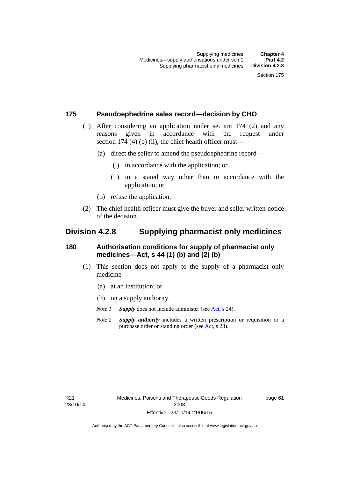### **175 Pseudoephedrine sales record—decision by CHO**

- (1) After considering an application under section 174 (2) and any reasons given in accordance with the request under section 174  $(4)$  (b)  $(ii)$ , the chief health officer must—
	- (a) direct the seller to amend the pseudoephedrine record—
		- (i) in accordance with the application; or
		- (ii) in a stated way other than in accordance with the application; or
	- (b) refuse the application.
- (2) The chief health officer must give the buyer and seller written notice of the decision.

## **Division 4.2.8 Supplying pharmacist only medicines**

### **180 Authorisation conditions for supply of pharmacist only medicines—Act, s 44 (1) (b) and (2) (b)**

- (1) This section does not apply to the supply of a pharmacist only medicine—
	- (a) at an institution; or
	- (b) on a supply authority.
	- *Note 1 Supply* does not include administer (see [Act,](http://www.legislation.act.gov.au/a/2008-26/default.asp) s 24).
	- *Note 2 Supply authority* includes a written prescription or requisition or a purchase order or standing order (see [Act,](http://www.legislation.act.gov.au/a/2008-26/default.asp) s 23).

page 61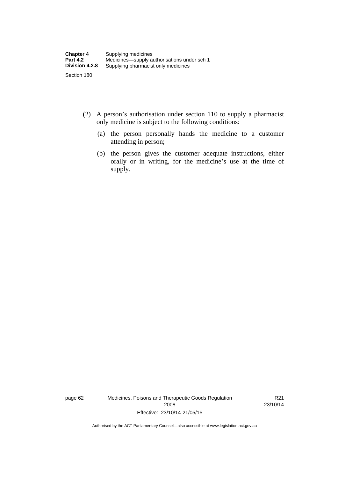- (2) A person's authorisation under section 110 to supply a pharmacist only medicine is subject to the following conditions:
	- (a) the person personally hands the medicine to a customer attending in person;
	- (b) the person gives the customer adequate instructions, either orally or in writing, for the medicine's use at the time of supply.

page 62 Medicines, Poisons and Therapeutic Goods Regulation 2008 Effective: 23/10/14-21/05/15

R21 23/10/14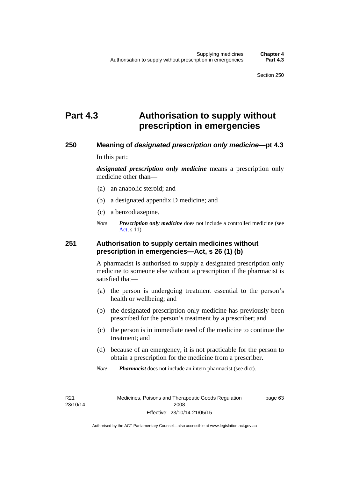# **Part 4.3 Authorisation to supply without prescription in emergencies**

### **250 Meaning of** *designated prescription only medicine***—pt 4.3**

In this part:

*designated prescription only medicine* means a prescription only medicine other than—

- (a) an anabolic steroid; and
- (b) a designated appendix D medicine; and
- (c) a benzodiazepine.
- *Note Prescription only medicine* does not include a controlled medicine (see [Act](http://www.legislation.act.gov.au/a/2008-26/default.asp), s 11)

### **251 Authorisation to supply certain medicines without prescription in emergencies—Act, s 26 (1) (b)**

A pharmacist is authorised to supply a designated prescription only medicine to someone else without a prescription if the pharmacist is satisfied that—

- (a) the person is undergoing treatment essential to the person's health or wellbeing; and
- (b) the designated prescription only medicine has previously been prescribed for the person's treatment by a prescriber; and
- (c) the person is in immediate need of the medicine to continue the treatment; and
- (d) because of an emergency, it is not practicable for the person to obtain a prescription for the medicine from a prescriber.
- *Note Pharmacist* does not include an intern pharmacist (see dict).

R21 23/10/14 page 63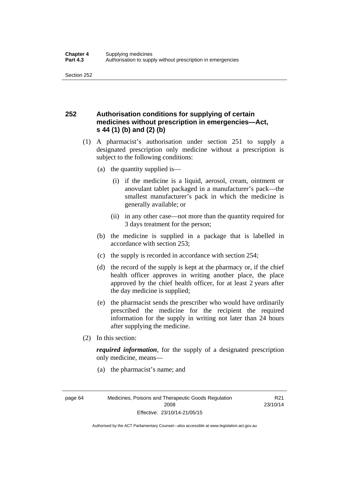## **252 Authorisation conditions for supplying of certain medicines without prescription in emergencies—Act, s 44 (1) (b) and (2) (b)**

- (1) A pharmacist's authorisation under section 251 to supply a designated prescription only medicine without a prescription is subject to the following conditions:
	- (a) the quantity supplied is—
		- (i) if the medicine is a liquid, aerosol, cream, ointment or anovulant tablet packaged in a manufacturer's pack—the smallest manufacturer's pack in which the medicine is generally available; or
		- (ii) in any other case—not more than the quantity required for 3 days treatment for the person;
	- (b) the medicine is supplied in a package that is labelled in accordance with section 253;
	- (c) the supply is recorded in accordance with section 254;
	- (d) the record of the supply is kept at the pharmacy or, if the chief health officer approves in writing another place, the place approved by the chief health officer, for at least 2 years after the day medicine is supplied;
	- (e) the pharmacist sends the prescriber who would have ordinarily prescribed the medicine for the recipient the required information for the supply in writing not later than 24 hours after supplying the medicine.
- (2) In this section:

*required information*, for the supply of a designated prescription only medicine, means—

(a) the pharmacist's name; and

R21 23/10/14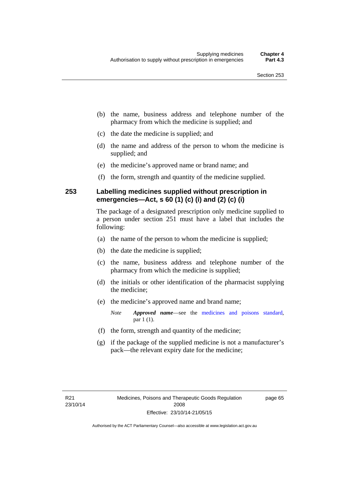- (b) the name, business address and telephone number of the pharmacy from which the medicine is supplied; and
- (c) the date the medicine is supplied; and
- (d) the name and address of the person to whom the medicine is supplied; and
- (e) the medicine's approved name or brand name; and
- (f) the form, strength and quantity of the medicine supplied.

## **253 Labelling medicines supplied without prescription in emergencies—Act, s 60 (1) (c) (i) and (2) (c) (i)**

The package of a designated prescription only medicine supplied to a person under section 251 must have a label that includes the following:

- (a) the name of the person to whom the medicine is supplied;
- (b) the date the medicine is supplied;
- (c) the name, business address and telephone number of the pharmacy from which the medicine is supplied;
- (d) the initials or other identification of the pharmacist supplying the medicine;
- (e) the medicine's approved name and brand name;

*Note Approved name*—see the [medicines and poisons standard,](http://www.comlaw.gov.au/Series/F2012L01200) par 1 (1).

- (f) the form, strength and quantity of the medicine;
- (g) if the package of the supplied medicine is not a manufacturer's pack—the relevant expiry date for the medicine;

page 65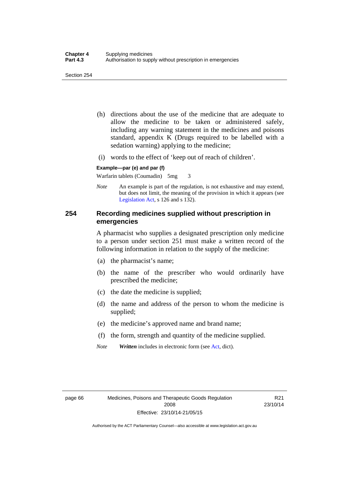- (h) directions about the use of the medicine that are adequate to allow the medicine to be taken or administered safely, including any warning statement in the medicines and poisons standard, appendix K (Drugs required to be labelled with a sedation warning) applying to the medicine;
- (i) words to the effect of 'keep out of reach of children'.

#### **Example—par (e) and par (f)**

Warfarin tablets (Coumadin) 5mg 3

*Note* An example is part of the regulation, is not exhaustive and may extend, but does not limit, the meaning of the provision in which it appears (see [Legislation Act,](http://www.legislation.act.gov.au/a/2001-14) s 126 and s 132).

### **254 Recording medicines supplied without prescription in emergencies**

A pharmacist who supplies a designated prescription only medicine to a person under section 251 must make a written record of the following information in relation to the supply of the medicine:

- (a) the pharmacist's name;
- (b) the name of the prescriber who would ordinarily have prescribed the medicine;
- (c) the date the medicine is supplied;
- (d) the name and address of the person to whom the medicine is supplied;
- (e) the medicine's approved name and brand name;
- (f) the form, strength and quantity of the medicine supplied.
- *Note Written* includes in electronic form (see [Act,](http://www.legislation.act.gov.au/a/2008-26/default.asp) dict).

R21 23/10/14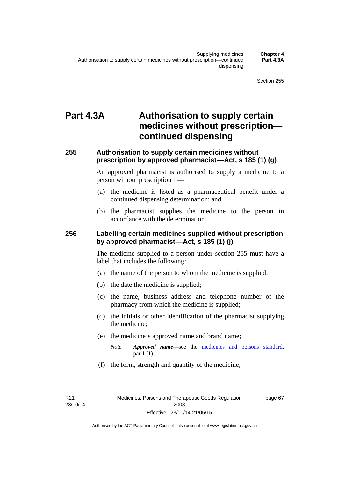# **Part 4.3A Authorisation to supply certain medicines without prescription continued dispensing**

### **255 Authorisation to supply certain medicines without prescription by approved pharmacist––Act, s 185 (1) (g)**

An approved pharmacist is authorised to supply a medicine to a person without prescription if––

- (a) the medicine is listed as a pharmaceutical benefit under a continued dispensing determination; and
- (b) the pharmacist supplies the medicine to the person in accordance with the determination.

### **256 Labelling certain medicines supplied without prescription by approved pharmacist––Act, s 185 (1) (j)**

The medicine supplied to a person under section 255 must have a label that includes the following:

- (a) the name of the person to whom the medicine is supplied;
- (b) the date the medicine is supplied;
- (c) the name, business address and telephone number of the pharmacy from which the medicine is supplied;
- (d) the initials or other identification of the pharmacist supplying the medicine;
- (e) the medicine's approved name and brand name;
	- *Note Approved name––*see the [medicines and poisons standard,](http://www.comlaw.gov.au/Series/F2012L01200) par 1 (1).
- (f) the form, strength and quantity of the medicine;

R21 23/10/14 page 67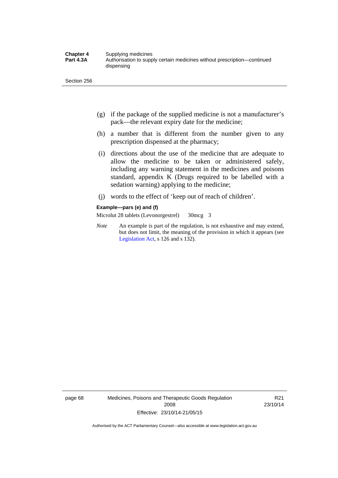- (g) if the package of the supplied medicine is not a manufacturer's pack—the relevant expiry date for the medicine;
- (h) a number that is different from the number given to any prescription dispensed at the pharmacy;
- (i) directions about the use of the medicine that are adequate to allow the medicine to be taken or administered safely, including any warning statement in the medicines and poisons standard, appendix K (Drugs required to be labelled with a sedation warning) applying to the medicine;
- (j) words to the effect of 'keep out of reach of children'.

#### **Example—pars (e) and (f)**

Microlut 28 tablets (Levonorgestrel) 30mcg 3

*Note* An example is part of the regulation, is not exhaustive and may extend, but does not limit, the meaning of the provision in which it appears (see [Legislation Act,](http://www.legislation.act.gov.au/a/2001-14) s 126 and s 132).

page 68 Medicines, Poisons and Therapeutic Goods Regulation 2008 Effective: 23/10/14-21/05/15

R21 23/10/14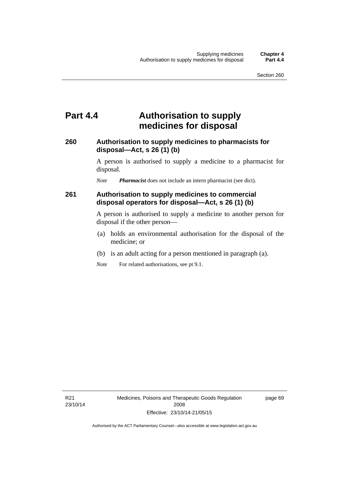## **Part 4.4 Authorisation to supply medicines for disposal**

### **260 Authorisation to supply medicines to pharmacists for disposal—Act, s 26 (1) (b)**

A person is authorised to supply a medicine to a pharmacist for disposal.

*Note Pharmacist* does not include an intern pharmacist (see dict).

### **261 Authorisation to supply medicines to commercial disposal operators for disposal—Act, s 26 (1) (b)**

A person is authorised to supply a medicine to another person for disposal if the other person—

- (a) holds an environmental authorisation for the disposal of the medicine; or
- (b) is an adult acting for a person mentioned in paragraph (a).
- *Note* For related authorisations, see pt 9.1.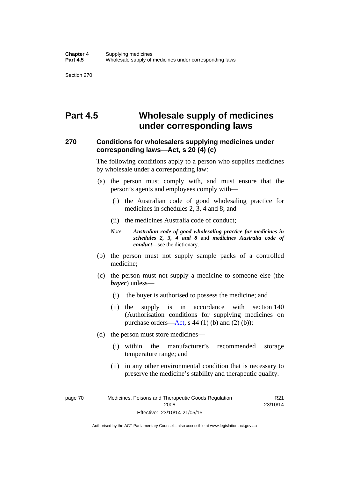# **Part 4.5 Wholesale supply of medicines under corresponding laws**

### **270 Conditions for wholesalers supplying medicines under corresponding laws—Act, s 20 (4) (c)**

The following conditions apply to a person who supplies medicines by wholesale under a corresponding law:

- (a) the person must comply with, and must ensure that the person's agents and employees comply with—
	- (i) the Australian code of good wholesaling practice for medicines in schedules 2, 3, 4 and 8; and
	- (ii) the medicines Australia code of conduct;
	- *Note Australian code of good wholesaling practice for medicines in schedules 2, 3, 4 and 8* and *medicines Australia code of conduct*—see the dictionary.
- (b) the person must not supply sample packs of a controlled medicine;
- (c) the person must not supply a medicine to someone else (the *buyer*) unless—
	- (i) the buyer is authorised to possess the medicine; and
	- (ii) the supply is in accordance with section 140 (Authorisation conditions for supplying medicines on purchase orders—[Act,](http://www.legislation.act.gov.au/a/2008-26/default.asp) s 44 (1) (b) and (2) (b));
- (d) the person must store medicines—
	- (i) within the manufacturer's recommended storage temperature range; and
	- (ii) in any other environmental condition that is necessary to preserve the medicine's stability and therapeutic quality.

page 70 Medicines, Poisons and Therapeutic Goods Regulation 2008 Effective: 23/10/14-21/05/15

R21 23/10/14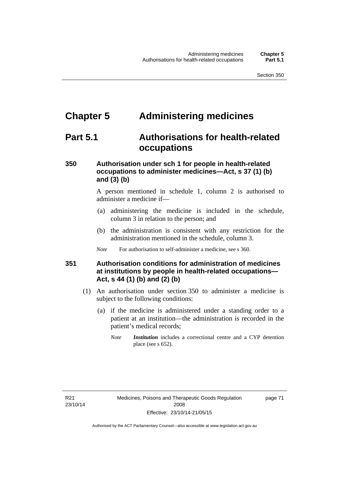# **Chapter 5 Administering medicines**

# **Part 5.1 Authorisations for health-related occupations**

## **350 Authorisation under sch 1 for people in health-related occupations to administer medicines—Act, s 37 (1) (b) and (3) (b)**

A person mentioned in schedule 1, column 2 is authorised to administer a medicine if—

- (a) administering the medicine is included in the schedule, column 3 in relation to the person; and
- (b) the administration is consistent with any restriction for the administration mentioned in the schedule, column 3.
- *Note* For authorisation to self-administer a medicine, see s 360.

## **351 Authorisation conditions for administration of medicines at institutions by people in health-related occupations— Act, s 44 (1) (b) and (2) (b)**

- (1) An authorisation under section 350 to administer a medicine is subject to the following conditions:
	- (a) if the medicine is administered under a standing order to a patient at an institution—the administration is recorded in the patient's medical records;
		- *Note Institution* includes a correctional centre and a CYP detention place (see s 652).

page 71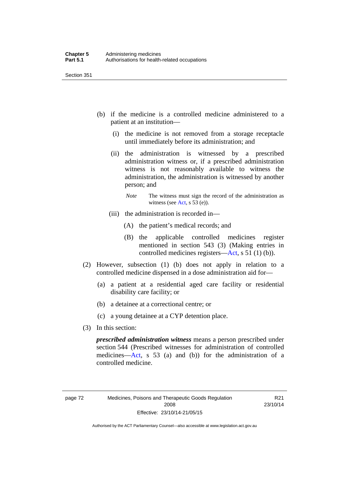- (b) if the medicine is a controlled medicine administered to a patient at an institution—
	- (i) the medicine is not removed from a storage receptacle until immediately before its administration; and
	- (ii) the administration is witnessed by a prescribed administration witness or, if a prescribed administration witness is not reasonably available to witness the administration, the administration is witnessed by another person; and
		- *Note* The witness must sign the record of the administration as witness (see [Act,](http://www.legislation.act.gov.au/a/2008-26/default.asp) s 53 (e)).
	- (iii) the administration is recorded in—
		- (A) the patient's medical records; and
		- (B) the applicable controlled medicines register mentioned in section 543 (3) (Making entries in controlled medicines registers[—Act](http://www.legislation.act.gov.au/a/2008-26/default.asp), s 51 (1) (b)).
- (2) However, subsection (1) (b) does not apply in relation to a controlled medicine dispensed in a dose administration aid for—
	- (a) a patient at a residential aged care facility or residential disability care facility; or
	- (b) a detainee at a correctional centre; or
	- (c) a young detainee at a CYP detention place.
- (3) In this section:

*prescribed administration witness* means a person prescribed under section 544 (Prescribed witnesses for administration of controlled medicines—[Act](http://www.legislation.act.gov.au/a/2008-26/default.asp), s 53 (a) and (b)) for the administration of a controlled medicine.

R21 23/10/14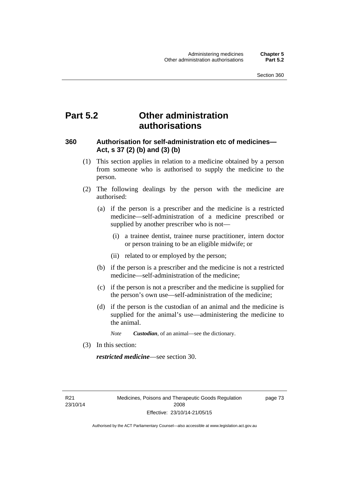# **Part 5.2 Other administration authorisations**

### **360 Authorisation for self-administration etc of medicines— Act, s 37 (2) (b) and (3) (b)**

- (1) This section applies in relation to a medicine obtained by a person from someone who is authorised to supply the medicine to the person.
- (2) The following dealings by the person with the medicine are authorised:
	- (a) if the person is a prescriber and the medicine is a restricted medicine—self-administration of a medicine prescribed or supplied by another prescriber who is not—
		- (i) a trainee dentist, trainee nurse practitioner, intern doctor or person training to be an eligible midwife; or
		- (ii) related to or employed by the person;
	- (b) if the person is a prescriber and the medicine is not a restricted medicine—self-administration of the medicine;
	- (c) if the person is not a prescriber and the medicine is supplied for the person's own use—self-administration of the medicine;
	- (d) if the person is the custodian of an animal and the medicine is supplied for the animal's use—administering the medicine to the animal.
		- *Note Custodian*, of an animal—see the dictionary.
- (3) In this section:

*restricted medicine*—see section 30.

R21 23/10/14 page 73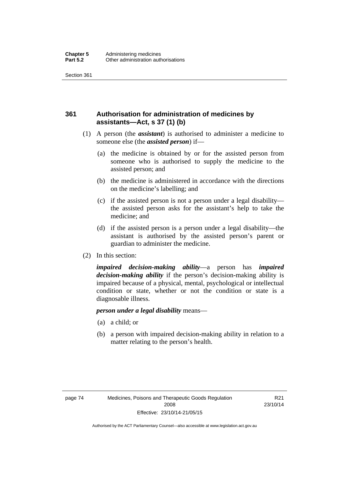## **361 Authorisation for administration of medicines by assistants—Act, s 37 (1) (b)**

- (1) A person (the *assistant*) is authorised to administer a medicine to someone else (the *assisted person*) if—
	- (a) the medicine is obtained by or for the assisted person from someone who is authorised to supply the medicine to the assisted person; and
	- (b) the medicine is administered in accordance with the directions on the medicine's labelling; and
	- (c) if the assisted person is not a person under a legal disability the assisted person asks for the assistant's help to take the medicine; and
	- (d) if the assisted person is a person under a legal disability—the assistant is authorised by the assisted person's parent or guardian to administer the medicine.
- (2) In this section:

*impaired decision-making ability*—a person has *impaired decision-making ability* if the person's decision-making ability is impaired because of a physical, mental, psychological or intellectual condition or state, whether or not the condition or state is a diagnosable illness.

### *person under a legal disability* means—

- (a) a child; or
- (b) a person with impaired decision-making ability in relation to a matter relating to the person's health.

R21 23/10/14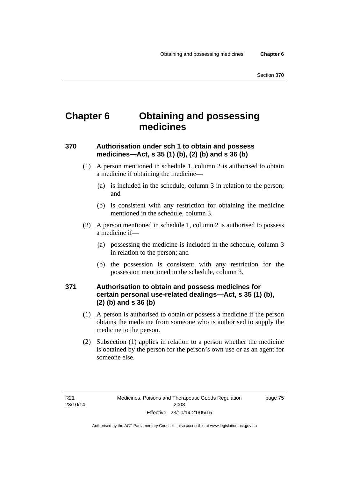# **Chapter 6 Obtaining and possessing medicines**

## **370 Authorisation under sch 1 to obtain and possess medicines—Act, s 35 (1) (b), (2) (b) and s 36 (b)**

- (1) A person mentioned in schedule 1, column 2 is authorised to obtain a medicine if obtaining the medicine—
	- (a) is included in the schedule, column 3 in relation to the person; and
	- (b) is consistent with any restriction for obtaining the medicine mentioned in the schedule, column 3.
- (2) A person mentioned in schedule 1, column 2 is authorised to possess a medicine if—
	- (a) possessing the medicine is included in the schedule, column 3 in relation to the person; and
	- (b) the possession is consistent with any restriction for the possession mentioned in the schedule, column 3.

### **371 Authorisation to obtain and possess medicines for certain personal use-related dealings—Act, s 35 (1) (b), (2) (b) and s 36 (b)**

- (1) A person is authorised to obtain or possess a medicine if the person obtains the medicine from someone who is authorised to supply the medicine to the person.
- (2) Subsection (1) applies in relation to a person whether the medicine is obtained by the person for the person's own use or as an agent for someone else.

page 75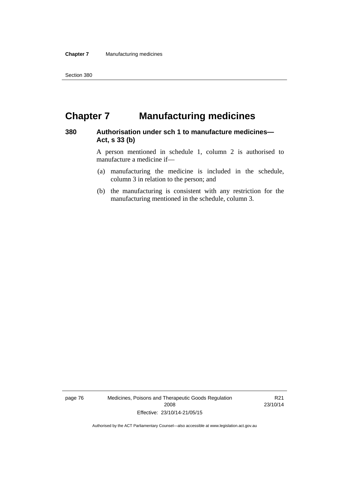# **Chapter 7 Manufacturing medicines**

### **380 Authorisation under sch 1 to manufacture medicines— Act, s 33 (b)**

A person mentioned in schedule 1, column 2 is authorised to manufacture a medicine if—

- (a) manufacturing the medicine is included in the schedule, column 3 in relation to the person; and
- (b) the manufacturing is consistent with any restriction for the manufacturing mentioned in the schedule, column 3.

page 76 Medicines, Poisons and Therapeutic Goods Regulation 2008 Effective: 23/10/14-21/05/15

R21 23/10/14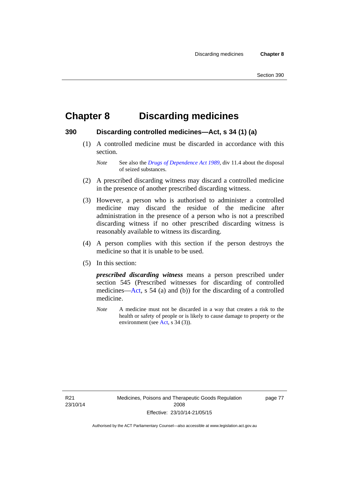# **Chapter 8 Discarding medicines**

### **390 Discarding controlled medicines—Act, s 34 (1) (a)**

 (1) A controlled medicine must be discarded in accordance with this section.

*Note* See also the *[Drugs of Dependence Act 1989](http://www.legislation.act.gov.au/a/alt_a1989-11co)*, div 11.4 about the disposal of seized substances.

- (2) A prescribed discarding witness may discard a controlled medicine in the presence of another prescribed discarding witness.
- (3) However, a person who is authorised to administer a controlled medicine may discard the residue of the medicine after administration in the presence of a person who is not a prescribed discarding witness if no other prescribed discarding witness is reasonably available to witness its discarding.
- (4) A person complies with this section if the person destroys the medicine so that it is unable to be used.
- (5) In this section:

*prescribed discarding witness* means a person prescribed under section 545 (Prescribed witnesses for discarding of controlled medicines—[Act](http://www.legislation.act.gov.au/a/2008-26/default.asp), s 54 (a) and (b)) for the discarding of a controlled medicine.

*Note* A medicine must not be discarded in a way that creates a risk to the health or safety of people or is likely to cause damage to property or the environment (see [Act](http://www.legislation.act.gov.au/a/2008-26/default.asp), s 34 (3)).

R21 23/10/14 page 77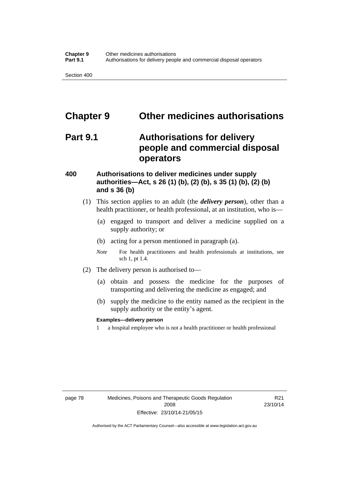# **Chapter 9 Other medicines authorisations**

# **Part 9.1 Authorisations for delivery people and commercial disposal operators**

### **400 Authorisations to deliver medicines under supply authorities—Act, s 26 (1) (b), (2) (b), s 35 (1) (b), (2) (b) and s 36 (b)**

- (1) This section applies to an adult (the *delivery person*), other than a health practitioner, or health professional, at an institution, who is—
	- (a) engaged to transport and deliver a medicine supplied on a supply authority; or
	- (b) acting for a person mentioned in paragraph (a).
	- *Note* For health practitioners and health professionals at institutions, see sch 1, pt 1.4.
- (2) The delivery person is authorised to—
	- (a) obtain and possess the medicine for the purposes of transporting and delivering the medicine as engaged; and
	- (b) supply the medicine to the entity named as the recipient in the supply authority or the entity's agent.

### **Examples—delivery person**

1 a hospital employee who is not a health practitioner or health professional

page 78 Medicines, Poisons and Therapeutic Goods Regulation 2008 Effective: 23/10/14-21/05/15

R21 23/10/14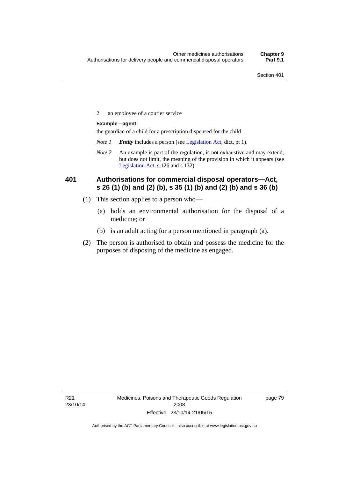2 an employee of a courier service

### **Example—agent**

the guardian of a child for a prescription dispensed for the child

- *Note 1 Entity* includes a person (see [Legislation Act,](http://www.legislation.act.gov.au/a/2001-14) dict, pt 1).
- *Note 2* An example is part of the regulation, is not exhaustive and may extend, but does not limit, the meaning of the provision in which it appears (see [Legislation Act,](http://www.legislation.act.gov.au/a/2001-14) s 126 and s 132).

### **401 Authorisations for commercial disposal operators—Act, s 26 (1) (b) and (2) (b), s 35 (1) (b) and (2) (b) and s 36 (b)**

- (1) This section applies to a person who—
	- (a) holds an environmental authorisation for the disposal of a medicine; or
	- (b) is an adult acting for a person mentioned in paragraph (a).
- (2) The person is authorised to obtain and possess the medicine for the purposes of disposing of the medicine as engaged.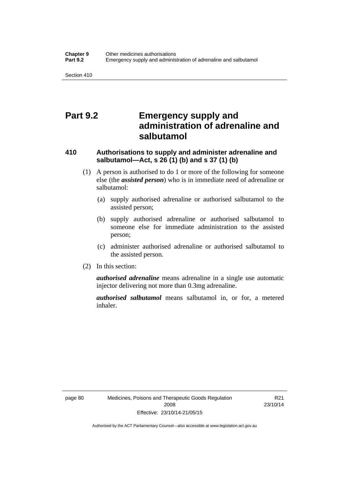# **Part 9.2 Emergency supply and administration of adrenaline and salbutamol**

## **410 Authorisations to supply and administer adrenaline and salbutamol—Act, s 26 (1) (b) and s 37 (1) (b)**

- (1) A person is authorised to do 1 or more of the following for someone else (the *assisted person*) who is in immediate need of adrenaline or salbutamol:
	- (a) supply authorised adrenaline or authorised salbutamol to the assisted person;
	- (b) supply authorised adrenaline or authorised salbutamol to someone else for immediate administration to the assisted person;
	- (c) administer authorised adrenaline or authorised salbutamol to the assisted person.
- (2) In this section:

*authorised adrenaline* means adrenaline in a single use automatic injector delivering not more than 0.3mg adrenaline.

*authorised salbutamol* means salbutamol in, or for, a metered inhaler.

R21 23/10/14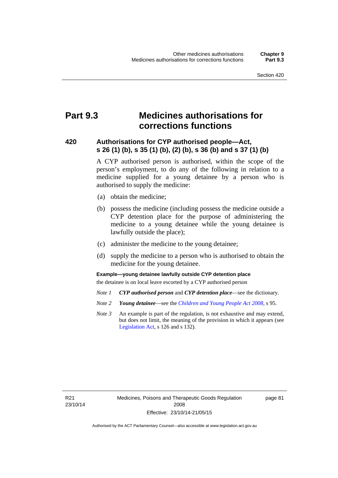# **Part 9.3 Medicines authorisations for corrections functions**

### **420 Authorisations for CYP authorised people—Act, s 26 (1) (b), s 35 (1) (b), (2) (b), s 36 (b) and s 37 (1) (b)**

A CYP authorised person is authorised, within the scope of the person's employment, to do any of the following in relation to a medicine supplied for a young detainee by a person who is authorised to supply the medicine:

- (a) obtain the medicine;
- (b) possess the medicine (including possess the medicine outside a CYP detention place for the purpose of administering the medicine to a young detainee while the young detainee is lawfully outside the place);
- (c) administer the medicine to the young detainee;
- (d) supply the medicine to a person who is authorised to obtain the medicine for the young detainee.

### **Example—young detainee lawfully outside CYP detention place**

the detainee is on local leave escorted by a CYP authorised person

- *Note 1 CYP authorised person* and *CYP detention place*—see the dictionary.
- *Note 2 Young detainee*—see the *[Children and Young People Act 2008](http://www.legislation.act.gov.au/a/2008-19)*, s 95.
- *Note 3* An example is part of the regulation, is not exhaustive and may extend, but does not limit, the meaning of the provision in which it appears (see [Legislation Act,](http://www.legislation.act.gov.au/a/2001-14) s 126 and s 132).

R21 23/10/14 page 81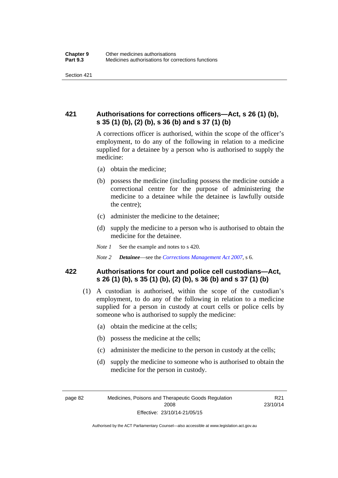## **421 Authorisations for corrections officers—Act, s 26 (1) (b), s 35 (1) (b), (2) (b), s 36 (b) and s 37 (1) (b)**

A corrections officer is authorised, within the scope of the officer's employment, to do any of the following in relation to a medicine supplied for a detainee by a person who is authorised to supply the medicine:

- (a) obtain the medicine;
- (b) possess the medicine (including possess the medicine outside a correctional centre for the purpose of administering the medicine to a detainee while the detainee is lawfully outside the centre);
- (c) administer the medicine to the detainee;
- (d) supply the medicine to a person who is authorised to obtain the medicine for the detainee.
- *Note 1* See the example and notes to s 420.
- *Note 2 Detainee*—see the *[Corrections Management Act 2007](http://www.legislation.act.gov.au/a/2007-15)*, s 6.

### **422 Authorisations for court and police cell custodians—Act, s 26 (1) (b), s 35 (1) (b), (2) (b), s 36 (b) and s 37 (1) (b)**

- (1) A custodian is authorised, within the scope of the custodian's employment, to do any of the following in relation to a medicine supplied for a person in custody at court cells or police cells by someone who is authorised to supply the medicine:
	- (a) obtain the medicine at the cells;
	- (b) possess the medicine at the cells;
	- (c) administer the medicine to the person in custody at the cells;
	- (d) supply the medicine to someone who is authorised to obtain the medicine for the person in custody.

Authorised by the ACT Parliamentary Counsel—also accessible at www.legislation.act.gov.au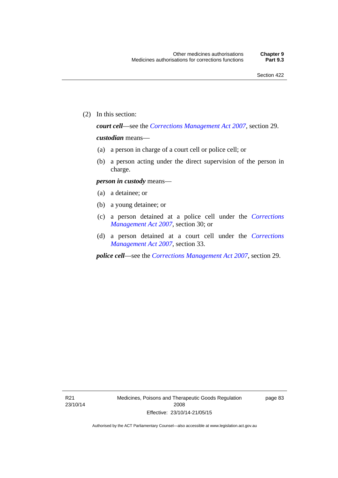(2) In this section:

*court cell*—see the *[Corrections Management Act 2007](http://www.legislation.act.gov.au/a/2007-15)*, section 29.

### *custodian* means—

- (a) a person in charge of a court cell or police cell; or
- (b) a person acting under the direct supervision of the person in charge.

### *person in custody* means—

- (a) a detainee; or
- (b) a young detainee; or
- (c) a person detained at a police cell under the *[Corrections](http://www.legislation.act.gov.au/a/2007-15)  [Management Act 2007](http://www.legislation.act.gov.au/a/2007-15)*, section 30; or
- (d) a person detained at a court cell under the *[Corrections](http://www.legislation.act.gov.au/a/2007-15)  [Management Act 2007](http://www.legislation.act.gov.au/a/2007-15)*, section 33.

*police cell*—see the *[Corrections Management Act 2007](http://www.legislation.act.gov.au/a/2007-15)*, section 29.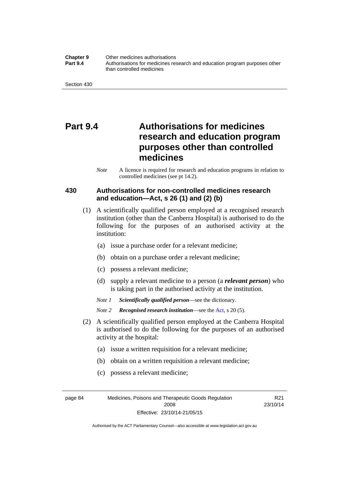**Chapter 9** Other medicines authorisations **Part 9.4** • **Authorisations for medicines research and education program purposes other** than controlled medicines

Section 430

# **Part 9.4 Authorisations for medicines research and education program purposes other than controlled medicines**

*Note* A licence is required for research and education programs in relation to controlled medicines (see pt 14.2).

### **430 Authorisations for non-controlled medicines research and education—Act, s 26 (1) and (2) (b)**

- (1) A scientifically qualified person employed at a recognised research institution (other than the Canberra Hospital) is authorised to do the following for the purposes of an authorised activity at the institution:
	- (a) issue a purchase order for a relevant medicine;
	- (b) obtain on a purchase order a relevant medicine;
	- (c) possess a relevant medicine;
	- (d) supply a relevant medicine to a person (a *relevant person*) who is taking part in the authorised activity at the institution.
	- *Note 1 Scientifically qualified person*—see the dictionary.

*Note 2 Recognised research institution*—see the [Act](http://www.legislation.act.gov.au/a/2008-26/default.asp), s 20 (5).

- (2) A scientifically qualified person employed at the Canberra Hospital is authorised to do the following for the purposes of an authorised activity at the hospital:
	- (a) issue a written requisition for a relevant medicine;
	- (b) obtain on a written requisition a relevant medicine;
	- (c) possess a relevant medicine;

R21 23/10/14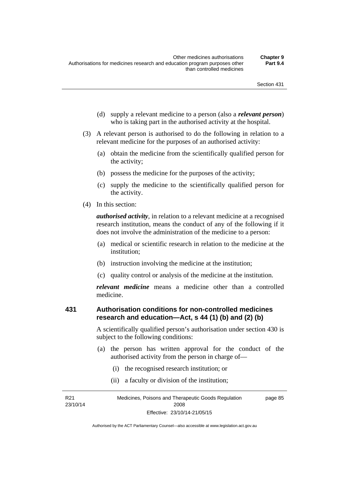- (d) supply a relevant medicine to a person (also a *relevant person*) who is taking part in the authorised activity at the hospital.
- (3) A relevant person is authorised to do the following in relation to a relevant medicine for the purposes of an authorised activity:
	- (a) obtain the medicine from the scientifically qualified person for the activity;
	- (b) possess the medicine for the purposes of the activity;
	- (c) supply the medicine to the scientifically qualified person for the activity.
- (4) In this section:

*authorised activity*, in relation to a relevant medicine at a recognised research institution, means the conduct of any of the following if it does not involve the administration of the medicine to a person:

- (a) medical or scientific research in relation to the medicine at the institution;
- (b) instruction involving the medicine at the institution;
- (c) quality control or analysis of the medicine at the institution.

*relevant medicine* means a medicine other than a controlled medicine.

### **431 Authorisation conditions for non-controlled medicines research and education—Act, s 44 (1) (b) and (2) (b)**

A scientifically qualified person's authorisation under section 430 is subject to the following conditions:

- (a) the person has written approval for the conduct of the authorised activity from the person in charge of—
	- (i) the recognised research institution; or
	- (ii) a faculty or division of the institution;

R21 23/10/14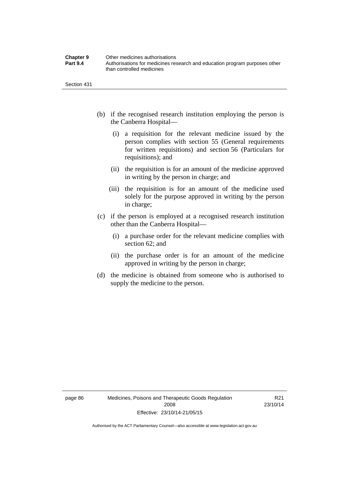| <b>Chapter 9</b> | Other medicines authorisations                                             |
|------------------|----------------------------------------------------------------------------|
| <b>Part 9.4</b>  | Authorisations for medicines research and education program purposes other |
|                  | than controlled medicines                                                  |

Section 431

- (b) if the recognised research institution employing the person is the Canberra Hospital—
	- (i) a requisition for the relevant medicine issued by the person complies with section 55 (General requirements for written requisitions) and section 56 (Particulars for requisitions); and
	- (ii) the requisition is for an amount of the medicine approved in writing by the person in charge; and
	- (iii) the requisition is for an amount of the medicine used solely for the purpose approved in writing by the person in charge;
- (c) if the person is employed at a recognised research institution other than the Canberra Hospital—
	- (i) a purchase order for the relevant medicine complies with section 62; and
	- (ii) the purchase order is for an amount of the medicine approved in writing by the person in charge;
- (d) the medicine is obtained from someone who is authorised to supply the medicine to the person.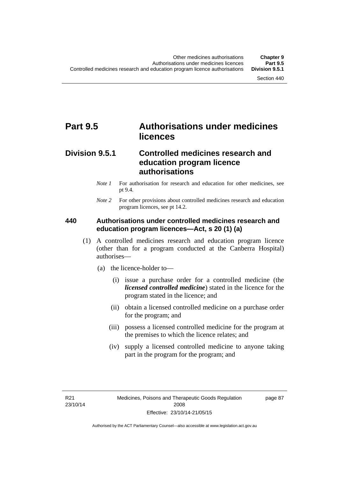# **Part 9.5 Authorisations under medicines licences**

## **Division 9.5.1 Controlled medicines research and education program licence authorisations**

- *Note 1* For authorisation for research and education for other medicines, see pt 9.4.
- *Note 2* For other provisions about controlled medicines research and education program licences, see pt 14.2.

### **440 Authorisations under controlled medicines research and education program licences—Act, s 20 (1) (a)**

- (1) A controlled medicines research and education program licence (other than for a program conducted at the Canberra Hospital) authorises—
	- (a) the licence-holder to—
		- (i) issue a purchase order for a controlled medicine (the *licensed controlled medicine*) stated in the licence for the program stated in the licence; and
		- (ii) obtain a licensed controlled medicine on a purchase order for the program; and
		- (iii) possess a licensed controlled medicine for the program at the premises to which the licence relates; and
		- (iv) supply a licensed controlled medicine to anyone taking part in the program for the program; and

R21 23/10/14 page 87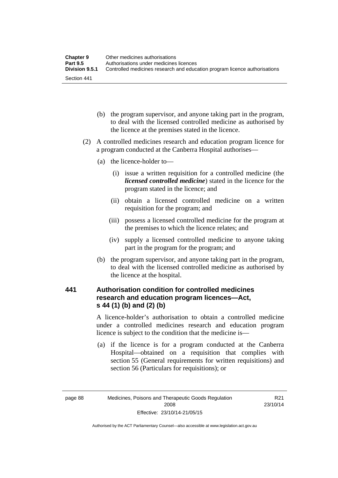| <b>Chapter 9</b> | Other medicines authorisations                                             |
|------------------|----------------------------------------------------------------------------|
| <b>Part 9.5</b>  | Authorisations under medicines licences                                    |
| Division 9.5.1   | Controlled medicines research and education program licence authorisations |
| Section 441      |                                                                            |

- (b) the program supervisor, and anyone taking part in the program, to deal with the licensed controlled medicine as authorised by the licence at the premises stated in the licence.
- (2) A controlled medicines research and education program licence for a program conducted at the Canberra Hospital authorises—
	- (a) the licence-holder to—
		- (i) issue a written requisition for a controlled medicine (the *licensed controlled medicine*) stated in the licence for the program stated in the licence; and
		- (ii) obtain a licensed controlled medicine on a written requisition for the program; and
		- (iii) possess a licensed controlled medicine for the program at the premises to which the licence relates; and
		- (iv) supply a licensed controlled medicine to anyone taking part in the program for the program; and
	- (b) the program supervisor, and anyone taking part in the program, to deal with the licensed controlled medicine as authorised by the licence at the hospital.

## **441 Authorisation condition for controlled medicines research and education program licences—Act, s 44 (1) (b) and (2) (b)**

A licence-holder's authorisation to obtain a controlled medicine under a controlled medicines research and education program licence is subject to the condition that the medicine is—

 (a) if the licence is for a program conducted at the Canberra Hospital—obtained on a requisition that complies with section 55 (General requirements for written requisitions) and section 56 (Particulars for requisitions); or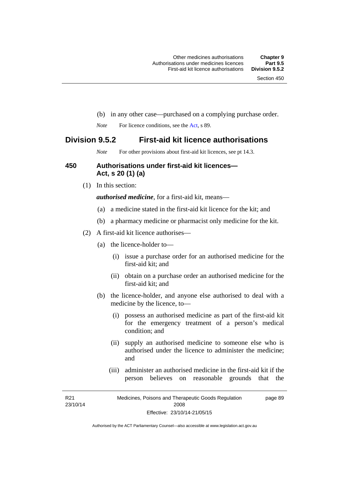- (b) in any other case—purchased on a complying purchase order.
- *Note* For licence conditions, see the [Act](http://www.legislation.act.gov.au/a/2008-26/default.asp), s 89.

## **Division 9.5.2 First-aid kit licence authorisations**

*Note* For other provisions about first-aid kit licences, see pt 14.3.

### **450 Authorisations under first-aid kit licences— Act, s 20 (1) (a)**

(1) In this section:

*authorised medicine*, for a first-aid kit, means—

- (a) a medicine stated in the first-aid kit licence for the kit; and
- (b) a pharmacy medicine or pharmacist only medicine for the kit.
- (2) A first-aid kit licence authorises—
	- (a) the licence-holder to—
		- (i) issue a purchase order for an authorised medicine for the first-aid kit; and
		- (ii) obtain on a purchase order an authorised medicine for the first-aid kit; and
	- (b) the licence-holder, and anyone else authorised to deal with a medicine by the licence, to—
		- (i) possess an authorised medicine as part of the first-aid kit for the emergency treatment of a person's medical condition; and
		- (ii) supply an authorised medicine to someone else who is authorised under the licence to administer the medicine; and
		- (iii) administer an authorised medicine in the first-aid kit if the person believes on reasonable grounds that the

R21 23/10/14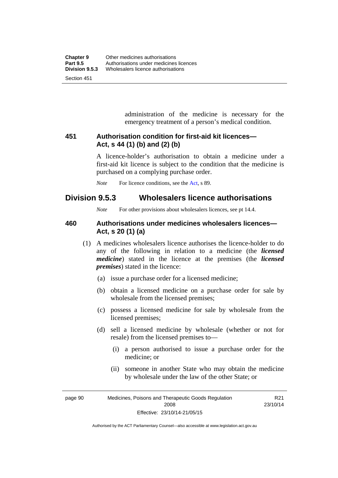administration of the medicine is necessary for the emergency treatment of a person's medical condition.

### **451 Authorisation condition for first-aid kit licences— Act, s 44 (1) (b) and (2) (b)**

A licence-holder's authorisation to obtain a medicine under a first-aid kit licence is subject to the condition that the medicine is purchased on a complying purchase order.

*Note* For licence conditions, see the [Act](http://www.legislation.act.gov.au/a/2008-26/default.asp), s 89.

## **Division 9.5.3 Wholesalers licence authorisations**

*Note* For other provisions about wholesalers licences, see pt 14.4.

### **460 Authorisations under medicines wholesalers licences— Act, s 20 (1) (a)**

- (1) A medicines wholesalers licence authorises the licence-holder to do any of the following in relation to a medicine (the *licensed medicine*) stated in the licence at the premises (the *licensed premises*) stated in the licence:
	- (a) issue a purchase order for a licensed medicine;
	- (b) obtain a licensed medicine on a purchase order for sale by wholesale from the licensed premises;
	- (c) possess a licensed medicine for sale by wholesale from the licensed premises;
	- (d) sell a licensed medicine by wholesale (whether or not for resale) from the licensed premises to—
		- (i) a person authorised to issue a purchase order for the medicine; or
		- (ii) someone in another State who may obtain the medicine by wholesale under the law of the other State; or

R21 23/10/14

page 90 Medicines, Poisons and Therapeutic Goods Regulation 2008 Effective: 23/10/14-21/05/15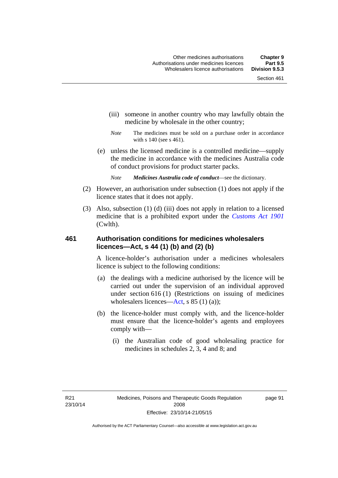- (iii) someone in another country who may lawfully obtain the medicine by wholesale in the other country;
- *Note* The medicines must be sold on a purchase order in accordance with s 140 (see s 461).
- (e) unless the licensed medicine is a controlled medicine—supply the medicine in accordance with the medicines Australia code of conduct provisions for product starter packs.
	- *Note Medicines Australia code of conduct*—see the dictionary.
- (2) However, an authorisation under subsection (1) does not apply if the licence states that it does not apply.
- (3) Also, subsection (1) (d) (iii) does not apply in relation to a licensed medicine that is a prohibited export under the *[Customs Act 1901](http://www.comlaw.gov.au/Series/C1901A00006)* (Cwlth).

### **461 Authorisation conditions for medicines wholesalers licences—Act, s 44 (1) (b) and (2) (b)**

A licence-holder's authorisation under a medicines wholesalers licence is subject to the following conditions:

- (a) the dealings with a medicine authorised by the licence will be carried out under the supervision of an individual approved under section 616 (1) (Restrictions on issuing of medicines wholesalers licences[—Act,](http://www.legislation.act.gov.au/a/2008-26/default.asp) s 85 (1) (a));
- (b) the licence-holder must comply with, and the licence-holder must ensure that the licence-holder's agents and employees comply with—
	- (i) the Australian code of good wholesaling practice for medicines in schedules 2, 3, 4 and 8; and

page 91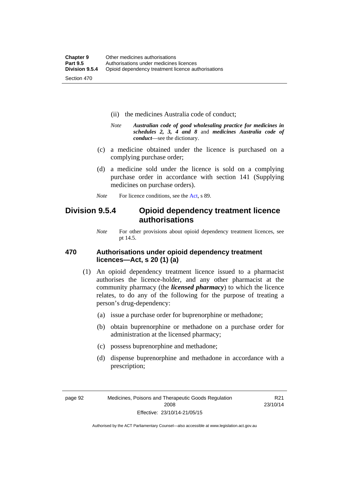- (ii) the medicines Australia code of conduct;
- *Note Australian code of good wholesaling practice for medicines in schedules 2, 3, 4 and 8* and *medicines Australia code of conduct*—see the dictionary.
- (c) a medicine obtained under the licence is purchased on a complying purchase order;
- (d) a medicine sold under the licence is sold on a complying purchase order in accordance with section 141 (Supplying medicines on purchase orders).
- *Note* For licence conditions, see the [Act](http://www.legislation.act.gov.au/a/2008-26/default.asp), s 89.

## **Division 9.5.4 Opioid dependency treatment licence authorisations**

*Note* For other provisions about opioid dependency treatment licences, see pt 14.5.

### **470 Authorisations under opioid dependency treatment licences—Act, s 20 (1) (a)**

- (1) An opioid dependency treatment licence issued to a pharmacist authorises the licence-holder, and any other pharmacist at the community pharmacy (the *licensed pharmacy*) to which the licence relates, to do any of the following for the purpose of treating a person's drug-dependency:
	- (a) issue a purchase order for buprenorphine or methadone;
	- (b) obtain buprenorphine or methadone on a purchase order for administration at the licensed pharmacy;
	- (c) possess buprenorphine and methadone;
	- (d) dispense buprenorphine and methadone in accordance with a prescription;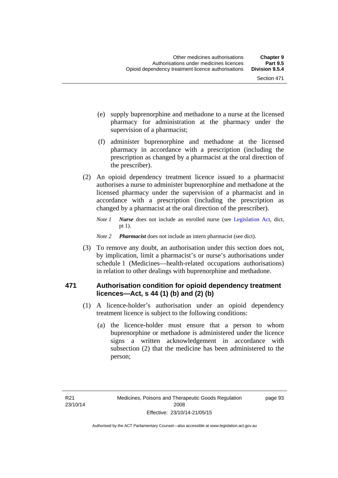- (e) supply buprenorphine and methadone to a nurse at the licensed pharmacy for administration at the pharmacy under the supervision of a pharmacist;
- (f) administer buprenorphine and methadone at the licensed pharmacy in accordance with a prescription (including the prescription as changed by a pharmacist at the oral direction of the prescriber).
- (2) An opioid dependency treatment licence issued to a pharmacist authorises a nurse to administer buprenorphine and methadone at the licensed pharmacy under the supervision of a pharmacist and in accordance with a prescription (including the prescription as changed by a pharmacist at the oral direction of the prescriber).
	- *Note 1 Nurse* does not include an enrolled nurse (see [Legislation Act,](http://www.legislation.act.gov.au/a/2001-14) dict, pt 1).
	- *Note 2 Pharmacist* does not include an intern pharmacist (see dict).
- (3) To remove any doubt, an authorisation under this section does not, by implication, limit a pharmacist's or nurse's authorisations under schedule 1 (Medicines—health-related occupations authorisations) in relation to other dealings with buprenorphine and methadone.

### **471 Authorisation condition for opioid dependency treatment licences—Act, s 44 (1) (b) and (2) (b)**

- (1) A licence-holder's authorisation under an opioid dependency treatment licence is subject to the following conditions:
	- (a) the licence-holder must ensure that a person to whom buprenorphine or methadone is administered under the licence signs a written acknowledgement in accordance with subsection (2) that the medicine has been administered to the person;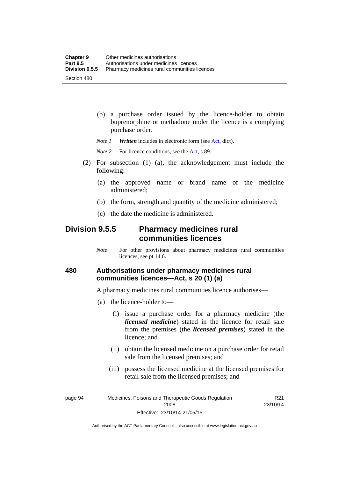(b) a purchase order issued by the licence-holder to obtain buprenorphine or methadone under the licence is a complying purchase order.

*Note 1 Written* includes in electronic form (see [Act,](http://www.legislation.act.gov.au/a/2008-26/default.asp) dict).

*Note* 2 For licence conditions, see the [Act](http://www.legislation.act.gov.au/a/2008-26/default.asp), s 89.

- (2) For subsection (1) (a), the acknowledgement must include the following:
	- (a) the approved name or brand name of the medicine administered;
	- (b) the form, strength and quantity of the medicine administered;
	- (c) the date the medicine is administered.

## **Division 9.5.5 Pharmacy medicines rural communities licences**

*Note* For other provisions about pharmacy medicines rural communities licences, see pt 14.6.

### **480 Authorisations under pharmacy medicines rural communities licences—Act, s 20 (1) (a)**

A pharmacy medicines rural communities licence authorises—

- (a) the licence-holder to—
	- (i) issue a purchase order for a pharmacy medicine (the *licensed medicine*) stated in the licence for retail sale from the premises (the *licensed premises*) stated in the licence; and
	- (ii) obtain the licensed medicine on a purchase order for retail sale from the licensed premises; and
	- (iii) possess the licensed medicine at the licensed premises for retail sale from the licensed premises; and

page 94 Medicines, Poisons and Therapeutic Goods Regulation 2008 Effective: 23/10/14-21/05/15

R21 23/10/14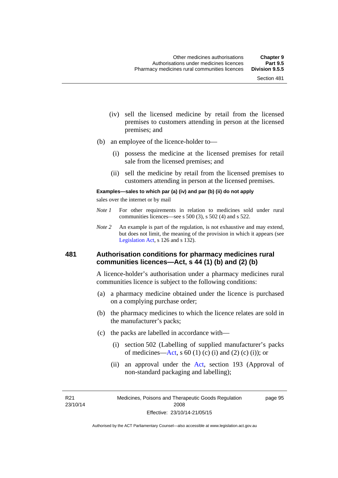- (iv) sell the licensed medicine by retail from the licensed premises to customers attending in person at the licensed premises; and
- (b) an employee of the licence-holder to—
	- (i) possess the medicine at the licensed premises for retail sale from the licensed premises; and
	- (ii) sell the medicine by retail from the licensed premises to customers attending in person at the licensed premises.

#### **Examples—sales to which par (a) (iv) and par (b) (ii) do not apply**

sales over the internet or by mail

- *Note 1* For other requirements in relation to medicines sold under rural communities licences—see s 500 (3), s 502 (4) and s 522.
- *Note 2* An example is part of the regulation, is not exhaustive and may extend, but does not limit, the meaning of the provision in which it appears (see [Legislation Act,](http://www.legislation.act.gov.au/a/2001-14) s 126 and s 132).

### **481 Authorisation conditions for pharmacy medicines rural communities licences—Act, s 44 (1) (b) and (2) (b)**

A licence-holder's authorisation under a pharmacy medicines rural communities licence is subject to the following conditions:

- (a) a pharmacy medicine obtained under the licence is purchased on a complying purchase order;
- (b) the pharmacy medicines to which the licence relates are sold in the manufacturer's packs;
- (c) the packs are labelled in accordance with—
	- (i) section 502 (Labelling of supplied manufacturer's packs of medicines—[Act](http://www.legislation.act.gov.au/a/2008-26/default.asp), s  $60(1)$  (c) (i) and (2) (c) (i)); or
	- (ii) an approval under the [Act](http://www.legislation.act.gov.au/a/2008-26/default.asp), section 193 (Approval of non-standard packaging and labelling);

R21 23/10/14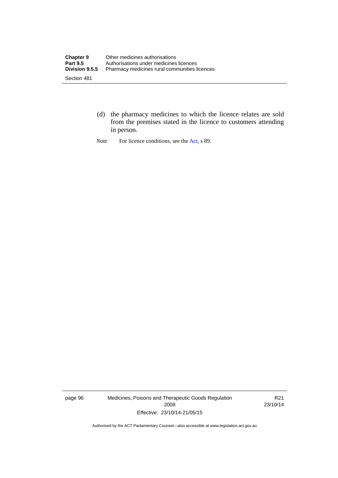- (d) the pharmacy medicines to which the licence relates are sold from the premises stated in the licence to customers attending in person.
- *Note* For licence conditions, see the [Act](http://www.legislation.act.gov.au/a/2008-26/default.asp), s 89.

page 96 Medicines, Poisons and Therapeutic Goods Regulation 2008 Effective: 23/10/14-21/05/15

R21 23/10/14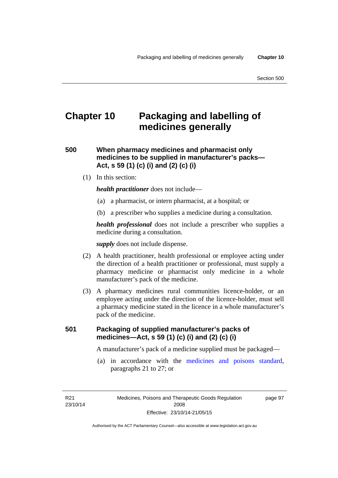page 97

# **Chapter 10 Packaging and labelling of medicines generally**

**500 When pharmacy medicines and pharmacist only medicines to be supplied in manufacturer's packs— Act, s 59 (1) (c) (i) and (2) (c) (i)** 

(1) In this section:

*health practitioner* does not include—

- (a) a pharmacist, or intern pharmacist, at a hospital; or
- (b) a prescriber who supplies a medicine during a consultation.

*health professional* does not include a prescriber who supplies a medicine during a consultation.

*supply* does not include dispense.

- (2) A health practitioner, health professional or employee acting under the direction of a health practitioner or professional, must supply a pharmacy medicine or pharmacist only medicine in a whole manufacturer's pack of the medicine.
- (3) A pharmacy medicines rural communities licence-holder, or an employee acting under the direction of the licence-holder, must sell a pharmacy medicine stated in the licence in a whole manufacturer's pack of the medicine.

### **501 Packaging of supplied manufacturer's packs of medicines—Act, s 59 (1) (c) (i) and (2) (c) (i)**

A manufacturer's pack of a medicine supplied must be packaged—

 (a) in accordance with the [medicines and poisons standard](http://www.comlaw.gov.au/Series/F2012L01200), paragraphs 21 to 27; or

R21 23/10/14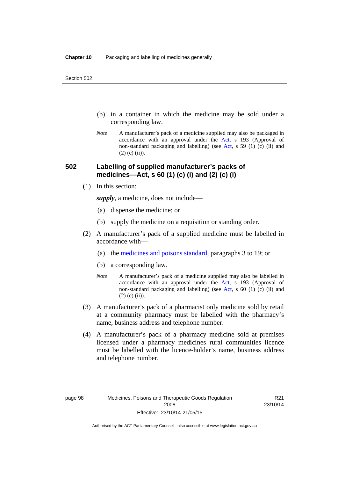- (b) in a container in which the medicine may be sold under a corresponding law.
- *Note* A manufacturer's pack of a medicine supplied may also be packaged in accordance with an approval under the [Act](http://www.legislation.act.gov.au/a/2008-26/default.asp), s 193 (Approval of non-standard packaging and labelling) (see [Act](http://www.legislation.act.gov.au/a/2008-26/default.asp), s 59 (1) (c) (ii) and  $(2)$  (c)  $(ii)$ ).

### **502 Labelling of supplied manufacturer's packs of medicines—Act, s 60 (1) (c) (i) and (2) (c) (i)**

(1) In this section:

*supply*, a medicine, does not include—

- (a) dispense the medicine; or
- (b) supply the medicine on a requisition or standing order.
- (2) A manufacturer's pack of a supplied medicine must be labelled in accordance with—
	- (a) the [medicines and poisons standard](http://www.comlaw.gov.au/Series/F2012L01200), paragraphs 3 to 19; or
	- (b) a corresponding law.
	- *Note* A manufacturer's pack of a medicine supplied may also be labelled in accordance with an approval under the [Act](http://www.legislation.act.gov.au/a/2008-26/default.asp), s 193 (Approval of non-standard packaging and labelling) (see [Act](http://www.legislation.act.gov.au/a/2008-26/default.asp), s 60 (1) (c) (ii) and  $(2)$  (c) (ii)).
- (3) A manufacturer's pack of a pharmacist only medicine sold by retail at a community pharmacy must be labelled with the pharmacy's name, business address and telephone number.
- (4) A manufacturer's pack of a pharmacy medicine sold at premises licensed under a pharmacy medicines rural communities licence must be labelled with the licence-holder's name, business address and telephone number.

R21 23/10/14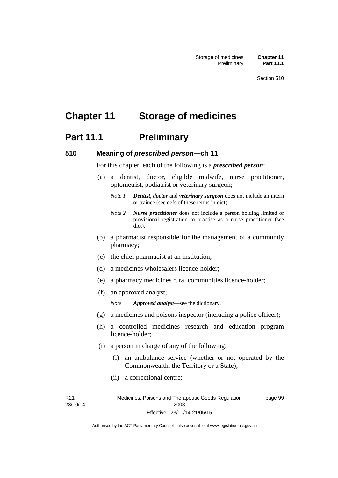# **Chapter 11 Storage of medicines**

## **Part 11.1** Preliminary

### **510 Meaning of** *prescribed person***—ch 11**

For this chapter, each of the following is a *prescribed person*:

- (a) a dentist, doctor, eligible midwife, nurse practitioner, optometrist, podiatrist or veterinary surgeon;
	- *Note 1 Dentist*, *doctor* and *veterinary surgeon* does not include an intern or trainee (see defs of these terms in dict).
	- *Note 2 Nurse practitioner* does not include a person holding limited or provisional registration to practise as a nurse practitioner (see dict).
- (b) a pharmacist responsible for the management of a community pharmacy;
- (c) the chief pharmacist at an institution;
- (d) a medicines wholesalers licence-holder;
- (e) a pharmacy medicines rural communities licence-holder;
- (f) an approved analyst;

*Note Approved analyst*—see the dictionary.

- (g) a medicines and poisons inspector (including a police officer);
- (h) a controlled medicines research and education program licence-holder;
- (i) a person in charge of any of the following:
	- (i) an ambulance service (whether or not operated by the Commonwealth, the Territory or a State);
	- (ii) a correctional centre;

R21 23/10/14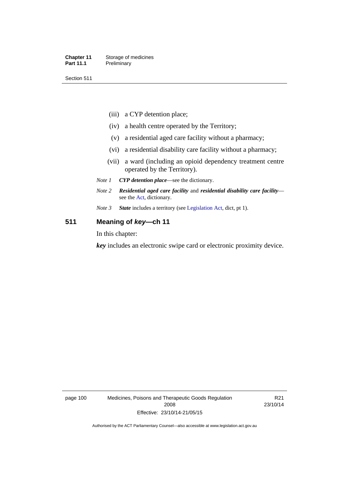#### **Chapter 11** Storage of medicines Part 11.1 Preliminary

Section 511

- (iii) a CYP detention place;
- (iv) a health centre operated by the Territory;
- (v) a residential aged care facility without a pharmacy;
- (vi) a residential disability care facility without a pharmacy;
- (vii) a ward (including an opioid dependency treatment centre operated by the Territory).
- *Note 1 CYP detention place*—see the dictionary.
- *Note 2 Residential aged care facility* and *residential disability care facility* see the [Act](http://www.legislation.act.gov.au/a/2008-26/default.asp), dictionary.
- *Note 3 State* includes a territory (see [Legislation Act,](http://www.legislation.act.gov.au/a/2001-14) dict, pt 1).

### **511 Meaning of** *key***—ch 11**

In this chapter:

*key* includes an electronic swipe card or electronic proximity device.

page 100 Medicines, Poisons and Therapeutic Goods Regulation 2008 Effective: 23/10/14-21/05/15

R21 23/10/14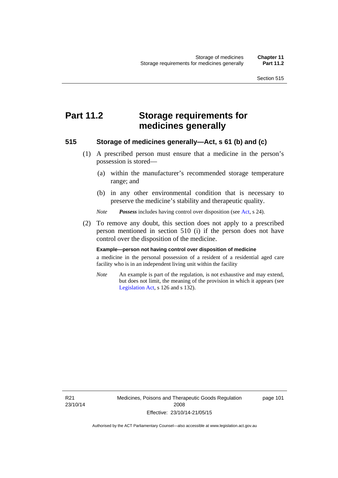# **Part 11.2 Storage requirements for medicines generally**

### **515 Storage of medicines generally—Act, s 61 (b) and (c)**

- (1) A prescribed person must ensure that a medicine in the person's possession is stored—
	- (a) within the manufacturer's recommended storage temperature range; and
	- (b) in any other environmental condition that is necessary to preserve the medicine's stability and therapeutic quality.

*Note Possess* includes having control over disposition (see [Act,](http://www.legislation.act.gov.au/a/2008-26/default.asp) s 24).

 (2) To remove any doubt, this section does not apply to a prescribed person mentioned in section 510 (i) if the person does not have control over the disposition of the medicine.

#### **Example—person not having control over disposition of medicine**

a medicine in the personal possession of a resident of a residential aged care facility who is in an independent living unit within the facility

*Note* An example is part of the regulation, is not exhaustive and may extend, but does not limit, the meaning of the provision in which it appears (see [Legislation Act,](http://www.legislation.act.gov.au/a/2001-14) s 126 and s 132).

R21 23/10/14 Medicines, Poisons and Therapeutic Goods Regulation 2008 Effective: 23/10/14-21/05/15

page 101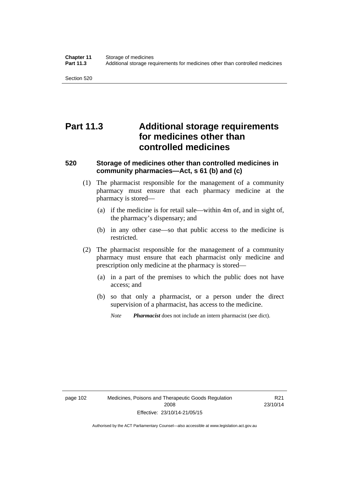Section 520

# **Part 11.3 Additional storage requirements for medicines other than controlled medicines**

### **520 Storage of medicines other than controlled medicines in community pharmacies—Act, s 61 (b) and (c)**

- (1) The pharmacist responsible for the management of a community pharmacy must ensure that each pharmacy medicine at the pharmacy is stored—
	- (a) if the medicine is for retail sale—within 4m of, and in sight of, the pharmacy's dispensary; and
	- (b) in any other case—so that public access to the medicine is restricted.
- (2) The pharmacist responsible for the management of a community pharmacy must ensure that each pharmacist only medicine and prescription only medicine at the pharmacy is stored—
	- (a) in a part of the premises to which the public does not have access; and
	- (b) so that only a pharmacist, or a person under the direct supervision of a pharmacist, has access to the medicine.

*Note Pharmacist* does not include an intern pharmacist (see dict).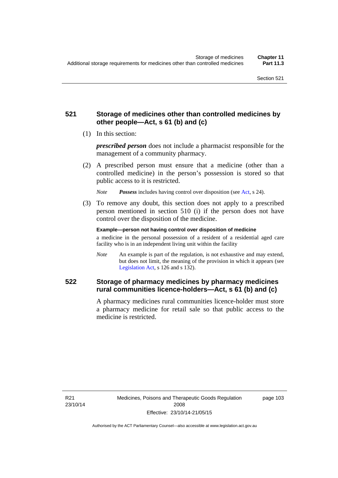### **521 Storage of medicines other than controlled medicines by other people—Act, s 61 (b) and (c)**

(1) In this section:

*prescribed person* does not include a pharmacist responsible for the management of a community pharmacy.

 (2) A prescribed person must ensure that a medicine (other than a controlled medicine) in the person's possession is stored so that public access to it is restricted.

*Note Possess* includes having control over disposition (see [Act,](http://www.legislation.act.gov.au/a/2008-26/default.asp) s 24).

 (3) To remove any doubt, this section does not apply to a prescribed person mentioned in section 510 (i) if the person does not have control over the disposition of the medicine.

**Example—person not having control over disposition of medicine** 

a medicine in the personal possession of a resident of a residential aged care facility who is in an independent living unit within the facility

*Note* An example is part of the regulation, is not exhaustive and may extend, but does not limit, the meaning of the provision in which it appears (see [Legislation Act,](http://www.legislation.act.gov.au/a/2001-14) s 126 and s 132).

### **522 Storage of pharmacy medicines by pharmacy medicines rural communities licence-holders—Act, s 61 (b) and (c)**

A pharmacy medicines rural communities licence-holder must store a pharmacy medicine for retail sale so that public access to the medicine is restricted.

R21 23/10/14 page 103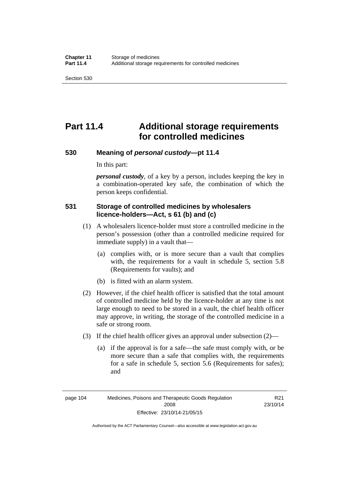# **Part 11.4 Additional storage requirements for controlled medicines**

### **530 Meaning of** *personal custody***—pt 11.4**

In this part:

*personal custody*, of a key by a person, includes keeping the key in a combination-operated key safe, the combination of which the person keeps confidential.

### **531 Storage of controlled medicines by wholesalers licence-holders—Act, s 61 (b) and (c)**

- (1) A wholesalers licence-holder must store a controlled medicine in the person's possession (other than a controlled medicine required for immediate supply) in a vault that—
	- (a) complies with, or is more secure than a vault that complies with, the requirements for a vault in schedule 5, section 5.8 (Requirements for vaults); and
	- (b) is fitted with an alarm system.
- (2) However, if the chief health officer is satisfied that the total amount of controlled medicine held by the licence-holder at any time is not large enough to need to be stored in a vault, the chief health officer may approve, in writing, the storage of the controlled medicine in a safe or strong room.
- (3) If the chief health officer gives an approval under subsection (2)—
	- (a) if the approval is for a safe—the safe must comply with, or be more secure than a safe that complies with, the requirements for a safe in schedule 5, section 5.6 (Requirements for safes); and

R21 23/10/14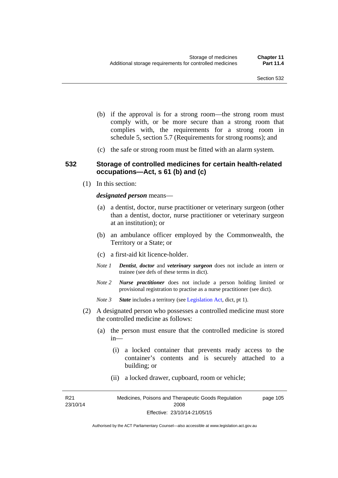- (b) if the approval is for a strong room—the strong room must comply with, or be more secure than a strong room that complies with, the requirements for a strong room in schedule 5, section 5.7 (Requirements for strong rooms); and
- (c) the safe or strong room must be fitted with an alarm system.

### **532 Storage of controlled medicines for certain health-related occupations—Act, s 61 (b) and (c)**

(1) In this section:

#### *designated person* means—

- (a) a dentist, doctor, nurse practitioner or veterinary surgeon (other than a dentist, doctor, nurse practitioner or veterinary surgeon at an institution); or
- (b) an ambulance officer employed by the Commonwealth, the Territory or a State; or
- (c) a first-aid kit licence-holder.
- *Note 1 Dentist*, *doctor* and *veterinary surgeon* does not include an intern or trainee (see defs of these terms in dict).
- *Note 2 Nurse practitioner* does not include a person holding limited or provisional registration to practise as a nurse practitioner (see dict).
- *Note 3 State* includes a territory (see [Legislation Act,](http://www.legislation.act.gov.au/a/2001-14) dict, pt 1).
- (2) A designated person who possesses a controlled medicine must store the controlled medicine as follows:
	- (a) the person must ensure that the controlled medicine is stored in—
		- (i) a locked container that prevents ready access to the container's contents and is securely attached to a building; or
		- (ii) a locked drawer, cupboard, room or vehicle;

R21 23/10/14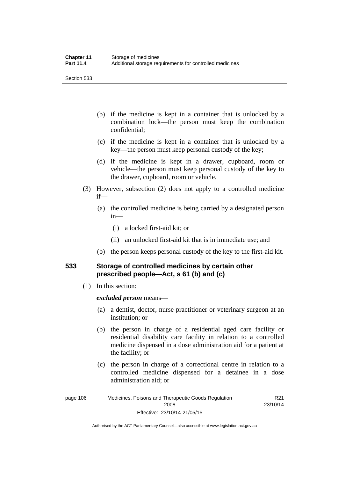Section 533

- (b) if the medicine is kept in a container that is unlocked by a combination lock—the person must keep the combination confidential;
- (c) if the medicine is kept in a container that is unlocked by a key—the person must keep personal custody of the key;
- (d) if the medicine is kept in a drawer, cupboard, room or vehicle—the person must keep personal custody of the key to the drawer, cupboard, room or vehicle.
- (3) However, subsection (2) does not apply to a controlled medicine if—
	- (a) the controlled medicine is being carried by a designated person in—
		- (i) a locked first-aid kit; or
		- (ii) an unlocked first-aid kit that is in immediate use; and
	- (b) the person keeps personal custody of the key to the first-aid kit.

### **533 Storage of controlled medicines by certain other prescribed people—Act, s 61 (b) and (c)**

(1) In this section:

#### *excluded person* means—

- (a) a dentist, doctor, nurse practitioner or veterinary surgeon at an institution; or
- (b) the person in charge of a residential aged care facility or residential disability care facility in relation to a controlled medicine dispensed in a dose administration aid for a patient at the facility; or
- (c) the person in charge of a correctional centre in relation to a controlled medicine dispensed for a detainee in a dose administration aid; or

Authorised by the ACT Parliamentary Counsel—also accessible at www.legislation.act.gov.au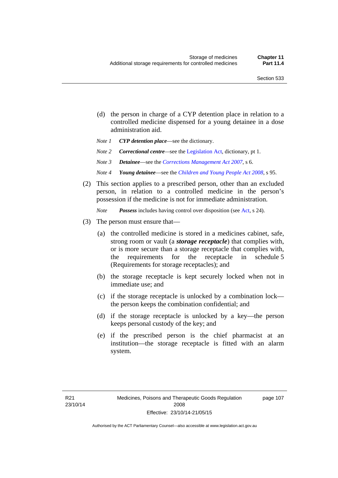- (d) the person in charge of a CYP detention place in relation to a controlled medicine dispensed for a young detainee in a dose administration aid.
- *Note 1 CYP detention place*—see the dictionary.
- *Note 2 Correctional centre—see the [Legislation Act](http://www.legislation.act.gov.au/a/2001-14), dictionary, pt 1.*
- *Note 3 Detainee*—see the *[Corrections Management Act 2007](http://www.legislation.act.gov.au/a/2007-15)*, s 6.
- *Note 4 Young detainee*—see the *[Children and Young People Act 2008](http://www.legislation.act.gov.au/a/2008-19)*, s 95.
- (2) This section applies to a prescribed person, other than an excluded person, in relation to a controlled medicine in the person's possession if the medicine is not for immediate administration.

*Note Possess* includes having control over disposition (see [Act,](http://www.legislation.act.gov.au/a/2008-26/default.asp) s 24).

- (3) The person must ensure that—
	- (a) the controlled medicine is stored in a medicines cabinet, safe, strong room or vault (a *storage receptacle*) that complies with, or is more secure than a storage receptacle that complies with, the requirements for the receptacle in schedule 5 (Requirements for storage receptacles); and
	- (b) the storage receptacle is kept securely locked when not in immediate use; and
	- (c) if the storage receptacle is unlocked by a combination lock the person keeps the combination confidential; and
	- (d) if the storage receptacle is unlocked by a key—the person keeps personal custody of the key; and
	- (e) if the prescribed person is the chief pharmacist at an institution—the storage receptacle is fitted with an alarm system.

page 107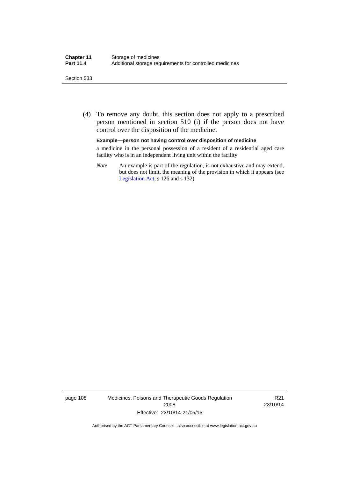#### Section 533

 (4) To remove any doubt, this section does not apply to a prescribed person mentioned in section 510 (i) if the person does not have control over the disposition of the medicine.

#### **Example—person not having control over disposition of medicine**

a medicine in the personal possession of a resident of a residential aged care facility who is in an independent living unit within the facility

*Note* An example is part of the regulation, is not exhaustive and may extend, but does not limit, the meaning of the provision in which it appears (see [Legislation Act,](http://www.legislation.act.gov.au/a/2001-14) s 126 and s 132).

page 108 Medicines, Poisons and Therapeutic Goods Regulation 2008 Effective: 23/10/14-21/05/15

R21 23/10/14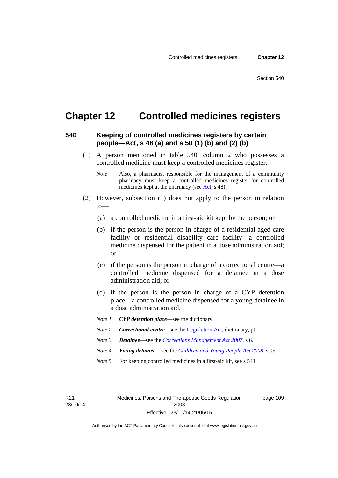page 109

# **Chapter 12 Controlled medicines registers**

### **540 Keeping of controlled medicines registers by certain people—Act, s 48 (a) and s 50 (1) (b) and (2) (b)**

- (1) A person mentioned in table 540, column 2 who possesses a controlled medicine must keep a controlled medicines register.
	- *Note* Also, a pharmacist responsible for the management of a community pharmacy must keep a controlled medicines register for controlled medicines kept at the pharmacy (see [Act](http://www.legislation.act.gov.au/a/2008-26/default.asp), s 48).
- (2) However, subsection (1) does not apply to the person in relation  $to$ —
	- (a) a controlled medicine in a first-aid kit kept by the person; or
	- (b) if the person is the person in charge of a residential aged care facility or residential disability care facility—a controlled medicine dispensed for the patient in a dose administration aid; or
	- (c) if the person is the person in charge of a correctional centre—a controlled medicine dispensed for a detainee in a dose administration aid; or
	- (d) if the person is the person in charge of a CYP detention place—a controlled medicine dispensed for a young detainee in a dose administration aid.
	- *Note 1 CYP detention place*—see the dictionary.
	- *Note 2 Correctional centre—see the [Legislation Act](http://www.legislation.act.gov.au/a/2001-14), dictionary, pt 1.*
	- *Note 3 Detainee*—see the *[Corrections Management Act 2007](http://www.legislation.act.gov.au/a/2007-15)*, s 6.
	- *Note 4 Young detainee*—see the *[Children and Young People Act 2008](http://www.legislation.act.gov.au/a/2008-19)*, s 95.
	- *Note* 5 For keeping controlled medicines in a first-aid kit, see s 541.

R21 23/10/14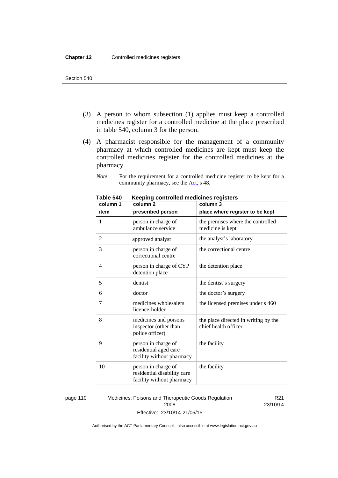- (3) A person to whom subsection (1) applies must keep a controlled medicines register for a controlled medicine at the place prescribed in table 540, column 3 for the person.
- (4) A pharmacist responsible for the management of a community pharmacy at which controlled medicines are kept must keep the controlled medicines register for the controlled medicines at the pharmacy.

*Note* For the requirement for a controlled medicine register to be kept for a community pharmacy, see the [Act,](http://www.legislation.act.gov.au/a/2008-26/default.asp) s 48.

| column 1 | column <sub>2</sub>                                                             | column 3                                                     |
|----------|---------------------------------------------------------------------------------|--------------------------------------------------------------|
| item     | prescribed person                                                               | place where register to be kept                              |
| 1        | person in charge of<br>ambulance service                                        | the premises where the controlled<br>medicine is kept        |
| 2        | approved analyst                                                                | the analyst's laboratory                                     |
| 3        | person in charge of<br>correctional centre                                      | the correctional centre                                      |
| 4        | person in charge of CYP<br>detention place                                      | the detention place                                          |
| 5        | dentist                                                                         | the dentist's surgery                                        |
| 6        | doctor                                                                          | the doctor's surgery                                         |
| 7        | medicines wholesalers<br>licence-holder                                         | the licensed premises under s 460                            |
| 8        | medicines and poisons<br>inspector (other than<br>police officer)               | the place directed in writing by the<br>chief health officer |
| 9        | person in charge of<br>residential aged care<br>facility without pharmacy       | the facility                                                 |
| 10       | person in charge of<br>residential disability care<br>facility without pharmacy | the facility                                                 |

**Table 540 Keeping controlled medicines registers** 

page 110 Medicines, Poisons and Therapeutic Goods Regulation 2008 Effective: 23/10/14-21/05/15

R21 23/10/14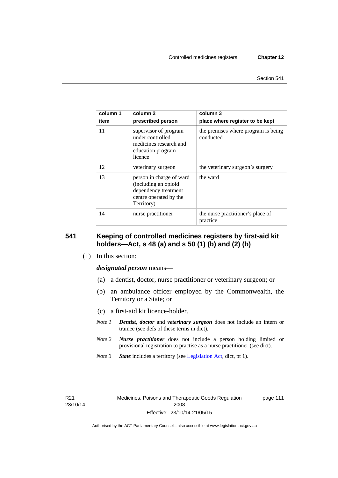| column 1<br>item | column 2<br>prescribed person                                                                                    | column 3<br>place where register to be kept      |
|------------------|------------------------------------------------------------------------------------------------------------------|--------------------------------------------------|
| 11               | supervisor of program<br>under controlled<br>medicines research and<br>education program<br>licence              | the premises where program is being<br>conducted |
| 12               | veterinary surgeon                                                                                               | the veterinary surgeon's surgery                 |
| 13               | person in charge of ward<br>(including an opioid<br>dependency treatment<br>centre operated by the<br>Territory) | the ward                                         |
| 14               | nurse practitioner                                                                                               | the nurse practitioner's place of<br>practice    |

### **541 Keeping of controlled medicines registers by first-aid kit holders—Act, s 48 (a) and s 50 (1) (b) and (2) (b)**

(1) In this section:

*designated person* means—

- (a) a dentist, doctor, nurse practitioner or veterinary surgeon; or
- (b) an ambulance officer employed by the Commonwealth, the Territory or a State; or
- (c) a first-aid kit licence-holder.
- *Note 1 Dentist*, *doctor* and *veterinary surgeon* does not include an intern or trainee (see defs of these terms in dict).
- *Note 2 Nurse practitioner* does not include a person holding limited or provisional registration to practise as a nurse practitioner (see dict).
- *Note 3 State* includes a territory (see [Legislation Act,](http://www.legislation.act.gov.au/a/2001-14) dict, pt 1).

R21 23/10/14 page 111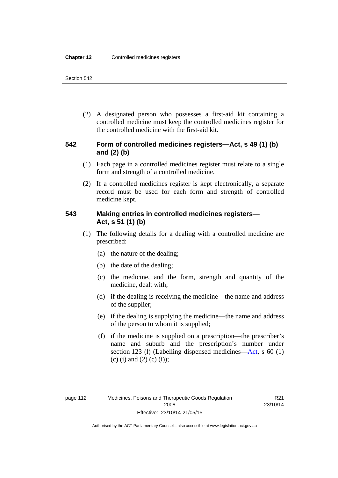(2) A designated person who possesses a first-aid kit containing a controlled medicine must keep the controlled medicines register for the controlled medicine with the first-aid kit.

### **542 Form of controlled medicines registers—Act, s 49 (1) (b) and (2) (b)**

- (1) Each page in a controlled medicines register must relate to a single form and strength of a controlled medicine.
- (2) If a controlled medicines register is kept electronically, a separate record must be used for each form and strength of controlled medicine kept.

### **543 Making entries in controlled medicines registers— Act, s 51 (1) (b)**

- (1) The following details for a dealing with a controlled medicine are prescribed:
	- (a) the nature of the dealing;
	- (b) the date of the dealing;
	- (c) the medicine, and the form, strength and quantity of the medicine, dealt with;
	- (d) if the dealing is receiving the medicine—the name and address of the supplier;
	- (e) if the dealing is supplying the medicine—the name and address of the person to whom it is supplied;
	- (f) if the medicine is supplied on a prescription—the prescriber's name and suburb and the prescription's number under section 123 (l) (Labelling dispensed medicines[—Act,](http://www.legislation.act.gov.au/a/2008-26/default.asp) s 60 (1) (c) (i) and (2) (c) (i));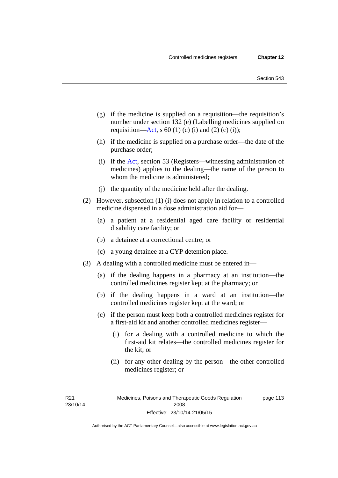- (g) if the medicine is supplied on a requisition—the requisition's number under section 132 (e) (Labelling medicines supplied on requisition[—Act,](http://www.legislation.act.gov.au/a/2008-26/default.asp) s 60 (1) (c) (i) and (2) (c) (i));
- (h) if the medicine is supplied on a purchase order—the date of the purchase order;
- (i) if the [Act,](http://www.legislation.act.gov.au/a/2008-26/default.asp) section 53 (Registers—witnessing administration of medicines) applies to the dealing—the name of the person to whom the medicine is administered;
- (j) the quantity of the medicine held after the dealing.
- (2) However, subsection (1) (i) does not apply in relation to a controlled medicine dispensed in a dose administration aid for—
	- (a) a patient at a residential aged care facility or residential disability care facility; or
	- (b) a detainee at a correctional centre; or
	- (c) a young detainee at a CYP detention place.
- (3) A dealing with a controlled medicine must be entered in—
	- (a) if the dealing happens in a pharmacy at an institution—the controlled medicines register kept at the pharmacy; or
	- (b) if the dealing happens in a ward at an institution—the controlled medicines register kept at the ward; or
	- (c) if the person must keep both a controlled medicines register for a first-aid kit and another controlled medicines register—
		- (i) for a dealing with a controlled medicine to which the first-aid kit relates—the controlled medicines register for the kit; or
		- (ii) for any other dealing by the person—the other controlled medicines register; or

R21 23/10/14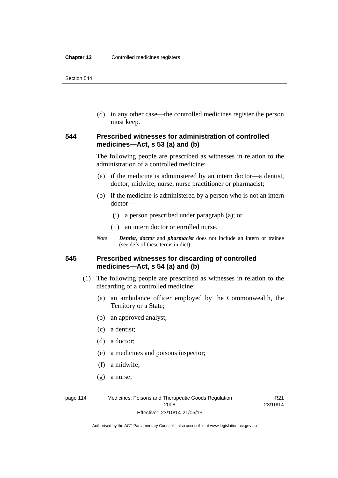(d) in any other case—the controlled medicines register the person must keep.

### **544 Prescribed witnesses for administration of controlled medicines—Act, s 53 (a) and (b)**

The following people are prescribed as witnesses in relation to the administration of a controlled medicine:

- (a) if the medicine is administered by an intern doctor—a dentist, doctor, midwife, nurse, nurse practitioner or pharmacist;
- (b) if the medicine is administered by a person who is not an intern doctor—
	- (i) a person prescribed under paragraph (a); or
	- (ii) an intern doctor or enrolled nurse.
- *Note Dentist*, *doctor* and *pharmacist* does not include an intern or trainee (see defs of these terms in dict).

### **545 Prescribed witnesses for discarding of controlled medicines—Act, s 54 (a) and (b)**

- (1) The following people are prescribed as witnesses in relation to the discarding of a controlled medicine:
	- (a) an ambulance officer employed by the Commonwealth, the Territory or a State;
	- (b) an approved analyst;
	- (c) a dentist;
	- (d) a doctor;
	- (e) a medicines and poisons inspector;
	- (f) a midwife;
	- (g) a nurse;

page 114 Medicines, Poisons and Therapeutic Goods Regulation 2008 Effective: 23/10/14-21/05/15

R21 23/10/14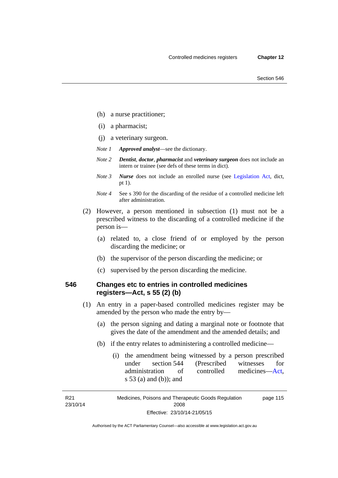- (h) a nurse practitioner;
- (i) a pharmacist;
- (j) a veterinary surgeon.
- *Note 1 Approved analyst*—see the dictionary.
- *Note 2 Dentist*, *doctor*, *pharmacist* and *veterinary surgeon* does not include an intern or trainee (see defs of these terms in dict).
- *Note 3 Nurse* does not include an enrolled nurse (see [Legislation Act,](http://www.legislation.act.gov.au/a/2001-14) dict, pt 1).
- *Note 4* See s 390 for the discarding of the residue of a controlled medicine left after administration.
- (2) However, a person mentioned in subsection (1) must not be a prescribed witness to the discarding of a controlled medicine if the person is—
	- (a) related to, a close friend of or employed by the person discarding the medicine; or
	- (b) the supervisor of the person discarding the medicine; or
	- (c) supervised by the person discarding the medicine.

### **546 Changes etc to entries in controlled medicines registers—Act, s 55 (2) (b)**

- (1) An entry in a paper-based controlled medicines register may be amended by the person who made the entry by—
	- (a) the person signing and dating a marginal note or footnote that gives the date of the amendment and the amended details; and
	- (b) if the entry relates to administering a controlled medicine—
		- (i) the amendment being witnessed by a person prescribed under section 544 (Prescribed witnesses for administration of controlled medicines[—Act](http://www.legislation.act.gov.au/a/2008-26/default.asp), s 53 (a) and (b)); and

R21 23/10/14

Medicines, Poisons and Therapeutic Goods Regulation 2008 Effective: 23/10/14-21/05/15 page 115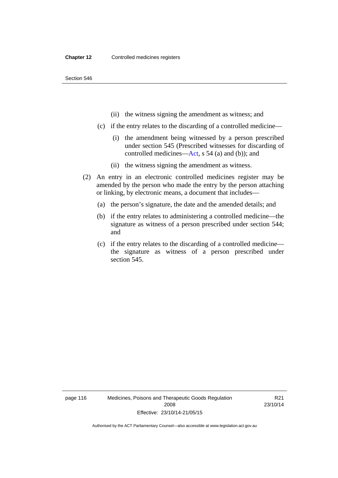- (ii) the witness signing the amendment as witness; and
- (c) if the entry relates to the discarding of a controlled medicine—
	- (i) the amendment being witnessed by a person prescribed under section 545 (Prescribed witnesses for discarding of controlled medicines[—Act,](http://www.legislation.act.gov.au/a/2008-26/default.asp) s 54 (a) and (b)); and
	- (ii) the witness signing the amendment as witness.
- (2) An entry in an electronic controlled medicines register may be amended by the person who made the entry by the person attaching or linking, by electronic means, a document that includes—
	- (a) the person's signature, the date and the amended details; and
	- (b) if the entry relates to administering a controlled medicine—the signature as witness of a person prescribed under section 544; and
	- (c) if the entry relates to the discarding of a controlled medicine the signature as witness of a person prescribed under section 545.

page 116 Medicines, Poisons and Therapeutic Goods Regulation 2008 Effective: 23/10/14-21/05/15

R21 23/10/14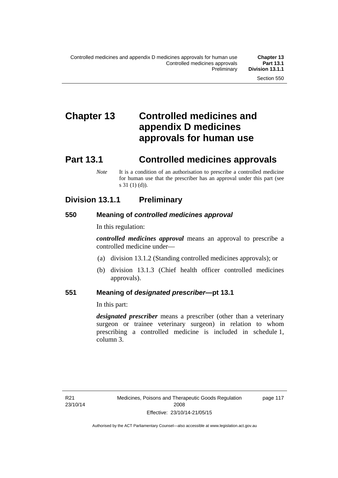# **Chapter 13 Controlled medicines and appendix D medicines approvals for human use**

# **Part 13.1 Controlled medicines approvals**

*Note* It is a condition of an authorisation to prescribe a controlled medicine for human use that the prescriber has an approval under this part (see s 31 (1) (d)).

## **Division 13.1.1 Preliminary**

### **550 Meaning of** *controlled medicines approval*

In this regulation:

*controlled medicines approval* means an approval to prescribe a controlled medicine under—

- (a) division 13.1.2 (Standing controlled medicines approvals); or
- (b) division 13.1.3 (Chief health officer controlled medicines approvals).

### **551 Meaning of** *designated prescriber***—pt 13.1**

In this part:

*designated prescriber* means a prescriber (other than a veterinary surgeon or trainee veterinary surgeon) in relation to whom prescribing a controlled medicine is included in schedule 1, column 3.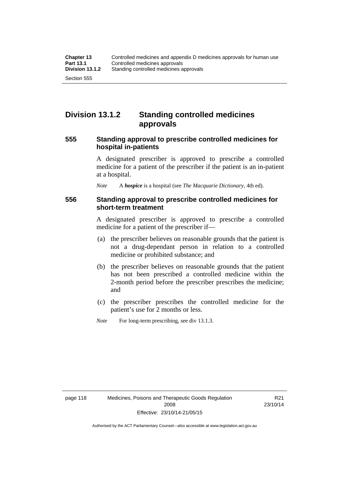# **Division 13.1.2 Standing controlled medicines approvals**

### **555 Standing approval to prescribe controlled medicines for hospital in-patients**

A designated prescriber is approved to prescribe a controlled medicine for a patient of the prescriber if the patient is an in-patient at a hospital.

*Note* A *hospice* is a hospital (see *The Macquarie Dictionary*, 4th ed).

### **556 Standing approval to prescribe controlled medicines for short-term treatment**

A designated prescriber is approved to prescribe a controlled medicine for a patient of the prescriber if—

- (a) the prescriber believes on reasonable grounds that the patient is not a drug-dependant person in relation to a controlled medicine or prohibited substance; and
- (b) the prescriber believes on reasonable grounds that the patient has not been prescribed a controlled medicine within the 2-month period before the prescriber prescribes the medicine; and
- (c) the prescriber prescribes the controlled medicine for the patient's use for 2 months or less.
- *Note* For long-term prescribing, see div 13.1.3.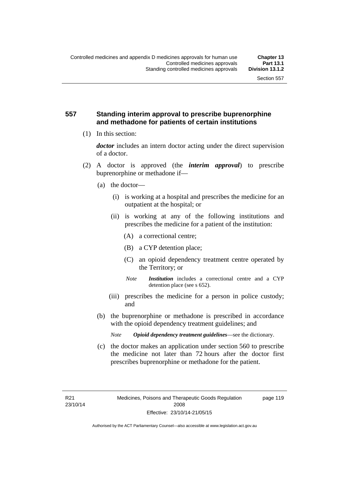### **557 Standing interim approval to prescribe buprenorphine and methadone for patients of certain institutions**

(1) In this section:

*doctor* includes an intern doctor acting under the direct supervision of a doctor.

- (2) A doctor is approved (the *interim approval*) to prescribe buprenorphine or methadone if—
	- (a) the doctor—
		- (i) is working at a hospital and prescribes the medicine for an outpatient at the hospital; or
		- (ii) is working at any of the following institutions and prescribes the medicine for a patient of the institution:
			- (A) a correctional centre;
			- (B) a CYP detention place;
			- (C) an opioid dependency treatment centre operated by the Territory; or
			- *Note Institution* includes a correctional centre and a CYP detention place (see s 652).
		- (iii) prescribes the medicine for a person in police custody; and
	- (b) the buprenorphine or methadone is prescribed in accordance with the opioid dependency treatment guidelines; and
		- *Note Opioid dependency treatment guidelines*—see the dictionary.
	- (c) the doctor makes an application under section 560 to prescribe the medicine not later than 72 hours after the doctor first prescribes buprenorphine or methadone for the patient.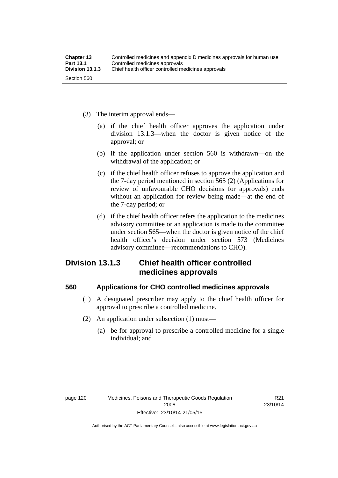- (3) The interim approval ends—
	- (a) if the chief health officer approves the application under division 13.1.3—when the doctor is given notice of the approval; or
	- (b) if the application under section 560 is withdrawn—on the withdrawal of the application; or
	- (c) if the chief health officer refuses to approve the application and the 7-day period mentioned in section 565 (2) (Applications for review of unfavourable CHO decisions for approvals) ends without an application for review being made—at the end of the 7-day period; or
	- (d) if the chief health officer refers the application to the medicines advisory committee or an application is made to the committee under section 565—when the doctor is given notice of the chief health officer's decision under section 573 (Medicines advisory committee—recommendations to CHO).

## **Division 13.1.3 Chief health officer controlled medicines approvals**

### **560 Applications for CHO controlled medicines approvals**

- (1) A designated prescriber may apply to the chief health officer for approval to prescribe a controlled medicine.
- (2) An application under subsection (1) must—
	- (a) be for approval to prescribe a controlled medicine for a single individual; and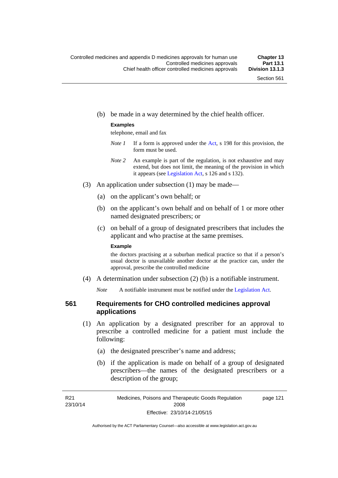(b) be made in a way determined by the chief health officer.

#### **Examples**

telephone, email and fax

- *Note 1* If a form is approved under the [Act](http://www.legislation.act.gov.au/a/2008-26/default.asp), s 198 for this provision, the form must be used.
- *Note 2* An example is part of the regulation, is not exhaustive and may extend, but does not limit, the meaning of the provision in which it appears (see [Legislation Act,](http://www.legislation.act.gov.au/a/2001-14) s 126 and s 132).
- (3) An application under subsection (1) may be made—
	- (a) on the applicant's own behalf; or
	- (b) on the applicant's own behalf and on behalf of 1 or more other named designated prescribers; or
	- (c) on behalf of a group of designated prescribers that includes the applicant and who practise at the same premises.

#### **Example**

the doctors practising at a suburban medical practice so that if a person's usual doctor is unavailable another doctor at the practice can, under the approval, prescribe the controlled medicine

(4) A determination under subsection (2) (b) is a notifiable instrument.

*Note* A notifiable instrument must be notified under the [Legislation Act](http://www.legislation.act.gov.au/a/2001-14).

## **561 Requirements for CHO controlled medicines approval applications**

- (1) An application by a designated prescriber for an approval to prescribe a controlled medicine for a patient must include the following:
	- (a) the designated prescriber's name and address;
	- (b) if the application is made on behalf of a group of designated prescribers—the names of the designated prescribers or a description of the group;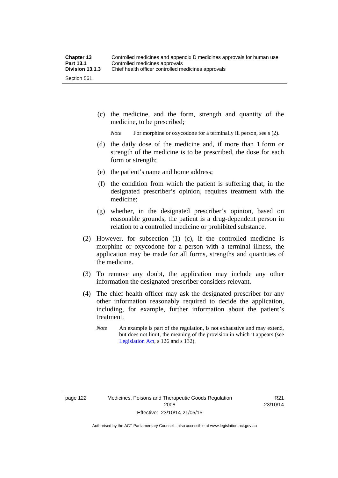(c) the medicine, and the form, strength and quantity of the medicine, to be prescribed;

*Note* For morphine or oxycodone for a terminally ill person, see s (2).

- (d) the daily dose of the medicine and, if more than 1 form or strength of the medicine is to be prescribed, the dose for each form or strength;
- (e) the patient's name and home address;
- (f) the condition from which the patient is suffering that, in the designated prescriber's opinion, requires treatment with the medicine;
- (g) whether, in the designated prescriber's opinion, based on reasonable grounds, the patient is a drug-dependent person in relation to a controlled medicine or prohibited substance.
- (2) However, for subsection (1) (c), if the controlled medicine is morphine or oxycodone for a person with a terminal illness, the application may be made for all forms, strengths and quantities of the medicine.
- (3) To remove any doubt, the application may include any other information the designated prescriber considers relevant.
- (4) The chief health officer may ask the designated prescriber for any other information reasonably required to decide the application, including, for example, further information about the patient's treatment.
	- *Note* An example is part of the regulation, is not exhaustive and may extend, but does not limit, the meaning of the provision in which it appears (see [Legislation Act,](http://www.legislation.act.gov.au/a/2001-14) s 126 and s 132).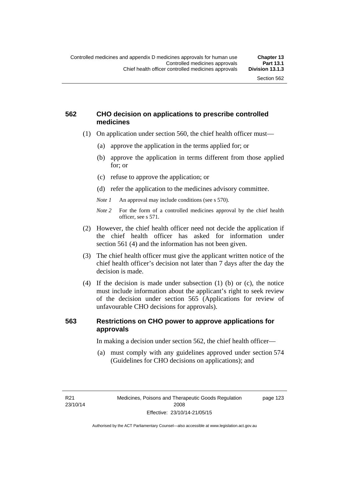page 123

## **562 CHO decision on applications to prescribe controlled medicines**

- (1) On application under section 560, the chief health officer must—
	- (a) approve the application in the terms applied for; or
	- (b) approve the application in terms different from those applied for; or
	- (c) refuse to approve the application; or
	- (d) refer the application to the medicines advisory committee.
	- *Note 1* An approval may include conditions (see s 570).
	- *Note 2* For the form of a controlled medicines approval by the chief health officer, see s 571.
- (2) However, the chief health officer need not decide the application if the chief health officer has asked for information under section 561 (4) and the information has not been given.
- (3) The chief health officer must give the applicant written notice of the chief health officer's decision not later than 7 days after the day the decision is made.
- (4) If the decision is made under subsection (1) (b) or (c), the notice must include information about the applicant's right to seek review of the decision under section 565 (Applications for review of unfavourable CHO decisions for approvals).

## **563 Restrictions on CHO power to approve applications for approvals**

In making a decision under section 562, the chief health officer—

 (a) must comply with any guidelines approved under section 574 (Guidelines for CHO decisions on applications); and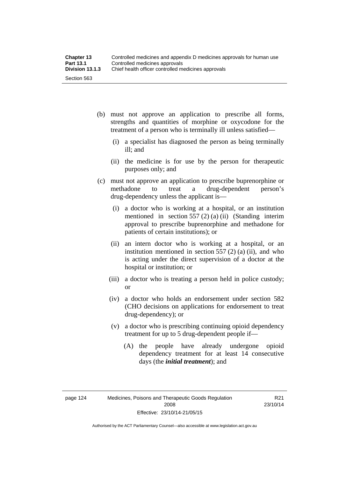- (b) must not approve an application to prescribe all forms, strengths and quantities of morphine or oxycodone for the treatment of a person who is terminally ill unless satisfied—
	- (i) a specialist has diagnosed the person as being terminally ill; and
	- (ii) the medicine is for use by the person for therapeutic purposes only; and
- (c) must not approve an application to prescribe buprenorphine or methadone to treat a drug-dependent person's drug-dependency unless the applicant is—
	- (i) a doctor who is working at a hospital, or an institution mentioned in section 557 (2) (a) (ii) (Standing interim approval to prescribe buprenorphine and methadone for patients of certain institutions); or
	- (ii) an intern doctor who is working at a hospital, or an institution mentioned in section  $557(2)$  (a) (ii), and who is acting under the direct supervision of a doctor at the hospital or institution; or
	- (iii) a doctor who is treating a person held in police custody; or
	- (iv) a doctor who holds an endorsement under section 582 (CHO decisions on applications for endorsement to treat drug-dependency); or
	- (v) a doctor who is prescribing continuing opioid dependency treatment for up to 5 drug-dependent people if—
		- (A) the people have already undergone opioid dependency treatment for at least 14 consecutive days (the *initial treatment*); and

R21 23/10/14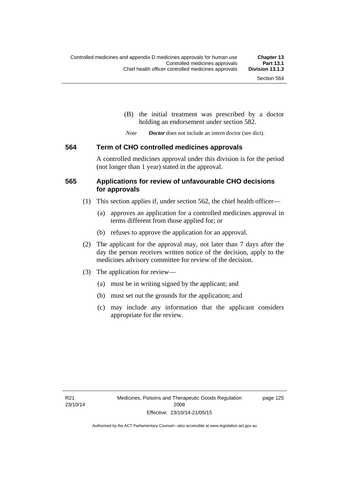(B) the initial treatment was prescribed by a doctor holding an endorsement under section 582.

*Note Doctor* does not include an intern doctor (see dict).

#### **564 Term of CHO controlled medicines approvals**

A controlled medicines approval under this division is for the period (not longer than 1 year) stated in the approval.

## **565 Applications for review of unfavourable CHO decisions for approvals**

- (1) This section applies if, under section 562, the chief health officer—
	- (a) approves an application for a controlled medicines approval in terms different from those applied for; or
	- (b) refuses to approve the application for an approval.
- (2) The applicant for the approval may, not later than 7 days after the day the person receives written notice of the decision, apply to the medicines advisory committee for review of the decision.
- (3) The application for review—
	- (a) must be in writing signed by the applicant; and
	- (b) must set out the grounds for the application; and
	- (c) may include any information that the applicant considers appropriate for the review.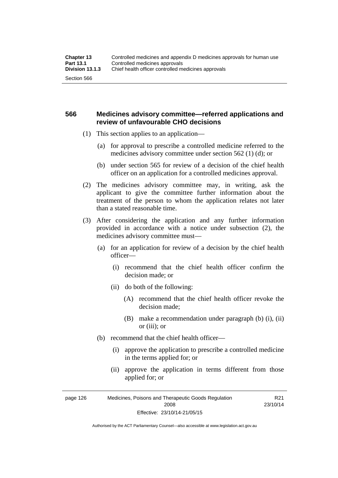## **566 Medicines advisory committee—referred applications and review of unfavourable CHO decisions**

- (1) This section applies to an application—
	- (a) for approval to prescribe a controlled medicine referred to the medicines advisory committee under section 562 (1) (d); or
	- (b) under section 565 for review of a decision of the chief health officer on an application for a controlled medicines approval.
- (2) The medicines advisory committee may, in writing, ask the applicant to give the committee further information about the treatment of the person to whom the application relates not later than a stated reasonable time.
- (3) After considering the application and any further information provided in accordance with a notice under subsection (2), the medicines advisory committee must—
	- (a) for an application for review of a decision by the chief health officer—
		- (i) recommend that the chief health officer confirm the decision made; or
		- (ii) do both of the following:
			- (A) recommend that the chief health officer revoke the decision made;
			- (B) make a recommendation under paragraph (b) (i), (ii) or (iii); or
	- (b) recommend that the chief health officer—
		- (i) approve the application to prescribe a controlled medicine in the terms applied for; or
		- (ii) approve the application in terms different from those applied for; or

R21

page 126 Medicines, Poisons and Therapeutic Goods Regulation 2008 Effective: 23/10/14-21/05/15 23/10/14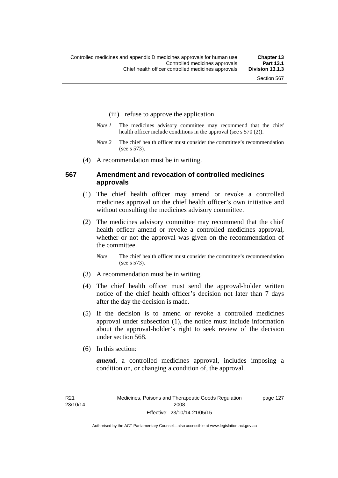- (iii) refuse to approve the application.
- *Note 1* The medicines advisory committee may recommend that the chief health officer include conditions in the approval (see s 570 (2)).
- *Note 2* The chief health officer must consider the committee's recommendation (see s 573).
- (4) A recommendation must be in writing.

### **567 Amendment and revocation of controlled medicines approvals**

- (1) The chief health officer may amend or revoke a controlled medicines approval on the chief health officer's own initiative and without consulting the medicines advisory committee.
- (2) The medicines advisory committee may recommend that the chief health officer amend or revoke a controlled medicines approval, whether or not the approval was given on the recommendation of the committee.

*Note* The chief health officer must consider the committee's recommendation (see s 573).

- (3) A recommendation must be in writing.
- (4) The chief health officer must send the approval-holder written notice of the chief health officer's decision not later than 7 days after the day the decision is made.
- (5) If the decision is to amend or revoke a controlled medicines approval under subsection (1), the notice must include information about the approval-holder's right to seek review of the decision under section 568.
- (6) In this section:

*amend*, a controlled medicines approval, includes imposing a condition on, or changing a condition of, the approval.

page 127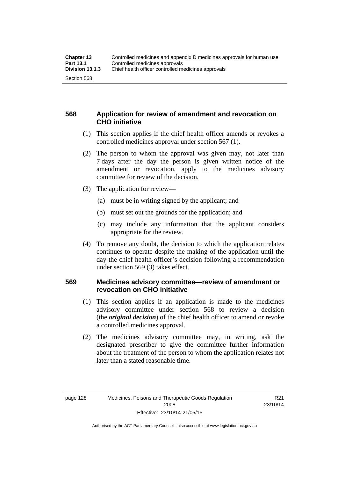## **568 Application for review of amendment and revocation on CHO initiative**

- (1) This section applies if the chief health officer amends or revokes a controlled medicines approval under section 567 (1).
- (2) The person to whom the approval was given may, not later than 7 days after the day the person is given written notice of the amendment or revocation, apply to the medicines advisory committee for review of the decision.
- (3) The application for review—
	- (a) must be in writing signed by the applicant; and
	- (b) must set out the grounds for the application; and
	- (c) may include any information that the applicant considers appropriate for the review.
- (4) To remove any doubt, the decision to which the application relates continues to operate despite the making of the application until the day the chief health officer's decision following a recommendation under section 569 (3) takes effect.

## **569 Medicines advisory committee—review of amendment or revocation on CHO initiative**

- (1) This section applies if an application is made to the medicines advisory committee under section 568 to review a decision (the *original decision*) of the chief health officer to amend or revoke a controlled medicines approval.
- (2) The medicines advisory committee may, in writing, ask the designated prescriber to give the committee further information about the treatment of the person to whom the application relates not later than a stated reasonable time.

Authorised by the ACT Parliamentary Counsel—also accessible at www.legislation.act.gov.au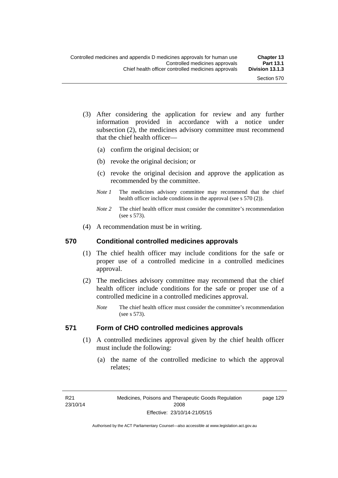- (3) After considering the application for review and any further information provided in accordance with a notice under subsection (2), the medicines advisory committee must recommend that the chief health officer—
	- (a) confirm the original decision; or
	- (b) revoke the original decision; or
	- (c) revoke the original decision and approve the application as recommended by the committee.
	- *Note 1* The medicines advisory committee may recommend that the chief health officer include conditions in the approval (see s 570 (2)).
	- *Note 2* The chief health officer must consider the committee's recommendation (see s 573).
- (4) A recommendation must be in writing.

### **570 Conditional controlled medicines approvals**

- (1) The chief health officer may include conditions for the safe or proper use of a controlled medicine in a controlled medicines approval.
- (2) The medicines advisory committee may recommend that the chief health officer include conditions for the safe or proper use of a controlled medicine in a controlled medicines approval.
	- *Note* The chief health officer must consider the committee's recommendation (see s 573).

## **571 Form of CHO controlled medicines approvals**

- (1) A controlled medicines approval given by the chief health officer must include the following:
	- (a) the name of the controlled medicine to which the approval relates;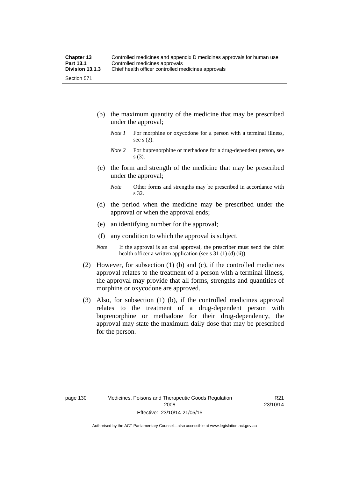- (b) the maximum quantity of the medicine that may be prescribed under the approval;
	- *Note 1* For morphine or oxycodone for a person with a terminal illness, see s (2).
	- *Note* 2 For buprenorphine or methadone for a drug-dependent person, see s (3).
- (c) the form and strength of the medicine that may be prescribed under the approval;
	- *Note* Other forms and strengths may be prescribed in accordance with s 32.
- (d) the period when the medicine may be prescribed under the approval or when the approval ends;
- (e) an identifying number for the approval;
- (f) any condition to which the approval is subject.
- *Note* If the approval is an oral approval, the prescriber must send the chief health officer a written application (see s  $31$  (1) (d) (ii)).
- (2) However, for subsection (1) (b) and (c), if the controlled medicines approval relates to the treatment of a person with a terminal illness, the approval may provide that all forms, strengths and quantities of morphine or oxycodone are approved.
- (3) Also, for subsection (1) (b), if the controlled medicines approval relates to the treatment of a drug-dependent person with buprenorphine or methadone for their drug-dependency, the approval may state the maximum daily dose that may be prescribed for the person.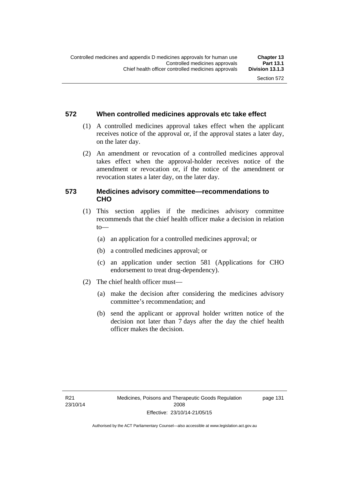## **572 When controlled medicines approvals etc take effect**

- (1) A controlled medicines approval takes effect when the applicant receives notice of the approval or, if the approval states a later day, on the later day.
- (2) An amendment or revocation of a controlled medicines approval takes effect when the approval-holder receives notice of the amendment or revocation or, if the notice of the amendment or revocation states a later day, on the later day.

## **573 Medicines advisory committee—recommendations to CHO**

- (1) This section applies if the medicines advisory committee recommends that the chief health officer make a decision in relation  $to$ 
	- (a) an application for a controlled medicines approval; or
	- (b) a controlled medicines approval; or
	- (c) an application under section 581 (Applications for CHO endorsement to treat drug-dependency).
- (2) The chief health officer must—
	- (a) make the decision after considering the medicines advisory committee's recommendation; and
	- (b) send the applicant or approval holder written notice of the decision not later than 7 days after the day the chief health officer makes the decision.

page 131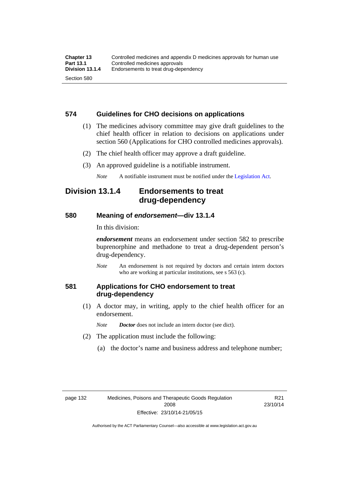## **574 Guidelines for CHO decisions on applications**

- (1) The medicines advisory committee may give draft guidelines to the chief health officer in relation to decisions on applications under section 560 (Applications for CHO controlled medicines approvals).
- (2) The chief health officer may approve a draft guideline.
- (3) An approved guideline is a notifiable instrument.

*Note* A notifiable instrument must be notified under the [Legislation Act](http://www.legislation.act.gov.au/a/2001-14).

## **Division 13.1.4 Endorsements to treat drug-dependency**

### **580 Meaning of** *endorsement***—div 13.1.4**

In this division:

*endorsement* means an endorsement under section 582 to prescribe buprenorphine and methadone to treat a drug-dependent person's drug-dependency.

*Note* An endorsement is not required by doctors and certain intern doctors who are working at particular institutions, see s 563 (c).

## **581 Applications for CHO endorsement to treat drug-dependency**

 (1) A doctor may, in writing, apply to the chief health officer for an endorsement.

*Note Doctor* does not include an intern doctor (see dict).

- (2) The application must include the following:
	- (a) the doctor's name and business address and telephone number;

R21 23/10/14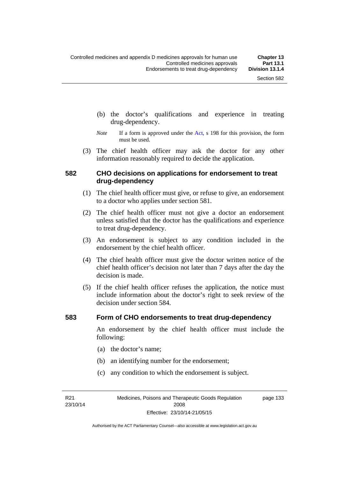- (b) the doctor's qualifications and experience in treating drug-dependency.
- *Note* If a form is approved under the [Act](http://www.legislation.act.gov.au/a/2008-26/default.asp), s 198 for this provision, the form must be used.
- (3) The chief health officer may ask the doctor for any other information reasonably required to decide the application.

### **582 CHO decisions on applications for endorsement to treat drug-dependency**

- (1) The chief health officer must give, or refuse to give, an endorsement to a doctor who applies under section 581.
- (2) The chief health officer must not give a doctor an endorsement unless satisfied that the doctor has the qualifications and experience to treat drug-dependency.
- (3) An endorsement is subject to any condition included in the endorsement by the chief health officer.
- (4) The chief health officer must give the doctor written notice of the chief health officer's decision not later than 7 days after the day the decision is made.
- (5) If the chief health officer refuses the application, the notice must include information about the doctor's right to seek review of the decision under section 584.

#### **583 Form of CHO endorsements to treat drug-dependency**

An endorsement by the chief health officer must include the following:

- (a) the doctor's name;
- (b) an identifying number for the endorsement;
- (c) any condition to which the endorsement is subject.

R21 23/10/14 page 133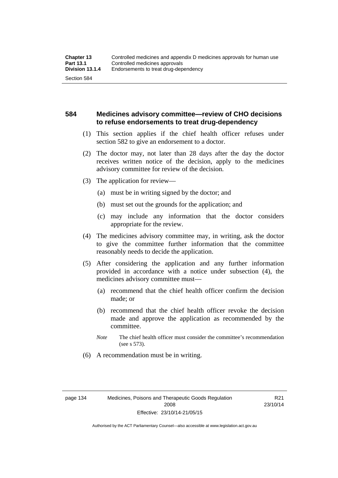## **584 Medicines advisory committee—review of CHO decisions to refuse endorsements to treat drug-dependency**

- (1) This section applies if the chief health officer refuses under section 582 to give an endorsement to a doctor.
- (2) The doctor may, not later than 28 days after the day the doctor receives written notice of the decision, apply to the medicines advisory committee for review of the decision.
- (3) The application for review—
	- (a) must be in writing signed by the doctor; and
	- (b) must set out the grounds for the application; and
	- (c) may include any information that the doctor considers appropriate for the review.
- (4) The medicines advisory committee may, in writing, ask the doctor to give the committee further information that the committee reasonably needs to decide the application.
- (5) After considering the application and any further information provided in accordance with a notice under subsection (4), the medicines advisory committee must—
	- (a) recommend that the chief health officer confirm the decision made; or
	- (b) recommend that the chief health officer revoke the decision made and approve the application as recommended by the committee.
	- *Note* The chief health officer must consider the committee's recommendation (see s 573).
- (6) A recommendation must be in writing.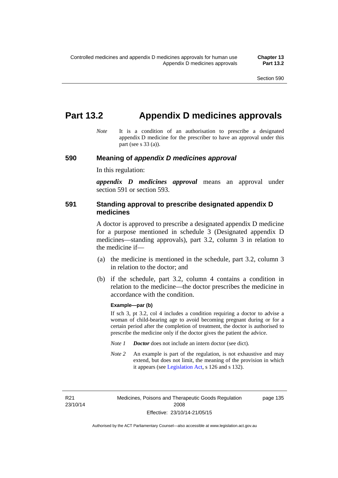# **Part 13.2 Appendix D medicines approvals**

*Note* It is a condition of an authorisation to prescribe a designated appendix D medicine for the prescriber to have an approval under this part (see s 33 (a)).

#### **590 Meaning of** *appendix D medicines approval*

In this regulation:

*appendix D medicines approval* means an approval under section 591 or section 593.

## **591 Standing approval to prescribe designated appendix D medicines**

A doctor is approved to prescribe a designated appendix D medicine for a purpose mentioned in schedule 3 (Designated appendix D medicines—standing approvals), part 3.2, column 3 in relation to the medicine if—

- (a) the medicine is mentioned in the schedule, part 3.2, column 3 in relation to the doctor; and
- (b) if the schedule, part 3.2, column 4 contains a condition in relation to the medicine—the doctor prescribes the medicine in accordance with the condition.

#### **Example—par (b)**

If sch 3, pt 3.2, col 4 includes a condition requiring a doctor to advise a woman of child-bearing age to avoid becoming pregnant during or for a certain period after the completion of treatment, the doctor is authorised to prescribe the medicine only if the doctor gives the patient the advice.

- *Note 1 Doctor* does not include an intern doctor (see dict).
- *Note 2* An example is part of the regulation, is not exhaustive and may extend, but does not limit, the meaning of the provision in which it appears (see [Legislation Act,](http://www.legislation.act.gov.au/a/2001-14) s 126 and s 132).

R21 23/10/14 page 135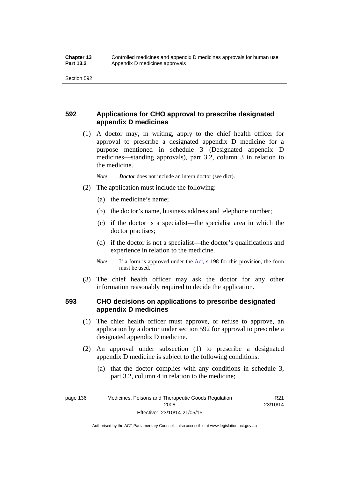## **592 Applications for CHO approval to prescribe designated appendix D medicines**

 (1) A doctor may, in writing, apply to the chief health officer for approval to prescribe a designated appendix D medicine for a purpose mentioned in schedule 3 (Designated appendix D medicines—standing approvals), part 3.2, column 3 in relation to the medicine.

*Note Doctor* does not include an intern doctor (see dict).

- (2) The application must include the following:
	- (a) the medicine's name;
	- (b) the doctor's name, business address and telephone number;
	- (c) if the doctor is a specialist—the specialist area in which the doctor practises;
	- (d) if the doctor is not a specialist—the doctor's qualifications and experience in relation to the medicine.
	- *Note* If a form is approved under the [Act](http://www.legislation.act.gov.au/a/2008-26/default.asp), s 198 for this provision, the form must be used.
- (3) The chief health officer may ask the doctor for any other information reasonably required to decide the application.

## **593 CHO decisions on applications to prescribe designated appendix D medicines**

- (1) The chief health officer must approve, or refuse to approve, an application by a doctor under section 592 for approval to prescribe a designated appendix D medicine.
- (2) An approval under subsection (1) to prescribe a designated appendix D medicine is subject to the following conditions:
	- (a) that the doctor complies with any conditions in schedule 3, part 3.2, column 4 in relation to the medicine;

page 136 Medicines, Poisons and Therapeutic Goods Regulation 2008 Effective: 23/10/14-21/05/15

R21 23/10/14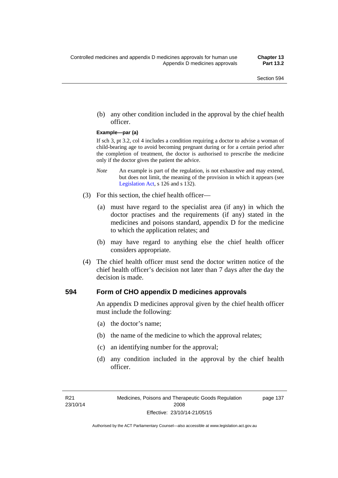(b) any other condition included in the approval by the chief health officer.

#### **Example—par (a)**

If sch 3, pt 3.2, col 4 includes a condition requiring a doctor to advise a woman of child-bearing age to avoid becoming pregnant during or for a certain period after the completion of treatment, the doctor is authorised to prescribe the medicine only if the doctor gives the patient the advice.

- *Note* An example is part of the regulation, is not exhaustive and may extend, but does not limit, the meaning of the provision in which it appears (see [Legislation Act,](http://www.legislation.act.gov.au/a/2001-14) s 126 and s 132).
- (3) For this section, the chief health officer—
	- (a) must have regard to the specialist area (if any) in which the doctor practises and the requirements (if any) stated in the medicines and poisons standard, appendix D for the medicine to which the application relates; and
	- (b) may have regard to anything else the chief health officer considers appropriate.
- (4) The chief health officer must send the doctor written notice of the chief health officer's decision not later than 7 days after the day the decision is made.

#### **594 Form of CHO appendix D medicines approvals**

An appendix D medicines approval given by the chief health officer must include the following:

- (a) the doctor's name;
- (b) the name of the medicine to which the approval relates;
- (c) an identifying number for the approval;
- (d) any condition included in the approval by the chief health officer.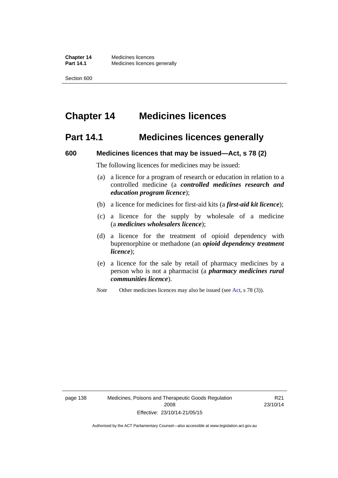# **Chapter 14 Medicines licences**

## **Part 14.1 Medicines licences generally**

#### **600 Medicines licences that may be issued—Act, s 78 (2)**

The following licences for medicines may be issued:

- (a) a licence for a program of research or education in relation to a controlled medicine (a *controlled medicines research and education program licence*);
- (b) a licence for medicines for first-aid kits (a *first-aid kit licence*);
- (c) a licence for the supply by wholesale of a medicine (a *medicines wholesalers licence*);
- (d) a licence for the treatment of opioid dependency with buprenorphine or methadone (an *opioid dependency treatment licence*);
- (e) a licence for the sale by retail of pharmacy medicines by a person who is not a pharmacist (a *pharmacy medicines rural communities licence*).
- *Note* Other medicines licences may also be issued (see [Act,](http://www.legislation.act.gov.au/a/2008-26/default.asp) s 78 (3)).

R21 23/10/14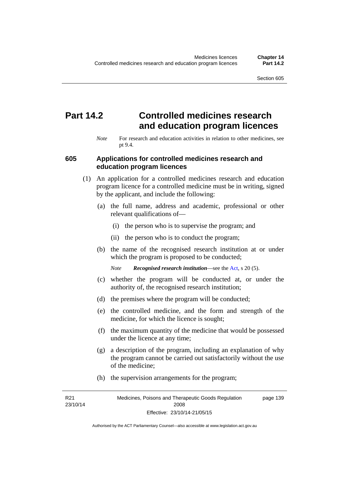# **Part 14.2 Controlled medicines research and education program licences**

*Note* For research and education activities in relation to other medicines, see pt 9.4.

### **605 Applications for controlled medicines research and education program licences**

- (1) An application for a controlled medicines research and education program licence for a controlled medicine must be in writing, signed by the applicant, and include the following:
	- (a) the full name, address and academic, professional or other relevant qualifications of—
		- (i) the person who is to supervise the program; and
		- (ii) the person who is to conduct the program;
	- (b) the name of the recognised research institution at or under which the program is proposed to be conducted;
		- *Note Recognised research institution*—see the [Act](http://www.legislation.act.gov.au/a/2008-26/default.asp), s 20 (5).
	- (c) whether the program will be conducted at, or under the authority of, the recognised research institution;
	- (d) the premises where the program will be conducted;
	- (e) the controlled medicine, and the form and strength of the medicine, for which the licence is sought;
	- (f) the maximum quantity of the medicine that would be possessed under the licence at any time;
	- (g) a description of the program, including an explanation of why the program cannot be carried out satisfactorily without the use of the medicine;
	- (h) the supervision arrangements for the program;

R21 23/10/14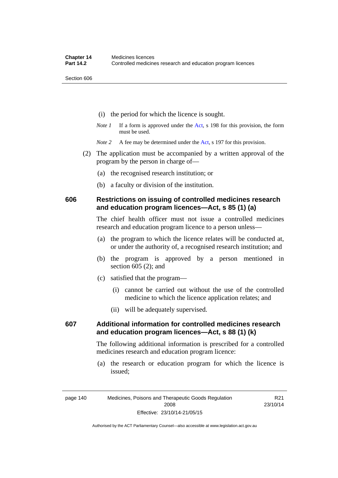- (i) the period for which the licence is sought.
- *Note 1* If a form is approved under the [Act](http://www.legislation.act.gov.au/a/2008-26/default.asp), s 198 for this provision, the form must be used.

*Note* 2 A fee may be determined under the [Act,](http://www.legislation.act.gov.au/a/2008-26/default.asp) s 197 for this provision.

- (2) The application must be accompanied by a written approval of the program by the person in charge of—
	- (a) the recognised research institution; or
	- (b) a faculty or division of the institution.

## **606 Restrictions on issuing of controlled medicines research and education program licences—Act, s 85 (1) (a)**

The chief health officer must not issue a controlled medicines research and education program licence to a person unless—

- (a) the program to which the licence relates will be conducted at, or under the authority of, a recognised research institution; and
- (b) the program is approved by a person mentioned in section 605 (2); and
- (c) satisfied that the program—
	- (i) cannot be carried out without the use of the controlled medicine to which the licence application relates; and
	- (ii) will be adequately supervised.

## **607 Additional information for controlled medicines research and education program licences—Act, s 88 (1) (k)**

The following additional information is prescribed for a controlled medicines research and education program licence:

 (a) the research or education program for which the licence is issued;

Authorised by the ACT Parliamentary Counsel—also accessible at www.legislation.act.gov.au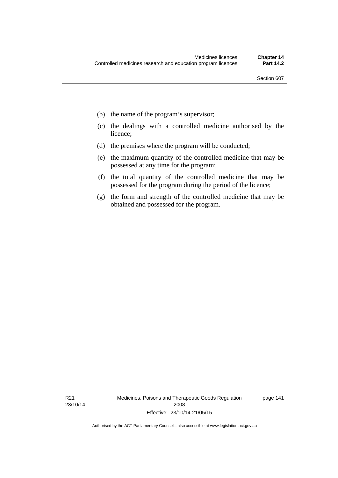- (b) the name of the program's supervisor;
- (c) the dealings with a controlled medicine authorised by the licence;
- (d) the premises where the program will be conducted;
- (e) the maximum quantity of the controlled medicine that may be possessed at any time for the program;
- (f) the total quantity of the controlled medicine that may be possessed for the program during the period of the licence;
- (g) the form and strength of the controlled medicine that may be obtained and possessed for the program.

R21 23/10/14 Medicines, Poisons and Therapeutic Goods Regulation 2008 Effective: 23/10/14-21/05/15

page 141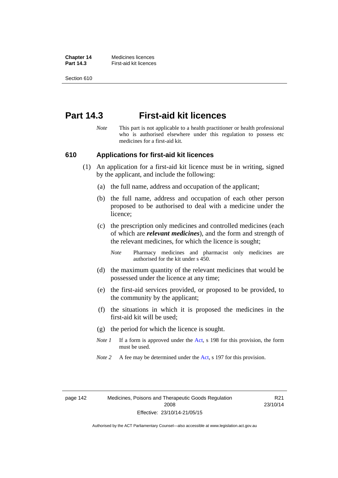**Chapter 14** Medicines licences **Part 14.3 First-aid kit licences** 

Section 610

## **Part 14.3 First-aid kit licences**

*Note* This part is not applicable to a health practitioner or health professional who is authorised elsewhere under this regulation to possess etc medicines for a first-aid kit.

#### **610 Applications for first-aid kit licences**

- (1) An application for a first-aid kit licence must be in writing, signed by the applicant, and include the following:
	- (a) the full name, address and occupation of the applicant;
	- (b) the full name, address and occupation of each other person proposed to be authorised to deal with a medicine under the licence;
	- (c) the prescription only medicines and controlled medicines (each of which are *relevant medicines*), and the form and strength of the relevant medicines, for which the licence is sought;
		- *Note* Pharmacy medicines and pharmacist only medicines are authorised for the kit under s 450.
	- (d) the maximum quantity of the relevant medicines that would be possessed under the licence at any time;
	- (e) the first-aid services provided, or proposed to be provided, to the community by the applicant;
	- (f) the situations in which it is proposed the medicines in the first-aid kit will be used;
	- (g) the period for which the licence is sought.
	- *Note 1* If a form is approved under the [Act](http://www.legislation.act.gov.au/a/2008-26/default.asp), s 198 for this provision, the form must be used.
	- *Note 2* A fee may be determined under the [Act,](http://www.legislation.act.gov.au/a/2008-26/default.asp) s 197 for this provision.

page 142 Medicines, Poisons and Therapeutic Goods Regulation 2008 Effective: 23/10/14-21/05/15

R21 23/10/14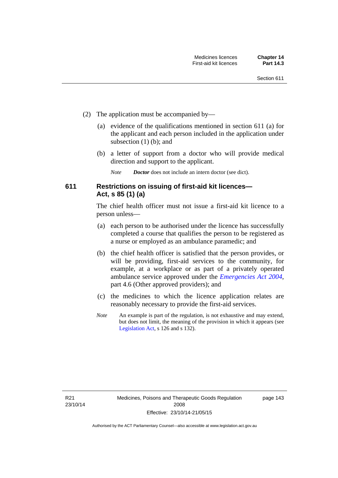- (2) The application must be accompanied by—
	- (a) evidence of the qualifications mentioned in section 611 (a) for the applicant and each person included in the application under subsection (1) (b); and
	- (b) a letter of support from a doctor who will provide medical direction and support to the applicant.
		- *Note Doctor* does not include an intern doctor (see dict).

## **611 Restrictions on issuing of first-aid kit licences— Act, s 85 (1) (a)**

The chief health officer must not issue a first-aid kit licence to a person unless—

- (a) each person to be authorised under the licence has successfully completed a course that qualifies the person to be registered as a nurse or employed as an ambulance paramedic; and
- (b) the chief health officer is satisfied that the person provides, or will be providing, first-aid services to the community, for example, at a workplace or as part of a privately operated ambulance service approved under the *[Emergencies Act 2004](http://www.legislation.act.gov.au/a/2004-28)*, part 4.6 (Other approved providers); and
- (c) the medicines to which the licence application relates are reasonably necessary to provide the first-aid services.
- *Note* An example is part of the regulation, is not exhaustive and may extend, but does not limit, the meaning of the provision in which it appears (see [Legislation Act,](http://www.legislation.act.gov.au/a/2001-14) s 126 and s 132).

page 143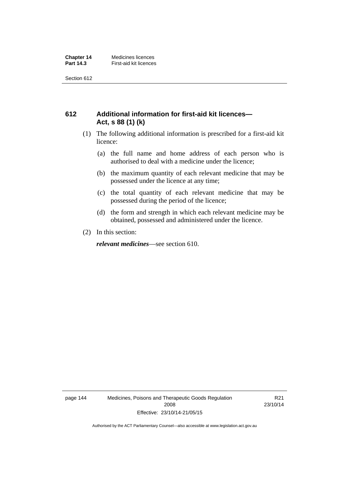## **612 Additional information for first-aid kit licences— Act, s 88 (1) (k)**

- (1) The following additional information is prescribed for a first-aid kit licence:
	- (a) the full name and home address of each person who is authorised to deal with a medicine under the licence;
	- (b) the maximum quantity of each relevant medicine that may be possessed under the licence at any time;
	- (c) the total quantity of each relevant medicine that may be possessed during the period of the licence;
	- (d) the form and strength in which each relevant medicine may be obtained, possessed and administered under the licence.
- (2) In this section:

*relevant medicines*—see section 610.

page 144 Medicines, Poisons and Therapeutic Goods Regulation 2008 Effective: 23/10/14-21/05/15

R21 23/10/14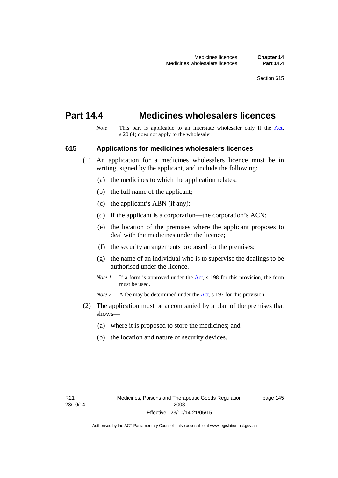## **Part 14.4 Medicines wholesalers licences**

*Note* This part is applicable to an interstate wholesaler only if the [Act,](http://www.legislation.act.gov.au/a/2008-26/default.asp) s  $20(4)$  does not apply to the wholesaler.

#### **615 Applications for medicines wholesalers licences**

- (1) An application for a medicines wholesalers licence must be in writing, signed by the applicant, and include the following:
	- (a) the medicines to which the application relates;
	- (b) the full name of the applicant;
	- (c) the applicant's ABN (if any);
	- (d) if the applicant is a corporation—the corporation's ACN;
	- (e) the location of the premises where the applicant proposes to deal with the medicines under the licence;
	- (f) the security arrangements proposed for the premises;
	- (g) the name of an individual who is to supervise the dealings to be authorised under the licence.
	- *Note 1* If a form is approved under the [Act](http://www.legislation.act.gov.au/a/2008-26/default.asp), s 198 for this provision, the form must be used.

*Note* 2 A fee may be determined under the [Act,](http://www.legislation.act.gov.au/a/2008-26/default.asp) s 197 for this provision.

- (2) The application must be accompanied by a plan of the premises that shows—
	- (a) where it is proposed to store the medicines; and
	- (b) the location and nature of security devices.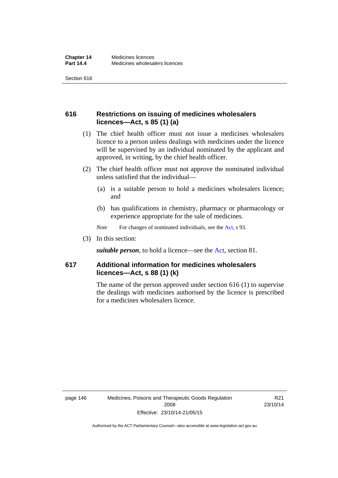## **616 Restrictions on issuing of medicines wholesalers licences—Act, s 85 (1) (a)**

- (1) The chief health officer must not issue a medicines wholesalers licence to a person unless dealings with medicines under the licence will be supervised by an individual nominated by the applicant and approved, in writing, by the chief health officer.
- (2) The chief health officer must not approve the nominated individual unless satisfied that the individual—
	- (a) is a suitable person to hold a medicines wholesalers licence; and
	- (b) has qualifications in chemistry, pharmacy or pharmacology or experience appropriate for the sale of medicines.
	- *Note* For changes of nominated individuals, see the [Act,](http://www.legislation.act.gov.au/a/2008-26/default.asp) s 93.
- (3) In this section:

*suitable person*, to hold a licence—see the [Act](http://www.legislation.act.gov.au/a/2008-26/default.asp), section 81.

## **617 Additional information for medicines wholesalers licences—Act, s 88 (1) (k)**

The name of the person approved under section 616 (1) to supervise the dealings with medicines authorised by the licence is prescribed for a medicines wholesalers licence.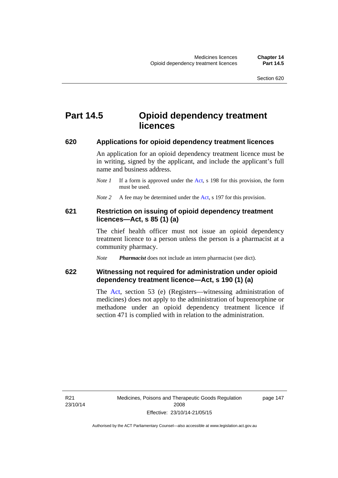# **Part 14.5 Opioid dependency treatment licences**

#### **620 Applications for opioid dependency treatment licences**

An application for an opioid dependency treatment licence must be in writing, signed by the applicant, and include the applicant's full name and business address.

- *Note 1* If a form is approved under the [Act](http://www.legislation.act.gov.au/a/2008-26/default.asp), s 198 for this provision, the form must be used.
- *Note 2* A fee may be determined under the [Act,](http://www.legislation.act.gov.au/a/2008-26/default.asp) s 197 for this provision.

## **621 Restriction on issuing of opioid dependency treatment licences—Act, s 85 (1) (a)**

The chief health officer must not issue an opioid dependency treatment licence to a person unless the person is a pharmacist at a community pharmacy.

*Note Pharmacist* does not include an intern pharmacist (see dict).

## **622 Witnessing not required for administration under opioid dependency treatment licence—Act, s 190 (1) (a)**

The [Act,](http://www.legislation.act.gov.au/a/2008-26/default.asp) section 53 (e) (Registers—witnessing administration of medicines) does not apply to the administration of buprenorphine or methadone under an opioid dependency treatment licence if section 471 is complied with in relation to the administration.

R21 23/10/14 page 147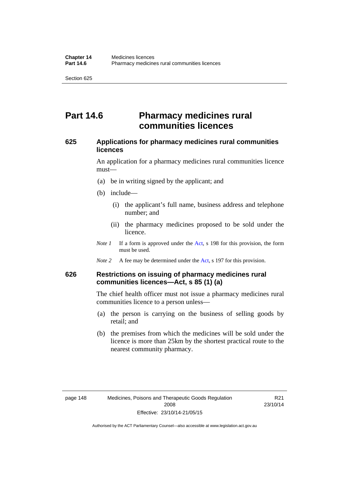# **Part 14.6 Pharmacy medicines rural communities licences**

## **625 Applications for pharmacy medicines rural communities licences**

An application for a pharmacy medicines rural communities licence must—

- (a) be in writing signed by the applicant; and
- (b) include—
	- (i) the applicant's full name, business address and telephone number; and
	- (ii) the pharmacy medicines proposed to be sold under the licence.
- *Note 1* If a form is approved under the [Act](http://www.legislation.act.gov.au/a/2008-26/default.asp), s 198 for this provision, the form must be used.
- *Note 2* A fee may be determined under the [Act,](http://www.legislation.act.gov.au/a/2008-26/default.asp) s 197 for this provision.

## **626 Restrictions on issuing of pharmacy medicines rural communities licences—Act, s 85 (1) (a)**

The chief health officer must not issue a pharmacy medicines rural communities licence to a person unless—

- (a) the person is carrying on the business of selling goods by retail; and
- (b) the premises from which the medicines will be sold under the licence is more than 25km by the shortest practical route to the nearest community pharmacy.

R21 23/10/14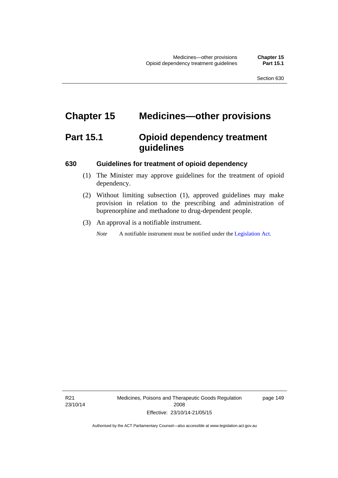# **Chapter 15 Medicines—other provisions**

# **Part 15.1 Opioid dependency treatment guidelines**

### **630 Guidelines for treatment of opioid dependency**

- (1) The Minister may approve guidelines for the treatment of opioid dependency.
- (2) Without limiting subsection (1), approved guidelines may make provision in relation to the prescribing and administration of buprenorphine and methadone to drug-dependent people.
- (3) An approval is a notifiable instrument.

*Note* A notifiable instrument must be notified under the [Legislation Act](http://www.legislation.act.gov.au/a/2001-14).

R21 23/10/14 Medicines, Poisons and Therapeutic Goods Regulation 2008 Effective: 23/10/14-21/05/15

page 149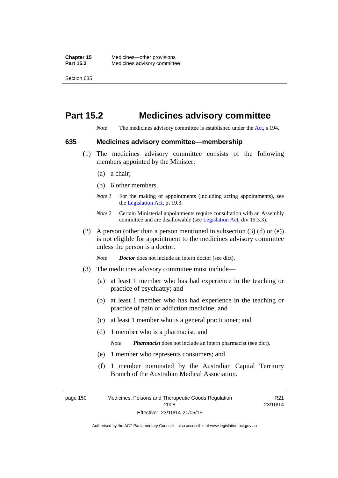# **Part 15.2 Medicines advisory committee**

*Note* The medicines advisory committee is established under the [Act](http://www.legislation.act.gov.au/a/2008-26/default.asp), s 194.

#### **635 Medicines advisory committee—membership**

- (1) The medicines advisory committee consists of the following members appointed by the Minister:
	- (a) a chair;
	- (b) 6 other members.
	- *Note 1* For the making of appointments (including acting appointments), see the [Legislation Act,](http://www.legislation.act.gov.au/a/2001-14) pt 19.3.
	- *Note 2* Certain Ministerial appointments require consultation with an Assembly committee and are disallowable (see [Legislation Act,](http://www.legislation.act.gov.au/a/2001-14) div 19.3.3).
- (2) A person (other than a person mentioned in subsection  $(3)$  (d) or  $(e)$ ) is not eligible for appointment to the medicines advisory committee unless the person is a doctor.

*Note Doctor* does not include an intern doctor (see dict).

- (3) The medicines advisory committee must include—
	- (a) at least 1 member who has had experience in the teaching or practice of psychiatry; and
	- (b) at least 1 member who has had experience in the teaching or practice of pain or addiction medicine; and
	- (c) at least 1 member who is a general practitioner; and
	- (d) 1 member who is a pharmacist; and

*Note Pharmacist* does not include an intern pharmacist (see dict).

- (e) 1 member who represents consumers; and
- (f) 1 member nominated by the Australian Capital Territory Branch of the Australian Medical Association.

R21

page 150 Medicines, Poisons and Therapeutic Goods Regulation 2008 Effective: 23/10/14-21/05/15 23/10/14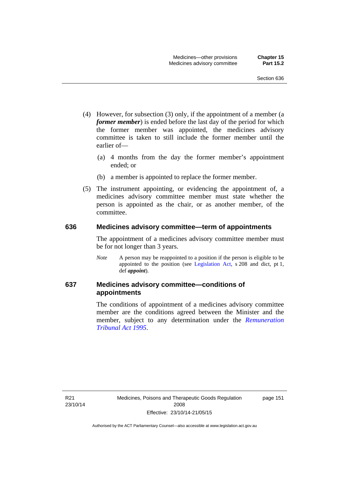- (4) However, for subsection (3) only, if the appointment of a member (a *former member*) is ended before the last day of the period for which the former member was appointed, the medicines advisory committee is taken to still include the former member until the earlier of—
	- (a) 4 months from the day the former member's appointment ended; or
	- (b) a member is appointed to replace the former member.
- (5) The instrument appointing, or evidencing the appointment of, a medicines advisory committee member must state whether the person is appointed as the chair, or as another member, of the committee.

#### **636 Medicines advisory committee—term of appointments**

The appointment of a medicines advisory committee member must be for not longer than 3 years.

*Note* A person may be reappointed to a position if the person is eligible to be appointed to the position (see [Legislation Act,](http://www.legislation.act.gov.au/a/2001-14) s 208 and dict, pt 1, def *appoint*).

## **637 Medicines advisory committee—conditions of appointments**

The conditions of appointment of a medicines advisory committee member are the conditions agreed between the Minister and the member, subject to any determination under the *[Remuneration](http://www.legislation.act.gov.au/a/1995-55)  [Tribunal Act 1995](http://www.legislation.act.gov.au/a/1995-55)*.

R21 23/10/14 page 151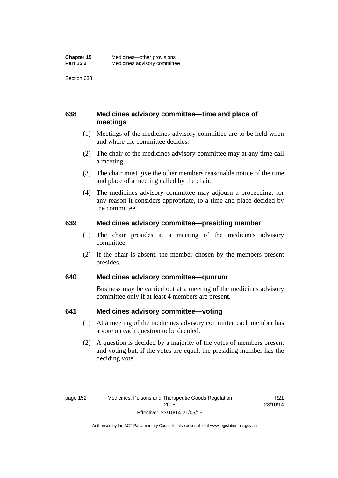## **638 Medicines advisory committee—time and place of meetings**

- (1) Meetings of the medicines advisory committee are to be held when and where the committee decides.
- (2) The chair of the medicines advisory committee may at any time call a meeting.
- (3) The chair must give the other members reasonable notice of the time and place of a meeting called by the chair.
- (4) The medicines advisory committee may adjourn a proceeding, for any reason it considers appropriate, to a time and place decided by the committee.

### **639 Medicines advisory committee—presiding member**

- (1) The chair presides at a meeting of the medicines advisory committee.
- (2) If the chair is absent, the member chosen by the members present presides.

## **640 Medicines advisory committee—quorum**

Business may be carried out at a meeting of the medicines advisory committee only if at least 4 members are present.

## **641 Medicines advisory committee—voting**

- (1) At a meeting of the medicines advisory committee each member has a vote on each question to be decided.
- (2) A question is decided by a majority of the votes of members present and voting but, if the votes are equal, the presiding member has the deciding vote.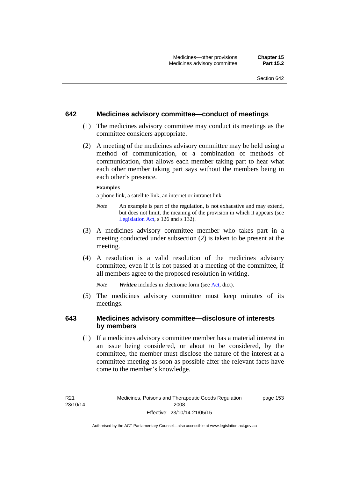### **642 Medicines advisory committee—conduct of meetings**

- (1) The medicines advisory committee may conduct its meetings as the committee considers appropriate.
- (2) A meeting of the medicines advisory committee may be held using a method of communication, or a combination of methods of communication, that allows each member taking part to hear what each other member taking part says without the members being in each other's presence.

#### **Examples**

a phone link, a satellite link, an internet or intranet link

- *Note* An example is part of the regulation, is not exhaustive and may extend, but does not limit, the meaning of the provision in which it appears (see [Legislation Act,](http://www.legislation.act.gov.au/a/2001-14) s 126 and s 132).
- (3) A medicines advisory committee member who takes part in a meeting conducted under subsection (2) is taken to be present at the meeting.
- (4) A resolution is a valid resolution of the medicines advisory committee, even if it is not passed at a meeting of the committee, if all members agree to the proposed resolution in writing.

*Note Written* includes in electronic form (see [Act,](http://www.legislation.act.gov.au/a/2008-26/default.asp) dict).

 (5) The medicines advisory committee must keep minutes of its meetings.

### **643 Medicines advisory committee—disclosure of interests by members**

 (1) If a medicines advisory committee member has a material interest in an issue being considered, or about to be considered, by the committee, the member must disclose the nature of the interest at a committee meeting as soon as possible after the relevant facts have come to the member's knowledge.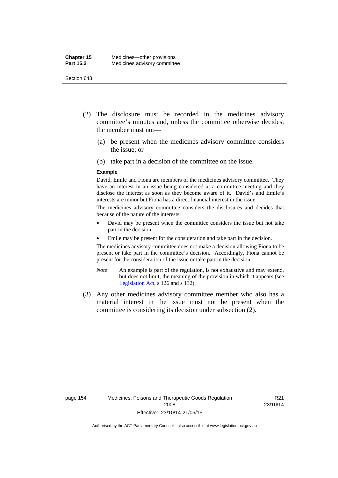- (2) The disclosure must be recorded in the medicines advisory committee's minutes and, unless the committee otherwise decides, the member must not—
	- (a) be present when the medicines advisory committee considers the issue; or
	- (b) take part in a decision of the committee on the issue.

#### **Example**

David, Emile and Fiona are members of the medicines advisory committee. They have an interest in an issue being considered at a committee meeting and they disclose the interest as soon as they become aware of it. David's and Emile's interests are minor but Fiona has a direct financial interest in the issue.

The medicines advisory committee considers the disclosures and decides that because of the nature of the interests:

- David may be present when the committee considers the issue but not take part in the decision
- Emile may be present for the consideration and take part in the decision.

The medicines advisory committee does not make a decision allowing Fiona to be present or take part in the committee's decision. Accordingly, Fiona cannot be present for the consideration of the issue or take part in the decision.

- *Note* An example is part of the regulation, is not exhaustive and may extend, but does not limit, the meaning of the provision in which it appears (see [Legislation Act,](http://www.legislation.act.gov.au/a/2001-14) s 126 and s 132).
- (3) Any other medicines advisory committee member who also has a material interest in the issue must not be present when the committee is considering its decision under subsection (2).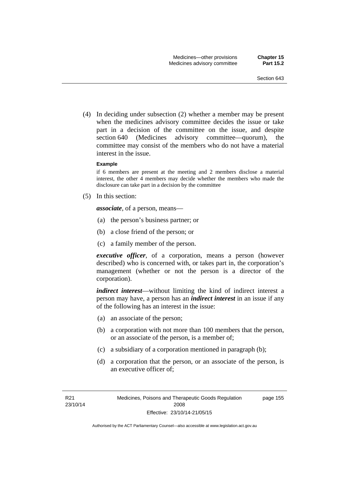(4) In deciding under subsection (2) whether a member may be present when the medicines advisory committee decides the issue or take part in a decision of the committee on the issue, and despite section 640 (Medicines advisory committee—quorum), the committee may consist of the members who do not have a material interest in the issue.

#### **Example**

if 6 members are present at the meeting and 2 members disclose a material interest, the other 4 members may decide whether the members who made the disclosure can take part in a decision by the committee

(5) In this section:

*associate*, of a person, means—

- (a) the person's business partner; or
- (b) a close friend of the person; or
- (c) a family member of the person.

*executive officer*, of a corporation, means a person (however described) who is concerned with, or takes part in, the corporation's management (whether or not the person is a director of the corporation).

*indirect interest*—without limiting the kind of indirect interest a person may have, a person has an *indirect interest* in an issue if any of the following has an interest in the issue:

- (a) an associate of the person;
- (b) a corporation with not more than 100 members that the person, or an associate of the person, is a member of;
- (c) a subsidiary of a corporation mentioned in paragraph (b);
- (d) a corporation that the person, or an associate of the person, is an executive officer of;

page 155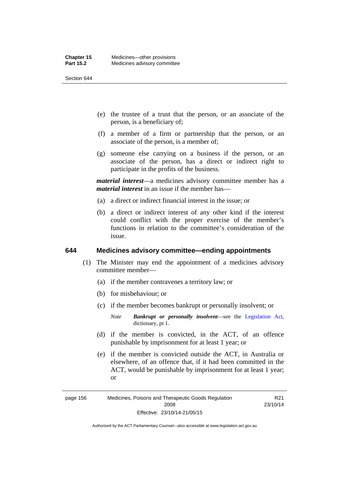- (e) the trustee of a trust that the person, or an associate of the person, is a beneficiary of;
- (f) a member of a firm or partnership that the person, or an associate of the person, is a member of;
- (g) someone else carrying on a business if the person, or an associate of the person, has a direct or indirect right to participate in the profits of the business.

*material interest*—a medicines advisory committee member has a *material interest* in an issue if the member has—

- (a) a direct or indirect financial interest in the issue; or
- (b) a direct or indirect interest of any other kind if the interest could conflict with the proper exercise of the member's functions in relation to the committee's consideration of the issue.

#### **644 Medicines advisory committee—ending appointments**

- (1) The Minister may end the appointment of a medicines advisory committee member—
	- (a) if the member contravenes a territory law; or
	- (b) for misbehaviour; or
	- (c) if the member becomes bankrupt or personally insolvent; or
		- *Note Bankrupt or personally insolvent*—see the [Legislation Act,](http://www.legislation.act.gov.au/a/2001-14) dictionary, pt 1.
	- (d) if the member is convicted, in the ACT, of an offence punishable by imprisonment for at least 1 year; or
	- (e) if the member is convicted outside the ACT, in Australia or elsewhere, of an offence that, if it had been committed in the ACT, would be punishable by imprisonment for at least 1 year; or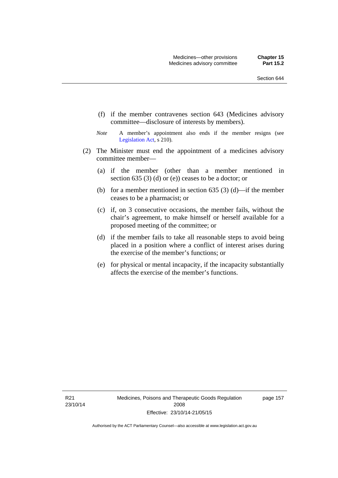- (f) if the member contravenes section 643 (Medicines advisory committee—disclosure of interests by members).
- *Note* A member's appointment also ends if the member resigns (see [Legislation Act,](http://www.legislation.act.gov.au/a/2001-14) s 210).
- (2) The Minister must end the appointment of a medicines advisory committee member—
	- (a) if the member (other than a member mentioned in section 635 (3) (d) or (e)) ceases to be a doctor; or
	- (b) for a member mentioned in section 635 (3) (d)—if the member ceases to be a pharmacist; or
	- (c) if, on 3 consecutive occasions, the member fails, without the chair's agreement, to make himself or herself available for a proposed meeting of the committee; or
	- (d) if the member fails to take all reasonable steps to avoid being placed in a position where a conflict of interest arises during the exercise of the member's functions; or
	- (e) for physical or mental incapacity, if the incapacity substantially affects the exercise of the member's functions.

R21 23/10/14 page 157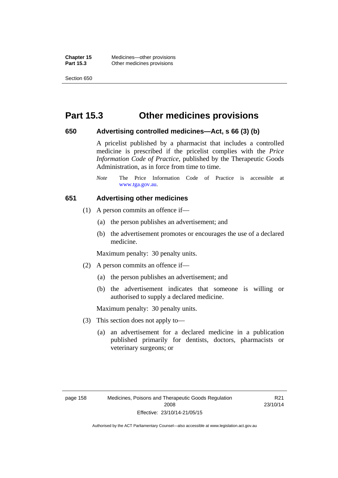**Chapter 15** Medicines—other provisions **Part 15.3 Other medicines provisions** 

Section 650

### **Part 15.3 Other medicines provisions**

#### **650 Advertising controlled medicines—Act, s 66 (3) (b)**

A pricelist published by a pharmacist that includes a controlled medicine is prescribed if the pricelist complies with the *Price Information Code of Practice*, published by the Therapeutic Goods Administration, as in force from time to time.

#### **651 Advertising other medicines**

- (1) A person commits an offence if—
	- (a) the person publishes an advertisement; and
	- (b) the advertisement promotes or encourages the use of a declared medicine.

Maximum penalty: 30 penalty units.

- (2) A person commits an offence if—
	- (a) the person publishes an advertisement; and
	- (b) the advertisement indicates that someone is willing or authorised to supply a declared medicine.

Maximum penalty: 30 penalty units.

- (3) This section does not apply to—
	- (a) an advertisement for a declared medicine in a publication published primarily for dentists, doctors, pharmacists or veterinary surgeons; or

*Note* The Price Information Code of Practice is accessible at [www.tga.gov.au.](http://www.tga.gov.au/)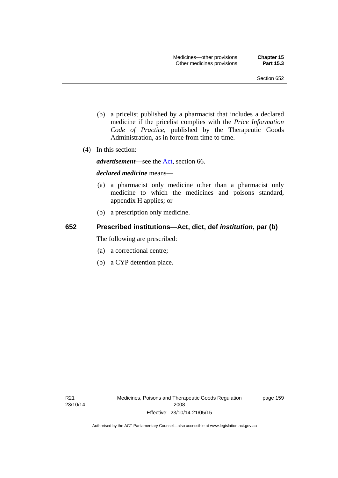- (b) a pricelist published by a pharmacist that includes a declared medicine if the pricelist complies with the *Price Information Code of Practice*, published by the Therapeutic Goods Administration, as in force from time to time.
- (4) In this section:

*advertisement*—see the [Act,](http://www.legislation.act.gov.au/a/2008-26/default.asp) section 66.

#### *declared medicine* means—

- (a) a pharmacist only medicine other than a pharmacist only medicine to which the medicines and poisons standard, appendix H applies; or
- (b) a prescription only medicine.

### **652 Prescribed institutions—Act, dict, def** *institution***, par (b)**

The following are prescribed:

- (a) a correctional centre;
- (b) a CYP detention place.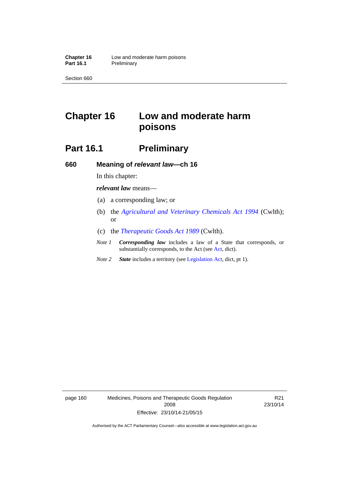# **Chapter 16 Low and moderate harm poisons**

# **Part 16.1** Preliminary

**660 Meaning of** *relevant law***—ch 16** 

In this chapter:

*relevant law* means—

- (a) a corresponding law; or
- (b) the *[Agricultural and Veterinary Chemicals Act 1994](http://www.comlaw.gov.au/Series/C2004A04712)* (Cwlth); or
- (c) the *[Therapeutic Goods Act 1989](http://www.comlaw.gov.au/Series/C2004A03952)* (Cwlth).
- *Note 1 Corresponding law* includes a law of a State that corresponds, or substantially corresponds, to the Act (see [Act](http://www.legislation.act.gov.au/a/2008-26/default.asp), dict).
- *Note 2 State* includes a territory (see [Legislation Act,](http://www.legislation.act.gov.au/a/2001-14) dict, pt 1).

page 160 Medicines, Poisons and Therapeutic Goods Regulation 2008 Effective: 23/10/14-21/05/15

R21 23/10/14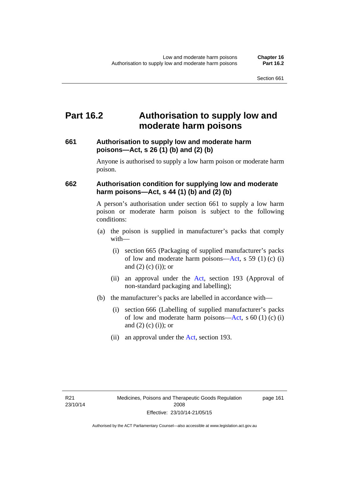## **Part 16.2 Authorisation to supply low and moderate harm poisons**

### **661 Authorisation to supply low and moderate harm poisons—Act, s 26 (1) (b) and (2) (b)**

Anyone is authorised to supply a low harm poison or moderate harm poison.

### **662 Authorisation condition for supplying low and moderate harm poisons—Act, s 44 (1) (b) and (2) (b)**

A person's authorisation under section 661 to supply a low harm poison or moderate harm poison is subject to the following conditions:

- (a) the poison is supplied in manufacturer's packs that comply with—
	- (i) section 665 (Packaging of supplied manufacturer's packs of low and moderate harm poisons—[Act](http://www.legislation.act.gov.au/a/2008-26/default.asp), s 59 (1) (c) (i) and  $(2)$  (c) (i)); or
	- (ii) an approval under the [Act](http://www.legislation.act.gov.au/a/2008-26/default.asp), section 193 (Approval of non-standard packaging and labelling);
- (b) the manufacturer's packs are labelled in accordance with—
	- (i) section 666 (Labelling of supplied manufacturer's packs of low and moderate harm poisons—[Act](http://www.legislation.act.gov.au/a/2008-26/default.asp), s  $60(1)(c)(i)$ and  $(2)$  (c)  $(i)$ ; or
	- (ii) an approval under the [Act,](http://www.legislation.act.gov.au/a/2008-26/default.asp) section 193.

page 161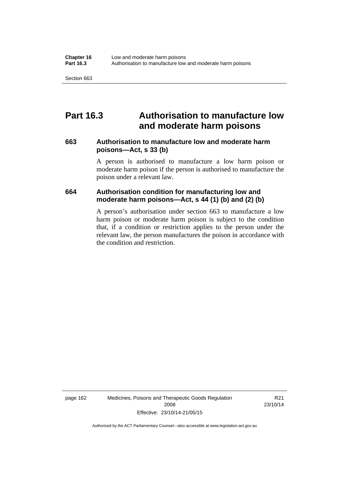## **Part 16.3 Authorisation to manufacture low and moderate harm poisons**

#### **663 Authorisation to manufacture low and moderate harm poisons—Act, s 33 (b)**

A person is authorised to manufacture a low harm poison or moderate harm poison if the person is authorised to manufacture the poison under a relevant law.

#### **664 Authorisation condition for manufacturing low and moderate harm poisons—Act, s 44 (1) (b) and (2) (b)**

A person's authorisation under section 663 to manufacture a low harm poison or moderate harm poison is subject to the condition that, if a condition or restriction applies to the person under the relevant law, the person manufactures the poison in accordance with the condition and restriction.

page 162 Medicines, Poisons and Therapeutic Goods Regulation 2008 Effective: 23/10/14-21/05/15

R21 23/10/14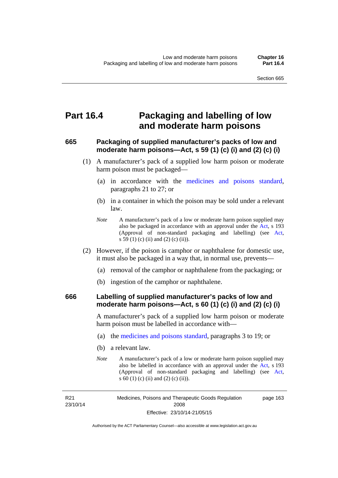## **Part 16.4 Packaging and labelling of low and moderate harm poisons**

### **665 Packaging of supplied manufacturer's packs of low and moderate harm poisons—Act, s 59 (1) (c) (i) and (2) (c) (i)**

- (1) A manufacturer's pack of a supplied low harm poison or moderate harm poison must be packaged—
	- (a) in accordance with the [medicines and poisons standard](http://www.comlaw.gov.au/Series/F2012L01200), paragraphs 21 to 27; or
	- (b) in a container in which the poison may be sold under a relevant law.
	- *Note* A manufacturer's pack of a low or moderate harm poison supplied may also be packaged in accordance with an approval under the [Act](http://www.legislation.act.gov.au/a/2008-26/default.asp), s 193 (Approval of non-standard packaging and labelling) (see [Act,](http://www.legislation.act.gov.au/a/2008-26/default.asp) s 59 (1) (c) (ii) and (2) (c) (ii)).
- (2) However, if the poison is camphor or naphthalene for domestic use, it must also be packaged in a way that, in normal use, prevents—
	- (a) removal of the camphor or naphthalene from the packaging; or
	- (b) ingestion of the camphor or naphthalene.

#### **666 Labelling of supplied manufacturer's packs of low and moderate harm poisons—Act, s 60 (1) (c) (i) and (2) (c) (i)**

A manufacturer's pack of a supplied low harm poison or moderate harm poison must be labelled in accordance with—

- (a) the [medicines and poisons standard](http://www.comlaw.gov.au/Series/F2012L01200), paragraphs 3 to 19; or
- (b) a relevant law.
- *Note* A manufacturer's pack of a low or moderate harm poison supplied may also be labelled in accordance with an approval under the [Act](http://www.legislation.act.gov.au/a/2008-26/default.asp), s 193 (Approval of non-standard packaging and labelling) (see [Act,](http://www.legislation.act.gov.au/a/2008-26/default.asp) s 60 (1) (c) (ii) and (2) (c) (ii)).

R21 23/10/14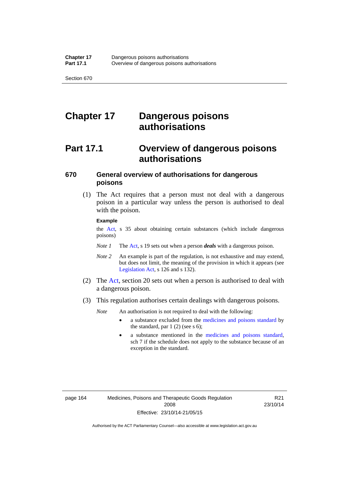# **Chapter 17 Dangerous poisons authorisations**

# **Part 17.1 Overview of dangerous poisons authorisations**

### **670 General overview of authorisations for dangerous poisons**

 (1) The Act requires that a person must not deal with a dangerous poison in a particular way unless the person is authorised to deal with the poison.

#### **Example**

the [Act,](http://www.legislation.act.gov.au/a/2008-26/default.asp) s 35 about obtaining certain substances (which include dangerous poisons)

- *Note 1* The [Act,](http://www.legislation.act.gov.au/a/2008-26/default.asp) s 19 sets out when a person *deals* with a dangerous poison.
- *Note 2* An example is part of the regulation, is not exhaustive and may extend, but does not limit, the meaning of the provision in which it appears (see [Legislation Act,](http://www.legislation.act.gov.au/a/2001-14) s 126 and s 132).
- (2) The [Act](http://www.legislation.act.gov.au/a/2008-26/default.asp), section 20 sets out when a person is authorised to deal with a dangerous poison.
- (3) This regulation authorises certain dealings with dangerous poisons.

*Note* An authorisation is not required to deal with the following:

- a substance excluded from the [medicines and poisons standard](http://www.comlaw.gov.au/Series/F2012L01200) by the standard, par  $1(2)$  (see s 6);
- a substance mentioned in the [medicines and poisons standard,](http://www.comlaw.gov.au/Series/F2012L01200) sch 7 if the schedule does not apply to the substance because of an exception in the standard.

R21 23/10/14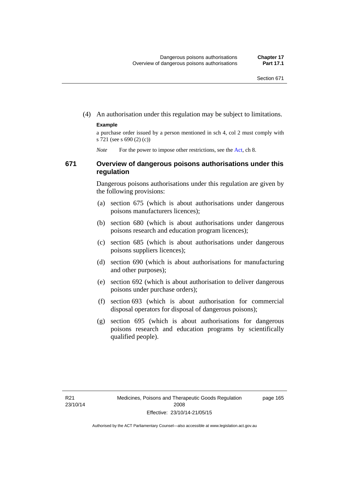(4) An authorisation under this regulation may be subject to limitations.

#### **Example**

a purchase order issued by a person mentioned in sch 4, col 2 must comply with s 721 (see s 690 (2) (c))

*Note* For the power to impose other restrictions, see the [Act](http://www.legislation.act.gov.au/a/2008-26/default.asp), ch 8.

#### **671 Overview of dangerous poisons authorisations under this regulation**

Dangerous poisons authorisations under this regulation are given by the following provisions:

- (a) section 675 (which is about authorisations under dangerous poisons manufacturers licences);
- (b) section 680 (which is about authorisations under dangerous poisons research and education program licences);
- (c) section 685 (which is about authorisations under dangerous poisons suppliers licences);
- (d) section 690 (which is about authorisations for manufacturing and other purposes);
- (e) section 692 (which is about authorisation to deliver dangerous poisons under purchase orders);
- (f) section 693 (which is about authorisation for commercial disposal operators for disposal of dangerous poisons);
- (g) section 695 (which is about authorisations for dangerous poisons research and education programs by scientifically qualified people).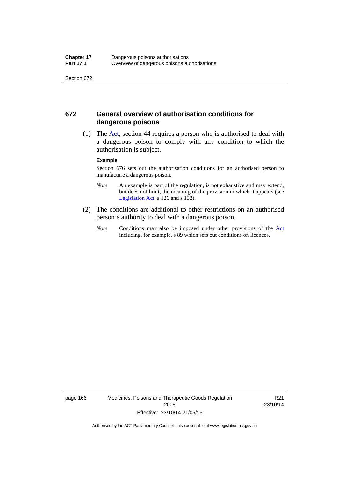#### **672 General overview of authorisation conditions for dangerous poisons**

 (1) The [Act](http://www.legislation.act.gov.au/a/2008-26/default.asp), section 44 requires a person who is authorised to deal with a dangerous poison to comply with any condition to which the authorisation is subject.

#### **Example**

Section 676 sets out the authorisation conditions for an authorised person to manufacture a dangerous poison.

- *Note* An example is part of the regulation, is not exhaustive and may extend, but does not limit, the meaning of the provision in which it appears (see [Legislation Act,](http://www.legislation.act.gov.au/a/2001-14) s 126 and s 132).
- (2) The conditions are additional to other restrictions on an authorised person's authority to deal with a dangerous poison.
	- *Note* Conditions may also be imposed under other provisions of the [Act](http://www.legislation.act.gov.au/a/2008-26/default.asp) including, for example, s 89 which sets out conditions on licences.

page 166 Medicines, Poisons and Therapeutic Goods Regulation 2008 Effective: 23/10/14-21/05/15

R21 23/10/14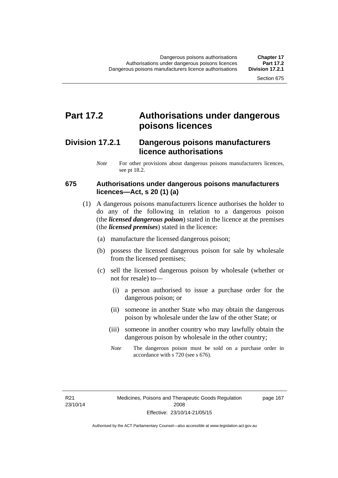### **Part 17.2 Authorisations under dangerous poisons licences**

### **Division 17.2.1 Dangerous poisons manufacturers licence authorisations**

*Note* For other provisions about dangerous poisons manufacturers licences, see pt 18.2.

#### **675 Authorisations under dangerous poisons manufacturers licences—Act, s 20 (1) (a)**

- (1) A dangerous poisons manufacturers licence authorises the holder to do any of the following in relation to a dangerous poison (the *licensed dangerous poison*) stated in the licence at the premises (the *licensed premises*) stated in the licence:
	- (a) manufacture the licensed dangerous poison;
	- (b) possess the licensed dangerous poison for sale by wholesale from the licensed premises;
	- (c) sell the licensed dangerous poison by wholesale (whether or not for resale) to—
		- (i) a person authorised to issue a purchase order for the dangerous poison; or
		- (ii) someone in another State who may obtain the dangerous poison by wholesale under the law of the other State; or
		- (iii) someone in another country who may lawfully obtain the dangerous poison by wholesale in the other country;
		- *Note* The dangerous poison must be sold on a purchase order in accordance with s 720 (see s 676).

R21 23/10/14 page 167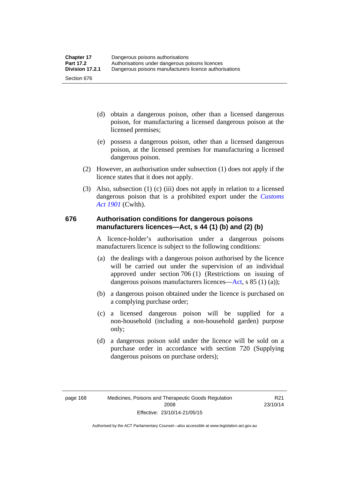- (d) obtain a dangerous poison, other than a licensed dangerous poison, for manufacturing a licensed dangerous poison at the licensed premises;
- (e) possess a dangerous poison, other than a licensed dangerous poison, at the licensed premises for manufacturing a licensed dangerous poison.
- (2) However, an authorisation under subsection (1) does not apply if the licence states that it does not apply.
- (3) Also, subsection (1) (c) (iii) does not apply in relation to a licensed dangerous poison that is a prohibited export under the *[Customs](http://www.comlaw.gov.au/Series/C1901A00006)  [Act 1901](http://www.comlaw.gov.au/Series/C1901A00006)* (Cwlth).

#### **676 Authorisation conditions for dangerous poisons manufacturers licences—Act, s 44 (1) (b) and (2) (b)**

A licence-holder's authorisation under a dangerous poisons manufacturers licence is subject to the following conditions:

- (a) the dealings with a dangerous poison authorised by the licence will be carried out under the supervision of an individual approved under section 706 (1) (Restrictions on issuing of dangerous poisons manufacturers licences[—Act,](http://www.legislation.act.gov.au/a/2008-26/default.asp) s 85 (1) (a));
- (b) a dangerous poison obtained under the licence is purchased on a complying purchase order;
- (c) a licensed dangerous poison will be supplied for a non-household (including a non-household garden) purpose only;
- (d) a dangerous poison sold under the licence will be sold on a purchase order in accordance with section 720 (Supplying dangerous poisons on purchase orders);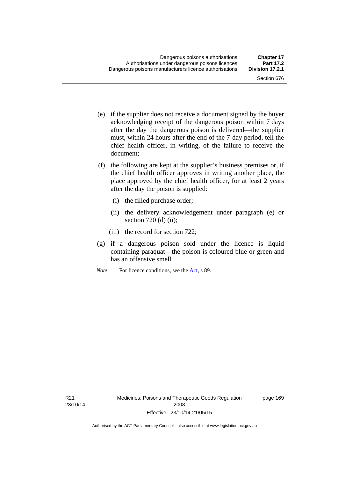- (e) if the supplier does not receive a document signed by the buyer acknowledging receipt of the dangerous poison within 7 days after the day the dangerous poison is delivered—the supplier must, within 24 hours after the end of the 7-day period, tell the chief health officer, in writing, of the failure to receive the document;
- (f) the following are kept at the supplier's business premises or, if the chief health officer approves in writing another place, the place approved by the chief health officer, for at least 2 years after the day the poison is supplied:
	- (i) the filled purchase order;
	- (ii) the delivery acknowledgement under paragraph (e) or section 720 (d) (ii);
	- (iii) the record for section 722;
- (g) if a dangerous poison sold under the licence is liquid containing paraquat—the poison is coloured blue or green and has an offensive smell.
- *Note* For licence conditions, see the [Act](http://www.legislation.act.gov.au/a/2008-26/default.asp), s 89.

page 169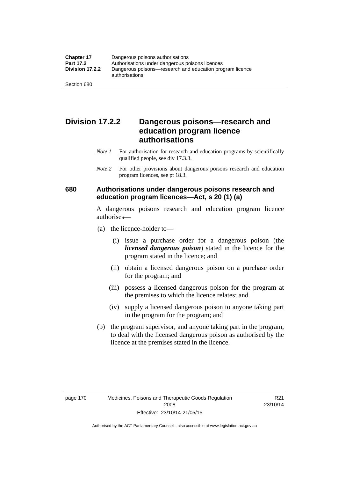### **Division 17.2.2 Dangerous poisons—research and education program licence authorisations**

- *Note 1* For authorisation for research and education programs by scientifically qualified people, see div 17.3.3.
- *Note 2* For other provisions about dangerous poisons research and education program licences, see pt 18.3.

#### **680 Authorisations under dangerous poisons research and education program licences—Act, s 20 (1) (a)**

A dangerous poisons research and education program licence authorises—

- (a) the licence-holder to—
	- (i) issue a purchase order for a dangerous poison (the *licensed dangerous poison*) stated in the licence for the program stated in the licence; and
	- (ii) obtain a licensed dangerous poison on a purchase order for the program; and
	- (iii) possess a licensed dangerous poison for the program at the premises to which the licence relates; and
	- (iv) supply a licensed dangerous poison to anyone taking part in the program for the program; and
- (b) the program supervisor, and anyone taking part in the program, to deal with the licensed dangerous poison as authorised by the licence at the premises stated in the licence.

R21 23/10/14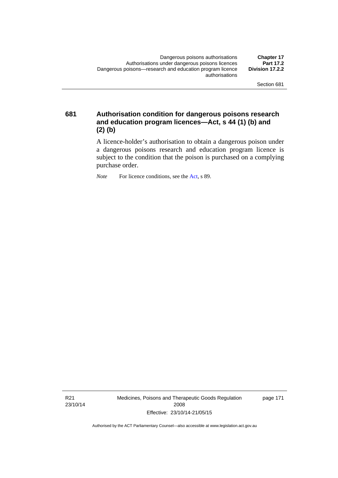**681 Authorisation condition for dangerous poisons research and education program licences—Act, s 44 (1) (b) and (2) (b)** 

> A licence-holder's authorisation to obtain a dangerous poison under a dangerous poisons research and education program licence is subject to the condition that the poison is purchased on a complying purchase order.

*Note* For licence conditions, see the [Act](http://www.legislation.act.gov.au/a/2008-26/default.asp), s 89.

R21 23/10/14 Medicines, Poisons and Therapeutic Goods Regulation 2008 Effective: 23/10/14-21/05/15

page 171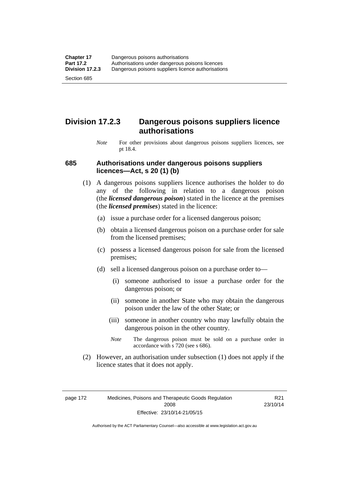### **Division 17.2.3 Dangerous poisons suppliers licence authorisations**

*Note* For other provisions about dangerous poisons suppliers licences, see pt 18.4.

#### **685 Authorisations under dangerous poisons suppliers licences—Act, s 20 (1) (b)**

- (1) A dangerous poisons suppliers licence authorises the holder to do any of the following in relation to a dangerous poison (the *licensed dangerous poison*) stated in the licence at the premises (the *licensed premises*) stated in the licence:
	- (a) issue a purchase order for a licensed dangerous poison;
	- (b) obtain a licensed dangerous poison on a purchase order for sale from the licensed premises;
	- (c) possess a licensed dangerous poison for sale from the licensed premises;
	- (d) sell a licensed dangerous poison on a purchase order to—
		- (i) someone authorised to issue a purchase order for the dangerous poison; or
		- (ii) someone in another State who may obtain the dangerous poison under the law of the other State; or
		- (iii) someone in another country who may lawfully obtain the dangerous poison in the other country.
		- *Note* The dangerous poison must be sold on a purchase order in accordance with s 720 (see s 686).
- (2) However, an authorisation under subsection (1) does not apply if the licence states that it does not apply.

page 172 Medicines, Poisons and Therapeutic Goods Regulation 2008 Effective: 23/10/14-21/05/15

R21 23/10/14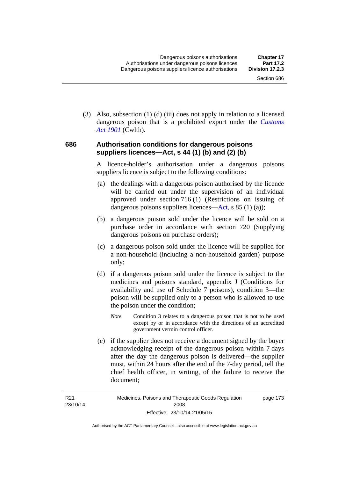(3) Also, subsection (1) (d) (iii) does not apply in relation to a licensed dangerous poison that is a prohibited export under the *[Customs](http://www.comlaw.gov.au/Series/C1901A00006)  [Act 1901](http://www.comlaw.gov.au/Series/C1901A00006)* (Cwlth).

#### **686 Authorisation conditions for dangerous poisons suppliers licences—Act, s 44 (1) (b) and (2) (b)**

A licence-holder's authorisation under a dangerous poisons suppliers licence is subject to the following conditions:

- (a) the dealings with a dangerous poison authorised by the licence will be carried out under the supervision of an individual approved under section 716 (1) (Restrictions on issuing of dangerous poisons suppliers licences—[Act](http://www.legislation.act.gov.au/a/2008-26/default.asp), s 85 (1) (a));
- (b) a dangerous poison sold under the licence will be sold on a purchase order in accordance with section 720 (Supplying dangerous poisons on purchase orders);
- (c) a dangerous poison sold under the licence will be supplied for a non-household (including a non-household garden) purpose only;
- (d) if a dangerous poison sold under the licence is subject to the medicines and poisons standard, appendix J (Conditions for availability and use of Schedule 7 poisons), condition 3—the poison will be supplied only to a person who is allowed to use the poison under the condition;
	- *Note* Condition 3 relates to a dangerous poison that is not to be used except by or in accordance with the directions of an accredited government vermin control officer.
- (e) if the supplier does not receive a document signed by the buyer acknowledging receipt of the dangerous poison within 7 days after the day the dangerous poison is delivered—the supplier must, within 24 hours after the end of the 7-day period, tell the chief health officer, in writing, of the failure to receive the document;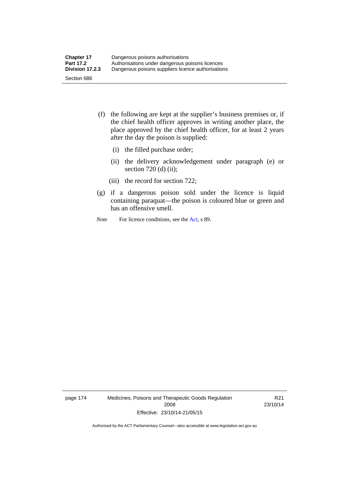- (f) the following are kept at the supplier's business premises or, if the chief health officer approves in writing another place, the place approved by the chief health officer, for at least 2 years after the day the poison is supplied:
	- (i) the filled purchase order;
	- (ii) the delivery acknowledgement under paragraph (e) or section 720 (d) (ii);
	- (iii) the record for section 722;
- (g) if a dangerous poison sold under the licence is liquid containing paraquat—the poison is coloured blue or green and has an offensive smell.
- *Note* For licence conditions, see the [Act](http://www.legislation.act.gov.au/a/2008-26/default.asp), s 89.

page 174 Medicines, Poisons and Therapeutic Goods Regulation 2008 Effective: 23/10/14-21/05/15

R21 23/10/14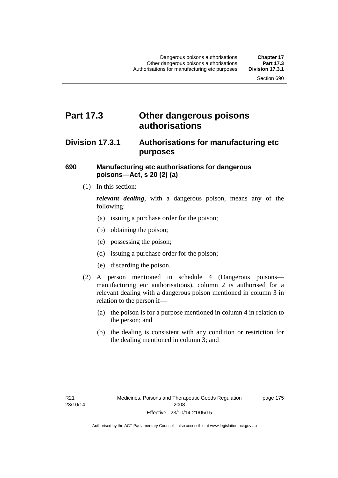## **Part 17.3 Other dangerous poisons authorisations**

### **Division 17.3.1 Authorisations for manufacturing etc purposes**

#### **690 Manufacturing etc authorisations for dangerous poisons—Act, s 20 (2) (a)**

(1) In this section:

*relevant dealing*, with a dangerous poison, means any of the following:

- (a) issuing a purchase order for the poison;
- (b) obtaining the poison;
- (c) possessing the poison;
- (d) issuing a purchase order for the poison;
- (e) discarding the poison.
- (2) A person mentioned in schedule 4 (Dangerous poisons manufacturing etc authorisations), column 2 is authorised for a relevant dealing with a dangerous poison mentioned in column 3 in relation to the person if—
	- (a) the poison is for a purpose mentioned in column 4 in relation to the person; and
	- (b) the dealing is consistent with any condition or restriction for the dealing mentioned in column 3; and

page 175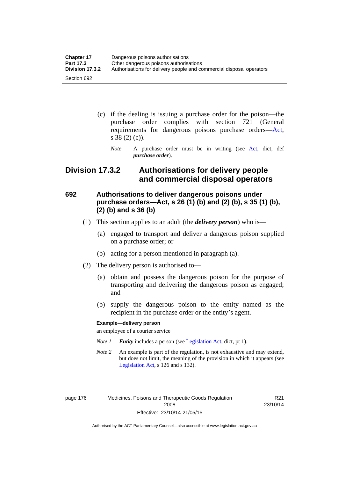| <b>Chapter 17</b> | Dangerous poisons authorisations                                     |
|-------------------|----------------------------------------------------------------------|
| <b>Part 17.3</b>  | Other dangerous poisons authorisations                               |
| Division 17.3.2   | Authorisations for delivery people and commercial disposal operators |
| Section 692       |                                                                      |

- (c) if the dealing is issuing a purchase order for the poison—the purchase order complies with section 721 (General requirements for dangerous poisons purchase orders[—Act](http://www.legislation.act.gov.au/a/2008-26/default.asp), s 38 (2) (c)).
	- *Note* A purchase order must be in writing (see [Act](http://www.legislation.act.gov.au/a/2008-26/default.asp), dict, def *purchase order*).

### **Division 17.3.2 Authorisations for delivery people and commercial disposal operators**

### **692 Authorisations to deliver dangerous poisons under purchase orders—Act, s 26 (1) (b) and (2) (b), s 35 (1) (b), (2) (b) and s 36 (b)**

- (1) This section applies to an adult (the *delivery person*) who is—
	- (a) engaged to transport and deliver a dangerous poison supplied on a purchase order; or
	- (b) acting for a person mentioned in paragraph (a).
- (2) The delivery person is authorised to—
	- (a) obtain and possess the dangerous poison for the purpose of transporting and delivering the dangerous poison as engaged; and
	- (b) supply the dangerous poison to the entity named as the recipient in the purchase order or the entity's agent.

#### **Example—delivery person**

an employee of a courier service

- *Note 1 Entity* includes a person (see [Legislation Act,](http://www.legislation.act.gov.au/a/2001-14) dict, pt 1).
- *Note 2* An example is part of the regulation, is not exhaustive and may extend, but does not limit, the meaning of the provision in which it appears (see [Legislation Act,](http://www.legislation.act.gov.au/a/2001-14) s 126 and s 132).

page 176 Medicines, Poisons and Therapeutic Goods Regulation 2008 Effective: 23/10/14-21/05/15

R21 23/10/14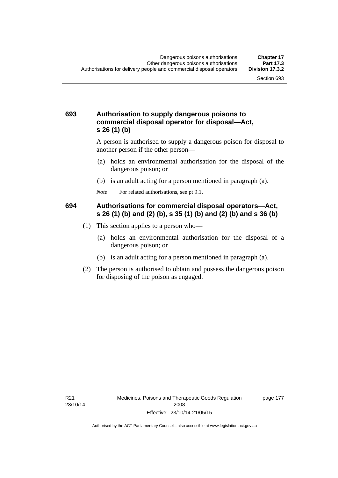#### **693 Authorisation to supply dangerous poisons to commercial disposal operator for disposal—Act, s 26 (1) (b)**

A person is authorised to supply a dangerous poison for disposal to another person if the other person—

- (a) holds an environmental authorisation for the disposal of the dangerous poison; or
- (b) is an adult acting for a person mentioned in paragraph (a).
- *Note* For related authorisations, see pt 9.1.

#### **694 Authorisations for commercial disposal operators—Act, s 26 (1) (b) and (2) (b), s 35 (1) (b) and (2) (b) and s 36 (b)**

- (1) This section applies to a person who—
	- (a) holds an environmental authorisation for the disposal of a dangerous poison; or
	- (b) is an adult acting for a person mentioned in paragraph (a).
- (2) The person is authorised to obtain and possess the dangerous poison for disposing of the poison as engaged.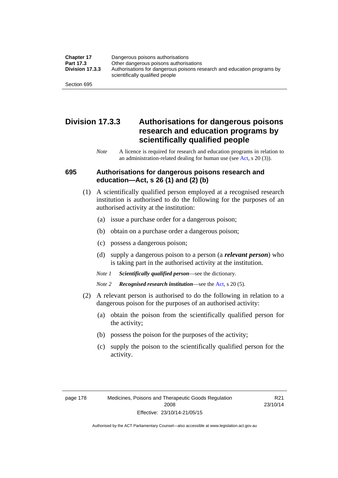| <b>Chapter 17</b> | Dangerous poisons authorisations                                                                           |
|-------------------|------------------------------------------------------------------------------------------------------------|
| Part 17.3         | Other dangerous poisons authorisations                                                                     |
| Division 17.3.3   | Authorisations for dangerous poisons research and education programs by<br>scientifically qualified people |
| Section 695       |                                                                                                            |

### **Division 17.3.3 Authorisations for dangerous poisons research and education programs by scientifically qualified people**

*Note* A licence is required for research and education programs in relation to an administration-related dealing for human use (see [Act](http://www.legislation.act.gov.au/a/2008-26/default.asp), s 20 (3)).

#### **695 Authorisations for dangerous poisons research and education—Act, s 26 (1) and (2) (b)**

- (1) A scientifically qualified person employed at a recognised research institution is authorised to do the following for the purposes of an authorised activity at the institution:
	- (a) issue a purchase order for a dangerous poison;
	- (b) obtain on a purchase order a dangerous poison;
	- (c) possess a dangerous poison;
	- (d) supply a dangerous poison to a person (a *relevant person*) who is taking part in the authorised activity at the institution.
	- *Note 1 Scientifically qualified person*—see the dictionary.
	- *Note 2 Recognised research institution*—see the [Act](http://www.legislation.act.gov.au/a/2008-26/default.asp), s 20 (5).
- (2) A relevant person is authorised to do the following in relation to a dangerous poison for the purposes of an authorised activity:
	- (a) obtain the poison from the scientifically qualified person for the activity;
	- (b) possess the poison for the purposes of the activity;
	- (c) supply the poison to the scientifically qualified person for the activity.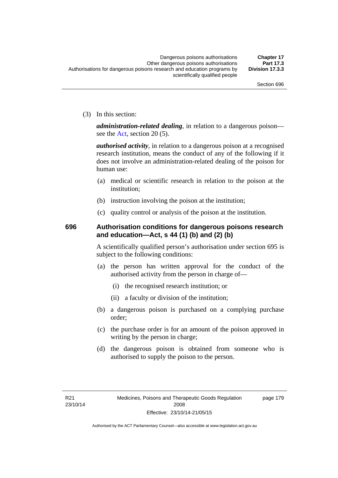(3) In this section:

*administration-related dealing*, in relation to a dangerous poison— see the [Act](http://www.legislation.act.gov.au/a/2008-26/default.asp), section 20 (5).

*authorised activity*, in relation to a dangerous poison at a recognised research institution, means the conduct of any of the following if it does not involve an administration-related dealing of the poison for human use:

- (a) medical or scientific research in relation to the poison at the institution;
- (b) instruction involving the poison at the institution;
- (c) quality control or analysis of the poison at the institution.

### **696 Authorisation conditions for dangerous poisons research and education—Act, s 44 (1) (b) and (2) (b)**

A scientifically qualified person's authorisation under section 695 is subject to the following conditions:

- (a) the person has written approval for the conduct of the authorised activity from the person in charge of—
	- (i) the recognised research institution; or
	- (ii) a faculty or division of the institution;
- (b) a dangerous poison is purchased on a complying purchase order;
- (c) the purchase order is for an amount of the poison approved in writing by the person in charge;
- (d) the dangerous poison is obtained from someone who is authorised to supply the poison to the person.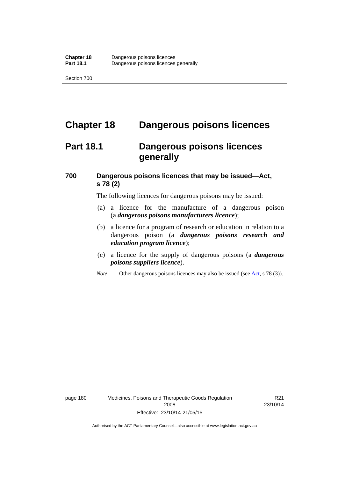## **Chapter 18 Dangerous poisons licences**

## **Part 18.1 Dangerous poisons licences generally**

### **700 Dangerous poisons licences that may be issued—Act, s 78 (2)**

The following licences for dangerous poisons may be issued:

- (a) a licence for the manufacture of a dangerous poison (a *dangerous poisons manufacturers licence*);
- (b) a licence for a program of research or education in relation to a dangerous poison (a *dangerous poisons research and education program licence*);
- (c) a licence for the supply of dangerous poisons (a *dangerous poisons suppliers licence*).
- *Note* Other dangerous poisons licences may also be issued (see [Act](http://www.legislation.act.gov.au/a/2008-26/default.asp), s 78 (3)).

page 180 Medicines, Poisons and Therapeutic Goods Regulation 2008 Effective: 23/10/14-21/05/15

R21 23/10/14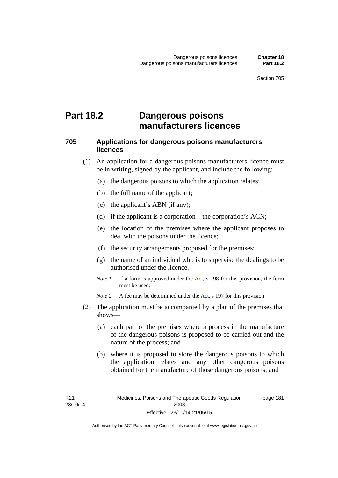## **Part 18.2 Dangerous poisons manufacturers licences**

#### **705 Applications for dangerous poisons manufacturers licences**

- (1) An application for a dangerous poisons manufacturers licence must be in writing, signed by the applicant, and include the following:
	- (a) the dangerous poisons to which the application relates;
	- (b) the full name of the applicant;
	- (c) the applicant's ABN (if any);
	- (d) if the applicant is a corporation—the corporation's ACN;
	- (e) the location of the premises where the applicant proposes to deal with the poisons under the licence;
	- (f) the security arrangements proposed for the premises;
	- (g) the name of an individual who is to supervise the dealings to be authorised under the licence.
	- *Note 1* If a form is approved under the [Act](http://www.legislation.act.gov.au/a/2008-26/default.asp), s 198 for this provision, the form must be used.

*Note 2* A fee may be determined under the [Act,](http://www.legislation.act.gov.au/a/2008-26/default.asp) s 197 for this provision.

- (2) The application must be accompanied by a plan of the premises that shows—
	- (a) each part of the premises where a process in the manufacture of the dangerous poisons is proposed to be carried out and the nature of the process; and
	- (b) where it is proposed to store the dangerous poisons to which the application relates and any other dangerous poisons obtained for the manufacture of those dangerous poisons; and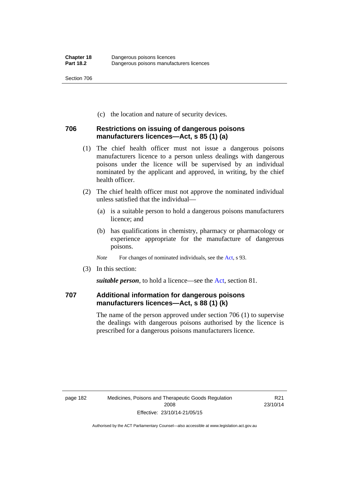(c) the location and nature of security devices.

#### **706 Restrictions on issuing of dangerous poisons manufacturers licences—Act, s 85 (1) (a)**

- (1) The chief health officer must not issue a dangerous poisons manufacturers licence to a person unless dealings with dangerous poisons under the licence will be supervised by an individual nominated by the applicant and approved, in writing, by the chief health officer.
- (2) The chief health officer must not approve the nominated individual unless satisfied that the individual—
	- (a) is a suitable person to hold a dangerous poisons manufacturers licence; and
	- (b) has qualifications in chemistry, pharmacy or pharmacology or experience appropriate for the manufacture of dangerous poisons.
	- *Note* For changes of nominated individuals, see the [Act,](http://www.legislation.act.gov.au/a/2008-26/default.asp) s 93.
- (3) In this section:

*suitable person*, to hold a licence—see the [Act](http://www.legislation.act.gov.au/a/2008-26/default.asp), section 81.

### **707 Additional information for dangerous poisons manufacturers licences—Act, s 88 (1) (k)**

The name of the person approved under section 706 (1) to supervise the dealings with dangerous poisons authorised by the licence is prescribed for a dangerous poisons manufacturers licence.

R21 23/10/14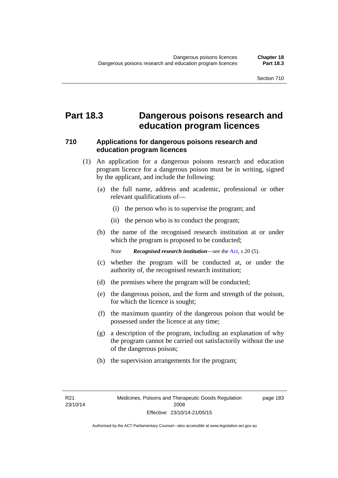### **Part 18.3 Dangerous poisons research and education program licences**

#### **710 Applications for dangerous poisons research and education program licences**

- (1) An application for a dangerous poisons research and education program licence for a dangerous poison must be in writing, signed by the applicant, and include the following:
	- (a) the full name, address and academic, professional or other relevant qualifications of—
		- (i) the person who is to supervise the program; and
		- (ii) the person who is to conduct the program;
	- (b) the name of the recognised research institution at or under which the program is proposed to be conducted;

*Note Recognised research institution*—see the [Act](http://www.legislation.act.gov.au/a/2008-26/default.asp), s 20 (5).

- (c) whether the program will be conducted at, or under the authority of, the recognised research institution;
- (d) the premises where the program will be conducted;
- (e) the dangerous poison, and the form and strength of the poison, for which the licence is sought;
- (f) the maximum quantity of the dangerous poison that would be possessed under the licence at any time;
- (g) a description of the program, including an explanation of why the program cannot be carried out satisfactorily without the use of the dangerous poison;
- (h) the supervision arrangements for the program;

page 183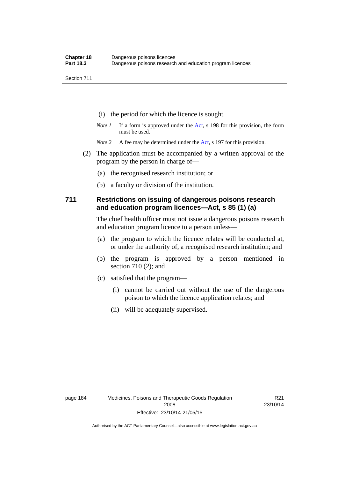- (i) the period for which the licence is sought.
- *Note 1* If a form is approved under the [Act](http://www.legislation.act.gov.au/a/2008-26/default.asp), s 198 for this provision, the form must be used.
- *Note* 2 A fee may be determined under the [Act,](http://www.legislation.act.gov.au/a/2008-26/default.asp) s 197 for this provision.
- (2) The application must be accompanied by a written approval of the program by the person in charge of—
	- (a) the recognised research institution; or
	- (b) a faculty or division of the institution.

#### **711 Restrictions on issuing of dangerous poisons research and education program licences—Act, s 85 (1) (a)**

The chief health officer must not issue a dangerous poisons research and education program licence to a person unless—

- (a) the program to which the licence relates will be conducted at, or under the authority of, a recognised research institution; and
- (b) the program is approved by a person mentioned in section 710 (2); and
- (c) satisfied that the program—
	- (i) cannot be carried out without the use of the dangerous poison to which the licence application relates; and
	- (ii) will be adequately supervised.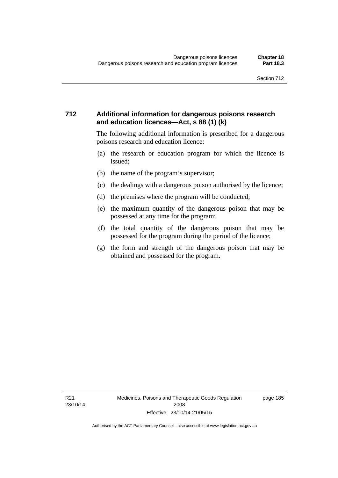#### **712 Additional information for dangerous poisons research and education licences—Act, s 88 (1) (k)**

The following additional information is prescribed for a dangerous poisons research and education licence:

- (a) the research or education program for which the licence is issued;
- (b) the name of the program's supervisor;
- (c) the dealings with a dangerous poison authorised by the licence;
- (d) the premises where the program will be conducted;
- (e) the maximum quantity of the dangerous poison that may be possessed at any time for the program;
- (f) the total quantity of the dangerous poison that may be possessed for the program during the period of the licence;
- (g) the form and strength of the dangerous poison that may be obtained and possessed for the program.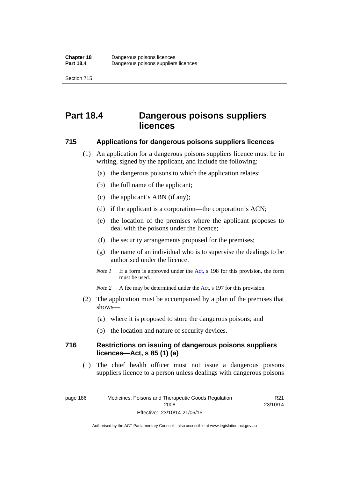## **Part 18.4 Dangerous poisons suppliers licences**

#### **715 Applications for dangerous poisons suppliers licences**

- (1) An application for a dangerous poisons suppliers licence must be in writing, signed by the applicant, and include the following:
	- (a) the dangerous poisons to which the application relates;
	- (b) the full name of the applicant;
	- (c) the applicant's ABN (if any);
	- (d) if the applicant is a corporation—the corporation's ACN;
	- (e) the location of the premises where the applicant proposes to deal with the poisons under the licence;
	- (f) the security arrangements proposed for the premises;
	- (g) the name of an individual who is to supervise the dealings to be authorised under the licence.
	- *Note 1* If a form is approved under the [Act](http://www.legislation.act.gov.au/a/2008-26/default.asp), s 198 for this provision, the form must be used.
	- *Note* 2 A fee may be determined under the [Act,](http://www.legislation.act.gov.au/a/2008-26/default.asp) s 197 for this provision.
- (2) The application must be accompanied by a plan of the premises that shows—
	- (a) where it is proposed to store the dangerous poisons; and
	- (b) the location and nature of security devices.

#### **716 Restrictions on issuing of dangerous poisons suppliers licences—Act, s 85 (1) (a)**

(1) The chief health officer must not issue a dangerous poisons suppliers licence to a person unless dealings with dangerous poisons

page 186 Medicines, Poisons and Therapeutic Goods Regulation 2008 Effective: 23/10/14-21/05/15

R21 23/10/14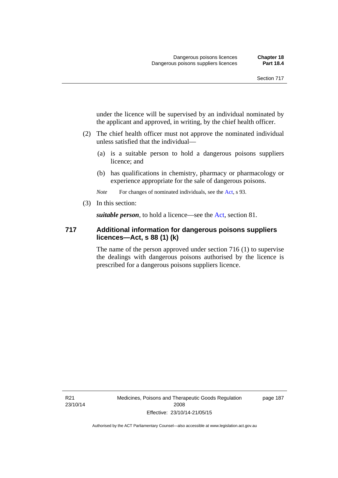under the licence will be supervised by an individual nominated by the applicant and approved, in writing, by the chief health officer.

- (2) The chief health officer must not approve the nominated individual unless satisfied that the individual—
	- (a) is a suitable person to hold a dangerous poisons suppliers licence; and
	- (b) has qualifications in chemistry, pharmacy or pharmacology or experience appropriate for the sale of dangerous poisons.

*Note* For changes of nominated individuals, see the [Act,](http://www.legislation.act.gov.au/a/2008-26/default.asp) s 93.

(3) In this section:

*suitable person*, to hold a licence—see the [Act](http://www.legislation.act.gov.au/a/2008-26/default.asp), section 81.

#### **717 Additional information for dangerous poisons suppliers licences—Act, s 88 (1) (k)**

The name of the person approved under section 716 (1) to supervise the dealings with dangerous poisons authorised by the licence is prescribed for a dangerous poisons suppliers licence.

R21 23/10/14 page 187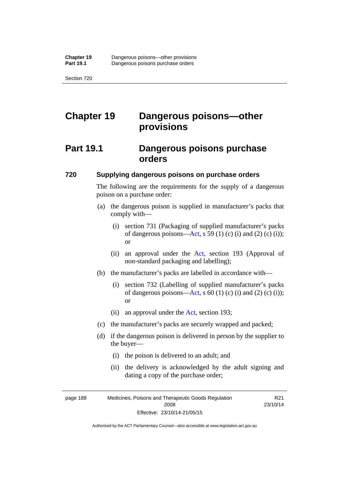# **Chapter 19 Dangerous poisons—other provisions**

## **Part 19.1 Dangerous poisons purchase orders**

#### **720 Supplying dangerous poisons on purchase orders**

The following are the requirements for the supply of a dangerous poison on a purchase order:

- (a) the dangerous poison is supplied in manufacturer's packs that comply with—
	- (i) section 731 (Packaging of supplied manufacturer's packs of dangerous poisons[—Act](http://www.legislation.act.gov.au/a/2008-26/default.asp), s 59 (1) (c) (i) and (2) (c) (i)); or
	- (ii) an approval under the [Act](http://www.legislation.act.gov.au/a/2008-26/default.asp), section 193 (Approval of non-standard packaging and labelling);
- (b) the manufacturer's packs are labelled in accordance with—
	- (i) section 732 (Labelling of supplied manufacturer's packs of dangerous poisons[—Act](http://www.legislation.act.gov.au/a/2008-26/default.asp), s  $60$  (1) (c) (i) and (2) (c) (i)); or
	- (ii) an approval under the [Act,](http://www.legislation.act.gov.au/a/2008-26/default.asp) section 193;
- (c) the manufacturer's packs are securely wrapped and packed;
- (d) if the dangerous poison is delivered in person by the supplier to the buyer—
	- (i) the poison is delivered to an adult; and
	- (ii) the delivery is acknowledged by the adult signing and dating a copy of the purchase order;

page 188 Medicines, Poisons and Therapeutic Goods Regulation 2008 Effective: 23/10/14-21/05/15

R21 23/10/14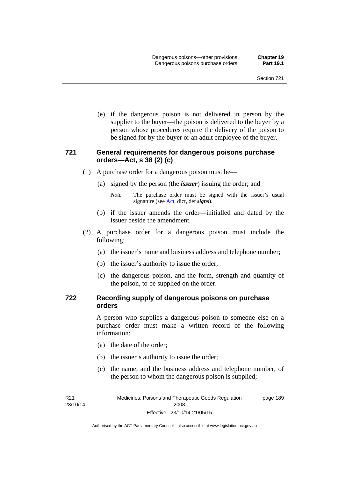(e) if the dangerous poison is not delivered in person by the supplier to the buyer—the poison is delivered to the buyer by a person whose procedures require the delivery of the poison to be signed for by the buyer or an adult employee of the buyer.

#### **721 General requirements for dangerous poisons purchase orders—Act, s 38 (2) (c)**

- (1) A purchase order for a dangerous poison must be—
	- (a) signed by the person (the *issuer*) issuing the order; and
		- *Note* The purchase order must be signed with the issuer's usual signature (see [Act](http://www.legislation.act.gov.au/a/2008-26/default.asp), dict, def *signs*).
	- (b) if the issuer amends the order—initialled and dated by the issuer beside the amendment.
- (2) A purchase order for a dangerous poison must include the following:
	- (a) the issuer's name and business address and telephone number;
	- (b) the issuer's authority to issue the order;
	- (c) the dangerous poison, and the form, strength and quantity of the poison, to be supplied on the order.

#### **722 Recording supply of dangerous poisons on purchase orders**

A person who supplies a dangerous poison to someone else on a purchase order must make a written record of the following information:

- (a) the date of the order;
- (b) the issuer's authority to issue the order;
- (c) the name, and the business address and telephone number, of the person to whom the dangerous poison is supplied;

R21 23/10/14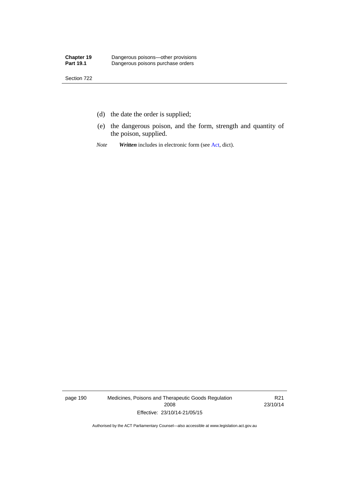- (d) the date the order is supplied;
- (e) the dangerous poison, and the form, strength and quantity of the poison, supplied.
- *Note Written* includes in electronic form (see [Act,](http://www.legislation.act.gov.au/a/2008-26/default.asp) dict).

page 190 Medicines, Poisons and Therapeutic Goods Regulation 2008 Effective: 23/10/14-21/05/15

R21 23/10/14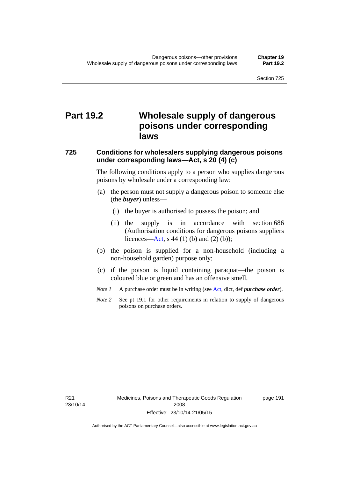# **Part 19.2 Wholesale supply of dangerous poisons under corresponding laws**

#### **725 Conditions for wholesalers supplying dangerous poisons under corresponding laws—Act, s 20 (4) (c)**

The following conditions apply to a person who supplies dangerous poisons by wholesale under a corresponding law:

- (a) the person must not supply a dangerous poison to someone else (the *buyer*) unless—
	- (i) the buyer is authorised to possess the poison; and
	- (ii) the supply is in accordance with section 686 (Authorisation conditions for dangerous poisons suppliers licences—[Act,](http://www.legislation.act.gov.au/a/2008-26/default.asp) s 44 (1) (b) and (2) (b));
- (b) the poison is supplied for a non-household (including a non-household garden) purpose only;
- (c) if the poison is liquid containing paraquat—the poison is coloured blue or green and has an offensive smell.
- *Note 1* A purchase order must be in writing (see [Act,](http://www.legislation.act.gov.au/a/2008-26/default.asp) dict, def *purchase order*).
- *Note* 2 See pt 19.1 for other requirements in relation to supply of dangerous poisons on purchase orders.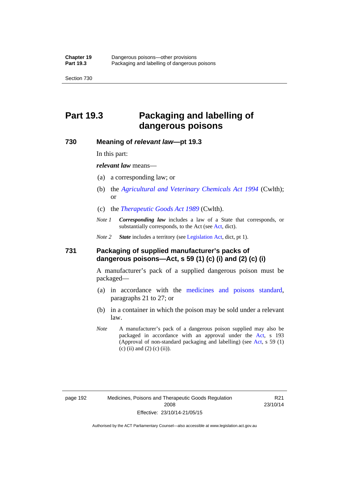# **Part 19.3 Packaging and labelling of dangerous poisons**

#### **730 Meaning of** *relevant law***—pt 19.3**

In this part:

*relevant law* means—

- (a) a corresponding law; or
- (b) the *[Agricultural and Veterinary Chemicals Act 1994](http://www.comlaw.gov.au/Series/C2004A04712)* (Cwlth); or
- (c) the *[Therapeutic Goods Act 1989](http://www.comlaw.gov.au/Series/C2004A03952)* (Cwlth).
- *Note 1 Corresponding law* includes a law of a State that corresponds, or substantially corresponds, to the [Act](http://www.legislation.act.gov.au/a/2008-26/default.asp) (see Act, dict).

*Note 2 State* includes a territory (see [Legislation Act,](http://www.legislation.act.gov.au/a/2001-14) dict, pt 1).

#### **731 Packaging of supplied manufacturer's packs of dangerous poisons—Act, s 59 (1) (c) (i) and (2) (c) (i)**

A manufacturer's pack of a supplied dangerous poison must be packaged—

- (a) in accordance with the [medicines and poisons standard](http://www.comlaw.gov.au/Series/F2012L01200), paragraphs 21 to 27; or
- (b) in a container in which the poison may be sold under a relevant law.
- *Note* A manufacturer's pack of a dangerous poison supplied may also be packaged in accordance with an approval under the [Act,](http://www.legislation.act.gov.au/a/2008-26/default.asp) s 193 (Approval of non-standard packaging and labelling) (see [Act](http://www.legislation.act.gov.au/a/2008-26/default.asp), s 59 (1)  $(c)$  (ii) and (2) (c) (ii)).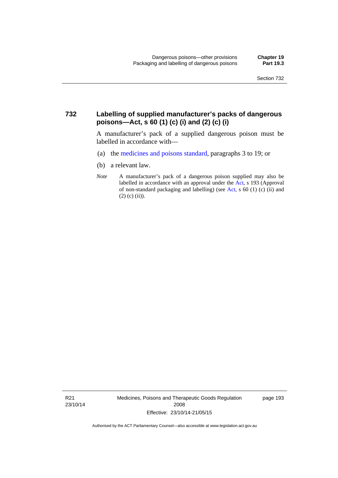### **732 Labelling of supplied manufacturer's packs of dangerous poisons—Act, s 60 (1) (c) (i) and (2) (c) (i)**

A manufacturer's pack of a supplied dangerous poison must be labelled in accordance with—

- (a) the [medicines and poisons standard](http://www.comlaw.gov.au/Series/F2012L01200), paragraphs 3 to 19; or
- (b) a relevant law.
- *Note* A manufacturer's pack of a dangerous poison supplied may also be labelled in accordance with an approval under the [Act](http://www.legislation.act.gov.au/a/2008-26/default.asp), s 193 (Approval of non-standard packaging and labelling) (see [Act,](http://www.legislation.act.gov.au/a/2008-26/default.asp) s 60 (1) (c) (ii) and  $(2)$  (c) (ii)).

R21 23/10/14 Medicines, Poisons and Therapeutic Goods Regulation 2008 Effective: 23/10/14-21/05/15

page 193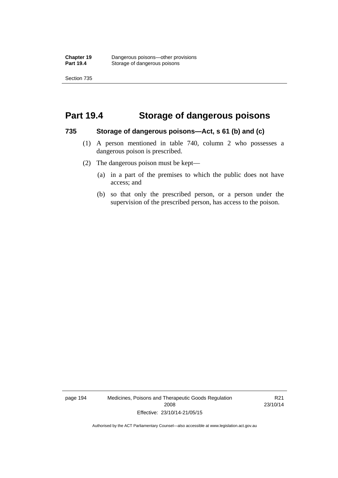Section 735

### **Part 19.4 Storage of dangerous poisons**

#### **735 Storage of dangerous poisons—Act, s 61 (b) and (c)**

- (1) A person mentioned in table 740, column 2 who possesses a dangerous poison is prescribed.
- (2) The dangerous poison must be kept—
	- (a) in a part of the premises to which the public does not have access; and
	- (b) so that only the prescribed person, or a person under the supervision of the prescribed person, has access to the poison.

page 194 Medicines, Poisons and Therapeutic Goods Regulation 2008 Effective: 23/10/14-21/05/15

R21 23/10/14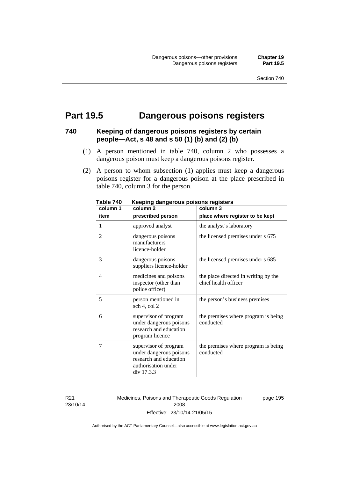### **Part 19.5 Dangerous poisons registers**

### **740 Keeping of dangerous poisons registers by certain people—Act, s 48 and s 50 (1) (b) and (2) (b)**

- (1) A person mentioned in table 740, column 2 who possesses a dangerous poison must keep a dangerous poisons register.
- (2) A person to whom subsection (1) applies must keep a dangerous poisons register for a dangerous poison at the place prescribed in table 740, column 3 for the person.

| column 1       | nooping aangoroas poisons registers<br>column <sub>2</sub>                                                      | column 3                                                     |
|----------------|-----------------------------------------------------------------------------------------------------------------|--------------------------------------------------------------|
| item           | prescribed person                                                                                               | place where register to be kept                              |
| 1              | approved analyst                                                                                                | the analyst's laboratory                                     |
| $\overline{2}$ | dangerous poisons<br>manufacturers<br>licence-holder                                                            | the licensed premises under s 675                            |
| 3              | dangerous poisons<br>suppliers licence-holder                                                                   | the licensed premises under s 685                            |
| $\overline{4}$ | medicines and poisons<br>inspector (other than<br>police officer)                                               | the place directed in writing by the<br>chief health officer |
| 5              | person mentioned in<br>sch 4, col 2                                                                             | the person's business premises                               |
| 6              | supervisor of program<br>under dangerous poisons<br>research and education<br>program licence                   | the premises where program is being<br>conducted             |
| 7              | supervisor of program<br>under dangerous poisons<br>research and education<br>authorisation under<br>div 17.3.3 | the premises where program is being<br>conducted             |

**Table 740 Keeping dangerous poisons registers** 

R21 23/10/14 Medicines, Poisons and Therapeutic Goods Regulation 2008 Effective: 23/10/14-21/05/15

page 195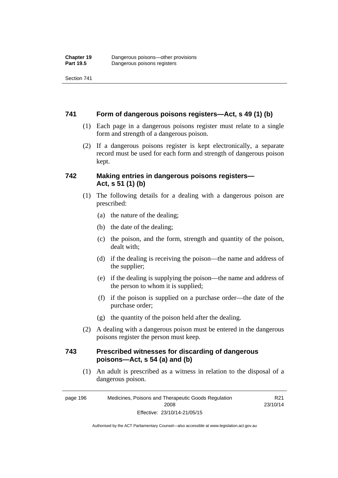Section 741

#### **741 Form of dangerous poisons registers—Act, s 49 (1) (b)**

- (1) Each page in a dangerous poisons register must relate to a single form and strength of a dangerous poison.
- (2) If a dangerous poisons register is kept electronically, a separate record must be used for each form and strength of dangerous poison kept.

### **742 Making entries in dangerous poisons registers— Act, s 51 (1) (b)**

- (1) The following details for a dealing with a dangerous poison are prescribed:
	- (a) the nature of the dealing;
	- (b) the date of the dealing;
	- (c) the poison, and the form, strength and quantity of the poison, dealt with;
	- (d) if the dealing is receiving the poison—the name and address of the supplier;
	- (e) if the dealing is supplying the poison—the name and address of the person to whom it is supplied;
	- (f) if the poison is supplied on a purchase order—the date of the purchase order;
	- (g) the quantity of the poison held after the dealing.
- (2) A dealing with a dangerous poison must be entered in the dangerous poisons register the person must keep.

### **743 Prescribed witnesses for discarding of dangerous poisons—Act, s 54 (a) and (b)**

 (1) An adult is prescribed as a witness in relation to the disposal of a dangerous poison.

> R21 23/10/14

page 196 Medicines, Poisons and Therapeutic Goods Regulation 2008 Effective: 23/10/14-21/05/15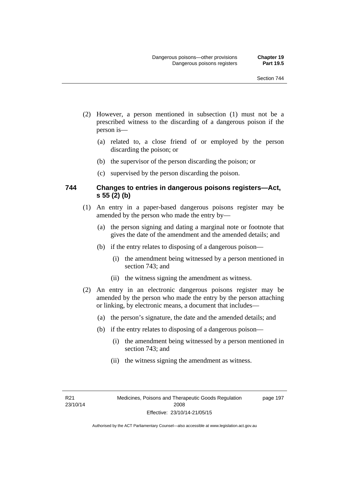- (2) However, a person mentioned in subsection (1) must not be a prescribed witness to the discarding of a dangerous poison if the person is—
	- (a) related to, a close friend of or employed by the person discarding the poison; or
	- (b) the supervisor of the person discarding the poison; or
	- (c) supervised by the person discarding the poison.

### **744 Changes to entries in dangerous poisons registers—Act, s 55 (2) (b)**

- (1) An entry in a paper-based dangerous poisons register may be amended by the person who made the entry by—
	- (a) the person signing and dating a marginal note or footnote that gives the date of the amendment and the amended details; and
	- (b) if the entry relates to disposing of a dangerous poison—
		- (i) the amendment being witnessed by a person mentioned in section 743; and
		- (ii) the witness signing the amendment as witness.
- (2) An entry in an electronic dangerous poisons register may be amended by the person who made the entry by the person attaching or linking, by electronic means, a document that includes—
	- (a) the person's signature, the date and the amended details; and
	- (b) if the entry relates to disposing of a dangerous poison—
		- (i) the amendment being witnessed by a person mentioned in section 743; and
		- (ii) the witness signing the amendment as witness.

R21 23/10/14 page 197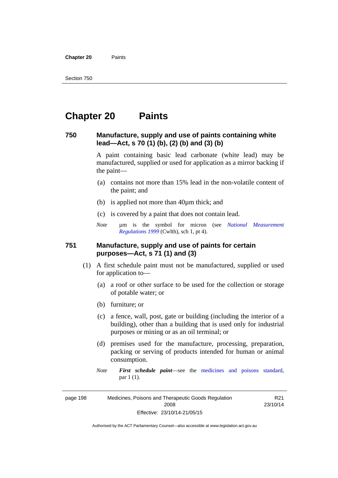**Chapter 20** Paints

# **Chapter 20 Paints**

### **750 Manufacture, supply and use of paints containing white lead—Act, s 70 (1) (b), (2) (b) and (3) (b)**

A paint containing basic lead carbonate (white lead) may be manufactured, supplied or used for application as a mirror backing if the paint—

- (a) contains not more than 15% lead in the non-volatile content of the paint; and
- (b) is applied not more than 40µm thick; and
- (c) is covered by a paint that does not contain lead.
- *Note* um is the symbol for micron (see *National Measurement [Regulations 1999](http://www.comlaw.gov.au/Series/F1999B00110)* (Cwlth), sch 1, pt 4).

### **751 Manufacture, supply and use of paints for certain purposes—Act, s 71 (1) and (3)**

- (1) A first schedule paint must not be manufactured, supplied or used for application to—
	- (a) a roof or other surface to be used for the collection or storage of potable water; or
	- (b) furniture; or
	- (c) a fence, wall, post, gate or building (including the interior of a building), other than a building that is used only for industrial purposes or mining or as an oil terminal; or
	- (d) premises used for the manufacture, processing, preparation, packing or serving of products intended for human or animal consumption.
	- *Note First schedule paint*—see the [medicines and poisons standard,](http://www.comlaw.gov.au/Series/F2012L01200) par 1 (1).

page 198 Medicines, Poisons and Therapeutic Goods Regulation 2008 Effective: 23/10/14-21/05/15

R21 23/10/14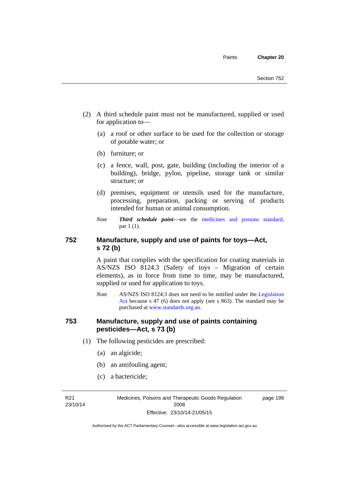- (2) A third schedule paint must not be manufactured, supplied or used for application to—
	- (a) a roof or other surface to be used for the collection or storage of potable water; or
	- (b) furniture; or
	- (c) a fence, wall, post, gate, building (including the interior of a building), bridge, pylon, pipeline, storage tank or similar structure; or
	- (d) premises, equipment or utensils used for the manufacture, processing, preparation, packing or serving of products intended for human or animal consumption.
	- *Note Third schedule paint*—see the [medicines and poisons standard,](http://www.comlaw.gov.au/Series/F2012L01200) par 1 (1).

### **752 Manufacture, supply and use of paints for toys—Act, s 72 (b)**

A paint that complies with the specification for coating materials in AS/NZS ISO 8124.3 (Safety of toys – Migration of certain elements), as in force from time to time, may be manufactured, supplied or used for application to toys.

*Note* AS/NZS ISO 8124:3 does not need to be notified under the [Legislation](http://www.legislation.act.gov.au/a/2001-14)  [Act](http://www.legislation.act.gov.au/a/2001-14) because s 47 (6) does not apply (see s 863). The standard may be purchased at [www.standards.org.au.](http://www.standards.org.au/)

### **753 Manufacture, supply and use of paints containing pesticides—Act, s 73 (b)**

- (1) The following pesticides are prescribed:
	- (a) an algicide;
	- (b) an antifouling agent;
	- (c) a bactericide;

R21 23/10/14 Medicines, Poisons and Therapeutic Goods Regulation 2008 Effective: 23/10/14-21/05/15

page 199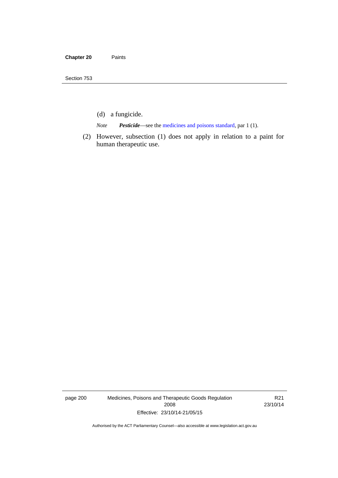- (d) a fungicide.
- *Note Pesticide*—see the [medicines and poisons standard,](http://www.comlaw.gov.au/Series/F2012L01200) par 1 (1).
- (2) However, subsection (1) does not apply in relation to a paint for human therapeutic use.

page 200 Medicines, Poisons and Therapeutic Goods Regulation 2008 Effective: 23/10/14-21/05/15

R21 23/10/14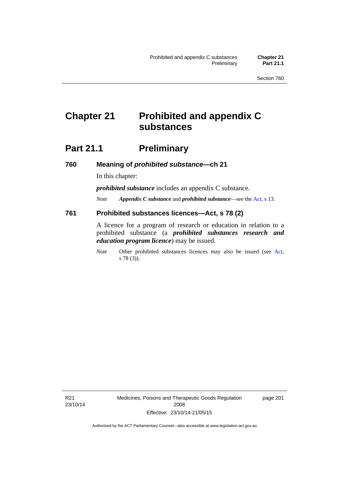# **Chapter 21 Prohibited and appendix C substances**

# **Part 21.1 Preliminary**

**760 Meaning of** *prohibited substance***—ch 21** 

In this chapter:

*prohibited substance* includes an appendix C substance.

*Note Appendix C substance* and *prohibited substance*—see the [Act,](http://www.legislation.act.gov.au/a/2008-26/default.asp) s 13.

#### **761 Prohibited substances licences—Act, s 78 (2)**

A licence for a program of research or education in relation to a prohibited substance (a *prohibited substances research and education program licence*) may be issued.

*Note* Other prohibited substances licences may also be issued (see [Act,](http://www.legislation.act.gov.au/a/2008-26/default.asp) s 78 (3)).

R21 23/10/14 Medicines, Poisons and Therapeutic Goods Regulation 2008 Effective: 23/10/14-21/05/15

page 201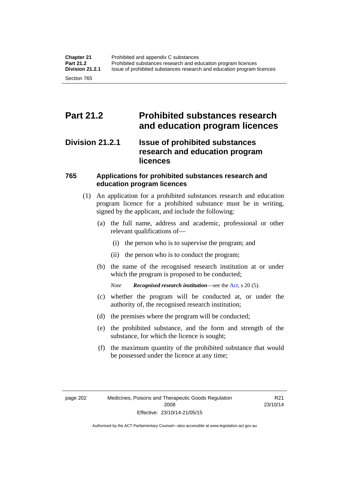## **Part 21.2 Prohibited substances research and education program licences**

### **Division 21.2.1 Issue of prohibited substances research and education program licences**

### **765 Applications for prohibited substances research and education program licences**

- (1) An application for a prohibited substances research and education program licence for a prohibited substance must be in writing, signed by the applicant, and include the following:
	- (a) the full name, address and academic, professional or other relevant qualifications of—
		- (i) the person who is to supervise the program; and
		- (ii) the person who is to conduct the program;
	- (b) the name of the recognised research institution at or under which the program is proposed to be conducted;
		- *Note Recognised research institution*—see the [Act](http://www.legislation.act.gov.au/a/2008-26/default.asp), s 20 (5).
	- (c) whether the program will be conducted at, or under the authority of, the recognised research institution;
	- (d) the premises where the program will be conducted;
	- (e) the prohibited substance, and the form and strength of the substance, for which the licence is sought;
	- (f) the maximum quantity of the prohibited substance that would be possessed under the licence at any time;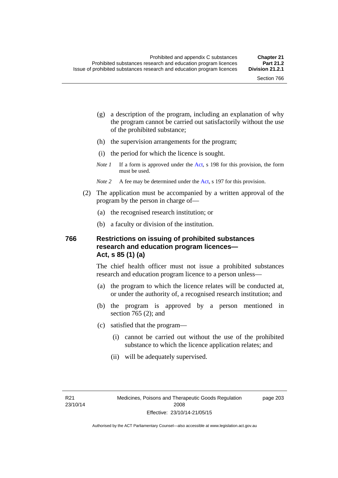page 203

- (g) a description of the program, including an explanation of why the program cannot be carried out satisfactorily without the use of the prohibited substance;
- (h) the supervision arrangements for the program;
- (i) the period for which the licence is sought.
- *Note 1* If a form is approved under the [Act](http://www.legislation.act.gov.au/a/2008-26/default.asp), s 198 for this provision, the form must be used.
- *Note* 2 A fee may be determined under the [Act,](http://www.legislation.act.gov.au/a/2008-26/default.asp) s 197 for this provision.
- (2) The application must be accompanied by a written approval of the program by the person in charge of—
	- (a) the recognised research institution; or
	- (b) a faculty or division of the institution.

### **766 Restrictions on issuing of prohibited substances research and education program licences— Act, s 85 (1) (a)**

The chief health officer must not issue a prohibited substances research and education program licence to a person unless—

- (a) the program to which the licence relates will be conducted at, or under the authority of, a recognised research institution; and
- (b) the program is approved by a person mentioned in section 765 (2); and
- (c) satisfied that the program—
	- (i) cannot be carried out without the use of the prohibited substance to which the licence application relates; and
	- (ii) will be adequately supervised.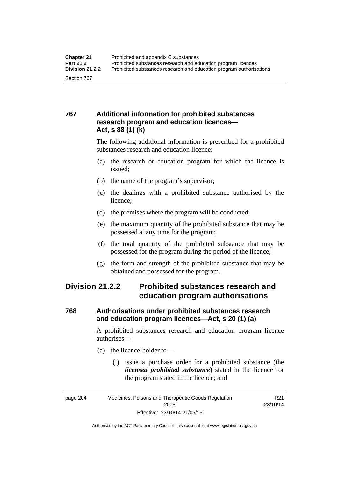### **767 Additional information for prohibited substances research program and education licences— Act, s 88 (1) (k)**

The following additional information is prescribed for a prohibited substances research and education licence:

- (a) the research or education program for which the licence is issued;
- (b) the name of the program's supervisor;
- (c) the dealings with a prohibited substance authorised by the licence;
- (d) the premises where the program will be conducted;
- (e) the maximum quantity of the prohibited substance that may be possessed at any time for the program;
- (f) the total quantity of the prohibited substance that may be possessed for the program during the period of the licence;
- (g) the form and strength of the prohibited substance that may be obtained and possessed for the program.

### **Division 21.2.2 Prohibited substances research and education program authorisations**

### **768 Authorisations under prohibited substances research and education program licences—Act, s 20 (1) (a)**

A prohibited substances research and education program licence authorises—

- (a) the licence-holder to—
	- (i) issue a purchase order for a prohibited substance (the *licensed prohibited substance*) stated in the licence for the program stated in the licence; and

R21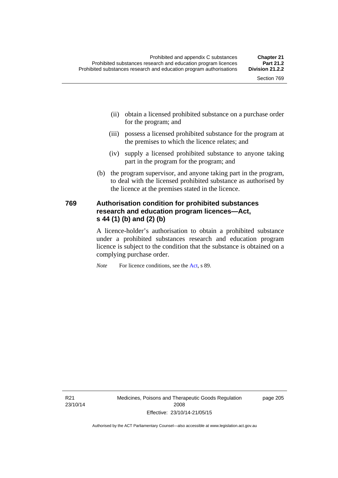- (ii) obtain a licensed prohibited substance on a purchase order for the program; and
- (iii) possess a licensed prohibited substance for the program at the premises to which the licence relates; and
- (iv) supply a licensed prohibited substance to anyone taking part in the program for the program; and
- (b) the program supervisor, and anyone taking part in the program, to deal with the licensed prohibited substance as authorised by the licence at the premises stated in the licence.

### **769 Authorisation condition for prohibited substances research and education program licences—Act, s 44 (1) (b) and (2) (b)**

A licence-holder's authorisation to obtain a prohibited substance under a prohibited substances research and education program licence is subject to the condition that the substance is obtained on a complying purchase order.

*Note* For licence conditions, see the [Act](http://www.legislation.act.gov.au/a/2008-26/default.asp), s 89.

R21 23/10/14 page 205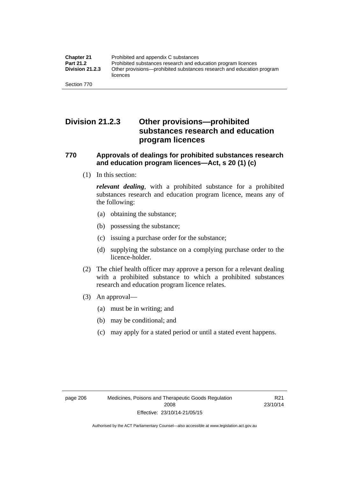### **Division 21.2.3 Other provisions—prohibited substances research and education program licences**

### **770 Approvals of dealings for prohibited substances research and education program licences—Act, s 20 (1) (c)**

(1) In this section:

*relevant dealing*, with a prohibited substance for a prohibited substances research and education program licence, means any of the following:

- (a) obtaining the substance;
- (b) possessing the substance;
- (c) issuing a purchase order for the substance;
- (d) supplying the substance on a complying purchase order to the licence-holder.
- (2) The chief health officer may approve a person for a relevant dealing with a prohibited substance to which a prohibited substances research and education program licence relates.
- (3) An approval—
	- (a) must be in writing; and
	- (b) may be conditional; and
	- (c) may apply for a stated period or until a stated event happens.

R21 23/10/14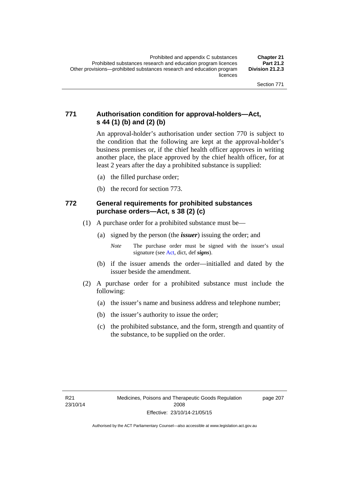### **771 Authorisation condition for approval-holders—Act, s 44 (1) (b) and (2) (b)**

An approval-holder's authorisation under section 770 is subject to the condition that the following are kept at the approval-holder's business premises or, if the chief health officer approves in writing another place, the place approved by the chief health officer, for at least 2 years after the day a prohibited substance is supplied:

- (a) the filled purchase order;
- (b) the record for section 773.

### **772 General requirements for prohibited substances purchase orders—Act, s 38 (2) (c)**

- (1) A purchase order for a prohibited substance must be—
	- (a) signed by the person (the *issuer*) issuing the order; and

- (b) if the issuer amends the order—initialled and dated by the issuer beside the amendment.
- (2) A purchase order for a prohibited substance must include the following:
	- (a) the issuer's name and business address and telephone number;
	- (b) the issuer's authority to issue the order;
	- (c) the prohibited substance, and the form, strength and quantity of the substance, to be supplied on the order.

page 207

*Note* The purchase order must be signed with the issuer's usual signature (see [Act](http://www.legislation.act.gov.au/a/2008-26/default.asp), dict, def *signs*).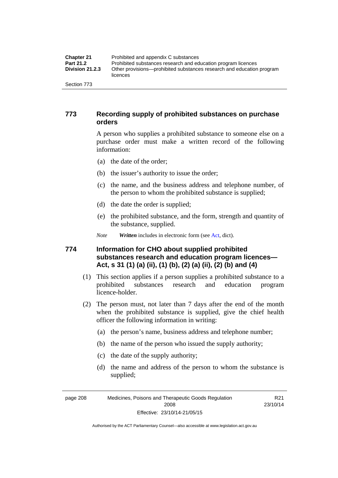| <b>Chapter 21</b>      | Prohibited and appendix C substances                                              |
|------------------------|-----------------------------------------------------------------------------------|
| Part 21.2              | Prohibited substances research and education program licences                     |
| <b>Division 21.2.3</b> | Other provisions—prohibited substances research and education program<br>licences |
| Section 773            |                                                                                   |

### **773 Recording supply of prohibited substances on purchase orders**

A person who supplies a prohibited substance to someone else on a purchase order must make a written record of the following information:

- (a) the date of the order;
- (b) the issuer's authority to issue the order;
- (c) the name, and the business address and telephone number, of the person to whom the prohibited substance is supplied;
- (d) the date the order is supplied;
- (e) the prohibited substance, and the form, strength and quantity of the substance, supplied.
- *Note Written* includes in electronic form (see [Act,](http://www.legislation.act.gov.au/a/2008-26/default.asp) dict).

### **774 Information for CHO about supplied prohibited substances research and education program licences— Act, s 31 (1) (a) (ii), (1) (b), (2) (a) (ii), (2) (b) and (4)**

- (1) This section applies if a person supplies a prohibited substance to a prohibited substances research and education program licence-holder.
- (2) The person must, not later than 7 days after the end of the month when the prohibited substance is supplied, give the chief health officer the following information in writing:
	- (a) the person's name, business address and telephone number;
	- (b) the name of the person who issued the supply authority;
	- (c) the date of the supply authority;
	- (d) the name and address of the person to whom the substance is supplied;

page 208 Medicines, Poisons and Therapeutic Goods Regulation 2008 Effective: 23/10/14-21/05/15

R21 23/10/14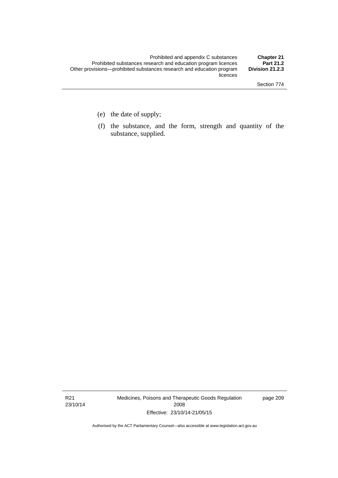- (e) the date of supply;
- (f) the substance, and the form, strength and quantity of the substance, supplied.

R21 23/10/14 Medicines, Poisons and Therapeutic Goods Regulation 2008 Effective: 23/10/14-21/05/15

page 209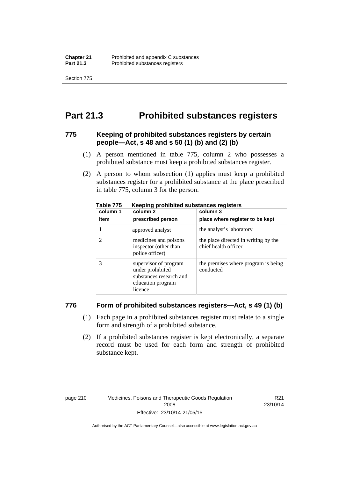Section 775

## **Part 21.3 Prohibited substances registers**

### **775 Keeping of prohibited substances registers by certain people—Act, s 48 and s 50 (1) (b) and (2) (b)**

- (1) A person mentioned in table 775, column 2 who possesses a prohibited substance must keep a prohibited substances register.
- (2) A person to whom subsection (1) applies must keep a prohibited substances register for a prohibited substance at the place prescribed in table 775, column 3 for the person.

| column 1 | .<br>column 2                                                                                        | column 3                                                     |
|----------|------------------------------------------------------------------------------------------------------|--------------------------------------------------------------|
| item     | prescribed person                                                                                    | place where register to be kept                              |
|          | approved analyst                                                                                     | the analyst's laboratory                                     |
|          | medicines and poisons<br>inspector (other than<br>police officer)                                    | the place directed in writing by the<br>chief health officer |
|          | supervisor of program<br>under prohibited<br>substances research and<br>education program<br>licence | the premises where program is being<br>conducted             |

**Table 775 Keeping prohibited substances registers** 

### **776 Form of prohibited substances registers—Act, s 49 (1) (b)**

- (1) Each page in a prohibited substances register must relate to a single form and strength of a prohibited substance.
- (2) If a prohibited substances register is kept electronically, a separate record must be used for each form and strength of prohibited substance kept.

R21 23/10/14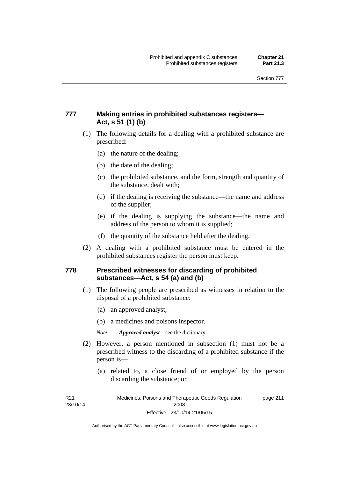### **777 Making entries in prohibited substances registers— Act, s 51 (1) (b)**

- (1) The following details for a dealing with a prohibited substance are prescribed:
	- (a) the nature of the dealing;
	- (b) the date of the dealing;
	- (c) the prohibited substance, and the form, strength and quantity of the substance, dealt with;
	- (d) if the dealing is receiving the substance—the name and address of the supplier;
	- (e) if the dealing is supplying the substance—the name and address of the person to whom it is supplied;
	- (f) the quantity of the substance held after the dealing.
- (2) A dealing with a prohibited substance must be entered in the prohibited substances register the person must keep.

### **778 Prescribed witnesses for discarding of prohibited substances—Act, s 54 (a) and (b)**

- (1) The following people are prescribed as witnesses in relation to the disposal of a prohibited substance:
	- (a) an approved analyst;
	- (b) a medicines and poisons inspector.

*Note Approved analyst*—see the dictionary.

- (2) However, a person mentioned in subsection (1) must not be a prescribed witness to the discarding of a prohibited substance if the person is—
	- (a) related to, a close friend of or employed by the person discarding the substance; or

R21 23/10/14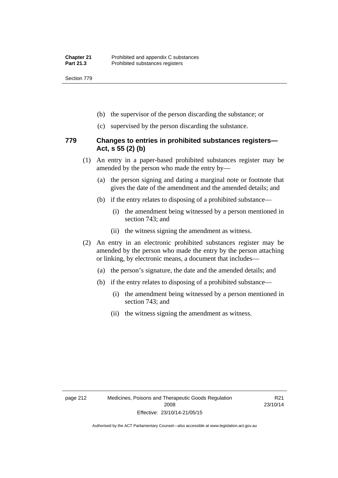Section 779

- (b) the supervisor of the person discarding the substance; or
- (c) supervised by the person discarding the substance.

### **779 Changes to entries in prohibited substances registers— Act, s 55 (2) (b)**

- (1) An entry in a paper-based prohibited substances register may be amended by the person who made the entry by—
	- (a) the person signing and dating a marginal note or footnote that gives the date of the amendment and the amended details; and
	- (b) if the entry relates to disposing of a prohibited substance—
		- (i) the amendment being witnessed by a person mentioned in section 743; and
		- (ii) the witness signing the amendment as witness.
- (2) An entry in an electronic prohibited substances register may be amended by the person who made the entry by the person attaching or linking, by electronic means, a document that includes—
	- (a) the person's signature, the date and the amended details; and
	- (b) if the entry relates to disposing of a prohibited substance—
		- (i) the amendment being witnessed by a person mentioned in section 743; and
		- (ii) the witness signing the amendment as witness.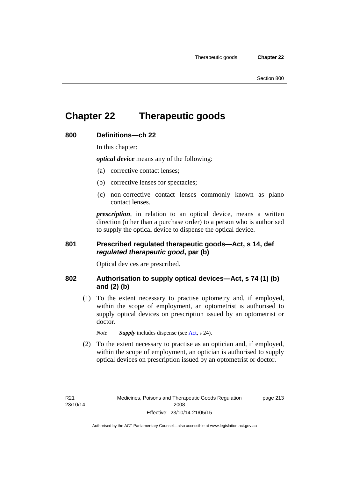# **Chapter 22 Therapeutic goods**

### **800 Definitions—ch 22**

In this chapter:

*optical device* means any of the following:

- (a) corrective contact lenses;
- (b) corrective lenses for spectacles;
- (c) non-corrective contact lenses commonly known as plano contact lenses.

*prescription*, in relation to an optical device, means a written direction (other than a purchase order) to a person who is authorised to supply the optical device to dispense the optical device.

### **801 Prescribed regulated therapeutic goods—Act, s 14, def**  *regulated therapeutic good***, par (b)**

Optical devices are prescribed.

### **802 Authorisation to supply optical devices—Act, s 74 (1) (b) and (2) (b)**

 (1) To the extent necessary to practise optometry and, if employed, within the scope of employment, an optometrist is authorised to supply optical devices on prescription issued by an optometrist or doctor.

*Note Supply* includes dispense (see [Act,](http://www.legislation.act.gov.au/a/2008-26/default.asp) s 24).

 (2) To the extent necessary to practise as an optician and, if employed, within the scope of employment, an optician is authorised to supply optical devices on prescription issued by an optometrist or doctor.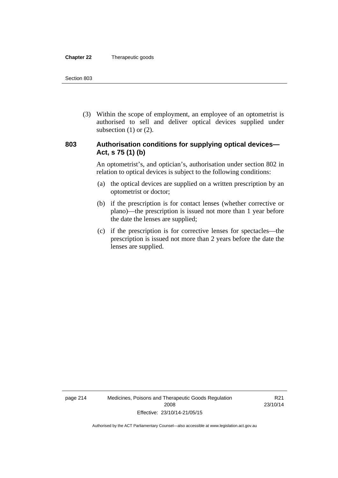#### **Chapter 22** Therapeutic goods

 (3) Within the scope of employment, an employee of an optometrist is authorised to sell and deliver optical devices supplied under subsection  $(1)$  or  $(2)$ .

### **803 Authorisation conditions for supplying optical devices— Act, s 75 (1) (b)**

An optometrist's, and optician's, authorisation under section 802 in relation to optical devices is subject to the following conditions:

- (a) the optical devices are supplied on a written prescription by an optometrist or doctor;
- (b) if the prescription is for contact lenses (whether corrective or plano)—the prescription is issued not more than 1 year before the date the lenses are supplied;
- (c) if the prescription is for corrective lenses for spectacles—the prescription is issued not more than 2 years before the date the lenses are supplied.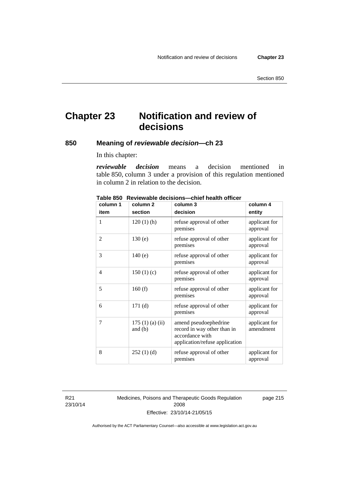# **Chapter 23 Notification and review of decisions**

### **850 Meaning of** *reviewable decision—***ch 23**

In this chapter:

*reviewable decision* means a decision mentioned in table 850, column 3 under a provision of this regulation mentioned in column 2 in relation to the decision.

| column 1 | column <sub>2</sub>        | column 3                                                                                                  | column 4                   |
|----------|----------------------------|-----------------------------------------------------------------------------------------------------------|----------------------------|
| item     | section                    | decision                                                                                                  | entity                     |
| 1        | $120(1)$ (h)               | refuse approval of other<br>premises                                                                      | applicant for<br>approval  |
| 2        | 130(e)                     | refuse approval of other<br>premises                                                                      | applicant for<br>approval  |
| 3        | 140(e)                     | refuse approval of other<br>premises                                                                      | applicant for<br>approval  |
| 4        | 150(1)(c)                  | refuse approval of other<br>premises                                                                      | applicant for<br>approval  |
| 5        | 160(f)                     | refuse approval of other<br>premises                                                                      | applicant for<br>approval  |
| 6        | 171(d)                     | refuse approval of other<br>premises                                                                      | applicant for<br>approval  |
| 7        | 175(1)(a)(ii)<br>and $(b)$ | amend pseudoephedrine<br>record in way other than in<br>accordance with<br>application/refuse application | applicant for<br>amendment |
| 8        | 252(1)(d)                  | refuse approval of other<br>premises                                                                      | applicant for<br>approval  |

**Table 850 Reviewable decisions—chief health officer** 

R21 23/10/14 Medicines, Poisons and Therapeutic Goods Regulation 2008 Effective: 23/10/14-21/05/15

page 215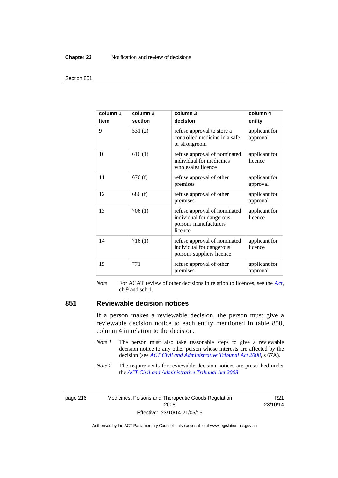#### **Chapter 23** Notification and review of decisions

#### Section 851

| column 1<br>item | column <sub>2</sub><br>section | column 3<br>decision                                                                         | column 4<br>entity        |
|------------------|--------------------------------|----------------------------------------------------------------------------------------------|---------------------------|
| 9                | 531(2)                         | refuse approval to store a<br>controlled medicine in a safe<br>or strongroom                 | applicant for<br>approval |
| 10               | 616(1)                         | refuse approval of nominated<br>individual for medicines<br>wholesales licence               | applicant for<br>licence  |
| 11               | 676(f)                         | refuse approval of other<br>premises                                                         | applicant for<br>approval |
| 12               | 686(f)                         | refuse approval of other<br>premises                                                         | applicant for<br>approval |
| 13               | 706(1)                         | refuse approval of nominated<br>individual for dangerous<br>poisons manufacturers<br>licence | applicant for<br>licence  |
| 14               | 716(1)                         | refuse approval of nominated<br>individual for dangerous<br>poisons suppliers licence        | applicant for<br>licence  |
| 15               | 771                            | refuse approval of other<br>premises                                                         | applicant for<br>approval |

*Note* For ACAT review of other decisions in relation to licences, see the [Act,](http://www.legislation.act.gov.au/a/2008-26/default.asp) ch 9 and sch 1.

### **851 Reviewable decision notices**

If a person makes a reviewable decision, the person must give a reviewable decision notice to each entity mentioned in table 850, column 4 in relation to the decision.

- *Note 1* The person must also take reasonable steps to give a reviewable decision notice to any other person whose interests are affected by the decision (see *[ACT Civil and Administrative Tribunal Act 2008](http://www.legislation.act.gov.au/a/2008-35)*, s 67A).
- *Note* 2 The requirements for reviewable decision notices are prescribed under the *[ACT Civil and Administrative Tribunal Act 2008](http://www.legislation.act.gov.au/a/2008-35)*.

page 216 Medicines, Poisons and Therapeutic Goods Regulation 2008 Effective: 23/10/14-21/05/15

R21 23/10/14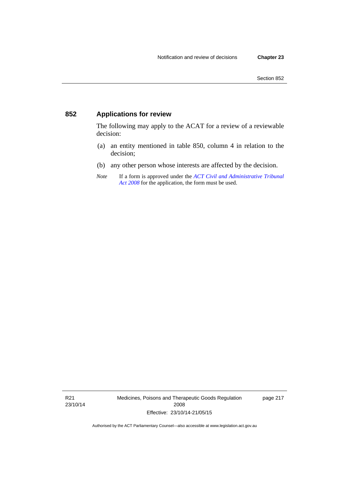### **852 Applications for review**

The following may apply to the ACAT for a review of a reviewable decision:

- (a) an entity mentioned in table 850, column 4 in relation to the decision;
- (b) any other person whose interests are affected by the decision.
- *Note* If a form is approved under the *[ACT Civil and Administrative Tribunal](http://www.legislation.act.gov.au/a/2008-35)  [Act 2008](http://www.legislation.act.gov.au/a/2008-35)* for the application, the form must be used.

R21 23/10/14 Medicines, Poisons and Therapeutic Goods Regulation 2008 Effective: 23/10/14-21/05/15

page 217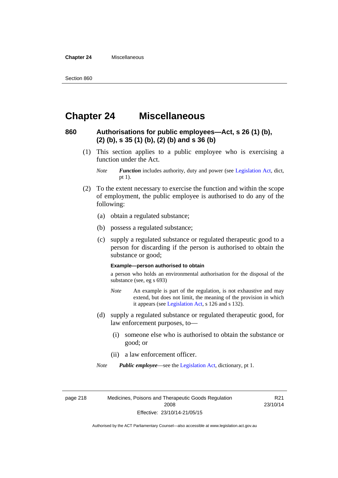**Chapter 24** Miscellaneous

### **Chapter 24 Miscellaneous**

### **860 Authorisations for public employees—Act, s 26 (1) (b), (2) (b), s 35 (1) (b), (2) (b) and s 36 (b)**

 (1) This section applies to a public employee who is exercising a function under the Act.

- (2) To the extent necessary to exercise the function and within the scope of employment, the public employee is authorised to do any of the following:
	- (a) obtain a regulated substance;
	- (b) possess a regulated substance;
	- (c) supply a regulated substance or regulated therapeutic good to a person for discarding if the person is authorised to obtain the substance or good;

#### **Example—person authorised to obtain**

a person who holds an environmental authorisation for the disposal of the substance (see, eg s 693)

- *Note* An example is part of the regulation, is not exhaustive and may extend, but does not limit, the meaning of the provision in which it appears (see [Legislation Act,](http://www.legislation.act.gov.au/a/2001-14) s 126 and s 132).
- (d) supply a regulated substance or regulated therapeutic good, for law enforcement purposes, to—
	- (i) someone else who is authorised to obtain the substance or good; or
	- (ii) a law enforcement officer.

*Note Public employee*—see the [Legislation Act,](http://www.legislation.act.gov.au/a/2001-14) dictionary, pt 1.

page 218 Medicines, Poisons and Therapeutic Goods Regulation 2008 Effective: 23/10/14-21/05/15

R21 23/10/14

*Note Function* includes authority, duty and power (see [Legislation Act](http://www.legislation.act.gov.au/a/2001-14), dict, pt 1).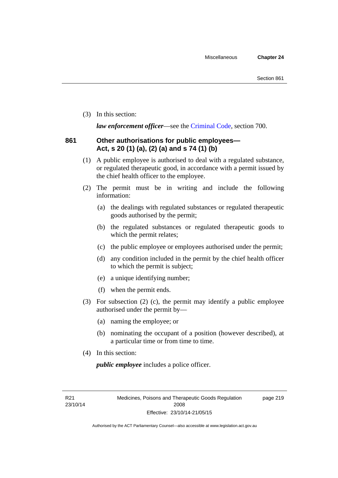(3) In this section:

*law enforcement officer*—see the [Criminal Code,](http://www.legislation.act.gov.au/a/2002-51) section 700.

### **861 Other authorisations for public employees— Act, s 20 (1) (a), (2) (a) and s 74 (1) (b)**

- (1) A public employee is authorised to deal with a regulated substance, or regulated therapeutic good, in accordance with a permit issued by the chief health officer to the employee.
- (2) The permit must be in writing and include the following information:
	- (a) the dealings with regulated substances or regulated therapeutic goods authorised by the permit;
	- (b) the regulated substances or regulated therapeutic goods to which the permit relates;
	- (c) the public employee or employees authorised under the permit;
	- (d) any condition included in the permit by the chief health officer to which the permit is subject;
	- (e) a unique identifying number;
	- (f) when the permit ends.
- (3) For subsection (2) (c), the permit may identify a public employee authorised under the permit by—
	- (a) naming the employee; or
	- (b) nominating the occupant of a position (however described), at a particular time or from time to time.
- (4) In this section:

*public employee* includes a police officer.

R21 23/10/14 page 219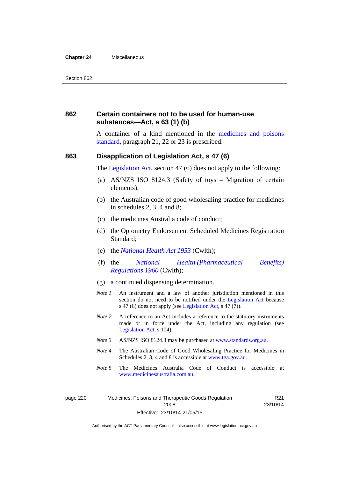#### **Chapter 24** Miscellaneous

### **862 Certain containers not to be used for human-use substances—Act, s 63 (1) (b)**

A container of a kind mentioned in the [medicines and poisons](http://www.comlaw.gov.au/Series/F2012L01200)  [standard,](http://www.comlaw.gov.au/Series/F2012L01200) paragraph 21, 22 or 23 is prescribed.

#### **863 Disapplication of Legislation Act, s 47 (6)**

The [Legislation Act](http://www.legislation.act.gov.au/a/2001-14), section 47 (6) does not apply to the following:

- (a) AS/NZS ISO 8124.3 (Safety of toys Migration of certain elements);
- (b) the Australian code of good wholesaling practice for medicines in schedules 2, 3, 4 and 8;
- (c) the medicines Australia code of conduct;
- (d) the Optometry Endorsement Scheduled Medicines Registration Standard;
- (e) the *[National Health Act 1953](http://www.comlaw.gov.au/Series/C1953A00095)* (Cwlth);
- (f) the *[National Health \(Pharmaceutical Benefits\)](http://www.comlaw.gov.au/Series/F1996B02844)  [Regulations 1960](http://www.comlaw.gov.au/Series/F1996B02844)* (Cwlth);
- (g) a continued dispensing determination.
- *Note 1* An instrument and a law of another jurisdiction mentioned in this section do not need to be notified under the [Legislation Act](http://www.legislation.act.gov.au/a/2001-14) because s 47 (6) does not apply (see [Legislation Act](http://www.legislation.act.gov.au/a/2001-14), s 47 (7)).
- *Note 2* A reference to an Act includes a reference to the statutory instruments made or in force under the Act, including any regulation (see [Legislation Act,](http://www.legislation.act.gov.au/a/2001-14) s 104).
- *Note 3* AS/NZS ISO 8124.3 may be purchased at [www.standards.org.au.](http://www.standards.org.au/)
- *Note 4* The Australian Code of Good Wholesaling Practice for Medicines in Schedules 2, 3, 4 and 8 is accessible at [www.tga.gov.au.](http://www.tga.gov.au/)
- *Note 5* The Medicines Australia Code of Conduct is accessible at [www.medicinesaustralia.com.au](http://www.medicinesaustralia.com.au/).

page 220 Medicines, Poisons and Therapeutic Goods Regulation 2008 Effective: 23/10/14-21/05/15

R21 23/10/14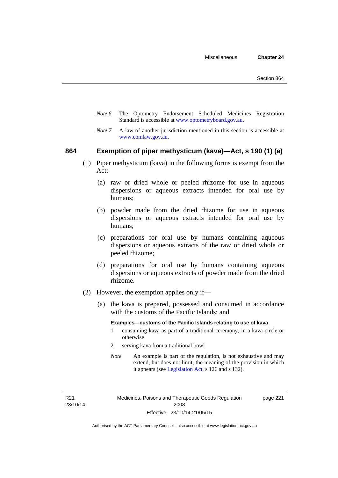- *Note 6* The Optometry Endorsement Scheduled Medicines Registration Standard is accessible at [www.optometryboard.gov.au](http://www.optometryboard.gov.au/).
- *Note* 7 A law of another jurisdiction mentioned in this section is accessible at [www.comlaw.gov.au](http://www.comlaw.gov.au/).

#### **864 Exemption of piper methysticum (kava)—Act, s 190 (1) (a)**

- (1) Piper methysticum (kava) in the following forms is exempt from the Act:
	- (a) raw or dried whole or peeled rhizome for use in aqueous dispersions or aqueous extracts intended for oral use by humans;
	- (b) powder made from the dried rhizome for use in aqueous dispersions or aqueous extracts intended for oral use by humans;
	- (c) preparations for oral use by humans containing aqueous dispersions or aqueous extracts of the raw or dried whole or peeled rhizome;
	- (d) preparations for oral use by humans containing aqueous dispersions or aqueous extracts of powder made from the dried rhizome.
- (2) However, the exemption applies only if—
	- (a) the kava is prepared, possessed and consumed in accordance with the customs of the Pacific Islands; and

#### **Examples—customs of the Pacific Islands relating to use of kava**

- 1 consuming kava as part of a traditional ceremony, in a kava circle or otherwise
- 2 serving kava from a traditional bowl
- *Note* An example is part of the regulation, is not exhaustive and may extend, but does not limit, the meaning of the provision in which it appears (see [Legislation Act,](http://www.legislation.act.gov.au/a/2001-14) s 126 and s 132).

R21 23/10/14 page 221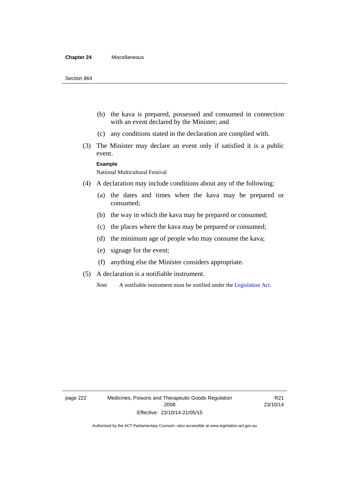#### **Chapter 24** Miscellaneous

- (b) the kava is prepared, possessed and consumed in connection with an event declared by the Minister; and
- (c) any conditions stated in the declaration are complied with.
- (3) The Minister may declare an event only if satisfied it is a public event.

#### **Example**

National Multicultural Festival

- (4) A declaration may include conditions about any of the following:
	- (a) the dates and times when the kava may be prepared or consumed;
	- (b) the way in which the kava may be prepared or consumed;
	- (c) the places where the kava may be prepared or consumed;
	- (d) the minimum age of people who may consume the kava;
	- (e) signage for the event;
	- (f) anything else the Minister considers appropriate.
- (5) A declaration is a notifiable instrument.

*Note* A notifiable instrument must be notified under the [Legislation Act](http://www.legislation.act.gov.au/a/2001-14).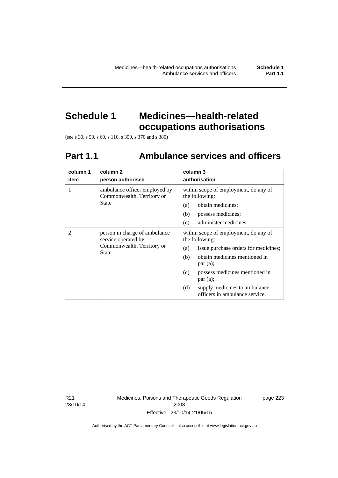# **Schedule 1 Medicines—health-related occupations authorisations**

(see s 30, s 50, s 60, s 110, s 350, s 370 and s 380)

# **Part 1.1 Ambulance services and officers**

| column 1<br>item | column <sub>2</sub><br>person authorised                                                           | column 3<br>authorisation                                                                                                                                                                                                                                                               |
|------------------|----------------------------------------------------------------------------------------------------|-----------------------------------------------------------------------------------------------------------------------------------------------------------------------------------------------------------------------------------------------------------------------------------------|
| 1                | ambulance officer employed by<br>Commonwealth, Territory or<br>State                               | within scope of employment, do any of<br>the following:<br>obtain medicines;<br>(a)<br>possess medicines;<br>(b)<br>administer medicines.<br>(c)                                                                                                                                        |
| $\mathfrak{D}$   | person in charge of ambulance<br>service operated by<br>Commonwealth, Territory or<br><b>State</b> | within scope of employment, do any of<br>the following:<br>issue purchase orders for medicines;<br>(a)<br>obtain medicines mentioned in<br>(b)<br>par(a);<br>possess medicines mentioned in<br>(c)<br>par(a);<br>(d)<br>supply medicines to ambulance<br>officers in ambulance service. |

R21 23/10/14 Medicines, Poisons and Therapeutic Goods Regulation 2008 Effective: 23/10/14-21/05/15

page 223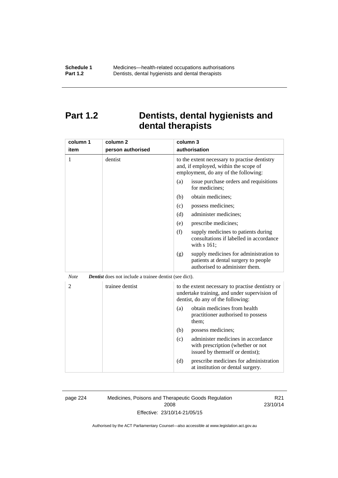## **Part 1.2 Dentists, dental hygienists and dental therapists**

| column 1       | column <sub>2</sub>                                           | column 3                                                                                                                              |
|----------------|---------------------------------------------------------------|---------------------------------------------------------------------------------------------------------------------------------------|
| item           | person authorised                                             | authorisation                                                                                                                         |
| 1              | dentist                                                       | to the extent necessary to practise dentistry<br>and, if employed, within the scope of<br>employment, do any of the following:        |
|                |                                                               | issue purchase orders and requisitions<br>(a)<br>for medicines;                                                                       |
|                |                                                               | obtain medicines;<br>(b)                                                                                                              |
|                |                                                               | possess medicines;<br>(c)                                                                                                             |
|                |                                                               | administer medicines;<br>(d)                                                                                                          |
|                |                                                               | prescribe medicines;<br>(e)                                                                                                           |
|                |                                                               | (f)<br>supply medicines to patients during<br>consultations if labelled in accordance<br>with s 161;                                  |
|                |                                                               | supply medicines for administration to<br>(g)<br>patients at dental surgery to people<br>authorised to administer them.               |
| <b>Note</b>    | <b>Dentist</b> does not include a trainee dentist (see dict). |                                                                                                                                       |
| $\overline{2}$ | trainee dentist                                               | to the extent necessary to practise dentistry or<br>undertake training, and under supervision of<br>dentist, do any of the following: |
|                |                                                               | obtain medicines from health<br>(a)<br>practitioner authorised to possess<br>them:                                                    |
|                |                                                               | (b)<br>possess medicines;                                                                                                             |
|                |                                                               | administer medicines in accordance<br>(c)<br>with prescription (whether or not<br>issued by themself or dentist);                     |
|                |                                                               | (d)<br>prescribe medicines for administration<br>at institution or dental surgery.                                                    |

page 224 Medicines, Poisons and Therapeutic Goods Regulation 2008 Effective: 23/10/14-21/05/15

R21 23/10/14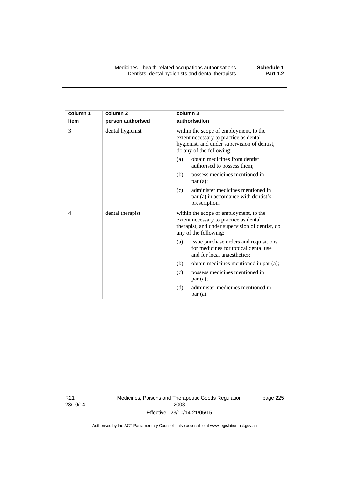| column 1 | column <sub>2</sub> | column 3                                                                                                                                                     |
|----------|---------------------|--------------------------------------------------------------------------------------------------------------------------------------------------------------|
| item     | person authorised   | authorisation                                                                                                                                                |
| 3        | dental hygienist    | within the scope of employment, to the<br>extent necessary to practice as dental<br>hygienist, and under supervision of dentist,<br>do any of the following: |
|          |                     | obtain medicines from dentist<br>(a)<br>authorised to possess them;                                                                                          |
|          |                     | (b)<br>possess medicines mentioned in<br>par(a);                                                                                                             |
|          |                     | administer medicines mentioned in<br>(c)<br>par (a) in accordance with dentist's<br>prescription.                                                            |
| 4        | dental therapist    | within the scope of employment, to the<br>extent necessary to practice as dental<br>therapist, and under supervision of dentist, do<br>any of the following: |
|          |                     | issue purchase orders and requisitions<br>(a)<br>for medicines for topical dental use<br>and for local anaesthetics;                                         |
|          |                     | (b)<br>obtain medicines mentioned in par (a);                                                                                                                |
|          |                     | possess medicines mentioned in<br>(c)<br>par(a);                                                                                                             |
|          |                     | administer medicines mentioned in<br>(d)<br>par(a).                                                                                                          |

R21 23/10/14 Medicines, Poisons and Therapeutic Goods Regulation 2008 Effective: 23/10/14-21/05/15

page 225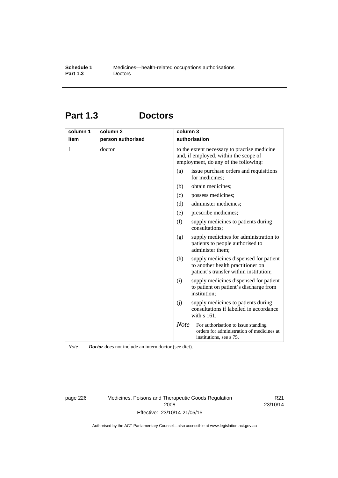# **Part 1.3 Doctors**

| column 1<br>item | column <sub>2</sub><br>person authorised | column 3    | authorisation                                                                                                                 |
|------------------|------------------------------------------|-------------|-------------------------------------------------------------------------------------------------------------------------------|
| 1                | doctor                                   |             | to the extent necessary to practise medicine<br>and, if employed, within the scope of<br>employment, do any of the following: |
|                  |                                          | (a)         | issue purchase orders and requisitions<br>for medicines;                                                                      |
|                  |                                          | (b)         | obtain medicines;                                                                                                             |
|                  |                                          | (c)         | possess medicines;                                                                                                            |
|                  |                                          | (d)         | administer medicines;                                                                                                         |
|                  |                                          | (e)         | prescribe medicines;                                                                                                          |
|                  |                                          | (f)         | supply medicines to patients during<br>consultations;                                                                         |
|                  |                                          | (g)         | supply medicines for administration to<br>patients to people authorised to<br>administer them;                                |
|                  |                                          | (h)         | supply medicines dispensed for patient<br>to another health practitioner on<br>patient's transfer within institution;         |
|                  |                                          | (i)         | supply medicines dispensed for patient<br>to patient on patient's discharge from<br>institution;                              |
|                  |                                          | (i)         | supply medicines to patients during<br>consultations if labelled in accordance<br>with s 161.                                 |
|                  |                                          | <b>Note</b> | For authorisation to issue standing<br>orders for administration of medicines at<br>institutions, see s 75.                   |

*Note Doctor* does not include an intern doctor (see dict).

page 226 Medicines, Poisons and Therapeutic Goods Regulation 2008 Effective: 23/10/14-21/05/15

R21 23/10/14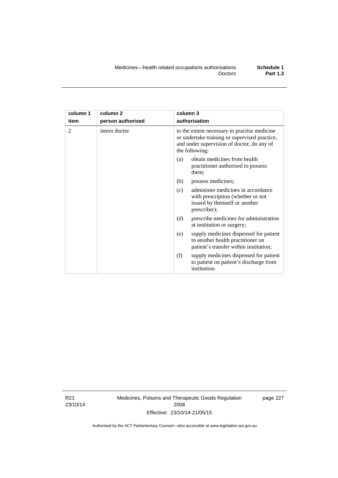| column 1<br>item | column <sub>2</sub><br>person authorised | column 3<br>authorisation                                                                                                                                     |  |
|------------------|------------------------------------------|---------------------------------------------------------------------------------------------------------------------------------------------------------------|--|
| 2                | intern doctor                            | to the extent necessary to practise medicine<br>or undertake training or supervised practice,<br>and under supervision of doctor, do any of<br>the following: |  |
|                  |                                          | obtain medicines from health<br>(a)<br>practitioner authorised to possess<br>them;                                                                            |  |
|                  |                                          | (b)<br>possess medicines;                                                                                                                                     |  |
|                  |                                          | administer medicines in accordance<br>(c)<br>with prescription (whether or not<br>issued by themself or another<br>prescriber);                               |  |
|                  |                                          | (d)<br>prescribe medicines for administration<br>at institution or surgery;                                                                                   |  |
|                  |                                          | supply medicines dispensed for patient<br>(e)<br>to another health practitioner on<br>patient's transfer within institution;                                  |  |
|                  |                                          | (f)<br>supply medicines dispensed for patient<br>to patient on patient's discharge from<br>institution.                                                       |  |

R21 23/10/14 Medicines, Poisons and Therapeutic Goods Regulation 2008 Effective: 23/10/14-21/05/15

page 227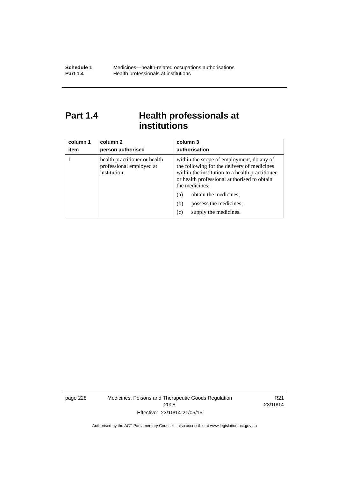# Part 1.4 **Health professionals at institutions**

| column 1<br>item | column 2<br>person authorised                                            | column 3<br>authorisation                                                                                                                                                                                    |
|------------------|--------------------------------------------------------------------------|--------------------------------------------------------------------------------------------------------------------------------------------------------------------------------------------------------------|
|                  | health practitioner or health<br>professional employed at<br>institution | within the scope of employment, do any of<br>the following for the delivery of medicines<br>within the institution to a health practitioner<br>or health professional authorised to obtain<br>the medicines: |
|                  |                                                                          | obtain the medicines;<br>(a)                                                                                                                                                                                 |
|                  |                                                                          | possess the medicines;<br>(b)                                                                                                                                                                                |
|                  |                                                                          | supply the medicines.<br>(c)                                                                                                                                                                                 |

page 228 Medicines, Poisons and Therapeutic Goods Regulation 2008 Effective: 23/10/14-21/05/15

R21 23/10/14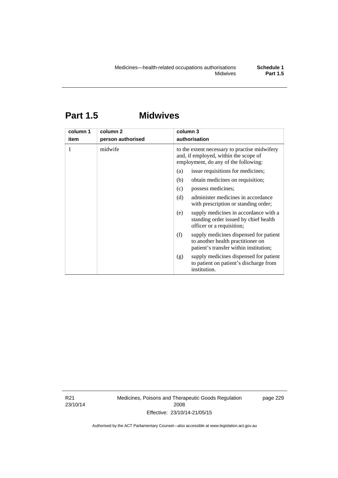# **Part 1.5 Midwives**

| column 1<br>item | column 2<br>person authorised | column 3<br>authorisation                                                                                                      |  |  |
|------------------|-------------------------------|--------------------------------------------------------------------------------------------------------------------------------|--|--|
|                  | midwife                       | to the extent necessary to practise midwifery<br>and, if employed, within the scope of<br>employment, do any of the following: |  |  |
|                  |                               | issue requisitions for medicines;<br>(a)                                                                                       |  |  |
|                  |                               | (b)<br>obtain medicines on requisition;                                                                                        |  |  |
|                  |                               | possess medicines;<br>(c)                                                                                                      |  |  |
|                  |                               | administer medicines in accordance<br>(d)<br>with prescription or standing order;                                              |  |  |
|                  |                               | supply medicines in accordance with a<br>(e)<br>standing order issued by chief health<br>officer or a requisition;             |  |  |
|                  |                               | (f)<br>supply medicines dispensed for patient<br>to another health practitioner on<br>patient's transfer within institution;   |  |  |
|                  |                               | supply medicines dispensed for patient<br>(g)<br>to patient on patient's discharge from<br>institution.                        |  |  |

R21 23/10/14 Medicines, Poisons and Therapeutic Goods Regulation 2008 Effective: 23/10/14-21/05/15

page 229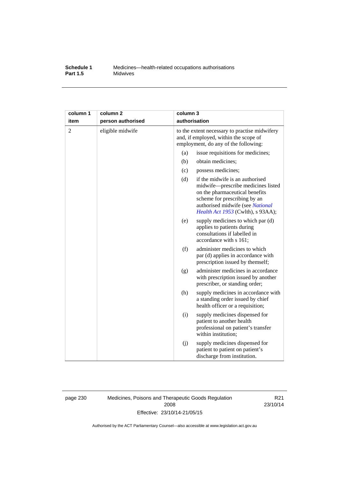## **Schedule 1** Medicines—health-related occupations authorisations<br>**Part 1.5** Midwives **Midwives**

| column 1       | column <sub>2</sub> | column 3                                                                                                                       |                                                                                                                                                                                                                  |
|----------------|---------------------|--------------------------------------------------------------------------------------------------------------------------------|------------------------------------------------------------------------------------------------------------------------------------------------------------------------------------------------------------------|
| item           | person authorised   |                                                                                                                                | authorisation                                                                                                                                                                                                    |
| $\overline{2}$ | eligible midwife    | to the extent necessary to practise midwifery<br>and, if employed, within the scope of<br>employment, do any of the following: |                                                                                                                                                                                                                  |
|                |                     | (a)                                                                                                                            | issue requisitions for medicines;                                                                                                                                                                                |
|                |                     | (b)                                                                                                                            | obtain medicines;                                                                                                                                                                                                |
|                |                     | (c)                                                                                                                            | possess medicines;                                                                                                                                                                                               |
|                |                     | (d)                                                                                                                            | if the midwife is an authorised<br>midwife-prescribe medicines listed<br>on the pharmaceutical benefits<br>scheme for prescribing by an<br>authorised midwife (see National<br>Health Act 1953 (Cwlth), s 93AA); |
|                |                     | (e)                                                                                                                            | supply medicines to which par (d)<br>applies to patients during<br>consultations if labelled in<br>accordance with s 161;                                                                                        |
|                |                     | (f)                                                                                                                            | administer medicines to which<br>par (d) applies in accordance with<br>prescription issued by themself;                                                                                                          |
|                |                     | (g)                                                                                                                            | administer medicines in accordance<br>with prescription issued by another<br>prescriber, or standing order;                                                                                                      |
|                |                     | (h)                                                                                                                            | supply medicines in accordance with<br>a standing order issued by chief<br>health officer or a requisition;                                                                                                      |
|                |                     | (i)                                                                                                                            | supply medicines dispensed for<br>patient to another health<br>professional on patient's transfer<br>within institution;                                                                                         |
|                |                     | (j)                                                                                                                            | supply medicines dispensed for<br>patient to patient on patient's<br>discharge from institution.                                                                                                                 |

page 230 Medicines, Poisons and Therapeutic Goods Regulation 2008 Effective: 23/10/14-21/05/15

R21 23/10/14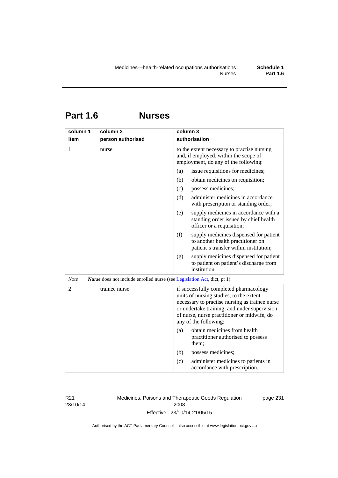# **Part 1.6 Nurses**

| column 1       | column <sub>2</sub>                                                             | column 3                                                                                                                                                                                                                                                    |
|----------------|---------------------------------------------------------------------------------|-------------------------------------------------------------------------------------------------------------------------------------------------------------------------------------------------------------------------------------------------------------|
| item           | person authorised                                                               | authorisation                                                                                                                                                                                                                                               |
| 1              | nurse                                                                           | to the extent necessary to practise nursing<br>and, if employed, within the scope of<br>employment, do any of the following:                                                                                                                                |
|                |                                                                                 | issue requisitions for medicines;<br>(a)                                                                                                                                                                                                                    |
|                |                                                                                 | (b)<br>obtain medicines on requisition;                                                                                                                                                                                                                     |
|                |                                                                                 | (c)<br>possess medicines;                                                                                                                                                                                                                                   |
|                |                                                                                 | administer medicines in accordance<br>(d)<br>with prescription or standing order;                                                                                                                                                                           |
|                |                                                                                 | (e)<br>supply medicines in accordance with a<br>standing order issued by chief health<br>officer or a requisition;                                                                                                                                          |
|                |                                                                                 | (f)<br>supply medicines dispensed for patient<br>to another health practitioner on<br>patient's transfer within institution;                                                                                                                                |
|                |                                                                                 | supply medicines dispensed for patient<br>(g)<br>to patient on patient's discharge from<br>institution.                                                                                                                                                     |
| <b>Note</b>    | <i>Nurse</i> does not include enrolled nurse (see Legislation Act, dict, pt 1). |                                                                                                                                                                                                                                                             |
| $\overline{2}$ | trainee nurse                                                                   | if successfully completed pharmacology<br>units of nursing studies, to the extent<br>necessary to practise nursing as trainee nurse<br>or undertake training, and under supervision<br>of nurse, nurse practitioner or midwife, do<br>any of the following: |
|                |                                                                                 | obtain medicines from health<br>(a)<br>practitioner authorised to possess<br>them;                                                                                                                                                                          |
|                |                                                                                 | (b)<br>possess medicines;                                                                                                                                                                                                                                   |
|                |                                                                                 | administer medicines to patients in<br>(c)<br>accordance with prescription.                                                                                                                                                                                 |

R21 23/10/14 Medicines, Poisons and Therapeutic Goods Regulation 2008 Effective: 23/10/14-21/05/15

page 231

Authorised by the ACT Parliamentary Counsel—also accessible at www.legislation.act.gov.au

**Part 1.6**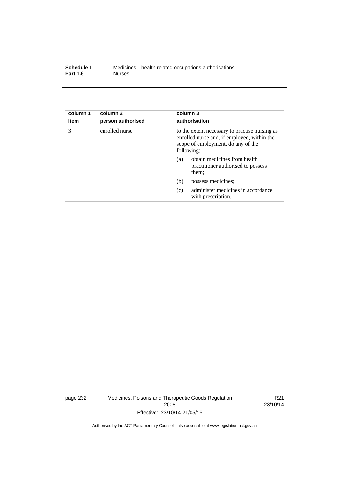| Schedule 1      | Medicines—health-related occupations authorisations |
|-----------------|-----------------------------------------------------|
| <b>Part 1.6</b> | <b>Nurses</b>                                       |

| column 1<br>item | column <sub>2</sub><br>person authorised | column 3<br>authorisation                                                                                                                         |
|------------------|------------------------------------------|---------------------------------------------------------------------------------------------------------------------------------------------------|
| 3                | enrolled nurse                           | to the extent necessary to practise nursing as<br>enrolled nurse and, if employed, within the<br>scope of employment, do any of the<br>following: |
|                  |                                          | obtain medicines from health<br>(a)<br>practitioner authorised to possess<br>them;                                                                |
|                  |                                          | (b)<br>possess medicines;                                                                                                                         |
|                  |                                          | administer medicines in accordance<br>(c)<br>with prescription.                                                                                   |

page 232 Medicines, Poisons and Therapeutic Goods Regulation 2008 Effective: 23/10/14-21/05/15

R21 23/10/14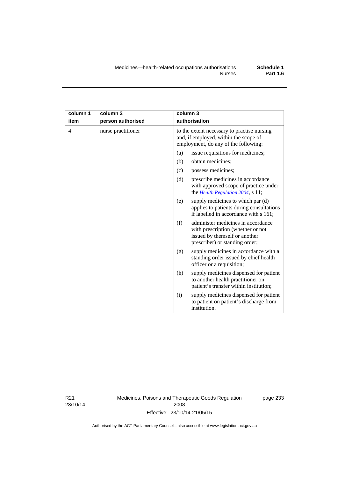| column 1       | column <sub>2</sub> | column 3                                                                                                                                          |  |
|----------------|---------------------|---------------------------------------------------------------------------------------------------------------------------------------------------|--|
| item           | person authorised   | authorisation                                                                                                                                     |  |
| $\overline{4}$ | nurse practitioner  | to the extent necessary to practise nursing<br>and, if employed, within the scope of<br>employment, do any of the following:                      |  |
|                |                     | issue requisitions for medicines;<br>(a)                                                                                                          |  |
|                |                     | (b)<br>obtain medicines;                                                                                                                          |  |
|                |                     | possess medicines;<br>(c)                                                                                                                         |  |
|                |                     | (d)<br>prescribe medicines in accordance<br>with approved scope of practice under<br>the Health Regulation 2004, s 11;                            |  |
|                |                     | supply medicines to which par (d)<br>(e)<br>applies to patients during consultations<br>if labelled in accordance with s 161;                     |  |
|                |                     | administer medicines in accordance<br>(f)<br>with prescription (whether or not<br>issued by themself or another<br>prescriber) or standing order; |  |
|                |                     | supply medicines in accordance with a<br>(g)<br>standing order issued by chief health<br>officer or a requisition;                                |  |
|                |                     | supply medicines dispensed for patient<br>(h)<br>to another health practitioner on<br>patient's transfer within institution;                      |  |
|                |                     | supply medicines dispensed for patient<br>(i)<br>to patient on patient's discharge from<br>institution.                                           |  |

R21 23/10/14 Medicines, Poisons and Therapeutic Goods Regulation 2008 Effective: 23/10/14-21/05/15

page 233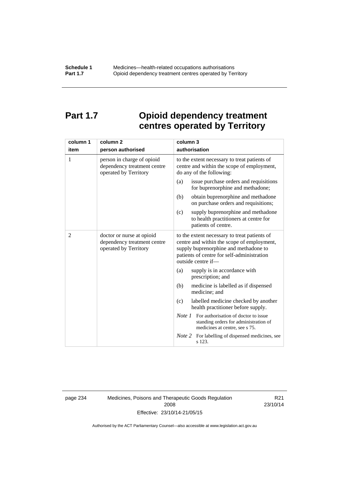# **Part 1.7 Opioid dependency treatment centres operated by Territory**

| column 1       | column <sub>2</sub>                                                                | column 3                                                                                                                                                                                                |
|----------------|------------------------------------------------------------------------------------|---------------------------------------------------------------------------------------------------------------------------------------------------------------------------------------------------------|
| item           | person authorised                                                                  | authorisation                                                                                                                                                                                           |
| 1              | person in charge of opioid<br>dependency treatment centre<br>operated by Territory | to the extent necessary to treat patients of<br>centre and within the scope of employment,<br>do any of the following:                                                                                  |
|                |                                                                                    | issue purchase orders and requisitions<br>(a)<br>for buprenorphine and methadone;                                                                                                                       |
|                |                                                                                    | obtain buprenorphine and methadone<br>(b)<br>on purchase orders and requisitions;                                                                                                                       |
|                |                                                                                    | supply buprenorphine and methadone<br>(c)<br>to health practitioners at centre for<br>patients of centre.                                                                                               |
| $\overline{2}$ | doctor or nurse at opioid<br>dependency treatment centre<br>operated by Territory  | to the extent necessary to treat patients of<br>centre and within the scope of employment,<br>supply buprenorphine and methadone to<br>patients of centre for self-administration<br>outside centre if- |
|                |                                                                                    | supply is in accordance with<br>(a)<br>prescription; and                                                                                                                                                |
|                |                                                                                    | (b)<br>medicine is labelled as if dispensed<br>medicine; and                                                                                                                                            |
|                |                                                                                    | (c)<br>labelled medicine checked by another<br>health practitioner before supply.                                                                                                                       |
|                |                                                                                    | <i>Note 1</i> For authorisation of doctor to issue<br>standing orders for administration of<br>medicines at centre, see s 75.                                                                           |
|                |                                                                                    | Note 2<br>For labelling of dispensed medicines, see<br>s 123.                                                                                                                                           |

page 234 Medicines, Poisons and Therapeutic Goods Regulation 2008 Effective: 23/10/14-21/05/15

R21 23/10/14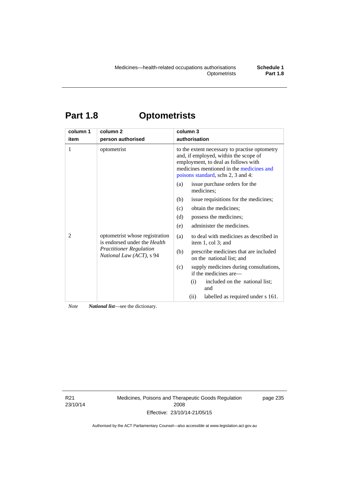# **Part 1.8 Optometrists**

| column 1 | column <sub>2</sub>                                                                                                          | column 3                                                                                                                                                                                                        |  |  |
|----------|------------------------------------------------------------------------------------------------------------------------------|-----------------------------------------------------------------------------------------------------------------------------------------------------------------------------------------------------------------|--|--|
| item     | person authorised                                                                                                            | authorisation                                                                                                                                                                                                   |  |  |
| 1        | optometrist                                                                                                                  | to the extent necessary to practise optometry<br>and, if employed, within the scope of<br>employment, to deal as follows with<br>medicines mentioned in the medicines and<br>poisons standard, schs 2, 3 and 4: |  |  |
|          |                                                                                                                              | issue purchase orders for the<br>(a)<br>medicines;                                                                                                                                                              |  |  |
| 2        | optometrist whose registration<br>is endorsed under the Health<br><b>Practitioner Regulation</b><br>National Law (ACT), s 94 | issue requisitions for the medicines;<br>(b)                                                                                                                                                                    |  |  |
|          |                                                                                                                              | obtain the medicines;<br>(c)                                                                                                                                                                                    |  |  |
|          |                                                                                                                              | possess the medicines;<br>(d)                                                                                                                                                                                   |  |  |
|          |                                                                                                                              | administer the medicines.<br>(e)                                                                                                                                                                                |  |  |
|          |                                                                                                                              | to deal with medicines as described in<br>(a)<br>item 1, col 3; and                                                                                                                                             |  |  |
|          |                                                                                                                              | prescribe medicines that are included<br>(b)<br>on the national list; and                                                                                                                                       |  |  |
|          |                                                                                                                              | (c)<br>supply medicines during consultations,<br>if the medicines are—                                                                                                                                          |  |  |
|          |                                                                                                                              | included on the national list;<br>(i)<br>and                                                                                                                                                                    |  |  |
|          |                                                                                                                              | labelled as required under s 161.<br>(ii)                                                                                                                                                                       |  |  |

*Note National list*—see the dictionary.

R21 23/10/14 Medicines, Poisons and Therapeutic Goods Regulation 2008 Effective: 23/10/14-21/05/15

page 235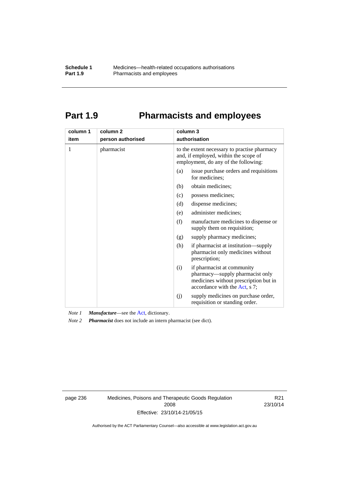# **Part 1.9 Pharmacists and employees**

| column 1<br>item | column <sub>2</sub><br>person authorised | column 3<br>authorisation                                                                                                                      |  |  |
|------------------|------------------------------------------|------------------------------------------------------------------------------------------------------------------------------------------------|--|--|
|                  |                                          |                                                                                                                                                |  |  |
| 1                | pharmacist                               | to the extent necessary to practise pharmacy<br>and, if employed, within the scope of<br>employment, do any of the following:                  |  |  |
|                  |                                          | issue purchase orders and requisitions<br>(a)<br>for medicines:                                                                                |  |  |
|                  |                                          | obtain medicines;<br>(b)                                                                                                                       |  |  |
|                  |                                          | (c)<br>possess medicines;                                                                                                                      |  |  |
|                  |                                          | (d)<br>dispense medicines;                                                                                                                     |  |  |
|                  |                                          | administer medicines;<br>(e)                                                                                                                   |  |  |
|                  |                                          | (f)<br>manufacture medicines to dispense or<br>supply them on requisition;                                                                     |  |  |
|                  |                                          | supply pharmacy medicines;<br>(g)                                                                                                              |  |  |
|                  |                                          | (h)<br>if pharmacist at institution—supply<br>pharmacist only medicines without<br>prescription;                                               |  |  |
|                  |                                          | if pharmacist at community<br>(i)<br>pharmacy—supply pharmacist only<br>medicines without prescription but in<br>accordance with the Act, s 7; |  |  |
|                  |                                          | supply medicines on purchase order,<br>(j)<br>requisition or standing order.                                                                   |  |  |

*Note 1 Manufacture*—see the [Act,](http://www.legislation.act.gov.au/a/2008-26/default.asp) dictionary.

*Note 2 Pharmacist* does not include an intern pharmacist (see dict).

page 236 Medicines, Poisons and Therapeutic Goods Regulation 2008 Effective: 23/10/14-21/05/15

R21 23/10/14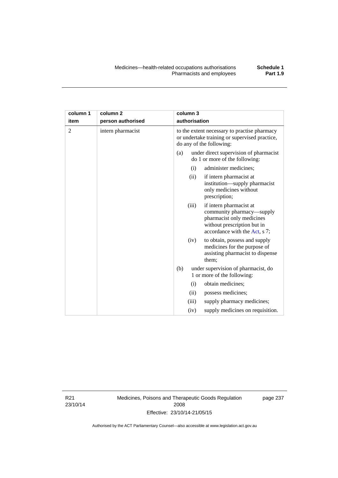| column 1<br>item | column 2<br>person authorised | column 3<br>authorisation                                                                                                   |
|------------------|-------------------------------|-----------------------------------------------------------------------------------------------------------------------------|
| 2                | intern pharmacist             | to the extent necessary to practise pharmacy<br>or undertake training or supervised practice,<br>do any of the following:   |
|                  |                               | under direct supervision of pharmacist<br>(a)<br>do 1 or more of the following:                                             |
|                  |                               | administer medicines;<br>(i)                                                                                                |
|                  |                               | if intern pharmacist at<br>(i)<br>institution—supply pharmacist<br>only medicines without<br>prescription;                  |
|                  |                               | different contractions of the contract of the contract of the contract of the contract of the contract of the<br>$\sqrt{2}$ |

|  |     |       | prescription;                                                                                                                                     |  |
|--|-----|-------|---------------------------------------------------------------------------------------------------------------------------------------------------|--|
|  |     | (iii) | if intern pharmacist at<br>community pharmacy-supply<br>pharmacist only medicines<br>without prescription but in<br>accordance with the Act, s 7; |  |
|  |     | (iv)  | to obtain, possess and supply<br>medicines for the purpose of<br>assisting pharmacist to dispense<br>them;                                        |  |
|  | (b) |       | under supervision of pharmacist, do<br>1 or more of the following:                                                                                |  |
|  |     | (i)   | obtain medicines;                                                                                                                                 |  |
|  |     | (ii)  | possess medicines;                                                                                                                                |  |
|  |     | (iii) | supply pharmacy medicines;                                                                                                                        |  |
|  |     | (iv)  | supply medicines on requisition.                                                                                                                  |  |

R21 23/10/14

**column 1 item** 

> Medicines, Poisons and Therapeutic Goods Regulation 2008 Effective: 23/10/14-21/05/15

page 237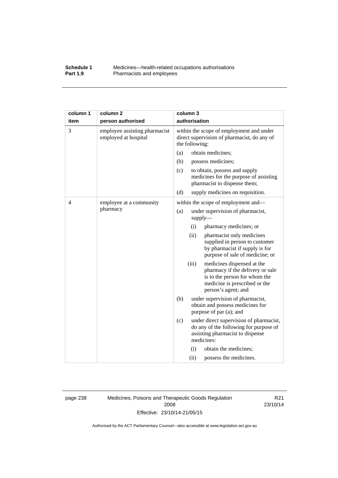## **Schedule 1** Medicines—health-related occupations authorisations<br>**Part 1.9** Pharmacists and employees Pharmacists and employees

| column 1 | column <sub>2</sub>                                   | column 3                                                                                                                                                         |
|----------|-------------------------------------------------------|------------------------------------------------------------------------------------------------------------------------------------------------------------------|
| item     | person authorised                                     | authorisation                                                                                                                                                    |
| 3        | employee assisting pharmacist<br>employed at hospital | within the scope of employment and under<br>direct supervision of pharmacist, do any of<br>the following:                                                        |
|          |                                                       | obtain medicines;<br>(a)                                                                                                                                         |
|          |                                                       | (b)<br>possess medicines;                                                                                                                                        |
|          |                                                       | (c)<br>to obtain, possess and supply<br>medicines for the purpose of assisting<br>pharmacist to dispense them;                                                   |
|          |                                                       | (d)<br>supply medicines on requisition.                                                                                                                          |
| 4        | employee at a community<br>pharmacy                   | within the scope of employment and-                                                                                                                              |
|          |                                                       | (a)<br>under supervision of pharmacist,<br>$supply$ —                                                                                                            |
|          |                                                       | (i)<br>pharmacy medicines; or                                                                                                                                    |
|          |                                                       | (ii)<br>pharmacist only medicines<br>supplied in person to customer<br>by pharmacist if supply is for<br>purpose of sale of medicine; or                         |
|          |                                                       | (iii)<br>medicines dispensed at the<br>pharmacy if the delivery or sale<br>is to the person for whom the<br>medicine is prescribed or the<br>person's agent; and |
|          |                                                       | (b)<br>under supervision of pharmacist,<br>obtain and possess medicines for<br>purpose of par (a); and                                                           |
|          |                                                       | (c)<br>under direct supervision of pharmacist,<br>do any of the following for purpose of<br>assisting pharmacist to dispense<br>medicines:                       |
|          |                                                       | obtain the medicines;<br>(i)                                                                                                                                     |
|          |                                                       | (ii)<br>possess the medicines.                                                                                                                                   |

page 238 Medicines, Poisons and Therapeutic Goods Regulation 2008 Effective: 23/10/14-21/05/15

R21 23/10/14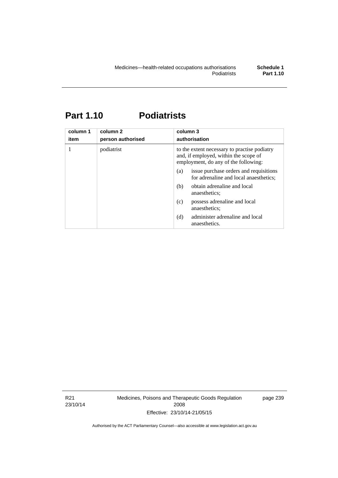# **Part 1.10 Podiatrists**

| column 1<br>item | column 2<br>person authorised | column 3<br>authorisation                                                                                                     |  |
|------------------|-------------------------------|-------------------------------------------------------------------------------------------------------------------------------|--|
| 1                | podiatrist                    | to the extent necessary to practise podiatry<br>and, if employed, within the scope of<br>employment, do any of the following: |  |
|                  |                               | issue purchase orders and requisitions<br>(a)<br>for adrenaline and local anaesthetics;                                       |  |
|                  |                               | obtain adrenaline and local<br>(b)<br>anaesthetics:                                                                           |  |
|                  |                               | possess adrenaline and local<br>(c)<br>anaesthetics;                                                                          |  |
|                  |                               | administer adrenaline and local<br>(d)<br>anaesthetics.                                                                       |  |

R21 23/10/14 Medicines, Poisons and Therapeutic Goods Regulation 2008 Effective: 23/10/14-21/05/15

page 239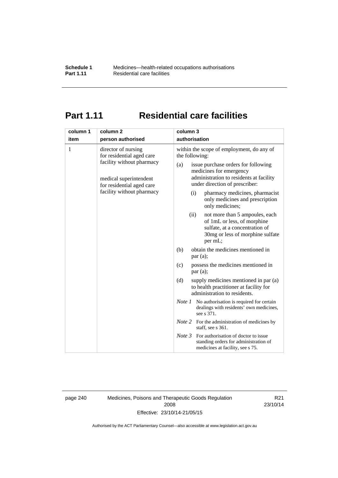# **Part 1.11 Residential care facilities**

| column 1<br>item | column <sub>2</sub><br>person authorised                                                                                                                          | column 3<br>authorisation                                                                                                                                                                                                                                                                                                                                  |
|------------------|-------------------------------------------------------------------------------------------------------------------------------------------------------------------|------------------------------------------------------------------------------------------------------------------------------------------------------------------------------------------------------------------------------------------------------------------------------------------------------------------------------------------------------------|
| 1                | director of nursing<br>for residential aged care<br>facility without pharmacy<br>medical superintendent<br>for residential aged care<br>facility without pharmacy | within the scope of employment, do any of<br>the following:<br>issue purchase orders for following<br>(a)<br>medicines for emergency<br>administration to residents at facility<br>under direction of prescriber:<br>pharmacy medicines, pharmacist<br>(i)<br>only medicines and prescription<br>only medicines;<br>not more than 5 ampoules, each<br>(ii) |
|                  |                                                                                                                                                                   | of 1mL or less, of morphine<br>sulfate, at a concentration of<br>30mg or less of morphine sulfate<br>per mL;                                                                                                                                                                                                                                               |
|                  |                                                                                                                                                                   | obtain the medicines mentioned in<br>(b)<br>par(a);                                                                                                                                                                                                                                                                                                        |
|                  |                                                                                                                                                                   | possess the medicines mentioned in<br>(c)<br>par(a);                                                                                                                                                                                                                                                                                                       |
|                  |                                                                                                                                                                   | (d)<br>supply medicines mentioned in par (a)<br>to health practitioner at facility for<br>administration to residents.                                                                                                                                                                                                                                     |
|                  |                                                                                                                                                                   | <i>Note 1</i> No authorisation is required for certain<br>dealings with residents' own medicines,<br>see s 371.                                                                                                                                                                                                                                            |
|                  |                                                                                                                                                                   | <i>Note</i> 2 For the administration of medicines by<br>staff, see s 361.                                                                                                                                                                                                                                                                                  |
|                  |                                                                                                                                                                   | Note 3<br>For authorisation of doctor to issue<br>standing orders for administration of<br>medicines at facility, see s 75.                                                                                                                                                                                                                                |

page 240 Medicines, Poisons and Therapeutic Goods Regulation 2008 Effective: 23/10/14-21/05/15

R21 23/10/14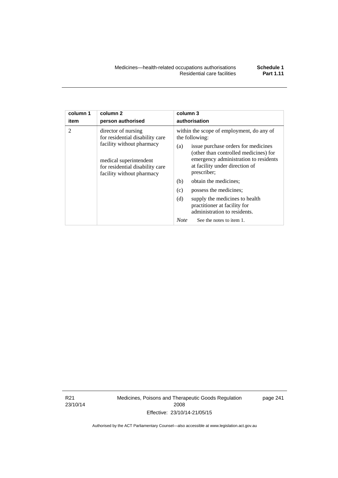| column 1       | column <sub>2</sub>                                                                                                                                                           | column 3                                                                                                                                                                                                                                                                                                                                                                                                                                                          |  |  |
|----------------|-------------------------------------------------------------------------------------------------------------------------------------------------------------------------------|-------------------------------------------------------------------------------------------------------------------------------------------------------------------------------------------------------------------------------------------------------------------------------------------------------------------------------------------------------------------------------------------------------------------------------------------------------------------|--|--|
| item           | person authorised                                                                                                                                                             | authorisation                                                                                                                                                                                                                                                                                                                                                                                                                                                     |  |  |
| $\mathfrak{D}$ | director of nursing<br>for residential disability care<br>facility without pharmacy<br>medical superintendent<br>for residential disability care<br>facility without pharmacy | within the scope of employment, do any of<br>the following:<br>issue purchase orders for medicines<br>(a)<br>(other than controlled medicines) for<br>emergency administration to residents<br>at facility under direction of<br>prescriber;<br>obtain the medicines;<br>(b)<br>(c)<br>possess the medicines;<br>(d)<br>supply the medicines to health<br>practitioner at facility for<br>administration to residents.<br><b>Note</b><br>See the notes to item 1. |  |  |

R21 23/10/14 Medicines, Poisons and Therapeutic Goods Regulation 2008 Effective: 23/10/14-21/05/15

page 241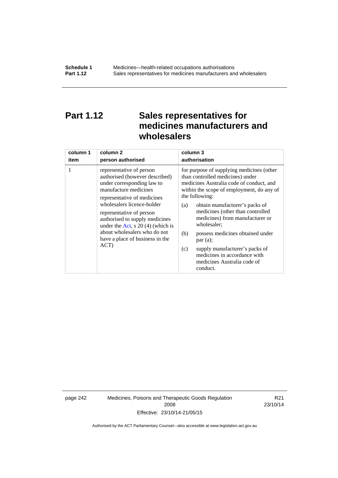# **Part 1.12 Sales representatives for medicines manufacturers and wholesalers**

| column 1 | column <sub>2</sub>                                                                                                                                                                                                                                                                                                                                           | column 3      |
|----------|---------------------------------------------------------------------------------------------------------------------------------------------------------------------------------------------------------------------------------------------------------------------------------------------------------------------------------------------------------------|---------------|
| item     | person authorised                                                                                                                                                                                                                                                                                                                                             | authorisation |
| 1        | representative of person<br>authorised (however described)<br>under corresponding law to<br>manufacture medicines<br>representative of medicines<br>wholesalers licence-holder<br>representative of person<br>authorised to supply medicines<br>under the Act, s $20(4)$ (which is<br>about wholesalers who do not<br>have a place of business in the<br>ACT) |               |

page 242 Medicines, Poisons and Therapeutic Goods Regulation 2008 Effective: 23/10/14-21/05/15

R21 23/10/14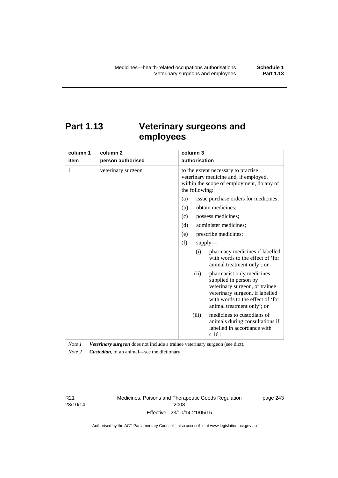# **Part 1.13 Veterinary surgeons and employees**

| column 1 | column <sub>2</sub> | column 3                                                                                                                                                                                          |  |  |
|----------|---------------------|---------------------------------------------------------------------------------------------------------------------------------------------------------------------------------------------------|--|--|
| item     | person authorised   | authorisation                                                                                                                                                                                     |  |  |
| 1        | veterinary surgeon  | to the extent necessary to practise<br>veterinary medicine and, if employed,<br>within the scope of employment, do any of<br>the following:                                                       |  |  |
|          |                     | issue purchase orders for medicines;<br>(a)                                                                                                                                                       |  |  |
|          |                     | (b)<br>obtain medicines;                                                                                                                                                                          |  |  |
|          |                     | possess medicines;<br>(c)                                                                                                                                                                         |  |  |
|          |                     | administer medicines;<br>(d)                                                                                                                                                                      |  |  |
|          |                     | prescribe medicines;<br>(e)                                                                                                                                                                       |  |  |
|          |                     | (f)<br>supply                                                                                                                                                                                     |  |  |
|          |                     | pharmacy medicines if labelled<br>(i)<br>with words to the effect of 'for<br>animal treatment only'; or                                                                                           |  |  |
|          |                     | pharmacist only medicines<br>(ii)<br>supplied in person by<br>veterinary surgeon, or trainee<br>veterinary surgeon, if labelled<br>with words to the effect of 'for<br>animal treatment only'; or |  |  |
|          |                     | medicines to custodians of<br>(iii)<br>animals during consultations if<br>labelled in accordance with<br>s 161.                                                                                   |  |  |

*Note 1 Veterinary surgeon* does not include a trainee veterinary surgeon (see dict). *Note 2 Custodian*, of an animal—see the dictionary.

R21 23/10/14 Medicines, Poisons and Therapeutic Goods Regulation 2008 Effective: 23/10/14-21/05/15

page 243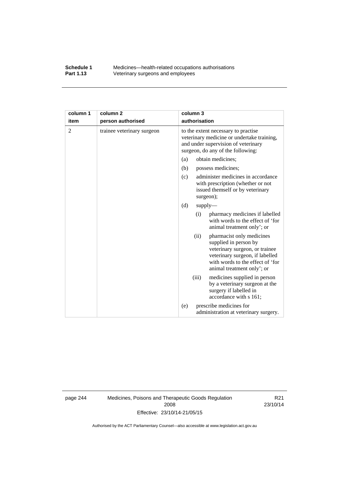## **Schedule 1** Medicines—health-related occupations authorisations<br>**Part 1.13** Veterinary surgeons and employees Veterinary surgeons and employees

| column 1       | column <sub>2</sub>        | column 3                                                                                                                                                                                          |  |
|----------------|----------------------------|---------------------------------------------------------------------------------------------------------------------------------------------------------------------------------------------------|--|
| item           | person authorised          | authorisation                                                                                                                                                                                     |  |
| $\overline{2}$ | trainee veterinary surgeon | to the extent necessary to practise<br>veterinary medicine or undertake training,<br>and under supervision of veterinary<br>surgeon, do any of the following:                                     |  |
|                |                            | obtain medicines;<br>(a)                                                                                                                                                                          |  |
|                |                            | (b)<br>possess medicines;                                                                                                                                                                         |  |
|                |                            | administer medicines in accordance<br>(c)<br>with prescription (whether or not<br>issued themself or by veterinary<br>surgeon);                                                                   |  |
|                |                            | (d)<br>$supply$ —                                                                                                                                                                                 |  |
|                |                            | pharmacy medicines if labelled<br>(i)<br>with words to the effect of 'for<br>animal treatment only'; or                                                                                           |  |
|                |                            | pharmacist only medicines<br>(ii)<br>supplied in person by<br>veterinary surgeon, or trainee<br>veterinary surgeon, if labelled<br>with words to the effect of 'for<br>animal treatment only'; or |  |
|                |                            | (iii)<br>medicines supplied in person<br>by a veterinary surgeon at the<br>surgery if labelled in<br>accordance with s 161;                                                                       |  |
|                |                            | prescribe medicines for<br>(e)<br>administration at veterinary surgery.                                                                                                                           |  |

page 244 Medicines, Poisons and Therapeutic Goods Regulation 2008 Effective: 23/10/14-21/05/15

R21 23/10/14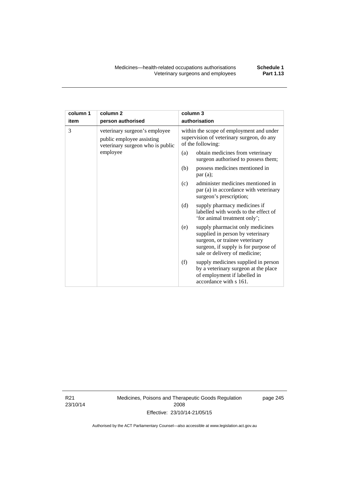| column 1<br>item | column <sub>2</sub><br>person authorised                                                                                                                                               | column 3<br>authorisation                                                                                                                    |  |
|------------------|----------------------------------------------------------------------------------------------------------------------------------------------------------------------------------------|----------------------------------------------------------------------------------------------------------------------------------------------|--|
| 3                | veterinary surgeon's employee<br>public employee assisting<br>veterinary surgeon who is public                                                                                         | within the scope of employment and under<br>supervision of veterinary surgeon, do any<br>of the following:                                   |  |
| employee         | obtain medicines from veterinary<br>(a)<br>surgeon authorised to possess them;                                                                                                         |                                                                                                                                              |  |
|                  |                                                                                                                                                                                        | possess medicines mentioned in<br>(b)<br>par(a);                                                                                             |  |
|                  |                                                                                                                                                                                        | administer medicines mentioned in<br>(c)<br>par (a) in accordance with veterinary<br>surgeon's prescription;                                 |  |
|                  |                                                                                                                                                                                        | (d)<br>supply pharmacy medicines if<br>labelled with words to the effect of<br>'for animal treatment only';                                  |  |
|                  | supply pharmacist only medicines<br>(e)<br>supplied in person by veterinary<br>surgeon, or trainee veterinary<br>surgeon, if supply is for purpose of<br>sale or delivery of medicine; |                                                                                                                                              |  |
|                  |                                                                                                                                                                                        | supply medicines supplied in person<br>(f)<br>by a veterinary surgeon at the place<br>of employment if labelled in<br>accordance with s 161. |  |

R21 23/10/14 Medicines, Poisons and Therapeutic Goods Regulation 2008 Effective: 23/10/14-21/05/15

page 245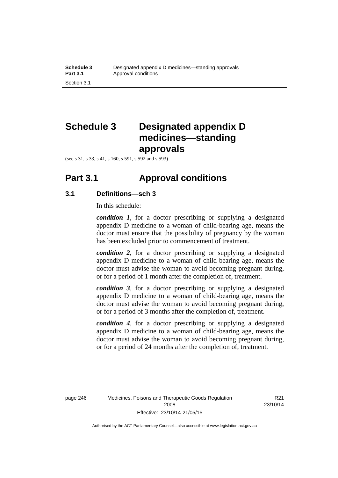# **Schedule 3 Designated appendix D medicines—standing approvals**

(see s 31, s 33, s 41, s 160, s 591, s 592 and s 593)

## **Part 3.1 Approval conditions**

## **3.1 Definitions—sch 3**

In this schedule:

*condition 1*, for a doctor prescribing or supplying a designated appendix D medicine to a woman of child-bearing age, means the doctor must ensure that the possibility of pregnancy by the woman has been excluded prior to commencement of treatment.

*condition 2*, for a doctor prescribing or supplying a designated appendix D medicine to a woman of child-bearing age, means the doctor must advise the woman to avoid becoming pregnant during, or for a period of 1 month after the completion of, treatment.

*condition 3*, for a doctor prescribing or supplying a designated appendix D medicine to a woman of child-bearing age, means the doctor must advise the woman to avoid becoming pregnant during, or for a period of 3 months after the completion of, treatment.

*condition 4*, for a doctor prescribing or supplying a designated appendix D medicine to a woman of child-bearing age, means the doctor must advise the woman to avoid becoming pregnant during, or for a period of 24 months after the completion of, treatment.

R21 23/10/14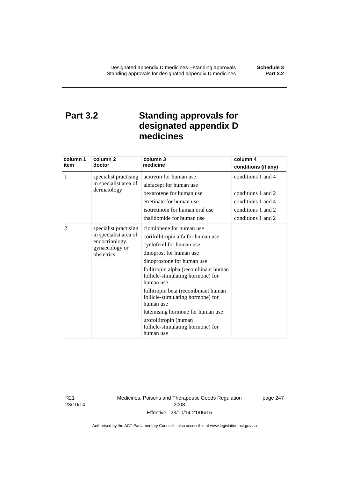# **Part 3.2 Standing approvals for designated appendix D medicines**

| column 1<br>item | column 2<br>doctor                                                                               | column 3<br>medicine                                                                                                                                                                                                                                                                                                                                                                                                                                   | column 4<br>conditions (if any)                                                                            |
|------------------|--------------------------------------------------------------------------------------------------|--------------------------------------------------------------------------------------------------------------------------------------------------------------------------------------------------------------------------------------------------------------------------------------------------------------------------------------------------------------------------------------------------------------------------------------------------------|------------------------------------------------------------------------------------------------------------|
| 1                | specialist practising<br>in specialist area of<br>dermatology                                    | acitretin for human use<br>alefacept for human use<br>bexarotene for human use<br>etretinate for human use<br>isotretinoin for human oral use<br>thalidomide for human use                                                                                                                                                                                                                                                                             | conditions 1 and 4<br>conditions 1 and 2<br>conditions 1 and 4<br>conditions 1 and 2<br>conditions 1 and 2 |
| 2                | specialist practising<br>in specialist area of<br>endocrinology,<br>gynaecology or<br>obstetrics | clomiphene for human use<br>corifollitropin alfa for human use<br>cyclofenil for human use<br>dinoprost for human use<br>dinoprostone for human use<br>follitropin alpha (recombinant human<br>follicle-stimulating hormone) for<br>human use<br>follitropin beta (recombinant human<br>follicle-stimulating hormone) for<br>human use<br>luteinising hormone for human use<br>urofollitropin (human<br>follicle-stimulating hormone) for<br>human use |                                                                                                            |

R21 23/10/14 Medicines, Poisons and Therapeutic Goods Regulation 2008 Effective: 23/10/14-21/05/15

page 247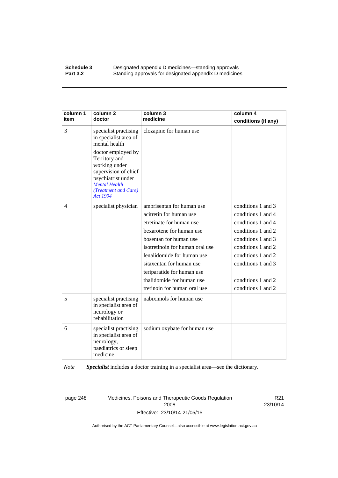### **Schedule 3 Designated appendix D medicines—standing approvals Part 3.2** Standing approvals for designated appendix D medicine Standing approvals for designated appendix D medicines

| column 1<br>item | column <sub>2</sub><br>doctor                                                                                                                                                                                                            | column 3<br>medicine                                                                                                                                                                                                                                                                                                           | column 4<br>conditions (if any)                                                                                                                                                                                          |
|------------------|------------------------------------------------------------------------------------------------------------------------------------------------------------------------------------------------------------------------------------------|--------------------------------------------------------------------------------------------------------------------------------------------------------------------------------------------------------------------------------------------------------------------------------------------------------------------------------|--------------------------------------------------------------------------------------------------------------------------------------------------------------------------------------------------------------------------|
| 3                | specialist practising<br>in specialist area of<br>mental health<br>doctor employed by<br>Territory and<br>working under<br>supervision of chief<br>psychiatrist under<br><b>Mental Health</b><br>(Treatment and Care)<br><b>Act 1994</b> | clozapine for human use                                                                                                                                                                                                                                                                                                        |                                                                                                                                                                                                                          |
| $\overline{4}$   | specialist physician                                                                                                                                                                                                                     | ambrisentan for human use<br>acitretin for human use<br>etretinate for human use<br>bexarotene for human use<br>bosentan for human use<br>isotretinoin for human oral use<br>lenalidomide for human use<br>sitaxentan for human use<br>teriparatide for human use<br>thalidomide for human use<br>tretinoin for human oral use | conditions 1 and 3<br>conditions 1 and 4<br>conditions 1 and 4<br>conditions 1 and 2<br>conditions 1 and 3<br>conditions 1 and 2<br>conditions 1 and 2<br>conditions 1 and 3<br>conditions 1 and 2<br>conditions 1 and 2 |
| 5                | specialist practising<br>in specialist area of<br>neurology or<br>rehabilitation                                                                                                                                                         | nabiximols for human use                                                                                                                                                                                                                                                                                                       |                                                                                                                                                                                                                          |
| 6                | specialist practising<br>in specialist area of<br>neurology,<br>paediatrics or sleep<br>medicine                                                                                                                                         | sodium oxybate for human use                                                                                                                                                                                                                                                                                                   |                                                                                                                                                                                                                          |

*Note Specialist* includes a doctor training in a specialist area—see the dictionary.

page 248 Medicines, Poisons and Therapeutic Goods Regulation 2008 Effective: 23/10/14-21/05/15

R21 23/10/14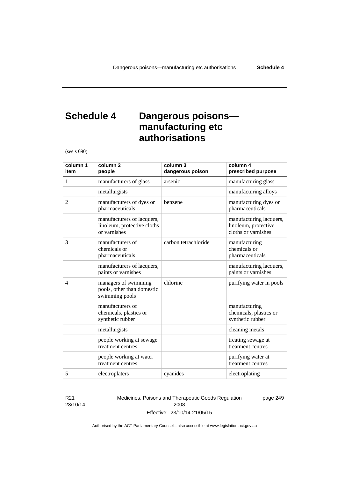# **Schedule 4 Dangerous poisons manufacturing etc authorisations**

(see s 690)

| column 1<br>item | column <sub>2</sub><br>people                                             | column 3<br>dangerous poison | column 4<br>prescribed purpose                                         |
|------------------|---------------------------------------------------------------------------|------------------------------|------------------------------------------------------------------------|
| 1                | manufacturers of glass                                                    | arsenic                      | manufacturing glass                                                    |
|                  | metallurgists                                                             |                              | manufacturing alloys                                                   |
| 2                | manufacturers of dyes or<br>pharmaceuticals                               | benzene                      | manufacturing dyes or<br>pharmaceuticals                               |
|                  | manufacturers of lacquers,<br>linoleum, protective cloths<br>or varnishes |                              | manufacturing lacquers,<br>linoleum, protective<br>cloths or varnishes |
| 3                | manufacturers of<br>chemicals or<br>pharmaceuticals                       | carbon tetrachloride         | manufacturing<br>chemicals or<br>pharmaceuticals                       |
|                  | manufacturers of lacquers,<br>paints or varnishes                         |                              | manufacturing lacquers,<br>paints or varnishes                         |
| $\overline{4}$   | managers of swimming<br>pools, other than domestic<br>swimming pools      | chlorine                     | purifying water in pools                                               |
|                  | manufacturers of<br>chemicals, plastics or<br>synthetic rubber            |                              | manufacturing<br>chemicals, plastics or<br>synthetic rubber            |
|                  | metallurgists                                                             |                              | cleaning metals                                                        |
|                  | people working at sewage<br>treatment centres                             |                              | treating sewage at<br>treatment centres                                |
|                  | people working at water<br>treatment centres                              |                              | purifying water at<br>treatment centres                                |
| 5                | electroplaters                                                            | cyanides                     | electroplating                                                         |

### R21 23/10/14

Medicines, Poisons and Therapeutic Goods Regulation 2008 Effective: 23/10/14-21/05/15

page 249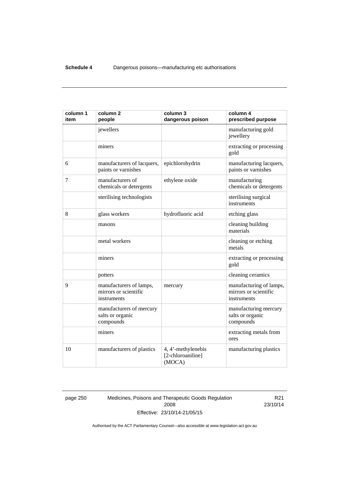| column 1<br>item | column <sub>2</sub><br>people                                   | column 3<br>dangerous poison                      | column 4<br>prescribed purpose                                  |
|------------------|-----------------------------------------------------------------|---------------------------------------------------|-----------------------------------------------------------------|
|                  | jewellers                                                       |                                                   | manufacturing gold<br>jewellery                                 |
|                  | miners                                                          |                                                   | extracting or processing<br>gold                                |
| 6                | manufacturers of lacquers,<br>paints or varnishes               | epichlorohydrin                                   | manufacturing lacquers,<br>paints or varnishes                  |
| 7                | manufacturers of<br>chemicals or detergents                     | ethylene oxide                                    | manufacturing<br>chemicals or detergents                        |
|                  | sterilising technologists                                       |                                                   | sterilising surgical<br>instruments                             |
| 8                | glass workers                                                   | hydrofluoric acid                                 | etching glass                                                   |
|                  | masons                                                          |                                                   | cleaning building<br>materials                                  |
|                  | metal workers                                                   |                                                   | cleaning or etching<br>metals                                   |
|                  | miners                                                          |                                                   | extracting or processing<br>gold                                |
|                  | potters                                                         |                                                   | cleaning ceramics                                               |
| 9                | manufacturers of lamps,<br>mirrors or scientific<br>instruments | mercury                                           | manufacturing of lamps,<br>mirrors or scientific<br>instruments |
|                  | manufacturers of mercury<br>salts or organic<br>compounds       |                                                   | manufacturing mercury<br>salts or organic<br>compounds          |
|                  | miners                                                          |                                                   | extracting metals from<br>ores                                  |
| 10               | manufacturers of plastics                                       | 4, 4'-methylenebis<br>[2-chloroaniline]<br>(MOCA) | manufacturing plastics                                          |

page 250 Medicines, Poisons and Therapeutic Goods Regulation 2008 Effective: 23/10/14-21/05/15

R21 23/10/14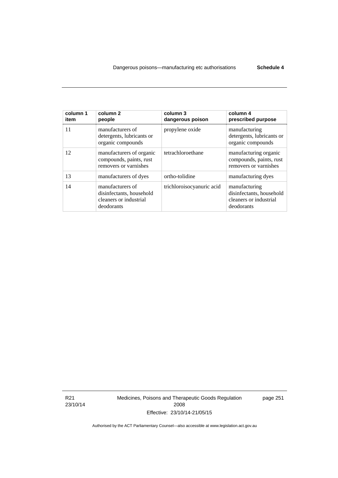| column 1<br>item | column 2<br>people                                                                   | column 3<br>dangerous poison | column 4<br>prescribed purpose                                                    |
|------------------|--------------------------------------------------------------------------------------|------------------------------|-----------------------------------------------------------------------------------|
| 11               | manufacturers of<br>detergents, lubricants or<br>organic compounds                   | propylene oxide              | manufacturing<br>detergents, lubricants or<br>organic compounds                   |
| 12               | manufacturers of organic<br>compounds, paints, rust<br>removers or varnishes         | tetrachloroethane            | manufacturing organic<br>compounds, paints, rust<br>removers or varnishes         |
| 13               | manufacturers of dyes                                                                | ortho-tolidine               | manufacturing dyes                                                                |
| 14               | manufacturers of<br>disinfectants, household<br>cleaners or industrial<br>deodorants | trichloroisocyanuric acid    | manufacturing<br>disinfectants, household<br>cleaners or industrial<br>deodorants |

R21 23/10/14 Medicines, Poisons and Therapeutic Goods Regulation 2008 Effective: 23/10/14-21/05/15

page 251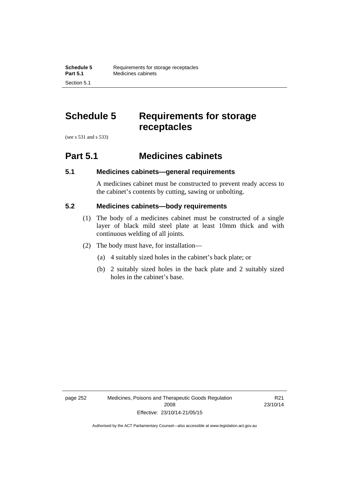# **Schedule 5 Requirements for storage receptacles**

(see s 531 and s 533)

Section 5.1

## **Part 5.1 Medicines cabinets**

## **5.1 Medicines cabinets—general requirements**

A medicines cabinet must be constructed to prevent ready access to the cabinet's contents by cutting, sawing or unbolting.

## **5.2 Medicines cabinets—body requirements**

- (1) The body of a medicines cabinet must be constructed of a single layer of black mild steel plate at least 10mm thick and with continuous welding of all joints.
- (2) The body must have, for installation—
	- (a) 4 suitably sized holes in the cabinet's back plate; or
	- (b) 2 suitably sized holes in the back plate and 2 suitably sized holes in the cabinet's base.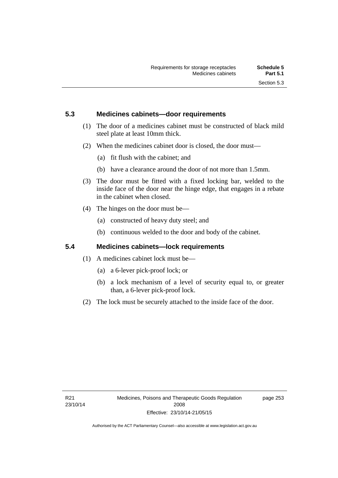## **5.3 Medicines cabinets—door requirements**

- (1) The door of a medicines cabinet must be constructed of black mild steel plate at least 10mm thick.
- (2) When the medicines cabinet door is closed, the door must—
	- (a) fit flush with the cabinet; and
	- (b) have a clearance around the door of not more than 1.5mm.
- (3) The door must be fitted with a fixed locking bar, welded to the inside face of the door near the hinge edge, that engages in a rebate in the cabinet when closed.
- (4) The hinges on the door must be—
	- (a) constructed of heavy duty steel; and
	- (b) continuous welded to the door and body of the cabinet.

## **5.4 Medicines cabinets—lock requirements**

- (1) A medicines cabinet lock must be—
	- (a) a 6-lever pick-proof lock; or
	- (b) a lock mechanism of a level of security equal to, or greater than, a 6-lever pick-proof lock.
- (2) The lock must be securely attached to the inside face of the door.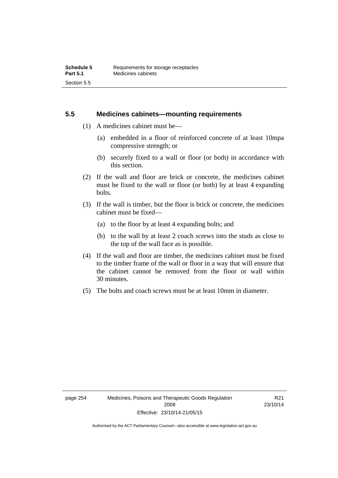## **5.5 Medicines cabinets—mounting requirements**

- (1) A medicines cabinet must be—
	- (a) embedded in a floor of reinforced concrete of at least 10mpa compressive strength; or
	- (b) securely fixed to a wall or floor (or both) in accordance with this section.
- (2) If the wall and floor are brick or concrete, the medicines cabinet must be fixed to the wall or floor (or both) by at least 4 expanding bolts.
- (3) If the wall is timber, but the floor is brick or concrete, the medicines cabinet must be fixed—
	- (a) to the floor by at least 4 expanding bolts; and
	- (b) to the wall by at least 2 coach screws into the studs as close to the top of the wall face as is possible.
- (4) If the wall and floor are timber, the medicines cabinet must be fixed to the timber frame of the wall or floor in a way that will ensure that the cabinet cannot be removed from the floor or wall within 30 minutes.
- (5) The bolts and coach screws must be at least 10mm in diameter.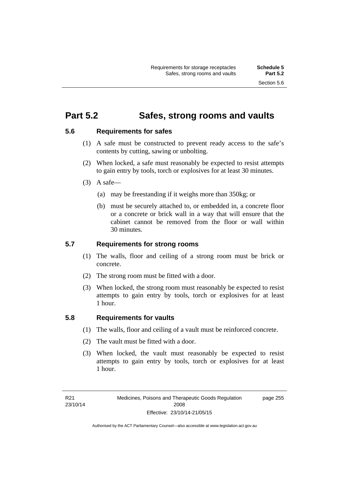## **Part 5.2 Safes, strong rooms and vaults**

## **5.6 Requirements for safes**

- (1) A safe must be constructed to prevent ready access to the safe's contents by cutting, sawing or unbolting.
- (2) When locked, a safe must reasonably be expected to resist attempts to gain entry by tools, torch or explosives for at least 30 minutes.
- $(3)$  A safe-
	- (a) may be freestanding if it weighs more than 350kg; or
	- (b) must be securely attached to, or embedded in, a concrete floor or a concrete or brick wall in a way that will ensure that the cabinet cannot be removed from the floor or wall within 30 minutes.

## **5.7 Requirements for strong rooms**

- (1) The walls, floor and ceiling of a strong room must be brick or concrete.
- (2) The strong room must be fitted with a door.
- (3) When locked, the strong room must reasonably be expected to resist attempts to gain entry by tools, torch or explosives for at least 1 hour.

## **5.8 Requirements for vaults**

- (1) The walls, floor and ceiling of a vault must be reinforced concrete.
- (2) The vault must be fitted with a door.
- (3) When locked, the vault must reasonably be expected to resist attempts to gain entry by tools, torch or explosives for at least 1 hour.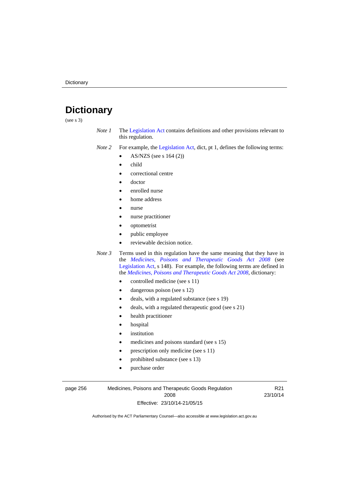# **Dictionary**

(see s 3)

- *Note 1* The [Legislation Act](http://www.legislation.act.gov.au/a/2001-14) contains definitions and other provisions relevant to this regulation.
- *Note 2* For example, the [Legislation Act,](http://www.legislation.act.gov.au/a/2001-14) dict, pt 1, defines the following terms:
	- AS/NZS (see s 164 (2))
	- child
	- correctional centre
	- doctor
	- enrolled nurse
	- home address
	- nurse
	- nurse practitioner
	- optometrist
	- public employee
	- reviewable decision notice.
- *Note 3* Terms used in this regulation have the same meaning that they have in the *[Medicines, Poisons and Therapeutic Goods Act 2008](http://www.legislation.act.gov.au/a/2008-26)* (see [Legislation Act,](http://www.legislation.act.gov.au/a/2001-14) s 148). For example, the following terms are defined in the *[Medicines, Poisons and Therapeutic Goods Act 2008](http://www.legislation.act.gov.au/a/2008-26)*, dictionary:
	- controlled medicine (see s 11)
	- dangerous poison (see s 12)
	- deals, with a regulated substance (see s 19)
	- deals, with a regulated therapeutic good (see s 21)
	- health practitioner
	- hospital
	- institution
	- medicines and poisons standard (see s 15)
	- prescription only medicine (see s 11)
	- prohibited substance (see s 13)
	- purchase order

page 256 Medicines, Poisons and Therapeutic Goods Regulation 2008 Effective: 23/10/14-21/05/15

R21 23/10/14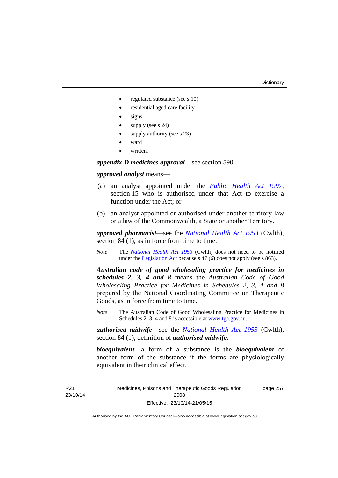page 257

- regulated substance (see s 10)
- residential aged care facility
- signs
- supply (see s 24)
- supply authority (see s 23)
- ward
- written.

*appendix D medicines approval*—see section 590.

### *approved analyst* means—

- (a) an analyst appointed under the *[Public Health Act 1997](http://www.legislation.act.gov.au/a/1997-69)*, section 15 who is authorised under that Act to exercise a function under the Act; or
- (b) an analyst appointed or authorised under another territory law or a law of the Commonwealth, a State or another Territory.

*approved pharmacist*––see the *[National Health Act 1953](http://www.comlaw.gov.au/Series/C1953A00095)* (Cwlth), section 84 (1), as in force from time to time.

*Note* The *[National Health Act 1953](http://www.comlaw.gov.au/Series/C1953A00095)* (Cwlth) does not need to be notified under the [Legislation Act](http://www.legislation.act.gov.au/a/2001-14) because s 47 (6) does not apply (see s 863).

*Australian code of good wholesaling practice for medicines in schedules 2, 3, 4 and 8* means the *Australian Code of Good Wholesaling Practice for Medicines in Schedules 2, 3, 4 and 8* prepared by the National Coordinating Committee on Therapeutic Goods, as in force from time to time.

*Note* The Australian Code of Good Wholesaling Practice for Medicines in Schedules 2, 3, 4 and 8 is accessible at [www.tga.gov.au.](http://www.tga.gov.au/)

*authorised midwife*—see the *[National Health Act 1953](http://www.comlaw.gov.au/Series/C1953A00095)* (Cwlth), section 84 (1), definition of *authorised midwife***.**

*bioequivalent*—a form of a substance is the *bioequivalent* of another form of the substance if the forms are physiologically equivalent in their clinical effect.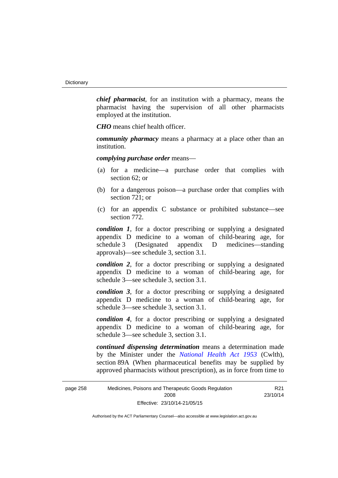*chief pharmacist*, for an institution with a pharmacy, means the pharmacist having the supervision of all other pharmacists employed at the institution.

*CHO* means chief health officer.

*community pharmacy* means a pharmacy at a place other than an institution.

*complying purchase order* means—

- (a) for a medicine—a purchase order that complies with section 62; or
- (b) for a dangerous poison—a purchase order that complies with section 721; or
- (c) for an appendix C substance or prohibited substance—see section 772.

*condition 1*, for a doctor prescribing or supplying a designated appendix D medicine to a woman of child-bearing age, for schedule 3 (Designated appendix D medicines—standing approvals)—see schedule 3, section 3.1.

*condition 2*, for a doctor prescribing or supplying a designated appendix D medicine to a woman of child-bearing age, for schedule 3—see schedule 3, section 3.1.

*condition 3*, for a doctor prescribing or supplying a designated appendix D medicine to a woman of child-bearing age, for schedule 3—see schedule 3, section 3.1.

*condition 4*, for a doctor prescribing or supplying a designated appendix D medicine to a woman of child-bearing age, for schedule 3—see schedule 3, section 3.1.

*continued dispensing determination* means a determination made by the Minister under the *[National Health Act 1953](http://www.comlaw.gov.au/Series/C1953A00095)* (Cwlth), section 89A (When pharmaceutical benefits may be supplied by approved pharmacists without prescription), as in force from time to

R21 23/10/14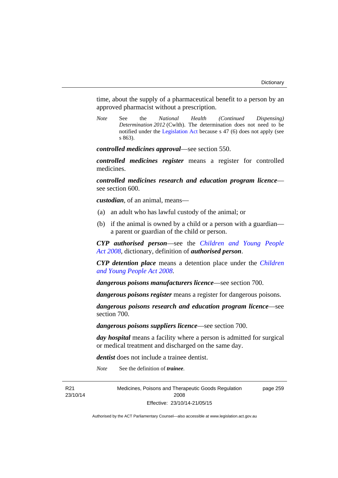time, about the supply of a pharmaceutical benefit to a person by an approved pharmacist without a prescription.

*Note* See the *National Health (Continued Dispensing) Determination 2012* (Cwlth). The determination does not need to be notified under the [Legislation Act](http://www.legislation.act.gov.au/a/2001-14) because s 47 (6) does not apply (see s 863).

*controlled medicines approval*—see section 550.

*controlled medicines register* means a register for controlled medicines.

*controlled medicines research and education program licence* see section 600.

*custodian*, of an animal, means—

- (a) an adult who has lawful custody of the animal; or
- (b) if the animal is owned by a child or a person with a guardian a parent or guardian of the child or person.

*CYP authorised person*—see the *[Children and Young People](http://www.legislation.act.gov.au/a/2008-19)  [Act 2008](http://www.legislation.act.gov.au/a/2008-19)*, dictionary, definition of *authorised person*.

*CYP detention place* means a detention place under the *[Children](http://www.legislation.act.gov.au/a/2008-19)  [and Young People Act 2008](http://www.legislation.act.gov.au/a/2008-19)*.

*dangerous poisons manufacturers licence*—see section 700.

*dangerous poisons register* means a register for dangerous poisons.

*dangerous poisons research and education program licence*—see section 700.

*dangerous poisons suppliers licence*—see section 700.

*day hospital* means a facility where a person is admitted for surgical or medical treatment and discharged on the same day.

*dentist* does not include a trainee dentist.

*Note* See the definition of *trainee*.

R21 23/10/14 Medicines, Poisons and Therapeutic Goods Regulation 2008 Effective: 23/10/14-21/05/15

page 259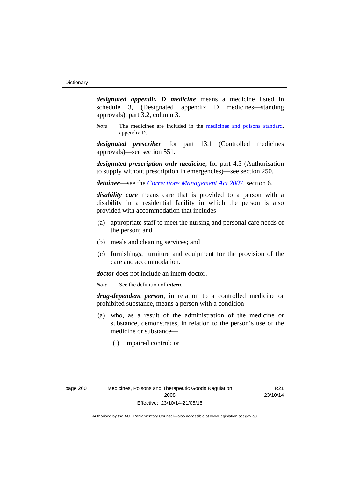*designated appendix D medicine* means a medicine listed in schedule 3, (Designated appendix D medicines—standing approvals), part 3.2, column 3.

*Note* The medicines are included in the [medicines and poisons standard,](http://www.comlaw.gov.au/Series/F2012L01200) appendix D.

*designated prescriber*, for part 13.1 (Controlled medicines approvals)—see section 551.

*designated prescription only medicine*, for part 4.3 (Authorisation to supply without prescription in emergencies)—see section 250.

*detainee*—see the *[Corrections Management Act 2007](http://www.legislation.act.gov.au/a/2007-15)*, section 6.

*disability care* means care that is provided to a person with a disability in a residential facility in which the person is also provided with accommodation that includes—

- (a) appropriate staff to meet the nursing and personal care needs of the person; and
- (b) meals and cleaning services; and
- (c) furnishings, furniture and equipment for the provision of the care and accommodation.

*doctor* does not include an intern doctor.

*Note* See the definition of *intern*.

*drug-dependent person*, in relation to a controlled medicine or prohibited substance, means a person with a condition—

- (a) who, as a result of the administration of the medicine or substance, demonstrates, in relation to the person's use of the medicine or substance—
	- (i) impaired control; or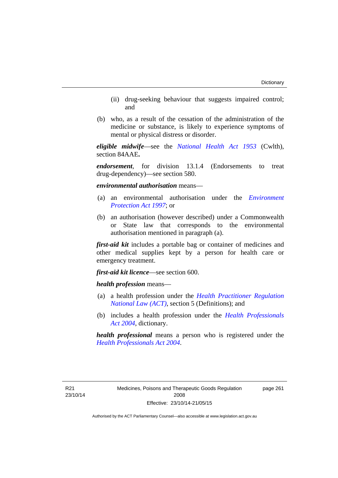- (ii) drug-seeking behaviour that suggests impaired control; and
- (b) who, as a result of the cessation of the administration of the medicine or substance, is likely to experience symptoms of mental or physical distress or disorder.

*eligible midwife*—see the *[National Health Act 1953](http://www.comlaw.gov.au/Series/C1953A00095)* (Cwlth), section 84AAE**.**

*endorsement*, for division 13.1.4 (Endorsements to treat drug-dependency)—see section 580.

*environmental authorisation* means—

- (a) an environmental authorisation under the *[Environment](http://www.legislation.act.gov.au/a/1997-92)  [Protection Act 1997](http://www.legislation.act.gov.au/a/1997-92)*; or
- (b) an authorisation (however described) under a Commonwealth or State law that corresponds to the environmental authorisation mentioned in paragraph (a).

*first-aid kit* includes a portable bag or container of medicines and other medical supplies kept by a person for health care or emergency treatment.

*first-aid kit licence*—see section 600.

*health profession* means—

- (a) a health profession under the *[Health Practitioner Regulation](http://www.legislation.act.gov.au/a/db_39269/default.asp)  [National Law \(ACT\)](http://www.legislation.act.gov.au/a/db_39269/default.asp)*, section 5 (Definitions); and
- (b) includes a health profession under the *[Health Professionals](http://www.legislation.act.gov.au/a/2004-38)  [Act 2004](http://www.legislation.act.gov.au/a/2004-38)*, dictionary.

*health professional* means a person who is registered under the *[Health Professionals Act 2004](http://www.legislation.act.gov.au/a/2004-38)*.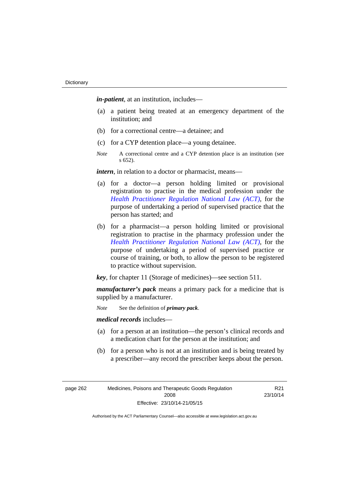*in-patient*, at an institution, includes—

- (a) a patient being treated at an emergency department of the institution; and
- (b) for a correctional centre—a detainee; and
- (c) for a CYP detention place—a young detainee.
- *Note* A correctional centre and a CYP detention place is an institution (see s 652).

*intern*, in relation to a doctor or pharmacist, means—

- (a) for a doctor—a person holding limited or provisional registration to practise in the medical profession under the *[Health Practitioner Regulation National Law \(ACT\)](http://www.legislation.act.gov.au/a/db_39269/default.asp)*, for the purpose of undertaking a period of supervised practice that the person has started; and
- (b) for a pharmacist—a person holding limited or provisional registration to practise in the pharmacy profession under the *[Health Practitioner Regulation National Law \(ACT\)](http://www.legislation.act.gov.au/a/db_39269/default.asp)*, for the purpose of undertaking a period of supervised practice or course of training, or both, to allow the person to be registered to practice without supervision.

*key*, for chapter 11 (Storage of medicines)—see section 511.

*manufacturer's pack* means a primary pack for a medicine that is supplied by a manufacturer.

*Note* See the definition of *primary pack*.

*medical records* includes—

- (a) for a person at an institution—the person's clinical records and a medication chart for the person at the institution; and
- (b) for a person who is not at an institution and is being treated by a prescriber—any record the prescriber keeps about the person.

page 262 Medicines, Poisons and Therapeutic Goods Regulation 2008 Effective: 23/10/14-21/05/15

R21 23/10/14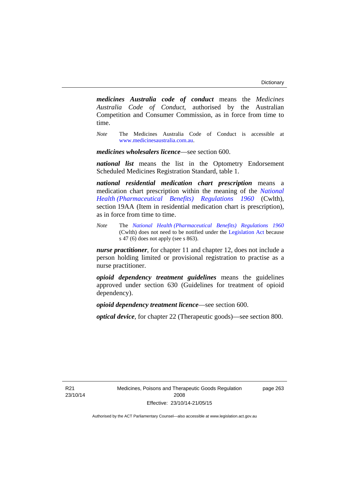*medicines Australia code of conduct* means the *Medicines Australia Code of Conduct*, authorised by the Australian Competition and Consumer Commission, as in force from time to time.

*Note* The Medicines Australia Code of Conduct is accessible at [www.medicinesaustralia.com.au](http://www.medicinesaustralia.com.au/).

*medicines wholesalers licence*—see section 600.

*national list* means the list in the Optometry Endorsement Scheduled Medicines Registration Standard, table 1.

*national residential medication chart prescription* means a medication chart prescription within the meaning of the *[National](http://www.comlaw.gov.au/Series/F1996B02844)  [Health \(Pharmaceutical Benefits\) Regulations 1960](http://www.comlaw.gov.au/Series/F1996B02844)* (Cwlth), section 19AA (Item in residential medication chart is prescription), as in force from time to time.

*Note* The *[National Health \(Pharmaceutical Benefits\) Regulations 1960](http://www.comlaw.gov.au/Series/F1996B02844)* (Cwlth) does not need to be notified under the [Legislation Act](http://www.legislation.act.gov.au/a/2001-14) because s 47 (6) does not apply (see s 863).

*nurse practitioner*, for chapter 11 and chapter 12, does not include a person holding limited or provisional registration to practise as a nurse practitioner.

*opioid dependency treatment guidelines* means the guidelines approved under section 630 (Guidelines for treatment of opioid dependency).

*opioid dependency treatment licence*—see section 600.

*optical device*, for chapter 22 (Therapeutic goods)—see section 800.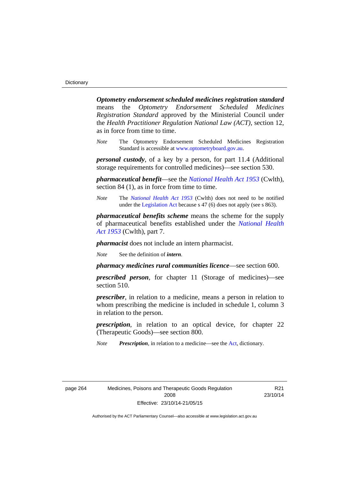*Optometry endorsement scheduled medicines registration standard* means the *Optometry Endorsement Scheduled Medicines Registration Standard* approved by the Ministerial Council under the *Health Practitioner Regulation National Law (ACT)*, section 12, as in force from time to time.

*Note* The Optometry Endorsement Scheduled Medicines Registration Standard is accessible at [www.optometryboard.gov.au](http://www.optometryboard.gov.au/).

*personal custody*, of a key by a person, for part 11.4 (Additional storage requirements for controlled medicines)—see section 530.

*pharmaceutical benefit*—see the *[National Health Act 1953](http://www.comlaw.gov.au/Series/C1953A00095)* (Cwlth), section 84 (1), as in force from time to time.

*Note* The *[National Health Act 1953](http://www.comlaw.gov.au/Series/C1953A00095)* (Cwlth) does not need to be notified under the [Legislation Act](http://www.legislation.act.gov.au/a/2001-14) because s 47 (6) does not apply (see s 863).

*pharmaceutical benefits scheme* means the scheme for the supply of pharmaceutical benefits established under the *[National Health](http://www.comlaw.gov.au/Series/C1953A00095)  [Act 1953](http://www.comlaw.gov.au/Series/C1953A00095)* (Cwlth), part 7.

*pharmacist* does not include an intern pharmacist.

*Note* See the definition of *intern*.

*pharmacy medicines rural communities licence*—see section 600.

*prescribed person*, for chapter 11 (Storage of medicines)—see section 510.

*prescriber*, in relation to a medicine, means a person in relation to whom prescribing the medicine is included in schedule 1, column 3 in relation to the person.

*prescription*, in relation to an optical device, for chapter 22 (Therapeutic Goods)—see section 800.

*Note Prescription*, in relation to a medicine—see the [Act](http://www.legislation.act.gov.au/a/2008-26/default.asp), dictionary.

page 264 Medicines, Poisons and Therapeutic Goods Regulation 2008 Effective: 23/10/14-21/05/15

R21 23/10/14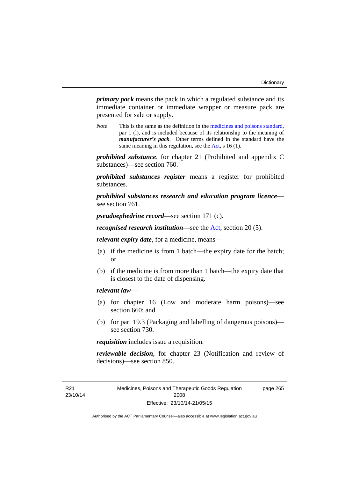*primary pack* means the pack in which a regulated substance and its immediate container or immediate wrapper or measure pack are presented for sale or supply.

*Note* This is the same as the definition in the [medicines and poisons standard,](http://www.comlaw.gov.au/Series/F2012L01200) par 1 (l), and is included because of its relationship to the meaning of *manufacturer's pack*. Other terms defined in the standard have the same meaning in this regulation, see the [Act](http://www.legislation.act.gov.au/a/2008-26/default.asp), s 16 (1).

*prohibited substance*, for chapter 21 (Prohibited and appendix C substances)—see section 760.

*prohibited substances register* means a register for prohibited substances.

*prohibited substances research and education program licence* see section 761.

*pseudoephedrine record*—see section 171 (c).

*recognised research institution*—see the [Act](http://www.legislation.act.gov.au/a/2008-26/default.asp), section 20 (5).

*relevant expiry date*, for a medicine, means—

- (a) if the medicine is from 1 batch—the expiry date for the batch; or
- (b) if the medicine is from more than 1 batch—the expiry date that is closest to the date of dispensing.

# *relevant law*—

- (a) for chapter 16 (Low and moderate harm poisons)—see section 660; and
- (b) for part 19.3 (Packaging and labelling of dangerous poisons) see section 730.

*requisition* includes issue a requisition.

*reviewable decision*, for chapter 23 (Notification and review of decisions)—see section 850.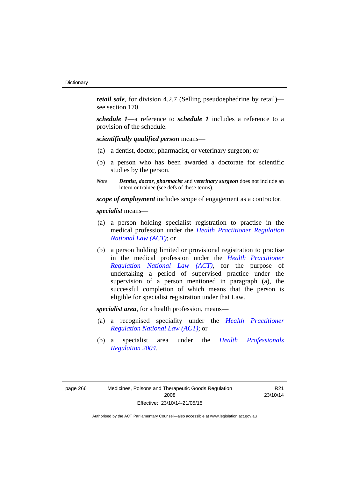*retail sale*, for division 4.2.7 (Selling pseudoephedrine by retail) see section 170.

*schedule 1*—a reference to *schedule 1* includes a reference to a provision of the schedule.

*scientifically qualified person* means—

- (a) a dentist, doctor, pharmacist, or veterinary surgeon; or
- (b) a person who has been awarded a doctorate for scientific studies by the person.
- *Note Dentist*, *doctor*, *pharmacist* and *veterinary surgeon* does not include an intern or trainee (see defs of these terms).

*scope of employment* includes scope of engagement as a contractor.

*specialist* means—

- (a) a person holding specialist registration to practise in the medical profession under the *[Health Practitioner Regulation](http://www.legislation.act.gov.au/a/db_39269/default.asp)  [National Law \(ACT\)](http://www.legislation.act.gov.au/a/db_39269/default.asp)*; or
- (b) a person holding limited or provisional registration to practise in the medical profession under the *[Health Practitioner](http://www.legislation.act.gov.au/a/db_39269/default.asp)  [Regulation National Law \(ACT\)](http://www.legislation.act.gov.au/a/db_39269/default.asp)*, for the purpose of undertaking a period of supervised practice under the supervision of a person mentioned in paragraph (a), the successful completion of which means that the person is eligible for specialist registration under that Law.

*specialist area*, for a health profession, means—

- (a) a recognised speciality under the *[Health Practitioner](http://www.legislation.act.gov.au/a/db_39269/default.asp)  [Regulation National Law \(ACT\)](http://www.legislation.act.gov.au/a/db_39269/default.asp)*; or
- (b) a specialist area under the *[Health Professionals](http://www.legislation.act.gov.au/sl/2004-41)  [Regulation 2004](http://www.legislation.act.gov.au/sl/2004-41)*.

R21 23/10/14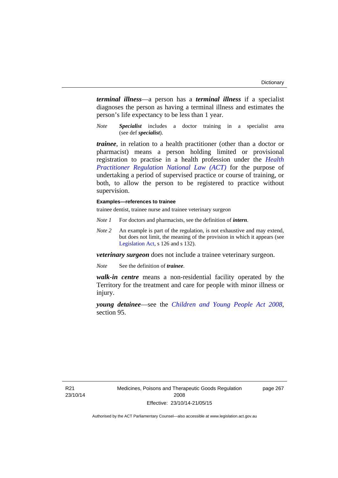*terminal illness*—a person has a *terminal illness* if a specialist diagnoses the person as having a terminal illness and estimates the person's life expectancy to be less than 1 year.

*Note Specialist* includes a doctor training in a specialist area (see def *specialist*).

*trainee*, in relation to a health practitioner (other than a doctor or pharmacist) means a person holding limited or provisional registration to practise in a health profession under the *[Health](http://www.legislation.act.gov.au/a/db_39269/default.asp)  [Practitioner Regulation National Law \(ACT\)](http://www.legislation.act.gov.au/a/db_39269/default.asp)* for the purpose of undertaking a period of supervised practice or course of training, or both, to allow the person to be registered to practice without supervision.

## **Examples—references to trainee**

trainee dentist, trainee nurse and trainee veterinary surgeon

- *Note 1* For doctors and pharmacists, see the definition of *intern*.
- *Note 2* An example is part of the regulation, is not exhaustive and may extend, but does not limit, the meaning of the provision in which it appears (see [Legislation Act,](http://www.legislation.act.gov.au/a/2001-14) s 126 and s 132).

*veterinary surgeon* does not include a trainee veterinary surgeon.

*Note* See the definition of *trainee*.

*walk-in centre* means a non-residential facility operated by the Territory for the treatment and care for people with minor illness or injury.

*young detainee*—see the *[Children and Young People Act 2008](http://www.legislation.act.gov.au/a/2008-19)*, section 95.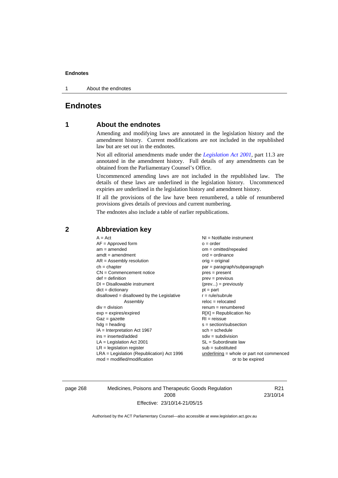1 About the endnotes

# **Endnotes**

# **1 About the endnotes**

Amending and modifying laws are annotated in the legislation history and the amendment history. Current modifications are not included in the republished law but are set out in the endnotes.

Not all editorial amendments made under the *[Legislation Act 2001](http://www.legislation.act.gov.au/a/2001-14)*, part 11.3 are annotated in the amendment history. Full details of any amendments can be obtained from the Parliamentary Counsel's Office.

Uncommenced amending laws are not included in the republished law. The details of these laws are underlined in the legislation history. Uncommenced expiries are underlined in the legislation history and amendment history.

If all the provisions of the law have been renumbered, a table of renumbered provisions gives details of previous and current numbering.

The endnotes also include a table of earlier republications.

| $A = Act$<br>$AF =$ Approved form<br>$am = amended$<br>$amdt = amendment$<br>$AR = Assembly resolution$<br>$ch = chapter$<br>$CN =$ Commencement notice<br>$def = definition$<br>$DI = Disallowable instrument$<br>$dict = dictionary$<br>disallowed = disallowed by the Legislative<br>Assembly<br>$div = division$<br>$exp = expires/expired$<br>$Gaz = gazette$<br>$hdg = heading$<br>$IA = Interpretation Act 1967$<br>$ins = inserted/added$<br>$LA =$ Legislation Act 2001<br>$LR =$ legislation register | NI = Notifiable instrument<br>$o = order$<br>$om = omitted/repealed$<br>$ord = ordinance$<br>$orig = original$<br>par = paragraph/subparagraph<br>$pres = present$<br>$prev = previous$<br>$(\text{prev}) = \text{previously}$<br>$pt = part$<br>$r = rule/subrule$<br>$reloc = relocated$<br>$renum = renumbered$<br>$R[X]$ = Republication No<br>$RI = reissue$<br>$s = section/subsection$<br>$sch = schedule$<br>$sdiv = subdivision$<br>$SL = Subordinate$ law<br>$sub =$ substituted |
|-----------------------------------------------------------------------------------------------------------------------------------------------------------------------------------------------------------------------------------------------------------------------------------------------------------------------------------------------------------------------------------------------------------------------------------------------------------------------------------------------------------------|--------------------------------------------------------------------------------------------------------------------------------------------------------------------------------------------------------------------------------------------------------------------------------------------------------------------------------------------------------------------------------------------------------------------------------------------------------------------------------------------|
| $LRA =$ Legislation (Republication) Act 1996<br>$mod = modified/modification$                                                                                                                                                                                                                                                                                                                                                                                                                                   | underlining = whole or part not commenced<br>or to be expired                                                                                                                                                                                                                                                                                                                                                                                                                              |
|                                                                                                                                                                                                                                                                                                                                                                                                                                                                                                                 |                                                                                                                                                                                                                                                                                                                                                                                                                                                                                            |

# **2 Abbreviation key**

page 268 Medicines, Poisons and Therapeutic Goods Regulation 2008 Effective: 23/10/14-21/05/15

R21 23/10/14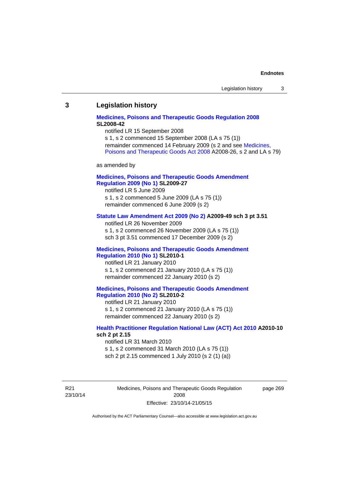## **3 Legislation history**

## **[Medicines, Poisons and Therapeutic Goods Regulation 2008](http://www.legislation.act.gov.au/sl/2008-42) SL2008-42**

notified LR 15 September 2008

s 1, s 2 commenced 15 September 2008 (LA s 75 (1)) remainder commenced 14 February 2009 (s 2 and see [Medicines,](http://www.legislation.act.gov.au/a/2008-26)  [Poisons and Therapeutic Goods Act 2008](http://www.legislation.act.gov.au/a/2008-26) A2008-26, s 2 and LA s 79)

as amended by

# **[Medicines, Poisons and Therapeutic Goods Amendment](http://www.legislation.act.gov.au/sl/2009-27)  [Regulation 2009 \(No 1\)](http://www.legislation.act.gov.au/sl/2009-27) SL2009-27**

notified LR 5 June 2009 s 1, s 2 commenced 5 June 2009 (LA s 75 (1)) remainder commenced 6 June 2009 (s 2)

#### **[Statute Law Amendment Act 2009 \(No 2\)](http://www.legislation.act.gov.au/a/2009-49) A2009-49 sch 3 pt 3.51**

notified LR 26 November 2009 s 1, s 2 commenced 26 November 2009 (LA s 75 (1)) sch 3 pt 3.51 commenced 17 December 2009 (s 2)

#### **[Medicines, Poisons and Therapeutic Goods Amendment](http://www.legislation.act.gov.au/sl/2010-1)  [Regulation 2010 \(No 1\)](http://www.legislation.act.gov.au/sl/2010-1) SL2010-1**

notified LR 21 January 2010 s 1, s 2 commenced 21 January 2010 (LA s 75 (1)) remainder commenced 22 January 2010 (s 2)

## **[Medicines, Poisons and Therapeutic Goods Amendment](http://www.legislation.act.gov.au/sl/2010-2)  [Regulation 2010 \(No 2\)](http://www.legislation.act.gov.au/sl/2010-2) SL2010-2**

notified LR 21 January 2010 s 1, s 2 commenced 21 January 2010 (LA s 75 (1)) remainder commenced 22 January 2010 (s 2)

### **[Health Practitioner Regulation National Law \(ACT\) Act 2010](http://www.legislation.act.gov.au/a/2010-10) A2010-10 sch 2 pt 2.15**

notified LR 31 March 2010 s 1, s 2 commenced 31 March 2010 (LA s 75 (1)) sch 2 pt 2.15 commenced 1 July 2010 (s 2 (1) (a))

R21 23/10/14 Medicines, Poisons and Therapeutic Goods Regulation 2008 Effective: 23/10/14-21/05/15

page 269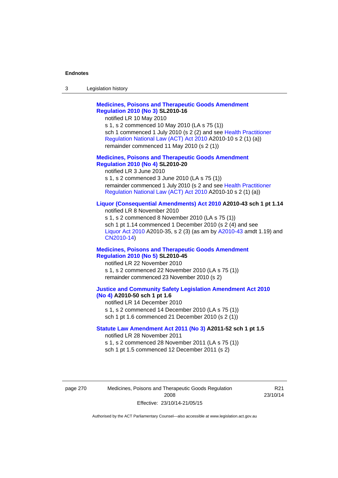| 3 | Legislation history |  |
|---|---------------------|--|
|---|---------------------|--|

# **[Medicines, Poisons and Therapeutic Goods Amendment](http://www.legislation.act.gov.au/sl/2010-16)  [Regulation 2010 \(No 3\)](http://www.legislation.act.gov.au/sl/2010-16) SL2010-16**

notified LR 10 May 2010

s 1, s 2 commenced 10 May 2010 (LA s 75 (1)) sch 1 commenced 1 July 2010 (s 2 (2) and see [Health Practitioner](http://www.legislation.act.gov.au/a/2010-10)  [Regulation National Law \(ACT\) Act 2010](http://www.legislation.act.gov.au/a/2010-10) A2010-10 s 2 (1) (a)) remainder commenced 11 May 2010 (s 2 (1))

### **[Medicines, Poisons and Therapeutic Goods Amendment](http://www.legislation.act.gov.au/sl/2010-20)  [Regulation 2010 \(No 4\)](http://www.legislation.act.gov.au/sl/2010-20) SL2010-20**

notified LR 3 June 2010 s 1, s 2 commenced 3 June 2010 (LA s 75 (1)) remainder commenced 1 July 2010 (s 2 and see [Health Practitioner](http://www.legislation.act.gov.au/a/2010-10)  [Regulation National Law \(ACT\) Act 2010](http://www.legislation.act.gov.au/a/2010-10) A2010-10 s 2 (1) (a))

## **[Liquor \(Consequential Amendments\) Act 2010](http://www.legislation.act.gov.au/a/2010-43) A2010-43 sch 1 pt 1.14**

notified LR 8 November 2010 s 1, s 2 commenced 8 November 2010 (LA s 75 (1)) sch 1 pt 1.14 commenced 1 December 2010 (s 2 (4) and see [Liquor Act 2010](http://www.legislation.act.gov.au/a/2010-35) A2010-35, s 2 (3) (as am by [A2010-43](http://www.legislation.act.gov.au/a/2010-43) amdt 1.19) and [CN2010-14](http://www.legislation.act.gov.au/cn/2010-14/default.asp))

#### **[Medicines, Poisons and Therapeutic Goods Amendment](http://www.legislation.act.gov.au/sl/2010-45)  [Regulation 2010 \(No 5\)](http://www.legislation.act.gov.au/sl/2010-45) SL2010-45**

notified LR 22 November 2010 s 1, s 2 commenced 22 November 2010 (LA s 75 (1)) remainder commenced 23 November 2010 (s 2)

#### **[Justice and Community Safety Legislation Amendment Act 2010](http://www.legislation.act.gov.au/a/2010-50)  [\(No 4\)](http://www.legislation.act.gov.au/a/2010-50) A2010-50 sch 1 pt 1.6**

notified LR 14 December 2010 s 1, s 2 commenced 14 December 2010 (LA s 75 (1)) sch 1 pt 1.6 commenced 21 December 2010 (s 2 (1))

## **[Statute Law Amendment Act 2011 \(No 3\)](http://www.legislation.act.gov.au/a/2011-52) A2011-52 sch 1 pt 1.5**  notified LR 28 November 2011

s 1, s 2 commenced 28 November 2011 (LA s 75 (1)) sch 1 pt 1.5 commenced 12 December 2011 (s 2)

page 270 Medicines, Poisons and Therapeutic Goods Regulation 2008 Effective: 23/10/14-21/05/15

R21 23/10/14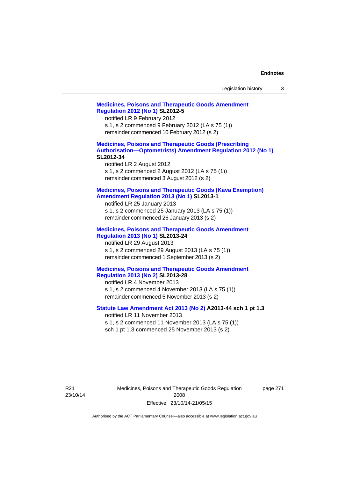| Legislation history |  |  |
|---------------------|--|--|
|---------------------|--|--|

# **[Medicines, Poisons and Therapeutic Goods Amendment](http://www.legislation.act.gov.au/sl/2012-5)  [Regulation 2012 \(No 1\)](http://www.legislation.act.gov.au/sl/2012-5) SL2012-5**  notified LR 9 February 2012 s 1, s 2 commenced 9 February 2012 (LA s 75 (1)) remainder commenced 10 February 2012 (s 2) **[Medicines, Poisons and Therapeutic Goods \(Prescribing](http://www.legislation.act.gov.au/sl/2012-34)  [Authorisation—Optometrists\) Amendment Regulation 2012 \(No 1\)](http://www.legislation.act.gov.au/sl/2012-34) SL2012-34**  notified LR 2 August 2012 s 1, s 2 commenced 2 August 2012 (LA s 75 (1)) remainder commenced 3 August 2012 (s 2) **[Medicines, Poisons and Therapeutic Goods \(Kava Exemption\)](http://www.legislation.act.gov.au/sl/2013-1/default.asp)  [Amendment Regulation 2013 \(No 1\)](http://www.legislation.act.gov.au/sl/2013-1/default.asp) SL2013-1**  notified LR 25 January 2013 s 1, s 2 commenced 25 January 2013 (LA s 75 (1)) remainder commenced 26 January 2013 (s 2) **[Medicines, Poisons and Therapeutic Goods Amendment](http://www.legislation.act.gov.au/sl/2013-24/default.asp)  [Regulation 2013 \(No 1\)](http://www.legislation.act.gov.au/sl/2013-24/default.asp) SL2013-24**  notified LR 29 August 2013 s 1, s 2 commenced 29 August 2013 (LA s 75 (1)) remainder commenced 1 September 2013 (s 2) **[Medicines, Poisons and Therapeutic Goods Amendment](http://www.legislation.act.gov.au/sl/2013-28)  [Regulation 2013 \(No 2\)](http://www.legislation.act.gov.au/sl/2013-28) SL2013-28**  notified LR 4 November 2013 s 1, s 2 commenced 4 November 2013 (LA s 75 (1)) remainder commenced 5 November 2013 (s 2) **[Statute Law Amendment Act 2013 \(No 2\)](http://www.legislation.act.gov.au/a/2013-44) A2013-44 sch 1 pt 1.3**  notified LR 11 November 2013 s 1, s 2 commenced 11 November 2013 (LA s 75 (1)) sch 1 pt 1.3 commenced 25 November 2013 (s 2)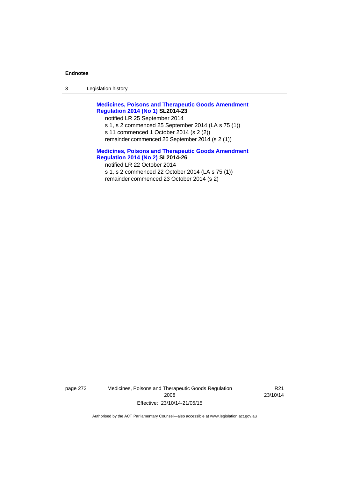3 Legislation history

**[Medicines, Poisons and Therapeutic Goods Amendment](http://www.legislation.act.gov.au/sl/2014-23)  [Regulation 2014 \(No 1\)](http://www.legislation.act.gov.au/sl/2014-23) SL2014-23** 

notified LR 25 September 2014

- s 1, s 2 commenced 25 September 2014 (LA s 75 (1))
- s 11 commenced 1 October 2014 (s 2 (2))
- remainder commenced 26 September 2014 (s 2 (1))

**[Medicines, Poisons and Therapeutic Goods Amendment](http://www.legislation.act.gov.au/sl/2014-26)  [Regulation 2014 \(No 2\)](http://www.legislation.act.gov.au/sl/2014-26) SL2014-26**  notified LR 22 October 2014 s 1, s 2 commenced 22 October 2014 (LA s 75 (1)) remainder commenced 23 October 2014 (s 2)

page 272 Medicines, Poisons and Therapeutic Goods Regulation 2008 Effective: 23/10/14-21/05/15

R21 23/10/14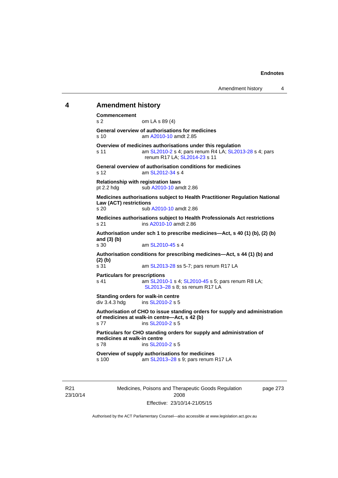# **4 Amendment history**

**Commencement**  s 2 om LA s 89 (4) **General overview of authorisations for medicines**  s 10 am [A2010-10](http://www.legislation.act.gov.au/a/2010-10) amdt 2.85 **Overview of medicines authorisations under this regulation**  s 11 am [SL2010-2](http://www.legislation.act.gov.au/sl/2010-2) s 4; pars renum R4 LA; [SL2013-28](http://www.legislation.act.gov.au/sl/2013-28) s 4; pars renum R17 LA; [SL2014-23](http://www.legislation.act.gov.au/sl/2014-23) s 11 **General overview of authorisation conditions for medicines**  s 12 am [SL2012-34](http://www.legislation.act.gov.au/sl/2012-34) s 4 **Relationship with registration laws**  pt 2.2 hdg sub [A2010-10](http://www.legislation.act.gov.au/a/2010-10) amdt 2.86 **Medicines authorisations subject to Health Practitioner Regulation National Law (ACT) restrictions**  sub [A2010-10](http://www.legislation.act.gov.au/a/2010-10) amdt 2.86 **Medicines authorisations subject to Health Professionals Act restrictions**  s 21 ins [A2010-10](http://www.legislation.act.gov.au/a/2010-10) amdt 2.86 **Authorisation under sch 1 to prescribe medicines—Act, s 40 (1) (b), (2) (b) and (3) (b)**  s 30 am [SL2010-45](http://www.legislation.act.gov.au/sl/2010-45) s 4 **Authorisation conditions for prescribing medicines—Act, s 44 (1) (b) and (2) (b)**  s 31 am [SL2013-28](http://www.legislation.act.gov.au/sl/2013-28) ss 5-7; pars renum R17 LA **Particulars for prescriptions**  s 41 **am [SL2010-1](http://www.legislation.act.gov.au/sl/2010-1) s 4; [SL2010-45](http://www.legislation.act.gov.au/sl/2010-45) s 5; pars renum R8 LA;** [SL2013–28](http://www.legislation.act.gov.au/sl/2013-28) s 8; ss renum R17 LA **Standing orders for walk-in centre**   $div 3.4.3$  hdg ins  $SL2010-2$  s 5 **Authorisation of CHO to issue standing orders for supply and administration of medicines at walk-in centre—Act, s 42 (b)**  s 77 ins [SL2010-2](http://www.legislation.act.gov.au/sl/2010-2) s 5 **Particulars for CHO standing orders for supply and administration of medicines at walk-in centre**  s 78 ins [SL2010-2](http://www.legislation.act.gov.au/sl/2010-2) s 5 **Overview of supply authorisations for medicines**  s 100 am [SL2013–28](http://www.legislation.act.gov.au/sl/2013-28) s 9; pars renum R17 LA

R21 23/10/14 Medicines, Poisons and Therapeutic Goods Regulation 2008 Effective: 23/10/14-21/05/15

page 273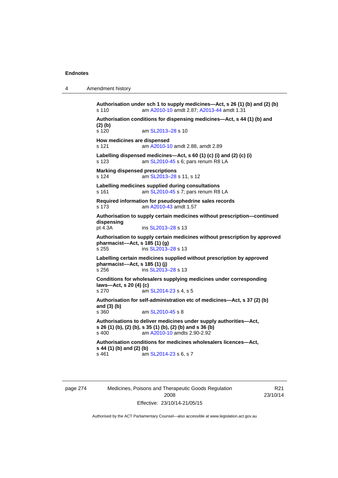4 Amendment history

**Authorisation under sch 1 to supply medicines—Act, s 26 (1) (b) and (2) (b)**  s 110 am [A2010-10](http://www.legislation.act.gov.au/a/2010-10) amdt 2.87; [A2013-44](http://www.legislation.act.gov.au/a/2013-44) amdt 1.31 **Authorisation conditions for dispensing medicines—Act, s 44 (1) (b) and (2) (b)**  s 120 am SL2013-28 s 10 **How medicines are dispensed**  s 121 am [A2010-10](http://www.legislation.act.gov.au/a/2010-10) amdt 2.88, amdt 2.89 **Labelling dispensed medicines—Act, s 60 (1) (c) (i) and (2) (c) (i)**  s 123 am [SL2010-45](http://www.legislation.act.gov.au/sl/2010-45) s 6; pars renum R8 LA **Marking dispensed prescriptions**  s 124 **am [SL2013–28](http://www.legislation.act.gov.au/sl/2013-28) s 11, s 12 Labelling medicines supplied during consultations**  s 161 **am [SL2010-45](http://www.legislation.act.gov.au/sl/2010-45) s 7; pars renum R8 LA Required information for pseudoephedrine sales records**  s 173 am [A2010-43](http://www.legislation.act.gov.au/a/2010-43) amdt 1.57 **Authorisation to supply certain medicines without prescription—continued dispensing**  ins [SL2013–28](http://www.legislation.act.gov.au/sl/2013-28) s 13 **Authorisation to supply certain medicines without prescription by approved pharmacist––Act, s 185 (1) (g)**  s 255 ins [SL2013–28](http://www.legislation.act.gov.au/sl/2013-28) s 13 **Labelling certain medicines supplied without prescription by approved pharmacist––Act, s 185 (1) (j)**  s 256 ins [SL2013–28](http://www.legislation.act.gov.au/sl/2013-28) s 13 **Conditions for wholesalers supplying medicines under corresponding laws—Act, s 20 (4) (c)**  s 270 am [SL2014-23](http://www.legislation.act.gov.au/sl/2014-23) s 4, s 5 **Authorisation for self-administration etc of medicines—Act, s 37 (2) (b) and (3) (b)**  s 360 am [SL2010-45](http://www.legislation.act.gov.au/sl/2010-45) s 8 **Authorisations to deliver medicines under supply authorities—Act, s 26 (1) (b), (2) (b), s 35 (1) (b), (2) (b) and s 36 (b)**<br>s 400 **am A2010-10 amdts 2.90-2.92** am [A2010-10](http://www.legislation.act.gov.au/a/2010-10) amdts 2.90-2.92 **Authorisation conditions for medicines wholesalers licences—Act, s 44 (1) (b) and (2) (b)**  s 461 **am [SL2014-23](http://www.legislation.act.gov.au/sl/2014-23) s 6, s 7** 

page 274 Medicines, Poisons and Therapeutic Goods Regulation 2008 Effective: 23/10/14-21/05/15

R21 23/10/14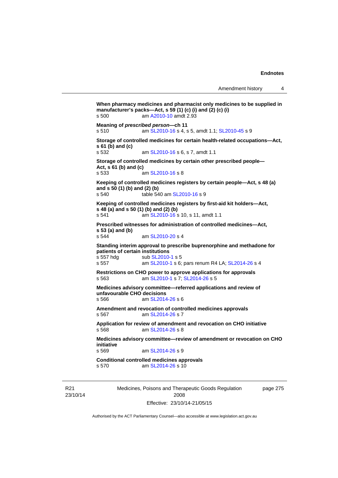```
When pharmacy medicines and pharmacist only medicines to be supplied in 
manufacturer's packs—Act, s 59 (1) (c) (i) and (2) (c) (i) 
s 500 am A2010-10 amdt 2.93
Meaning of prescribed person—ch 11 
s 510 am SL2010-16 s 4, s 5, amdt 1.1; SL2010-45 s 9 
Storage of controlled medicines for certain health-related occupations—Act, 
s 61 (b) and (c) 
s 532 am SL2010-16 s 6, s 7, amdt 1.1 
Storage of controlled medicines by certain other prescribed people—
Act, s 61 (b) and (c) 
s 533 am SL2010-16 s 8 
Keeping of controlled medicines registers by certain people—Act, s 48 (a) 
and s 50 (1) (b) and (2) (b) 
s 540 table 540 am SL2010-16 s 9 
Keeping of controlled medicines registers by first-aid kit holders—Act, 
s 48 (a) and s 50 (1) (b) and (2) (b) 
s 541 am SL2010-16 s 10, s 11, amdt 1.1 
Prescribed witnesses for administration of controlled medicines—Act, 
s 53 (a) and (b) 
s 544 am SL2010-20 s 4 
Standing interim approval to prescribe buprenorphine and methadone for 
patients of certain institutions 
                 SL2010-1 s 5
s 557 am SL2010-1 s 6; pars renum R4 LA; SL2014-26 s 4 
Restrictions on CHO power to approve applications for approvals 
s 563 am SL2010-1 s 7; SL2014-26 s 5 
Medicines advisory committee—referred applications and review of 
unfavourable CHO decisions 
s 566 am SL2014-26 s 6 
Amendment and revocation of controlled medicines approvals 
s 567 am SL2014-26 s 7 
Application for review of amendment and revocation on CHO initiative 
s 568 am SL2014-26 s 8 
Medicines advisory committee—review of amendment or revocation on CHO 
initiative 
                 SL2014-26 s 9
Conditional controlled medicines approvals 
s 570 am SL2014-26 s 10
```
R21 23/10/14 Medicines, Poisons and Therapeutic Goods Regulation 2008 Effective: 23/10/14-21/05/15

page 275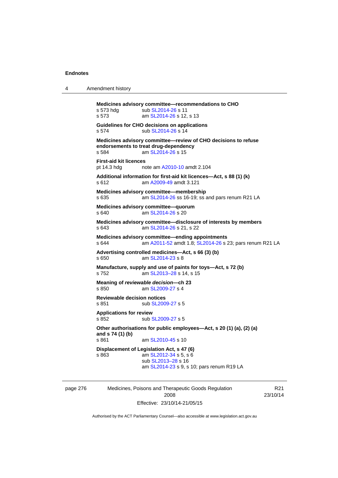| 4 | Amendment history |
|---|-------------------|
|---|-------------------|

**Medicines advisory committee—recommendations to CHO**  s 573 hdg sub [SL2014-26](http://www.legislation.act.gov.au/sl/2014-26) s 11 s 573 **am [SL2014-26](http://www.legislation.act.gov.au/sl/2014-26) s 12, s 13 Guidelines for CHO decisions on applications**  s 574 sub [SL2014-26](http://www.legislation.act.gov.au/sl/2014-26) s 14 **Medicines advisory committee—review of CHO decisions to refuse endorsements to treat drug-dependency**  s 584 am [SL2014-26](http://www.legislation.act.gov.au/sl/2014-26) s 15 **First-aid kit licences**  pt 14.3 hdg note am [A2010-10](http://www.legislation.act.gov.au/a/2010-10) amdt 2.104 **Additional information for first-aid kit licences—Act, s 88 (1) (k)**  s 612 am [A2009-49](http://www.legislation.act.gov.au/a/2009-49) amdt 3.121 **Medicines advisory committee—membership**  s 635 am [SL2014-26](http://www.legislation.act.gov.au/sl/2014-26) ss 16-19; ss and pars renum R21 LA **Medicines advisory committee—quorum**  s 640 **am [SL2014-26](http://www.legislation.act.gov.au/sl/2014-26) s 20 Medicines advisory committee—disclosure of interests by members**  s 643 am [SL2014-26](http://www.legislation.act.gov.au/sl/2014-26) s 21, s 22 **Medicines advisory committee—ending appointments**  s 644 am [A2011-52](http://www.legislation.act.gov.au/a/2011-52) amdt 1.8; [SL2014-26](http://www.legislation.act.gov.au/sl/2014-26) s 23; pars renum R21 LA **Advertising controlled medicines—Act, s 66 (3) (b)**  s 650 am [SL2014-23](http://www.legislation.act.gov.au/sl/2014-23) s 8 **Manufacture, supply and use of paints for toys—Act, s 72 (b)**  s 752 am [SL2013–28](http://www.legislation.act.gov.au/sl/2013-28) s 14, s 15 **Meaning of** *reviewable decision—***ch 23**  am [SL2009-27](http://www.legislation.act.gov.au/sl/2009-27) s 4 **Reviewable decision notices**  s 851 sub [SL2009-27](http://www.legislation.act.gov.au/sl/2009-27) s 5 **Applications for review**  s 852 sub [SL2009-27](http://www.legislation.act.gov.au/sl/2009-27) s 5 **Other authorisations for public employees—Act, s 20 (1) (a), (2) (a) and s 74 (1) (b)**  am [SL2010-45](http://www.legislation.act.gov.au/sl/2010-45) s 10 **Displacement of Legislation Act, s 47 (6)**  s 863 am [SL2012-34](http://www.legislation.act.gov.au/sl/2012-34) s 5, s 6 sub [SL2013–28](http://www.legislation.act.gov.au/sl/2013-28) s 16 am [SL2014-23](http://www.legislation.act.gov.au/sl/2014-23) s 9, s 10; pars renum R19 LA

page 276 Medicines, Poisons and Therapeutic Goods Regulation 2008 Effective: 23/10/14-21/05/15

R21 23/10/14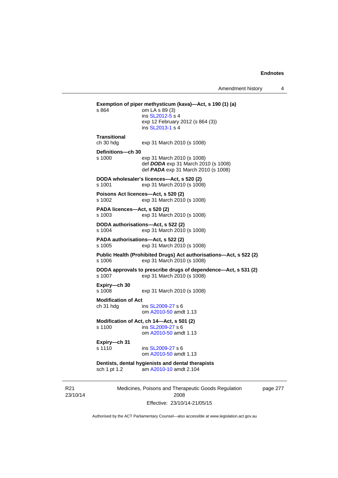```
Exemption of piper methysticum (kava)—Act, s 190 (1) (a) s 864 om LA s 89 (3)
                 om LA s 89 (3)
                  ins SL2012-5 s 4
                 exp 12 February 2012 (s 864 (3)) 
                  ins SL2013-1 s 4
Transitional 
ch 30 hdg exp 31 March 2010 (s 1008) 
Definitions—ch 30 
s 1000 exp 31 March 2010 (s 1008) 
                  def DODA exp 31 March 2010 (s 1008) 
                  def PADA exp 31 March 2010 (s 1008) 
DODA wholesaler's licences—Act, s 520 (2) 
s 1001 exp 31 March 2010 (s 1008) 
Poisons Act licences—Act, s 520 (2) 
s 1002 exp 31 March 2010 (s 1008) 
PADA licences—Act, s 520 (2) 
s 1003 exp 31 March 2010 (s 1008) 
DODA authorisations—Act, s 522 (2) 
s 1004 exp 31 March 2010 (s 1008) 
PADA authorisations—Act, s 522 (2) 
s 1005 exp 31 March 2010 (s 1008) 
Public Health (Prohibited Drugs) Act authorisations—Act, s 522 (2) 
s 1006 exp 31 March 2010 (s 1008) 
DODA approvals to prescribe drugs of dependence—Act, s 531 (2) 
                 exp 31 March 2010 (s 1008)
Expiry—ch 30 
s 1008 exp 31 March 2010 (s 1008) 
Modification of Act 
ch 31 hdg ins SL2009-27 s 6 
                  om A2010-50 amdt 1.13
Modification of Act, ch 14—Act, s 501 (2) 
s 1100 ins SL2009-27 s 6 
                  om A2010-50 amdt 1.13
Expiry—ch 31 
s 1110 SL2009-27 s 6
                  om A2010-50 amdt 1.13
Dentists, dental hygienists and dental therapists 
sch 1 pt 1.2 am A2010-10 amdt 2.104
```
R21 23/10/14 Medicines, Poisons and Therapeutic Goods Regulation 2008 Effective: 23/10/14-21/05/15

page 277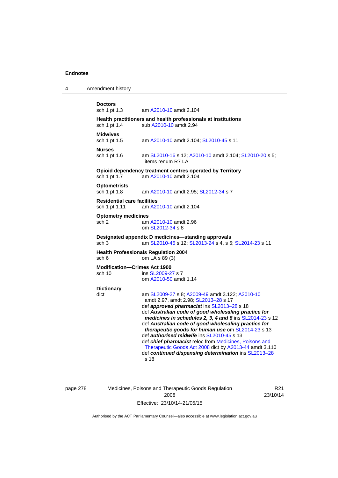4 Amendment history

```
Doctors 
sch 1 pt 1.3 am A2010-10 amdt 2.104
Health practitioners and health professionals at institutions 
 A2010-10 amdt 2.94
Midwives<br>sch 1 pt 1.5
                 A2010-10SL2010-45 s 11
Nurses 
 SL2010-16A2010-10  SL2010-20 s 5;
                 items renum R7 LA 
Opioid dependency treatment centres operated by Territory 
sch 1 pt 1.7 am A2010-10 amdt 2.104
Optometrists 
sch 1 pt 1.8 am A2010-10 amdt 2.95; SL2012-34 s 7 
Residential care facilities 
sch 1 pt 1.11 am A2010-10 amdt 2.104
Optometry medicines 
sch 2 am A2010-10 amdt 2.96
                 om SL2012-34 s 8 
Designated appendix D medicines—standing approvals 
 SL2010-45SL2013-24  SL2014-23 s 11
Health Professionals Regulation 2004 
sch 6 om LA s 89 (3) 
Modification—Crimes Act 1900 
 SL2009-27 s 7
                 om A2010-50 amdt 1.14
Dictionary 
dict am SL2009-27 s 8; A2009-49 amdt 3.122; A2010-10
                 amdt 2.97, amdt 2.98; SL2013–28 s 17 
                 def approved pharmacist ins SL2013–28 s 18 
                 def Australian code of good wholesaling practice for 
                 medicines in schedules 2, 3, 4 and 8 ins SL2014-23 s 12 
                 def Australian code of good wholesaling practice for 
                 therapeutic goods for human use om SL2014-23 s 13 
                 def authorised midwife ins SL2010-45 s 13 
                 def chief pharmacist reloc from Medicines, Poisons and 
                 Therapeutic Goods Act 2008 dict by A2013-44 amdt 3.110 
                 def continued dispensing determination ins SL2013–28
                 s 18
```
page 278 Medicines, Poisons and Therapeutic Goods Regulation 2008 Effective: 23/10/14-21/05/15

R21 23/10/14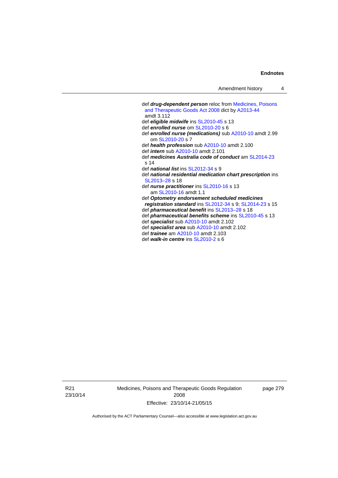```
 def drug-dependent person reloc from Medicines, Poisons 
 and Therapeutic Goods Act 2008 dict by A2013-44
 amdt 3.112
 def eligible midwife ins SL2010-45 s 13 
 def enrolled nurse om SL2010-20 s 6 
 def enrolled nurse (medications) sub A2010-10 amdt 2.99 
    om SL2010-20 s 7 
 def health profession sub A2010-10 amdt 2.100 
 def intern sub A2010-10 amdt 2.101 
 def medicines Australia code of conduct am SL2014-23
s 14 
 def national list ins SL2012-34 s 9 
 def national residential medication chart prescription ins 
 SL2013–28 s 18
 def nurse practitioner ins SL2010-16 s 13 
    am SL2010-16 amdt 1.1 
 def Optometry endorsement scheduled medicines 
registration standard ins SL2012-34 s 9; SL2014-23 s 15 
 def pharmaceutical benefit ins SL2013–28 s 18
 def pharmaceutical benefits scheme ins SL2010-45 s 13 
 def specialist sub A2010-10 amdt 2.102 
 def specialist area sub A2010-10 amdt 2.102 
 def trainee am A2010-10 amdt 2.103 
 def walk-in centre ins SL2010-2 s 6
```
R21 23/10/14 Medicines, Poisons and Therapeutic Goods Regulation 2008 Effective: 23/10/14-21/05/15

page 279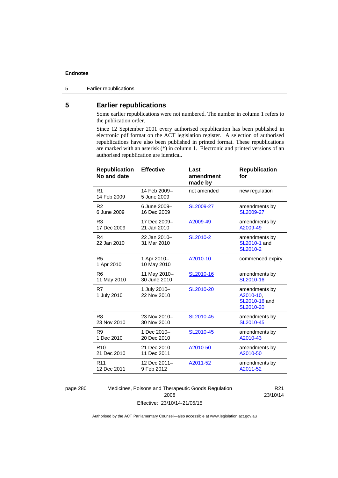5 Earlier republications

# **5 Earlier republications**

Some earlier republications were not numbered. The number in column 1 refers to the publication order.

Since 12 September 2001 every authorised republication has been published in electronic pdf format on the ACT legislation register. A selection of authorised republications have also been published in printed format. These republications are marked with an asterisk (\*) in column 1. Electronic and printed versions of an authorised republication are identical.

| <b>Republication</b><br>No and date | <b>Effective</b>            | Last<br>amendment<br>made by | <b>Republication</b><br>for                              |
|-------------------------------------|-----------------------------|------------------------------|----------------------------------------------------------|
| R <sub>1</sub><br>14 Feb 2009       | 14 Feb 2009-<br>5 June 2009 | not amended                  | new regulation                                           |
| R <sub>2</sub>                      | 6 June 2009-                | SL2009-27                    | amendments by                                            |
| 6 June 2009                         | 16 Dec 2009                 |                              | SL2009-27                                                |
| R3                                  | 17 Dec 2009-                | A2009-49                     | amendments by                                            |
| 17 Dec 2009                         | 21 Jan 2010                 |                              | A2009-49                                                 |
| R <sub>4</sub><br>22 Jan 2010       | 22 Jan 2010-<br>31 Mar 2010 | SL2010-2                     | amendments by<br>SL2010-1 and<br>SL2010-2                |
| R <sub>5</sub><br>1 Apr 2010        | 1 Apr 2010-<br>10 May 2010  | A2010-10                     | commenced expiry                                         |
| R <sub>6</sub>                      | 11 May 2010-                | SL2010-16                    | amendments by                                            |
| 11 May 2010                         | 30 June 2010                |                              | SL2010-16                                                |
| R7<br>1 July 2010                   | 1 July 2010-<br>22 Nov 2010 | SL2010-20                    | amendments by<br>A2010-10,<br>SL2010-16 and<br>SL2010-20 |
| R <sub>8</sub>                      | 23 Nov 2010-                | SL2010-45                    | amendments by                                            |
| 23 Nov 2010                         | 30 Nov 2010                 |                              | SL2010-45                                                |
| R <sub>9</sub>                      | 1 Dec 2010-                 | SL2010-45                    | amendments by                                            |
| 1 Dec 2010                          | 20 Dec 2010                 |                              | A2010-43                                                 |
| R <sub>10</sub>                     | 21 Dec 2010-                | A2010-50                     | amendments by                                            |
| 21 Dec 2010                         | 11 Dec 2011                 |                              | A2010-50                                                 |
| R <sub>11</sub>                     | 12 Dec 2011-                | A2011-52                     | amendments by                                            |
| 12 Dec 2011                         | 9 Feb 2012                  |                              | A2011-52                                                 |
|                                     |                             |                              |                                                          |

page 280 Medicines, Poisons and Therapeutic Goods Regulation 2008 Effective: 23/10/14-21/05/15

R21 23/10/14